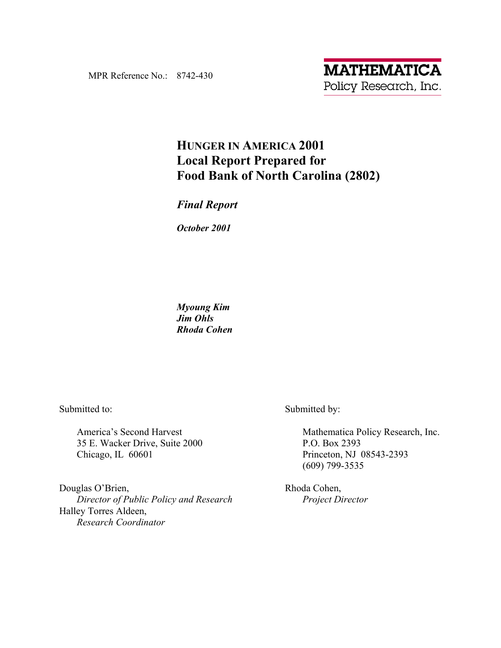MPR Reference No.: 8742-430

# **HUNGER IN AMERICA 2001 Local Report Prepared for Food Bank of North Carolina (2802)**

## *Final Report*

*October 2001* 

*Myoung Kim Jim Ohls Rhoda Cohen* 

Submitted to:

America's Second Harvest 35 E. Wacker Drive, Suite 2000 Chicago, IL 60601

Douglas O'Brien,  *Director of Public Policy and Research*  Halley Torres Aldeen, *Research Coordinator* 

Submitted by:

Mathematica Policy Research, Inc. P.O. Box 2393 Princeton, NJ 08543-2393 (609) 799-3535

Rhoda Cohen,  *Project Director*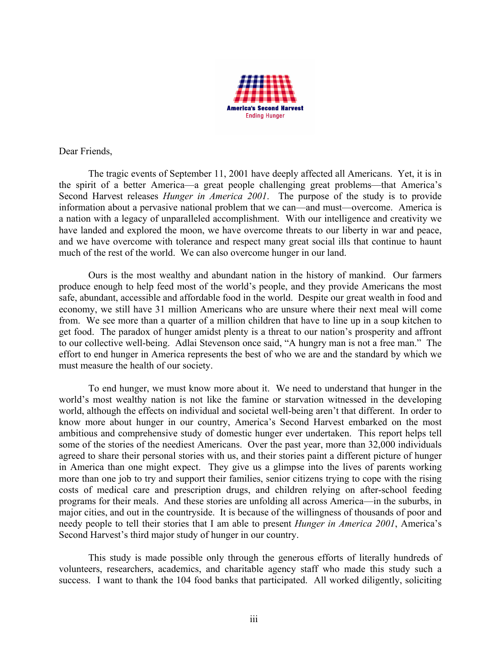

Dear Friends,

The tragic events of September 11, 2001 have deeply affected all Americans. Yet, it is in the spirit of a better America—a great people challenging great problems—that America's Second Harvest releases *Hunger in America 2001*. The purpose of the study is to provide information about a pervasive national problem that we can—and must—overcome. America is a nation with a legacy of unparalleled accomplishment. With our intelligence and creativity we have landed and explored the moon, we have overcome threats to our liberty in war and peace, and we have overcome with tolerance and respect many great social ills that continue to haunt much of the rest of the world. We can also overcome hunger in our land.

Ours is the most wealthy and abundant nation in the history of mankind. Our farmers produce enough to help feed most of the world's people, and they provide Americans the most safe, abundant, accessible and affordable food in the world. Despite our great wealth in food and economy, we still have 31 million Americans who are unsure where their next meal will come from. We see more than a quarter of a million children that have to line up in a soup kitchen to get food. The paradox of hunger amidst plenty is a threat to our nation's prosperity and affront to our collective well-being. Adlai Stevenson once said, "A hungry man is not a free man." The effort to end hunger in America represents the best of who we are and the standard by which we must measure the health of our society.

To end hunger, we must know more about it. We need to understand that hunger in the world's most wealthy nation is not like the famine or starvation witnessed in the developing world, although the effects on individual and societal well-being aren't that different. In order to know more about hunger in our country, America's Second Harvest embarked on the most ambitious and comprehensive study of domestic hunger ever undertaken. This report helps tell some of the stories of the neediest Americans. Over the past year, more than 32,000 individuals agreed to share their personal stories with us, and their stories paint a different picture of hunger in America than one might expect. They give us a glimpse into the lives of parents working more than one job to try and support their families, senior citizens trying to cope with the rising costs of medical care and prescription drugs, and children relying on after-school feeding programs for their meals. And these stories are unfolding all across America—in the suburbs, in major cities, and out in the countryside. It is because of the willingness of thousands of poor and needy people to tell their stories that I am able to present *Hunger in America 2001*, America's Second Harvest's third major study of hunger in our country.

This study is made possible only through the generous efforts of literally hundreds of volunteers, researchers, academics, and charitable agency staff who made this study such a success. I want to thank the 104 food banks that participated. All worked diligently, soliciting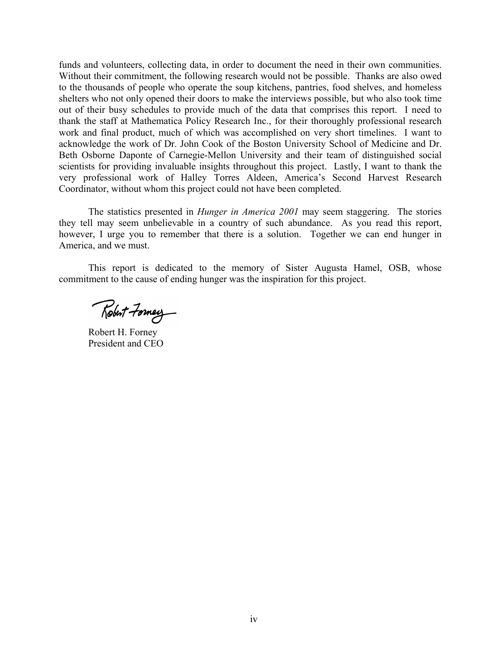funds and volunteers, collecting data, in order to document the need in their own communities. Without their commitment, the following research would not be possible. Thanks are also owed to the thousands of people who operate the soup kitchens, pantries, food shelves, and homeless shelters who not only opened their doors to make the interviews possible, but who also took time out of their busy schedules to provide much of the data that comprises this report. I need to thank the staff at Mathematica Policy Research Inc., for their thoroughly professional research work and final product, much of which was accomplished on very short timelines. I want to acknowledge the work of Dr. John Cook of the Boston University School of Medicine and Dr. Beth Osborne Daponte of Carnegie-Mellon University and their team of distinguished social scientists for providing invaluable insights throughout this project. Lastly, I want to thank the very professional work of Halley Torres Aldeen, Americaís Second Harvest Research Coordinator, without whom this project could not have been completed.

The statistics presented in *Hunger in America 2001* may seem staggering. The stories they tell may seem unbelievable in a country of such abundance. As you read this report, however, I urge you to remember that there is a solution. Together we can end hunger in America, and we must.

This report is dedicated to the memory of Sister Augusta Hamel, OSB, whose commitment to the cause of ending hunger was the inspiration for this project.

Robert Formey

Robert H. Forney President and CEO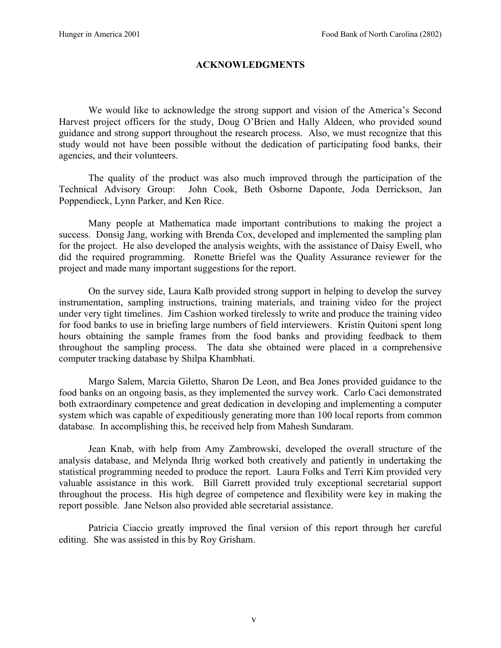### **ACKNOWLEDGMENTS**

We would like to acknowledge the strong support and vision of the America's Second Harvest project officers for the study, Doug O'Brien and Hally Aldeen, who provided sound guidance and strong support throughout the research process. Also, we must recognize that this study would not have been possible without the dedication of participating food banks, their agencies, and their volunteers.

The quality of the product was also much improved through the participation of the Technical Advisory Group: John Cook, Beth Osborne Daponte, Joda Derrickson, Jan Poppendieck, Lynn Parker, and Ken Rice.

Many people at Mathematica made important contributions to making the project a success. Donsig Jang, working with Brenda Cox, developed and implemented the sampling plan for the project. He also developed the analysis weights, with the assistance of Daisy Ewell, who did the required programming. Ronette Briefel was the Quality Assurance reviewer for the project and made many important suggestions for the report.

On the survey side, Laura Kalb provided strong support in helping to develop the survey instrumentation, sampling instructions, training materials, and training video for the project under very tight timelines. Jim Cashion worked tirelessly to write and produce the training video for food banks to use in briefing large numbers of field interviewers. Kristin Quitoni spent long hours obtaining the sample frames from the food banks and providing feedback to them throughout the sampling process. The data she obtained were placed in a comprehensive computer tracking database by Shilpa Khambhati.

Margo Salem, Marcia Giletto, Sharon De Leon, and Bea Jones provided guidance to the food banks on an ongoing basis, as they implemented the survey work. Carlo Caci demonstrated both extraordinary competence and great dedication in developing and implementing a computer system which was capable of expeditiously generating more than 100 local reports from common database. In accomplishing this, he received help from Mahesh Sundaram.

Jean Knab, with help from Amy Zambrowski, developed the overall structure of the analysis database, and Melynda Ihrig worked both creatively and patiently in undertaking the statistical programming needed to produce the report. Laura Folks and Terri Kim provided very valuable assistance in this work. Bill Garrett provided truly exceptional secretarial support throughout the process. His high degree of competence and flexibility were key in making the report possible. Jane Nelson also provided able secretarial assistance.

Patricia Ciaccio greatly improved the final version of this report through her careful editing. She was assisted in this by Roy Grisham.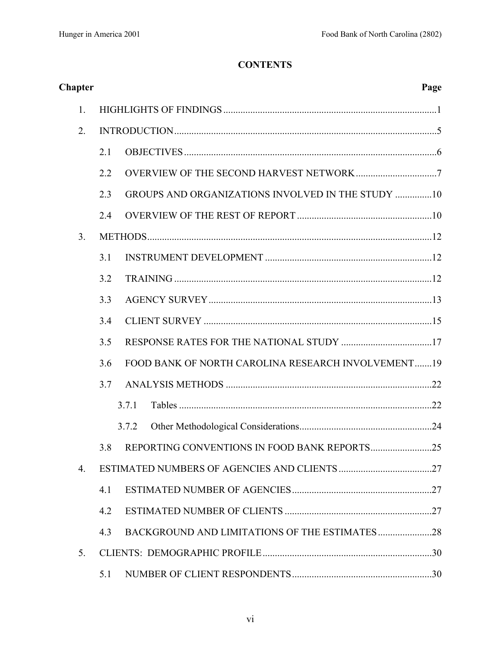# **CONTENTS**

| <b>Chapter</b> |     | Page                                                     |  |
|----------------|-----|----------------------------------------------------------|--|
| 1.             |     |                                                          |  |
| 2.             |     |                                                          |  |
|                | 2.1 |                                                          |  |
|                | 2.2 |                                                          |  |
|                | 2.3 | <b>GROUPS AND ORGANIZATIONS INVOLVED IN THE STUDY 10</b> |  |
|                | 2.4 |                                                          |  |
| 3 <sub>1</sub> |     |                                                          |  |
|                | 3.1 |                                                          |  |
|                | 3.2 |                                                          |  |
|                | 3.3 |                                                          |  |
|                | 3.4 |                                                          |  |
|                | 3.5 |                                                          |  |
|                | 3.6 | FOOD BANK OF NORTH CAROLINA RESEARCH INVOLVEMENT19       |  |
|                | 3.7 |                                                          |  |
|                |     | 3.7.1                                                    |  |
|                |     | 3.7.2                                                    |  |
|                |     | 3.8 REPORTING CONVENTIONS IN FOOD BANK REPORTS25         |  |
| 4.             |     |                                                          |  |
|                | 4.1 |                                                          |  |
|                | 4.2 |                                                          |  |
|                | 4.3 |                                                          |  |
| 5.             |     |                                                          |  |
|                | 5.1 |                                                          |  |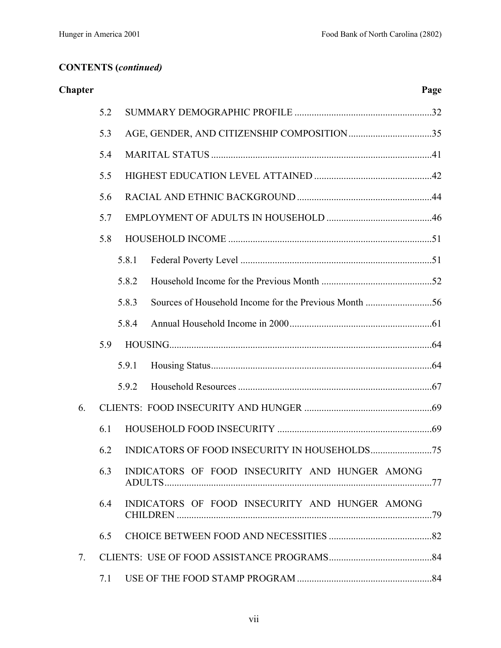| <b>Chapter</b> |     |                                                | Page |
|----------------|-----|------------------------------------------------|------|
|                | 5.2 |                                                |      |
|                | 5.3 |                                                |      |
|                | 5.4 |                                                |      |
|                | 5.5 |                                                |      |
|                | 5.6 |                                                |      |
|                | 5.7 |                                                |      |
|                | 5.8 |                                                |      |
|                |     | 5.8.1                                          |      |
|                |     | 5.8.2                                          |      |
|                |     | 5.8.3                                          |      |
|                |     | 5.8.4                                          |      |
|                | 5.9 |                                                |      |
|                |     | 5.9.1                                          |      |
|                |     | 5.9.2                                          |      |
| 6.             |     |                                                |      |
|                | 6.1 |                                                |      |
|                | 62  |                                                | .75  |
|                | 6.3 | INDICATORS OF FOOD INSECURITY AND HUNGER AMONG |      |
|                | 6.4 | INDICATORS OF FOOD INSECURITY AND HUNGER AMONG |      |
|                | 6.5 |                                                |      |
| 7.             |     |                                                |      |
|                | 7.1 |                                                |      |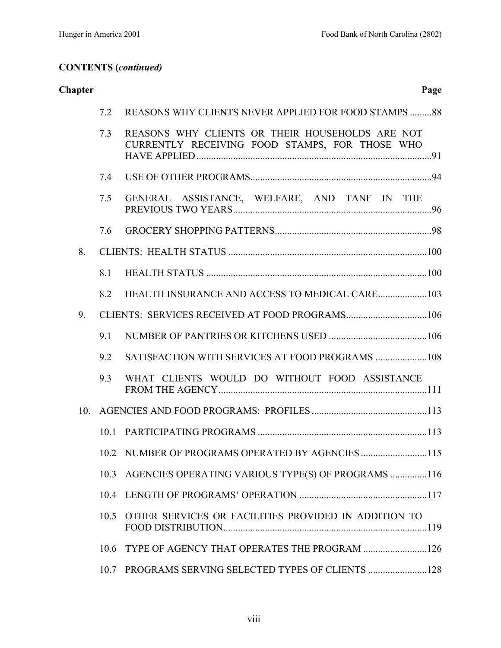| <b>Chapter</b>  |      |                                                                                                   | Page |
|-----------------|------|---------------------------------------------------------------------------------------------------|------|
|                 | 7.2  | <b>REASONS WHY CLIENTS NEVER APPLIED FOR FOOD STAMPS 88</b>                                       |      |
|                 | 7.3  | REASONS WHY CLIENTS OR THEIR HOUSEHOLDS ARE NOT<br>CURRENTLY RECEIVING FOOD STAMPS, FOR THOSE WHO |      |
|                 | 7.4  |                                                                                                   |      |
|                 | 7.5  | GENERAL ASSISTANCE, WELFARE, AND TANF IN THE                                                      |      |
|                 | 7.6  |                                                                                                   |      |
| 8.              |      |                                                                                                   |      |
|                 | 8.1  |                                                                                                   |      |
|                 | 8.2  |                                                                                                   |      |
| 9.              |      |                                                                                                   |      |
|                 | 9.1  |                                                                                                   |      |
|                 | 9.2  |                                                                                                   |      |
|                 | 9.3  | WHAT CLIENTS WOULD DO WITHOUT FOOD ASSISTANCE                                                     |      |
| 10 <sub>l</sub> |      |                                                                                                   |      |
|                 | 10.1 |                                                                                                   |      |
|                 |      |                                                                                                   | .115 |
|                 | 10.3 | AGENCIES OPERATING VARIOUS TYPE(S) OF PROGRAMS 116                                                |      |
|                 | 10.4 |                                                                                                   |      |
|                 | 10.5 | OTHER SERVICES OR FACILITIES PROVIDED IN ADDITION TO                                              |      |
|                 | 10.6 |                                                                                                   |      |
|                 | 10.7 |                                                                                                   |      |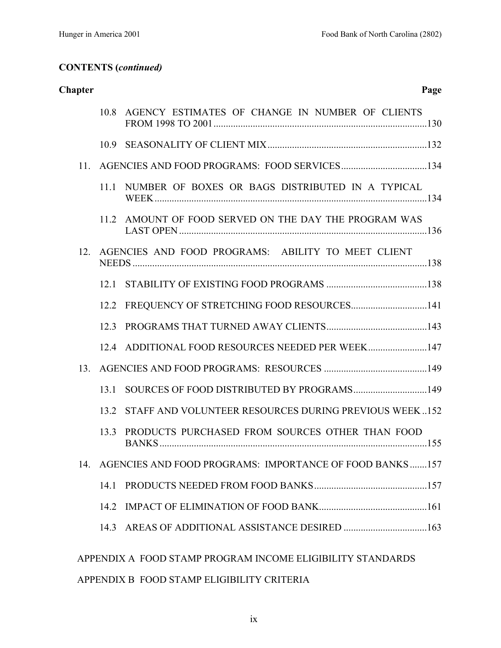| <b>Chapter</b>  |      |                                                             | Page |
|-----------------|------|-------------------------------------------------------------|------|
|                 | 10.8 | AGENCY ESTIMATES OF CHANGE IN NUMBER OF CLIENTS             |      |
|                 | 10.9 |                                                             |      |
| 11 <sub>1</sub> |      |                                                             |      |
|                 |      | 11.1 NUMBER OF BOXES OR BAGS DISTRIBUTED IN A TYPICAL       |      |
|                 |      | 11.2 AMOUNT OF FOOD SERVED ON THE DAY THE PROGRAM WAS       |      |
| 12 <sub>1</sub> |      | AGENCIES AND FOOD PROGRAMS: ABILITY TO MEET CLIENT          |      |
|                 | 12.1 |                                                             |      |
|                 | 12.2 |                                                             |      |
|                 | 12.3 |                                                             |      |
|                 |      | 12.4 ADDITIONAL FOOD RESOURCES NEEDED PER WEEK 147          |      |
| 13              |      |                                                             |      |
|                 | 13.1 |                                                             |      |
|                 | 13.2 | STAFF AND VOLUNTEER RESOURCES DURING PREVIOUS WEEK152       |      |
|                 | 133  | PRODUCTS PURCHASED FROM SOURCES OTHER THAN FOOD             |      |
|                 |      | 14. AGENCIES AND FOOD PROGRAMS: IMPORTANCE OF FOOD BANKS157 |      |
|                 | 14.1 |                                                             |      |
|                 | 14.2 |                                                             |      |
|                 | 14.3 |                                                             |      |
|                 |      | APPENDIX A FOOD STAMP PROGRAM INCOME ELIGIBILITY STANDARDS  |      |

APPENDIX B FOOD STAMP ELIGIBILITY CRITERIA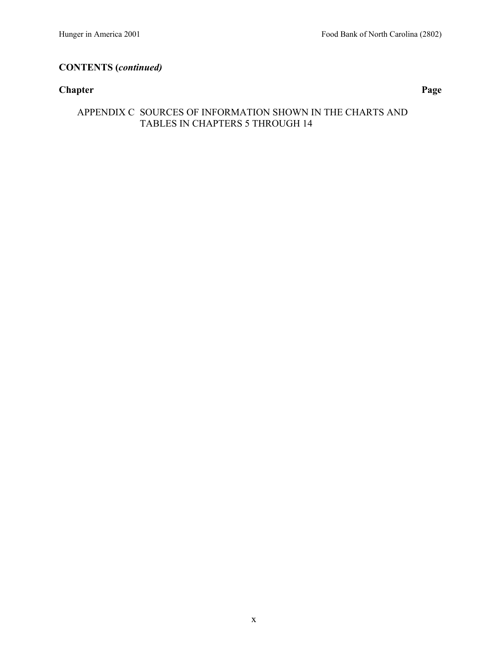### **Chapter Page**

## APPENDIX C SOURCES OF INFORMATION SHOWN IN THE CHARTS AND TABLES IN CHAPTERS 5 THROUGH 14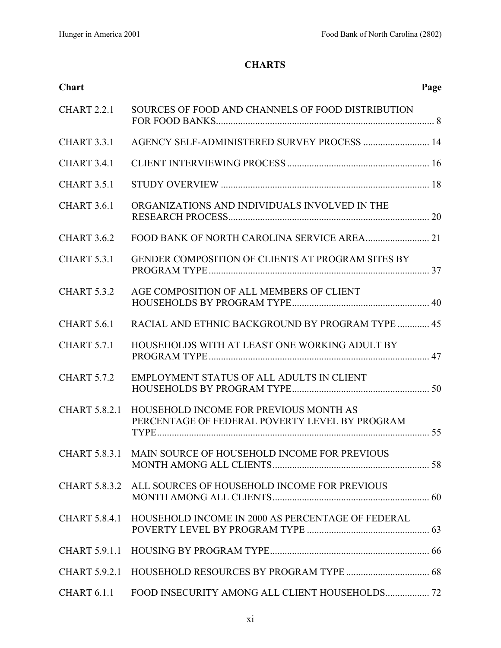## **CHARTS**

| <b>Chart</b>         |                                                                                          | Page |
|----------------------|------------------------------------------------------------------------------------------|------|
| <b>CHART 2.2.1</b>   | SOURCES OF FOOD AND CHANNELS OF FOOD DISTRIBUTION                                        |      |
| <b>CHART 3.3.1</b>   | AGENCY SELF-ADMINISTERED SURVEY PROCESS  14                                              |      |
| CHART 3.4.1          |                                                                                          |      |
| <b>CHART 3.5.1</b>   |                                                                                          |      |
| <b>CHART 3.6.1</b>   | ORGANIZATIONS AND INDIVIDUALS INVOLVED IN THE                                            |      |
| <b>CHART 3.6.2</b>   |                                                                                          |      |
| <b>CHART 5.3.1</b>   | GENDER COMPOSITION OF CLIENTS AT PROGRAM SITES BY                                        |      |
| <b>CHART 5.3.2</b>   | AGE COMPOSITION OF ALL MEMBERS OF CLIENT                                                 |      |
| <b>CHART 5.6.1</b>   | RACIAL AND ETHNIC BACKGROUND BY PROGRAM TYPE  45                                         |      |
| <b>CHART 5.7.1</b>   | HOUSEHOLDS WITH AT LEAST ONE WORKING ADULT BY                                            |      |
| <b>CHART 5.7.2</b>   | EMPLOYMENT STATUS OF ALL ADULTS IN CLIENT                                                |      |
| <b>CHART 5.8.2.1</b> | HOUSEHOLD INCOME FOR PREVIOUS MONTH AS<br>PERCENTAGE OF FEDERAL POVERTY LEVEL BY PROGRAM |      |
|                      | CHART 5.8.3.1 MAIN SOURCE OF HOUSEHOLD INCOME FOR PREVIOUS                               |      |
|                      | CHART 5.8.3.2 ALL SOURCES OF HOUSEHOLD INCOME FOR PREVIOUS                               |      |
| <b>CHART 5.8.4.1</b> | HOUSEHOLD INCOME IN 2000 AS PERCENTAGE OF FEDERAL                                        |      |
|                      |                                                                                          |      |
|                      |                                                                                          |      |
| CHART 6.1.1          | FOOD INSECURITY AMONG ALL CLIENT HOUSEHOLDS 72                                           |      |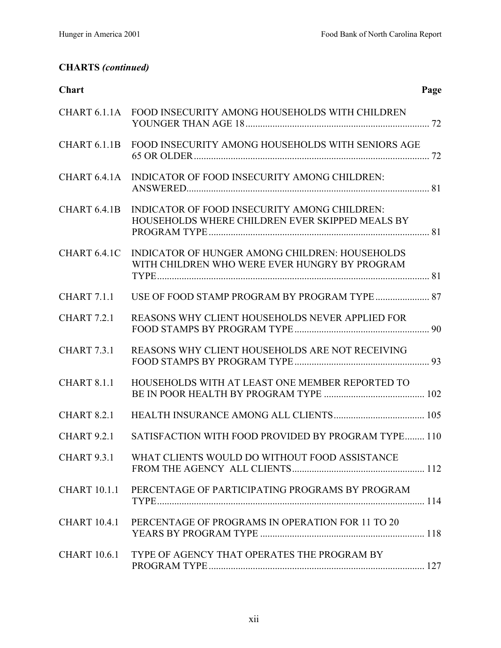# **CHARTS** *(continued)*

| Chart               |                                                                                                 | Page |
|---------------------|-------------------------------------------------------------------------------------------------|------|
|                     | CHART 6.1.1A FOOD INSECURITY AMONG HOUSEHOLDS WITH CHILDREN                                     |      |
| CHART 6.1.1B        | FOOD INSECURITY AMONG HOUSEHOLDS WITH SENIORS AGE                                               |      |
| CHART 6.4.1A        | INDICATOR OF FOOD INSECURITY AMONG CHILDREN:                                                    |      |
| CHART 6.4.1B        | INDICATOR OF FOOD INSECURITY AMONG CHILDREN:<br>HOUSEHOLDS WHERE CHILDREN EVER SKIPPED MEALS BY |      |
| CHART 6.4.1C        | INDICATOR OF HUNGER AMONG CHILDREN: HOUSEHOLDS<br>WITH CHILDREN WHO WERE EVER HUNGRY BY PROGRAM |      |
| CHART 7.1.1         |                                                                                                 |      |
| <b>CHART 7.2.1</b>  | REASONS WHY CLIENT HOUSEHOLDS NEVER APPLIED FOR                                                 |      |
| <b>CHART 7.3.1</b>  | REASONS WHY CLIENT HOUSEHOLDS ARE NOT RECEIVING                                                 |      |
| <b>CHART 8.1.1</b>  | HOUSEHOLDS WITH AT LEAST ONE MEMBER REPORTED TO                                                 |      |
| CHART 8.2.1         |                                                                                                 |      |
|                     | CHART 9.2.1 SATISFACTION WITH FOOD PROVIDED BY PROGRAM TYPE 110                                 |      |
| <b>CHART 9.3.1</b>  | WHAT CLIENTS WOULD DO WITHOUT FOOD ASSISTANCE                                                   |      |
| <b>CHART 10.1.1</b> | PERCENTAGE OF PARTICIPATING PROGRAMS BY PROGRAM                                                 |      |
| <b>CHART 10.4.1</b> | PERCENTAGE OF PROGRAMS IN OPERATION FOR 11 TO 20                                                |      |
| <b>CHART 10.6.1</b> | TYPE OF AGENCY THAT OPERATES THE PROGRAM BY                                                     |      |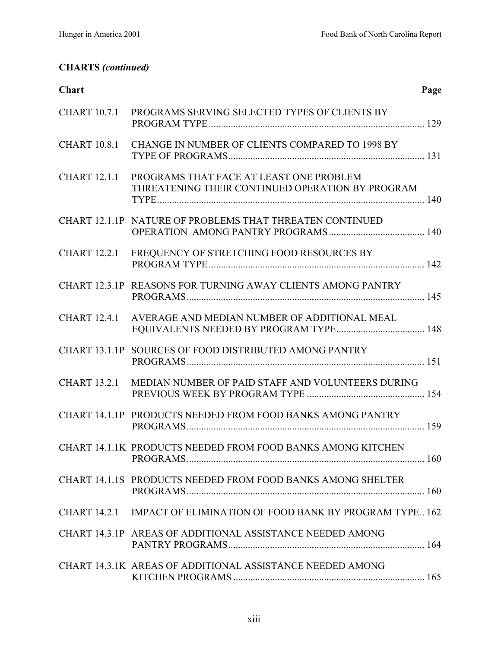# **CHARTS** *(continued)*

| Chart               |                                                                                             | Page |
|---------------------|---------------------------------------------------------------------------------------------|------|
| <b>CHART 10.7.1</b> | PROGRAMS SERVING SELECTED TYPES OF CLIENTS BY                                               |      |
| <b>CHART 10.8.1</b> | CHANGE IN NUMBER OF CLIENTS COMPARED TO 1998 BY                                             |      |
| <b>CHART 12.1.1</b> | PROGRAMS THAT FACE AT LEAST ONE PROBLEM<br>THREATENING THEIR CONTINUED OPERATION BY PROGRAM |      |
|                     | CHART 12.1.1P NATURE OF PROBLEMS THAT THREATEN CONTINUED                                    |      |
| <b>CHART 12.2.1</b> | FREQUENCY OF STRETCHING FOOD RESOURCES BY                                                   |      |
|                     | CHART 12.3.1P REASONS FOR TURNING AWAY CLIENTS AMONG PANTRY                                 |      |
| <b>CHART 12.4.1</b> | AVERAGE AND MEDIAN NUMBER OF ADDITIONAL MEAL                                                |      |
|                     | CHART 13.1.1P SOURCES OF FOOD DISTRIBUTED AMONG PANTRY                                      |      |
| <b>CHART 13.2.1</b> | MEDIAN NUMBER OF PAID STAFF AND VOLUNTEERS DURING                                           |      |
|                     | CHART 14.1.1P PRODUCTS NEEDED FROM FOOD BANKS AMONG PANTRY                                  |      |
|                     | CHART 14.1.1K PRODUCTS NEEDED FROM FOOD BANKS AMONG KITCHEN                                 |      |
|                     | CHART 14.1.1S PRODUCTS NEEDED FROM FOOD BANKS AMONG SHELTER                                 |      |
| <b>CHART 14.2.1</b> | <b>IMPACT OF ELIMINATION OF FOOD BANK BY PROGRAM TYPE 162</b>                               |      |
|                     | CHART 14.3.1P AREAS OF ADDITIONAL ASSISTANCE NEEDED AMONG                                   |      |
|                     | CHART 14.3.1K AREAS OF ADDITIONAL ASSISTANCE NEEDED AMONG                                   |      |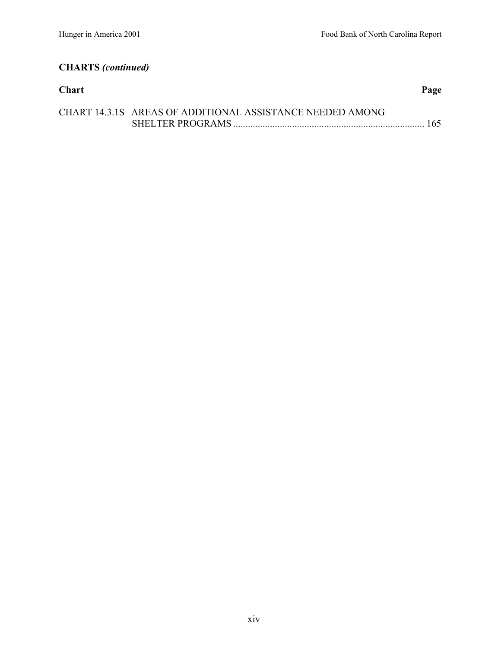# **CHARTS** *(continued)*

| <b>Chart</b> |                                                           | Page |
|--------------|-----------------------------------------------------------|------|
|              | CHART 14.3.1S AREAS OF ADDITIONAL ASSISTANCE NEEDED AMONG |      |
|              |                                                           |      |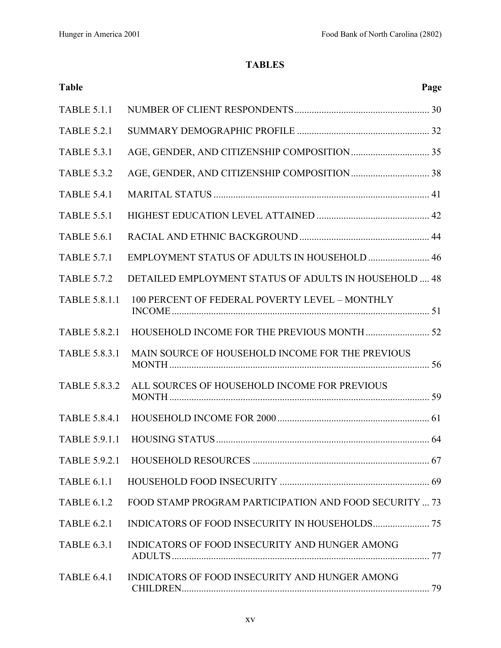## **TABLES**

| <b>Table</b>         |                                                        | Page |
|----------------------|--------------------------------------------------------|------|
| <b>TABLE 5.1.1</b>   |                                                        |      |
| <b>TABLE 5.2.1</b>   |                                                        |      |
| <b>TABLE 5.3.1</b>   |                                                        |      |
| <b>TABLE 5.3.2</b>   |                                                        |      |
| <b>TABLE 5.4.1</b>   |                                                        |      |
| <b>TABLE 5.5.1</b>   |                                                        |      |
| <b>TABLE 5.6.1</b>   |                                                        |      |
| <b>TABLE 5.7.1</b>   | EMPLOYMENT STATUS OF ADULTS IN HOUSEHOLD  46           |      |
| <b>TABLE 5.7.2</b>   | DETAILED EMPLOYMENT STATUS OF ADULTS IN HOUSEHOLD  48  |      |
| <b>TABLE 5.8.1.1</b> | 100 PERCENT OF FEDERAL POVERTY LEVEL - MONTHLY         |      |
| <b>TABLE 5.8.2.1</b> |                                                        |      |
| <b>TABLE 5.8.3.1</b> | MAIN SOURCE OF HOUSEHOLD INCOME FOR THE PREVIOUS       |      |
| <b>TABLE 5.8.3.2</b> | ALL SOURCES OF HOUSEHOLD INCOME FOR PREVIOUS           |      |
| <b>TABLE 5.8.4.1</b> |                                                        |      |
| <b>TABLE 5.9.1.1</b> |                                                        |      |
|                      |                                                        |      |
| <b>TABLE 6.1.1</b>   |                                                        |      |
| <b>TABLE 6.1.2</b>   | FOOD STAMP PROGRAM PARTICIPATION AND FOOD SECURITY  73 |      |
| <b>TABLE 6.2.1</b>   |                                                        |      |
| <b>TABLE 6.3.1</b>   | INDICATORS OF FOOD INSECURITY AND HUNGER AMONG         |      |
| <b>TABLE 6.4.1</b>   | INDICATORS OF FOOD INSECURITY AND HUNGER AMONG         |      |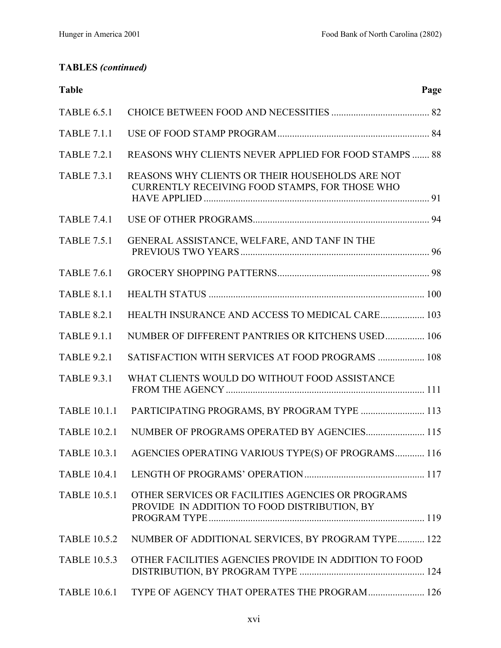## **TABLES** *(continued)*

| Page                                                            |
|-----------------------------------------------------------------|
|                                                                 |
|                                                                 |
| <b>REASONS WHY CLIENTS NEVER APPLIED FOR FOOD STAMPS  88</b>    |
|                                                                 |
|                                                                 |
|                                                                 |
|                                                                 |
|                                                                 |
| <b>HEALTH INSURANCE AND ACCESS TO MEDICAL CARE 103</b>          |
| NUMBER OF DIFFERENT PANTRIES OR KITCHENS USED 106               |
| SATISFACTION WITH SERVICES AT FOOD PROGRAMS  108                |
|                                                                 |
| PARTICIPATING PROGRAMS, BY PROGRAM TYPE  113                    |
| NUMBER OF PROGRAMS OPERATED BY AGENCIES 115                     |
| TABLE 10.3.1 AGENCIES OPERATING VARIOUS TYPE(S) OF PROGRAMS 116 |
|                                                                 |
|                                                                 |
| NUMBER OF ADDITIONAL SERVICES, BY PROGRAM TYPE 122              |
|                                                                 |
| TYPE OF AGENCY THAT OPERATES THE PROGRAM 126                    |
|                                                                 |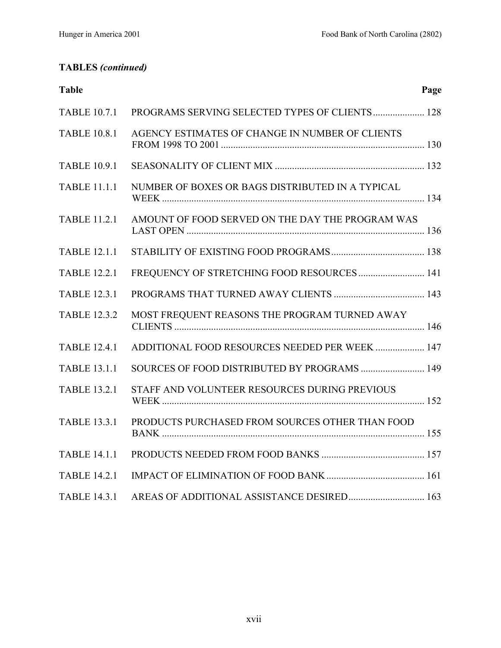## **TABLES** *(continued)*

| <b>Table</b>        |                                                  | Page |
|---------------------|--------------------------------------------------|------|
| <b>TABLE 10.7.1</b> | PROGRAMS SERVING SELECTED TYPES OF CLIENTS 128   |      |
| <b>TABLE 10.8.1</b> | AGENCY ESTIMATES OF CHANGE IN NUMBER OF CLIENTS  |      |
| <b>TABLE 10.9.1</b> |                                                  |      |
| <b>TABLE 11.1.1</b> | NUMBER OF BOXES OR BAGS DISTRIBUTED IN A TYPICAL |      |
| <b>TABLE 11.2.1</b> | AMOUNT OF FOOD SERVED ON THE DAY THE PROGRAM WAS |      |
| <b>TABLE 12.1.1</b> |                                                  |      |
| <b>TABLE 12.2.1</b> | FREQUENCY OF STRETCHING FOOD RESOURCES 141       |      |
| <b>TABLE 12.3.1</b> |                                                  |      |
| <b>TABLE 12.3.2</b> | MOST FREQUENT REASONS THE PROGRAM TURNED AWAY    |      |
| <b>TABLE 12.4.1</b> | ADDITIONAL FOOD RESOURCES NEEDED PER WEEK  147   |      |
| <b>TABLE 13.1.1</b> | SOURCES OF FOOD DISTRIBUTED BY PROGRAMS  149     |      |
| <b>TABLE 13.2.1</b> | STAFF AND VOLUNTEER RESOURCES DURING PREVIOUS    |      |
| <b>TABLE 13.3.1</b> | PRODUCTS PURCHASED FROM SOURCES OTHER THAN FOOD  |      |
| <b>TABLE 14.1.1</b> |                                                  |      |
| <b>TABLE 14.2.1</b> |                                                  |      |
| <b>TABLE 14.3.1</b> | AREAS OF ADDITIONAL ASSISTANCE DESIRED 163       |      |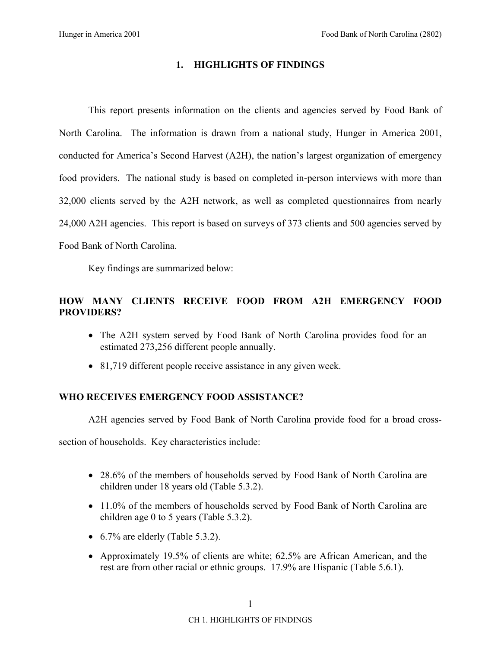### **1. HIGHLIGHTS OF FINDINGS**

This report presents information on the clients and agencies served by Food Bank of North Carolina. The information is drawn from a national study, Hunger in America 2001, conducted for America's Second Harvest (A2H), the nation's largest organization of emergency food providers. The national study is based on completed in-person interviews with more than 32,000 clients served by the A2H network, as well as completed questionnaires from nearly 24,000 A2H agencies. This report is based on surveys of 373 clients and 500 agencies served by Food Bank of North Carolina.

Key findings are summarized below:

### **HOW MANY CLIENTS RECEIVE FOOD FROM A2H EMERGENCY FOOD PROVIDERS?**

- The A2H system served by Food Bank of North Carolina provides food for an estimated 273,256 different people annually.
- 81,719 different people receive assistance in any given week.

### **WHO RECEIVES EMERGENCY FOOD ASSISTANCE?**

A2H agencies served by Food Bank of North Carolina provide food for a broad cross-

section of households. Key characteristics include:

- 28.6% of the members of households served by Food Bank of North Carolina are children under 18 years old (Table 5.3.2).
- 11.0% of the members of households served by Food Bank of North Carolina are children age 0 to 5 years (Table 5.3.2).
- 6.7% are elderly (Table 5.3.2).
- Approximately 19.5% of clients are white; 62.5% are African American, and the rest are from other racial or ethnic groups. 17.9% are Hispanic (Table 5.6.1).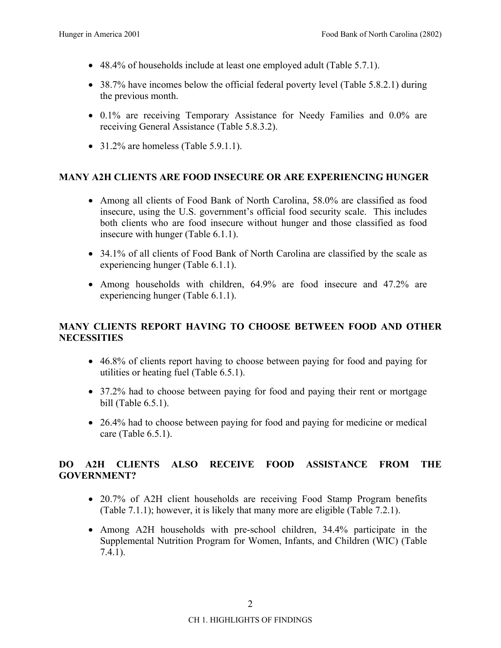- 48.4% of households include at least one employed adult (Table 5.7.1).
- 38.7% have incomes below the official federal poverty level (Table 5.8.2.1) during the previous month.
- 0.1% are receiving Temporary Assistance for Needy Families and 0.0% are receiving General Assistance (Table 5.8.3.2).
- 31.2% are homeless (Table  $5.9.1.1$ ).

### **MANY A2H CLIENTS ARE FOOD INSECURE OR ARE EXPERIENCING HUNGER**

- Among all clients of Food Bank of North Carolina, 58.0% are classified as food insecure, using the U.S. government's official food security scale. This includes both clients who are food insecure without hunger and those classified as food insecure with hunger (Table 6.1.1).
- 34.1% of all clients of Food Bank of North Carolina are classified by the scale as experiencing hunger (Table 6.1.1).
- Among households with children, 64.9% are food insecure and 47.2% are experiencing hunger (Table 6.1.1).

### **MANY CLIENTS REPORT HAVING TO CHOOSE BETWEEN FOOD AND OTHER NECESSITIES**

- 46.8% of clients report having to choose between paying for food and paying for utilities or heating fuel (Table 6.5.1).
- 37.2% had to choose between paying for food and paying their rent or mortgage bill (Table 6.5.1).
- 26.4% had to choose between paying for food and paying for medicine or medical care (Table 6.5.1).

### **DO A2H CLIENTS ALSO RECEIVE FOOD ASSISTANCE FROM THE GOVERNMENT?**

- 20.7% of A2H client households are receiving Food Stamp Program benefits (Table 7.1.1); however, it is likely that many more are eligible (Table 7.2.1).
- Among A2H households with pre-school children, 34.4% participate in the Supplemental Nutrition Program for Women, Infants, and Children (WIC) (Table 7.4.1).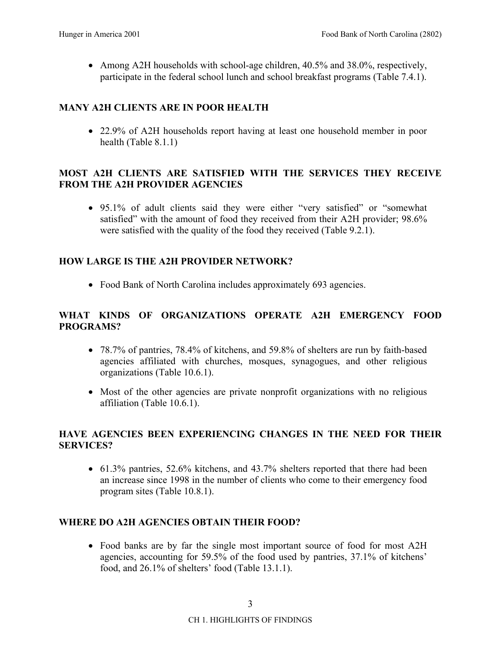• Among A2H households with school-age children, 40.5% and 38.0%, respectively, participate in the federal school lunch and school breakfast programs (Table 7.4.1).

## **MANY A2H CLIENTS ARE IN POOR HEALTH**

• 22.9% of A2H households report having at least one household member in poor health (Table 8.1.1)

### **MOST A2H CLIENTS ARE SATISFIED WITH THE SERVICES THEY RECEIVE FROM THE A2H PROVIDER AGENCIES**

• 95.1% of adult clients said they were either "very satisfied" or "somewhat satisfied" with the amount of food they received from their A2H provider; 98.6% were satisfied with the quality of the food they received (Table 9.2.1).

### **HOW LARGE IS THE A2H PROVIDER NETWORK?**

• Food Bank of North Carolina includes approximately 693 agencies.

### **WHAT KINDS OF ORGANIZATIONS OPERATE A2H EMERGENCY FOOD PROGRAMS?**

- 78.7% of pantries, 78.4% of kitchens, and 59.8% of shelters are run by faith-based agencies affiliated with churches, mosques, synagogues, and other religious organizations (Table 10.6.1).
- Most of the other agencies are private nonprofit organizations with no religious affiliation (Table 10.6.1).

### **HAVE AGENCIES BEEN EXPERIENCING CHANGES IN THE NEED FOR THEIR SERVICES?**

• 61.3% pantries, 52.6% kitchens, and 43.7% shelters reported that there had been an increase since 1998 in the number of clients who come to their emergency food program sites (Table 10.8.1).

### **WHERE DO A2H AGENCIES OBTAIN THEIR FOOD?**

• Food banks are by far the single most important source of food for most A2H agencies, accounting for 59.5% of the food used by pantries, 37.1% of kitchens<sup>7</sup> food, and  $26.1\%$  of shelters' food (Table 13.1.1).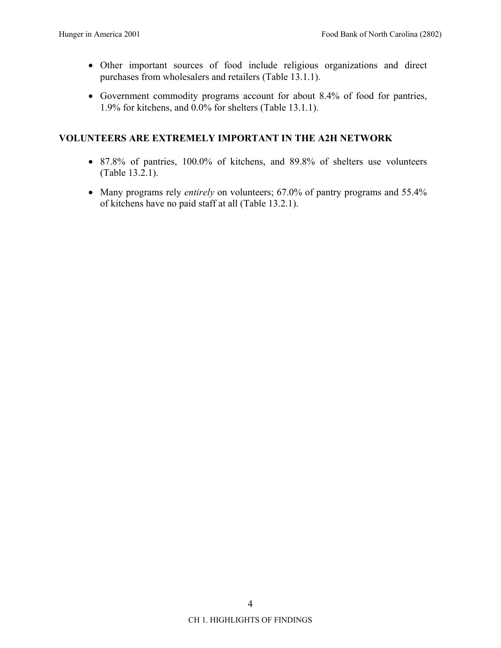- Other important sources of food include religious organizations and direct purchases from wholesalers and retailers (Table 13.1.1).
- Government commodity programs account for about 8.4% of food for pantries, 1.9% for kitchens, and 0.0% for shelters (Table 13.1.1).

### **VOLUNTEERS ARE EXTREMELY IMPORTANT IN THE A2H NETWORK**

- 87.8% of pantries, 100.0% of kitchens, and 89.8% of shelters use volunteers (Table 13.2.1).
- Many programs rely *entirely* on volunteers; 67.0% of pantry programs and 55.4% of kitchens have no paid staff at all (Table 13.2.1).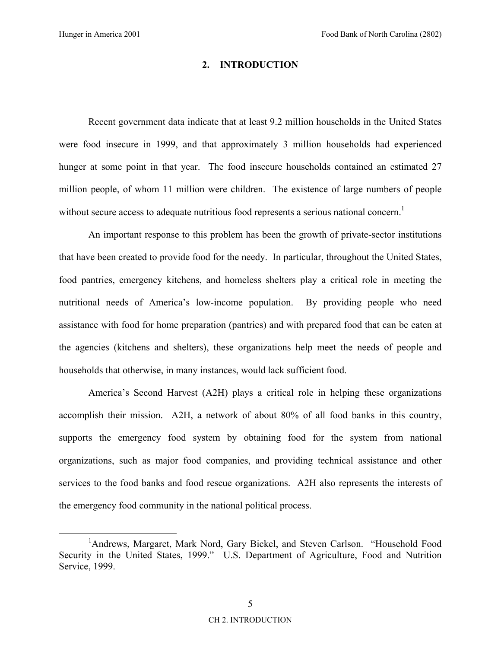#### **2. INTRODUCTION**

Recent government data indicate that at least 9.2 million households in the United States were food insecure in 1999, and that approximately 3 million households had experienced hunger at some point in that year. The food insecure households contained an estimated 27 million people, of whom 11 million were children. The existence of large numbers of people without secure access to adequate nutritious food represents a serious national concern.<sup>1</sup>

An important response to this problem has been the growth of private-sector institutions that have been created to provide food for the needy. In particular, throughout the United States, food pantries, emergency kitchens, and homeless shelters play a critical role in meeting the nutritional needs of America's low-income population. By providing people who need assistance with food for home preparation (pantries) and with prepared food that can be eaten at the agencies (kitchens and shelters), these organizations help meet the needs of people and households that otherwise, in many instances, would lack sufficient food.

Americaís Second Harvest (A2H) plays a critical role in helping these organizations accomplish their mission. A2H, a network of about 80% of all food banks in this country, supports the emergency food system by obtaining food for the system from national organizations, such as major food companies, and providing technical assistance and other services to the food banks and food rescue organizations. A2H also represents the interests of the emergency food community in the national political process.

 $\frac{1}{1}$ <sup>1</sup>Andrews, Margaret, Mark Nord, Gary Bickel, and Steven Carlson. "Household Food Security in the United States, 1999." U.S. Department of Agriculture, Food and Nutrition Service, 1999.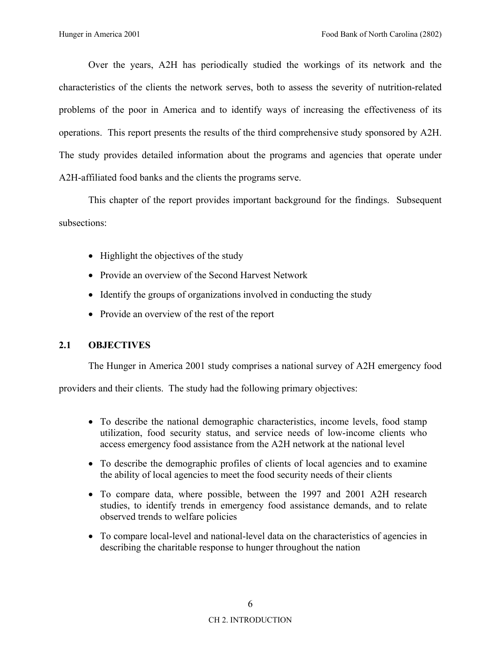Over the years, A2H has periodically studied the workings of its network and the characteristics of the clients the network serves, both to assess the severity of nutrition-related problems of the poor in America and to identify ways of increasing the effectiveness of its operations. This report presents the results of the third comprehensive study sponsored by A2H. The study provides detailed information about the programs and agencies that operate under A2H-affiliated food banks and the clients the programs serve.

This chapter of the report provides important background for the findings. Subsequent subsections:

- Highlight the objectives of the study
- Provide an overview of the Second Harvest Network
- Identify the groups of organizations involved in conducting the study
- Provide an overview of the rest of the report

### **2.1 OBJECTIVES**

The Hunger in America 2001 study comprises a national survey of A2H emergency food

providers and their clients. The study had the following primary objectives:

- To describe the national demographic characteristics, income levels, food stamp utilization, food security status, and service needs of low-income clients who access emergency food assistance from the A2H network at the national level
- To describe the demographic profiles of clients of local agencies and to examine the ability of local agencies to meet the food security needs of their clients
- To compare data, where possible, between the 1997 and 2001 A2H research studies, to identify trends in emergency food assistance demands, and to relate observed trends to welfare policies
- To compare local-level and national-level data on the characteristics of agencies in describing the charitable response to hunger throughout the nation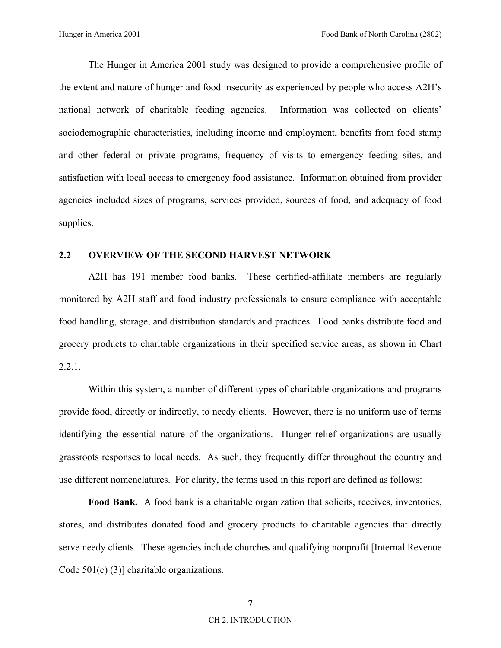The Hunger in America 2001 study was designed to provide a comprehensive profile of the extent and nature of hunger and food insecurity as experienced by people who access A2H's national network of charitable feeding agencies. Information was collected on clients' sociodemographic characteristics, including income and employment, benefits from food stamp and other federal or private programs, frequency of visits to emergency feeding sites, and satisfaction with local access to emergency food assistance. Information obtained from provider agencies included sizes of programs, services provided, sources of food, and adequacy of food supplies.

### **2.2 OVERVIEW OF THE SECOND HARVEST NETWORK**

A2H has 191 member food banks. These certified-affiliate members are regularly monitored by A2H staff and food industry professionals to ensure compliance with acceptable food handling, storage, and distribution standards and practices. Food banks distribute food and grocery products to charitable organizations in their specified service areas, as shown in Chart 2.2.1.

Within this system, a number of different types of charitable organizations and programs provide food, directly or indirectly, to needy clients. However, there is no uniform use of terms identifying the essential nature of the organizations. Hunger relief organizations are usually grassroots responses to local needs. As such, they frequently differ throughout the country and use different nomenclatures. For clarity, the terms used in this report are defined as follows:

**Food Bank.** A food bank is a charitable organization that solicits, receives, inventories, stores, and distributes donated food and grocery products to charitable agencies that directly serve needy clients. These agencies include churches and qualifying nonprofit [Internal Revenue Code 501(c) (3)] charitable organizations.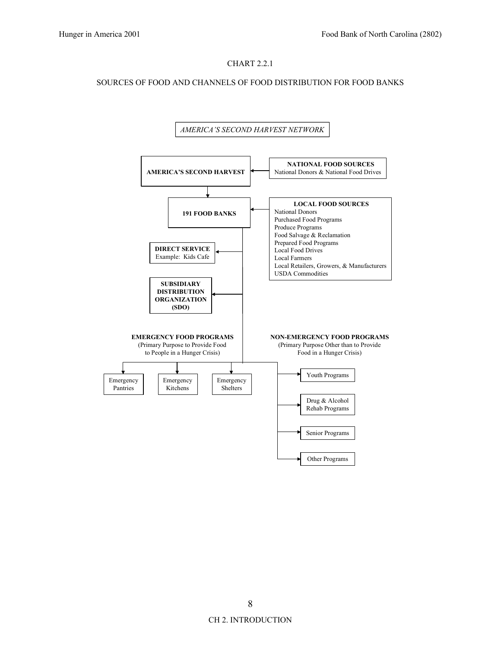#### CHART 2.2.1

#### SOURCES OF FOOD AND CHANNELS OF FOOD DISTRIBUTION FOR FOOD BANKS

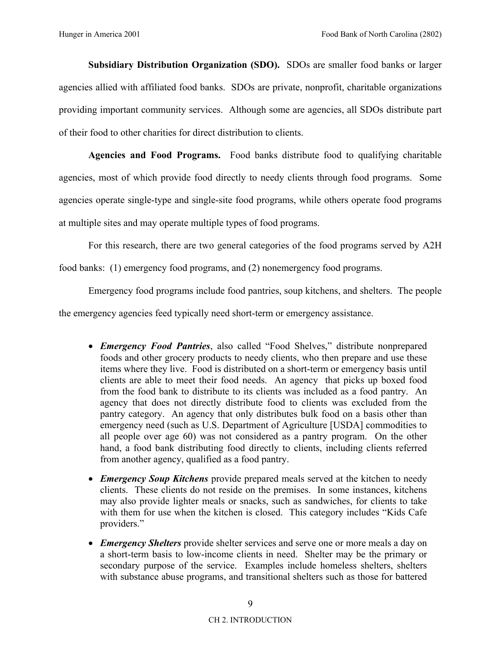**Subsidiary Distribution Organization (SDO).** SDOs are smaller food banks or larger agencies allied with affiliated food banks. SDOs are private, nonprofit, charitable organizations providing important community services. Although some are agencies, all SDOs distribute part of their food to other charities for direct distribution to clients.

**Agencies and Food Programs.** Food banks distribute food to qualifying charitable agencies, most of which provide food directly to needy clients through food programs. Some agencies operate single-type and single-site food programs, while others operate food programs at multiple sites and may operate multiple types of food programs.

For this research, there are two general categories of the food programs served by A2H

food banks: (1) emergency food programs, and (2) nonemergency food programs.

Emergency food programs include food pantries, soup kitchens, and shelters. The people

the emergency agencies feed typically need short-term or emergency assistance.

- *Emergency Food Pantries*, also called "Food Shelves," distribute nonprepared foods and other grocery products to needy clients, who then prepare and use these items where they live. Food is distributed on a short-term or emergency basis until clients are able to meet their food needs. An agency that picks up boxed food from the food bank to distribute to its clients was included as a food pantry. An agency that does not directly distribute food to clients was excluded from the pantry category. An agency that only distributes bulk food on a basis other than emergency need (such as U.S. Department of Agriculture [USDA] commodities to all people over age 60) was not considered as a pantry program. On the other hand, a food bank distributing food directly to clients, including clients referred from another agency, qualified as a food pantry.
- *Emergency Soup Kitchens* provide prepared meals served at the kitchen to needy clients. These clients do not reside on the premises. In some instances, kitchens may also provide lighter meals or snacks, such as sandwiches, for clients to take with them for use when the kitchen is closed. This category includes "Kids Cafe" providers."
- *Emergency Shelters* provide shelter services and serve one or more meals a day on a short-term basis to low-income clients in need. Shelter may be the primary or secondary purpose of the service. Examples include homeless shelters, shelters with substance abuse programs, and transitional shelters such as those for battered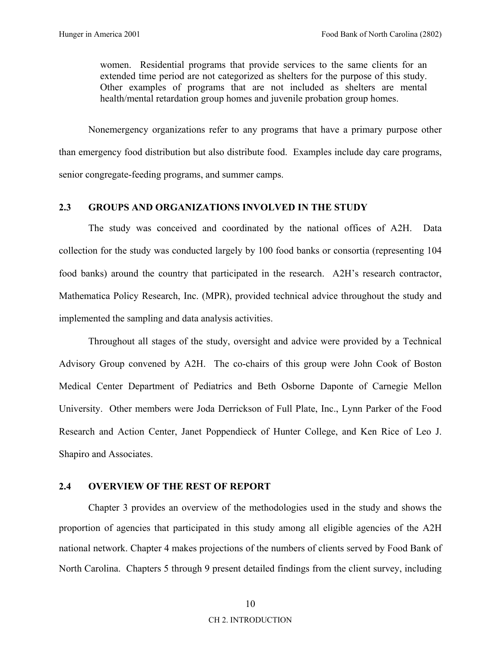women. Residential programs that provide services to the same clients for an extended time period are not categorized as shelters for the purpose of this study. Other examples of programs that are not included as shelters are mental health/mental retardation group homes and juvenile probation group homes.

Nonemergency organizations refer to any programs that have a primary purpose other than emergency food distribution but also distribute food. Examples include day care programs, senior congregate-feeding programs, and summer camps.

### **2.3 GROUPS AND ORGANIZATIONS INVOLVED IN THE STUDY**

The study was conceived and coordinated by the national offices of A2H. Data collection for the study was conducted largely by 100 food banks or consortia (representing 104 food banks) around the country that participated in the research. A2H's research contractor, Mathematica Policy Research, Inc. (MPR), provided technical advice throughout the study and implemented the sampling and data analysis activities.

Throughout all stages of the study, oversight and advice were provided by a Technical Advisory Group convened by A2H. The co-chairs of this group were John Cook of Boston Medical Center Department of Pediatrics and Beth Osborne Daponte of Carnegie Mellon University. Other members were Joda Derrickson of Full Plate, Inc., Lynn Parker of the Food Research and Action Center, Janet Poppendieck of Hunter College, and Ken Rice of Leo J. Shapiro and Associates.

### **2.4 OVERVIEW OF THE REST OF REPORT**

Chapter 3 provides an overview of the methodologies used in the study and shows the proportion of agencies that participated in this study among all eligible agencies of the A2H national network. Chapter 4 makes projections of the numbers of clients served by Food Bank of North Carolina. Chapters 5 through 9 present detailed findings from the client survey, including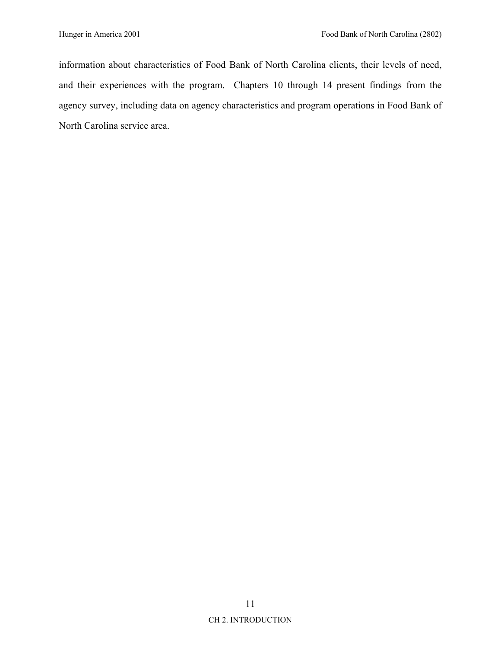information about characteristics of Food Bank of North Carolina clients, their levels of need, and their experiences with the program. Chapters 10 through 14 present findings from the agency survey, including data on agency characteristics and program operations in Food Bank of North Carolina service area.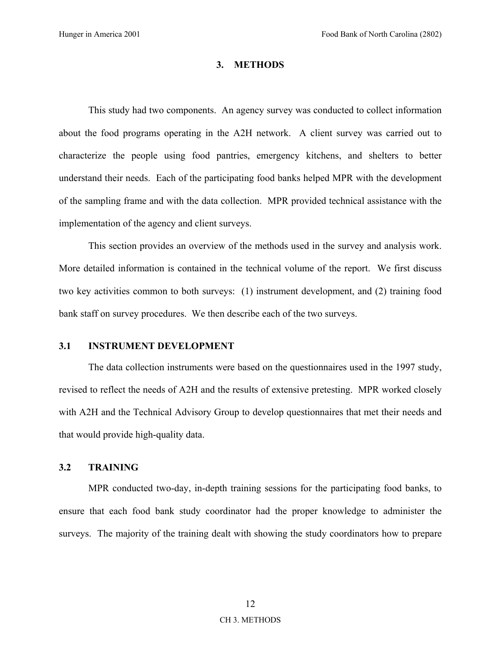#### **3. METHODS**

This study had two components. An agency survey was conducted to collect information about the food programs operating in the A2H network. A client survey was carried out to characterize the people using food pantries, emergency kitchens, and shelters to better understand their needs. Each of the participating food banks helped MPR with the development of the sampling frame and with the data collection. MPR provided technical assistance with the implementation of the agency and client surveys.

This section provides an overview of the methods used in the survey and analysis work. More detailed information is contained in the technical volume of the report. We first discuss two key activities common to both surveys: (1) instrument development, and (2) training food bank staff on survey procedures. We then describe each of the two surveys.

#### **3.1 INSTRUMENT DEVELOPMENT**

The data collection instruments were based on the questionnaires used in the 1997 study, revised to reflect the needs of A2H and the results of extensive pretesting. MPR worked closely with A2H and the Technical Advisory Group to develop questionnaires that met their needs and that would provide high-quality data.

### **3.2 TRAINING**

MPR conducted two-day, in-depth training sessions for the participating food banks, to ensure that each food bank study coordinator had the proper knowledge to administer the surveys. The majority of the training dealt with showing the study coordinators how to prepare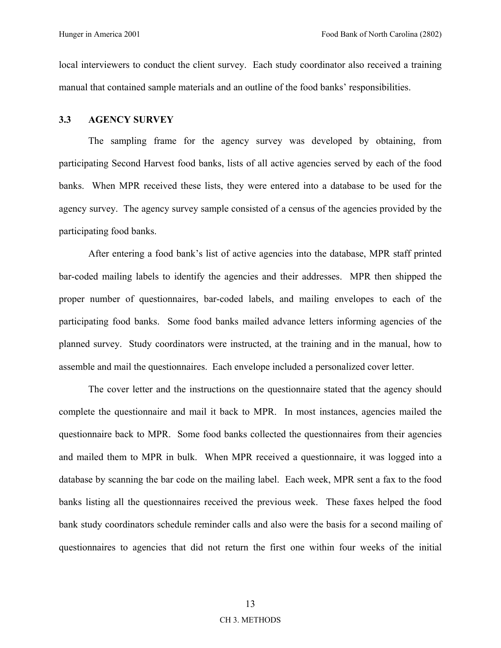local interviewers to conduct the client survey. Each study coordinator also received a training manual that contained sample materials and an outline of the food banks' responsibilities.

#### **3.3 AGENCY SURVEY**

The sampling frame for the agency survey was developed by obtaining, from participating Second Harvest food banks, lists of all active agencies served by each of the food banks. When MPR received these lists, they were entered into a database to be used for the agency survey. The agency survey sample consisted of a census of the agencies provided by the participating food banks.

After entering a food bank's list of active agencies into the database, MPR staff printed bar-coded mailing labels to identify the agencies and their addresses. MPR then shipped the proper number of questionnaires, bar-coded labels, and mailing envelopes to each of the participating food banks. Some food banks mailed advance letters informing agencies of the planned survey. Study coordinators were instructed, at the training and in the manual, how to assemble and mail the questionnaires. Each envelope included a personalized cover letter.

The cover letter and the instructions on the questionnaire stated that the agency should complete the questionnaire and mail it back to MPR. In most instances, agencies mailed the questionnaire back to MPR. Some food banks collected the questionnaires from their agencies and mailed them to MPR in bulk. When MPR received a questionnaire, it was logged into a database by scanning the bar code on the mailing label. Each week, MPR sent a fax to the food banks listing all the questionnaires received the previous week. These faxes helped the food bank study coordinators schedule reminder calls and also were the basis for a second mailing of questionnaires to agencies that did not return the first one within four weeks of the initial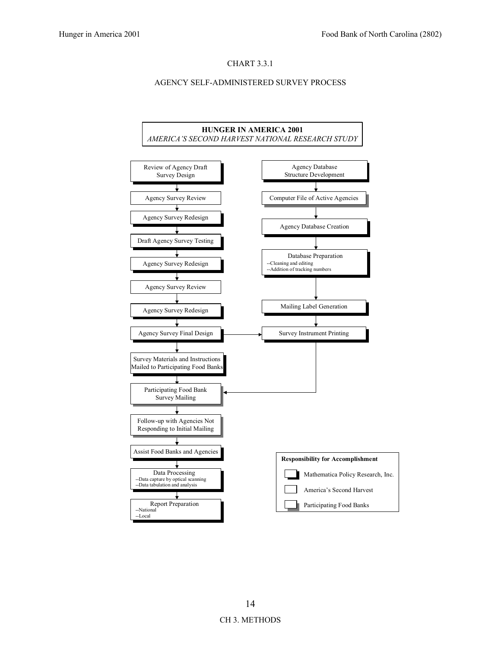#### CHART 3.3.1

#### AGENCY SELF-ADMINISTERED SURVEY PROCESS

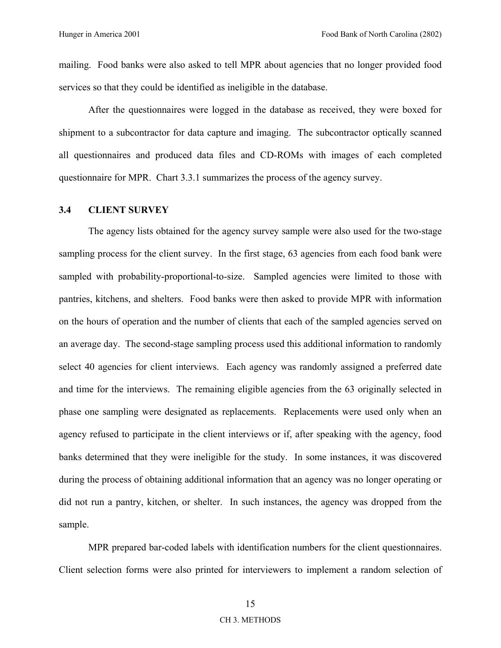mailing. Food banks were also asked to tell MPR about agencies that no longer provided food services so that they could be identified as ineligible in the database.

After the questionnaires were logged in the database as received, they were boxed for shipment to a subcontractor for data capture and imaging. The subcontractor optically scanned all questionnaires and produced data files and CD-ROMs with images of each completed questionnaire for MPR. Chart 3.3.1 summarizes the process of the agency survey.

#### **3.4 CLIENT SURVEY**

The agency lists obtained for the agency survey sample were also used for the two-stage sampling process for the client survey. In the first stage, 63 agencies from each food bank were sampled with probability-proportional-to-size. Sampled agencies were limited to those with pantries, kitchens, and shelters. Food banks were then asked to provide MPR with information on the hours of operation and the number of clients that each of the sampled agencies served on an average day. The second-stage sampling process used this additional information to randomly select 40 agencies for client interviews. Each agency was randomly assigned a preferred date and time for the interviews. The remaining eligible agencies from the 63 originally selected in phase one sampling were designated as replacements. Replacements were used only when an agency refused to participate in the client interviews or if, after speaking with the agency, food banks determined that they were ineligible for the study. In some instances, it was discovered during the process of obtaining additional information that an agency was no longer operating or did not run a pantry, kitchen, or shelter. In such instances, the agency was dropped from the sample.

MPR prepared bar-coded labels with identification numbers for the client questionnaires. Client selection forms were also printed for interviewers to implement a random selection of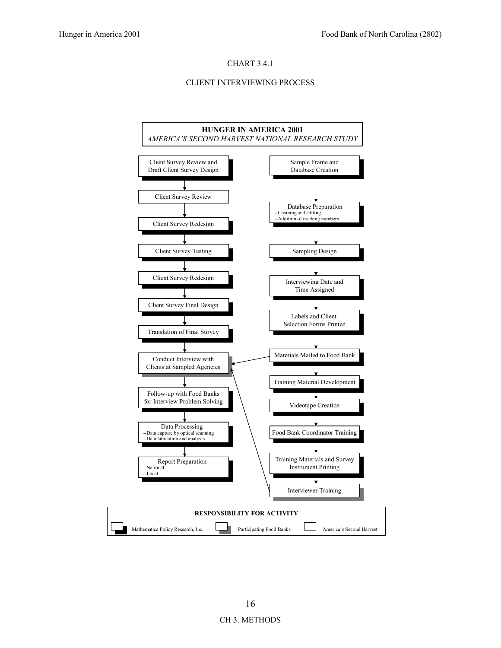#### CHART 3.4.1

#### CLIENT INTERVIEWING PROCESS

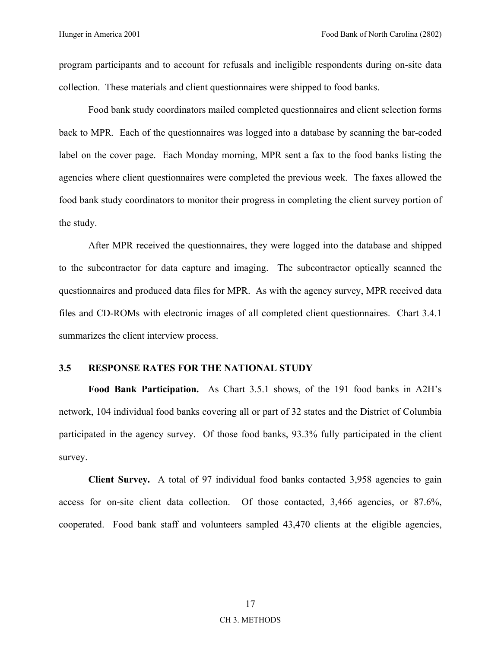program participants and to account for refusals and ineligible respondents during on-site data collection. These materials and client questionnaires were shipped to food banks.

Food bank study coordinators mailed completed questionnaires and client selection forms back to MPR. Each of the questionnaires was logged into a database by scanning the bar-coded label on the cover page. Each Monday morning, MPR sent a fax to the food banks listing the agencies where client questionnaires were completed the previous week. The faxes allowed the food bank study coordinators to monitor their progress in completing the client survey portion of the study.

After MPR received the questionnaires, they were logged into the database and shipped to the subcontractor for data capture and imaging. The subcontractor optically scanned the questionnaires and produced data files for MPR. As with the agency survey, MPR received data files and CD-ROMs with electronic images of all completed client questionnaires. Chart 3.4.1 summarizes the client interview process.

### **3.5 RESPONSE RATES FOR THE NATIONAL STUDY**

Food Bank Participation. As Chart 3.5.1 shows, of the 191 food banks in A2H's network, 104 individual food banks covering all or part of 32 states and the District of Columbia participated in the agency survey. Of those food banks, 93.3% fully participated in the client survey.

**Client Survey.** A total of 97 individual food banks contacted 3,958 agencies to gain access for on-site client data collection. Of those contacted, 3,466 agencies, or 87.6%, cooperated. Food bank staff and volunteers sampled 43,470 clients at the eligible agencies,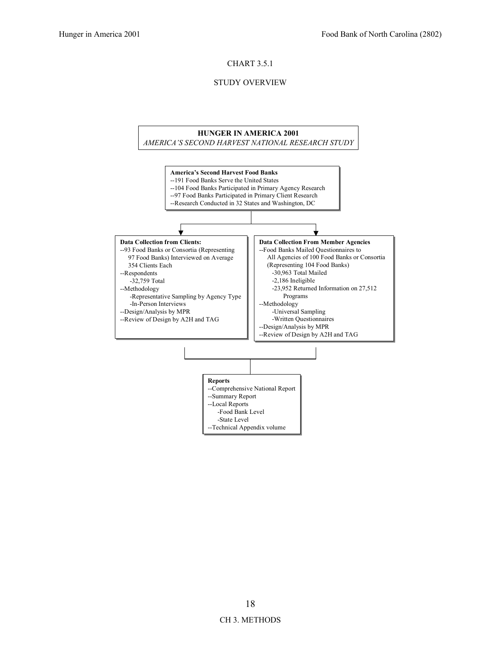#### CHART 3.5.1

#### STUDY OVERVIEW

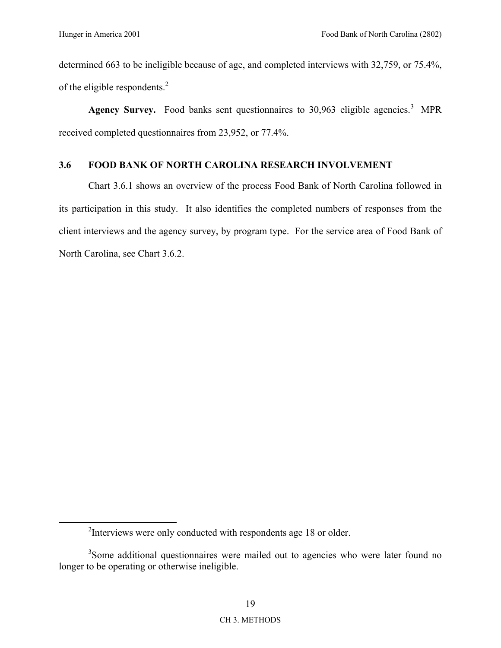determined 663 to be ineligible because of age, and completed interviews with 32,759, or 75.4%, of the eligible respondents.2

Agency Survey. Food banks sent questionnaires to  $30,963$  eligible agencies.<sup>3</sup> MPR received completed questionnaires from 23,952, or 77.4%.

### **3.6 FOOD BANK OF NORTH CAROLINA RESEARCH INVOLVEMENT**

Chart 3.6.1 shows an overview of the process Food Bank of North Carolina followed in its participation in this study. It also identifies the completed numbers of responses from the client interviews and the agency survey, by program type. For the service area of Food Bank of North Carolina, see Chart 3.6.2.

 $\frac{1}{2}$ <sup>2</sup>Interviews were only conducted with respondents age 18 or older.

<sup>&</sup>lt;sup>3</sup>Some additional questionnaires were mailed out to agencies who were later found no longer to be operating or otherwise ineligible.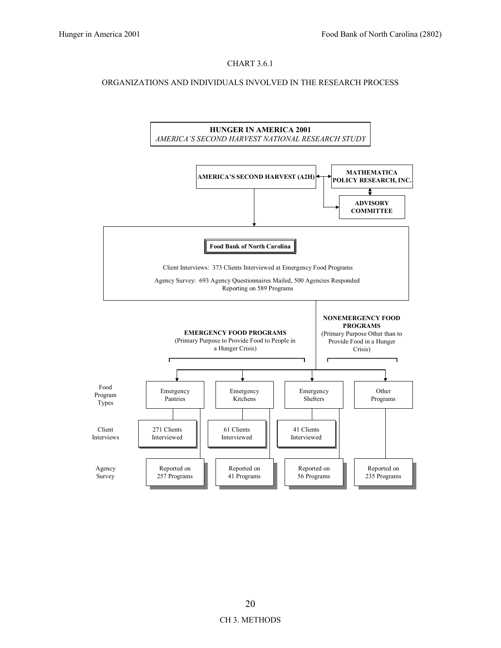### CHART 3.6.1

#### ORGANIZATIONS AND INDIVIDUALS INVOLVED IN THE RESEARCH PROCESS

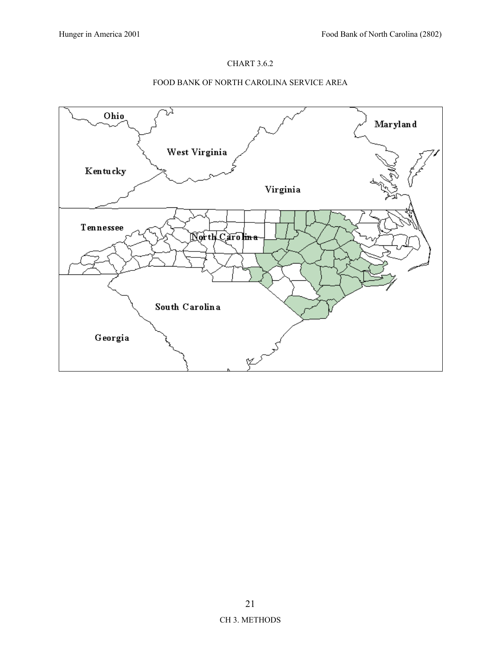## CHART 3.6.2

### FOOD BANK OF NORTH CAROLINA SERVICE AREA

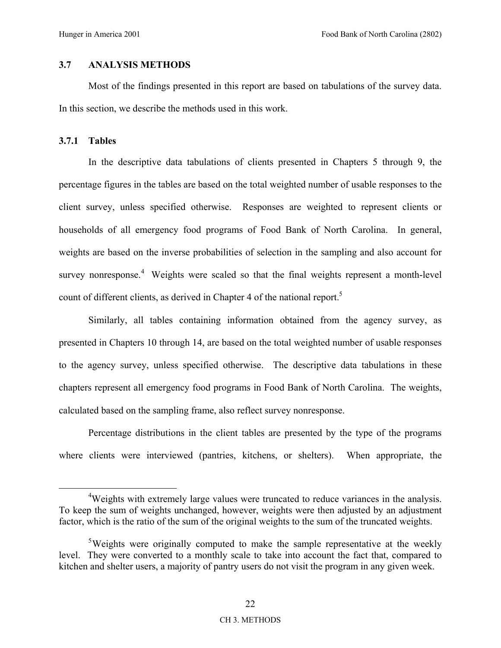# **3.7 ANALYSIS METHODS**

Most of the findings presented in this report are based on tabulations of the survey data. In this section, we describe the methods used in this work.

# **3.7.1 Tables**

In the descriptive data tabulations of clients presented in Chapters 5 through 9, the percentage figures in the tables are based on the total weighted number of usable responses to the client survey, unless specified otherwise. Responses are weighted to represent clients or households of all emergency food programs of Food Bank of North Carolina. In general, weights are based on the inverse probabilities of selection in the sampling and also account for survey nonresponse.<sup>4</sup> Weights were scaled so that the final weights represent a month-level count of different clients, as derived in Chapter 4 of the national report.<sup>5</sup>

Similarly, all tables containing information obtained from the agency survey, as presented in Chapters 10 through 14, are based on the total weighted number of usable responses to the agency survey, unless specified otherwise. The descriptive data tabulations in these chapters represent all emergency food programs in Food Bank of North Carolina. The weights, calculated based on the sampling frame, also reflect survey nonresponse.

Percentage distributions in the client tables are presented by the type of the programs where clients were interviewed (pantries, kitchens, or shelters). When appropriate, the

 $\overline{4}$ <sup>4</sup>Weights with extremely large values were truncated to reduce variances in the analysis. To keep the sum of weights unchanged, however, weights were then adjusted by an adjustment factor, which is the ratio of the sum of the original weights to the sum of the truncated weights.

<sup>&</sup>lt;sup>5</sup>Weights were originally computed to make the sample representative at the weekly level. They were converted to a monthly scale to take into account the fact that, compared to kitchen and shelter users, a majority of pantry users do not visit the program in any given week.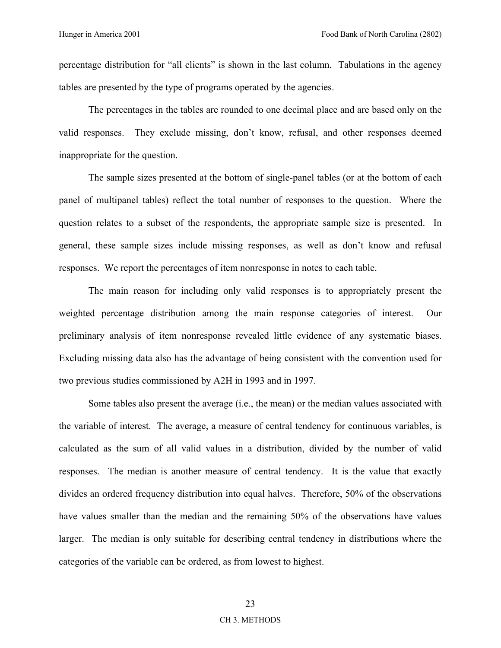percentage distribution for "all clients" is shown in the last column. Tabulations in the agency tables are presented by the type of programs operated by the agencies.

The percentages in the tables are rounded to one decimal place and are based only on the valid responses. They exclude missing, don't know, refusal, and other responses deemed inappropriate for the question.

The sample sizes presented at the bottom of single-panel tables (or at the bottom of each panel of multipanel tables) reflect the total number of responses to the question. Where the question relates to a subset of the respondents, the appropriate sample size is presented. In general, these sample sizes include missing responses, as well as don't know and refusal responses. We report the percentages of item nonresponse in notes to each table.

The main reason for including only valid responses is to appropriately present the weighted percentage distribution among the main response categories of interest. Our preliminary analysis of item nonresponse revealed little evidence of any systematic biases. Excluding missing data also has the advantage of being consistent with the convention used for two previous studies commissioned by A2H in 1993 and in 1997.

Some tables also present the average (i.e., the mean) or the median values associated with the variable of interest. The average, a measure of central tendency for continuous variables, is calculated as the sum of all valid values in a distribution, divided by the number of valid responses. The median is another measure of central tendency. It is the value that exactly divides an ordered frequency distribution into equal halves. Therefore, 50% of the observations have values smaller than the median and the remaining 50% of the observations have values larger. The median is only suitable for describing central tendency in distributions where the categories of the variable can be ordered, as from lowest to highest.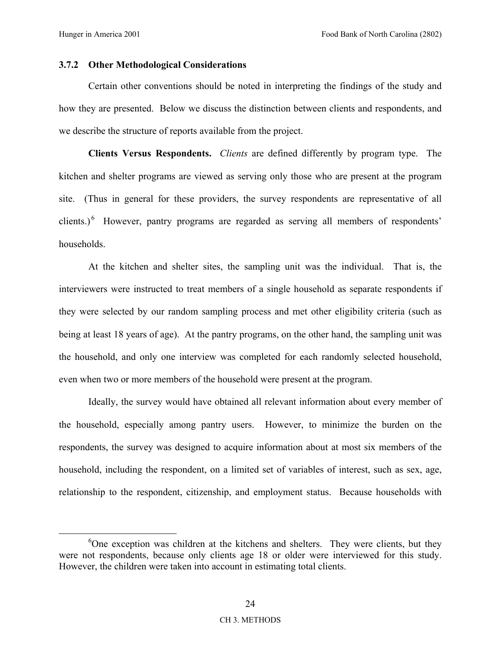# **3.7.2 Other Methodological Considerations**

Certain other conventions should be noted in interpreting the findings of the study and how they are presented. Below we discuss the distinction between clients and respondents, and we describe the structure of reports available from the project.

**Clients Versus Respondents.** *Clients* are defined differently by program type. The kitchen and shelter programs are viewed as serving only those who are present at the program site. (Thus in general for these providers, the survey respondents are representative of all clients.) $<sup>6</sup>$  However, pantry programs are regarded as serving all members of respondents'</sup> households.

At the kitchen and shelter sites, the sampling unit was the individual. That is, the interviewers were instructed to treat members of a single household as separate respondents if they were selected by our random sampling process and met other eligibility criteria (such as being at least 18 years of age). At the pantry programs, on the other hand, the sampling unit was the household, and only one interview was completed for each randomly selected household, even when two or more members of the household were present at the program.

Ideally, the survey would have obtained all relevant information about every member of the household, especially among pantry users. However, to minimize the burden on the respondents, the survey was designed to acquire information about at most six members of the household, including the respondent, on a limited set of variables of interest, such as sex, age, relationship to the respondent, citizenship, and employment status. Because households with

 $\begin{array}{c|c}\n\hline\n\end{array}$  $6$ One exception was children at the kitchens and shelters. They were clients, but they were not respondents, because only clients age 18 or older were interviewed for this study. However, the children were taken into account in estimating total clients.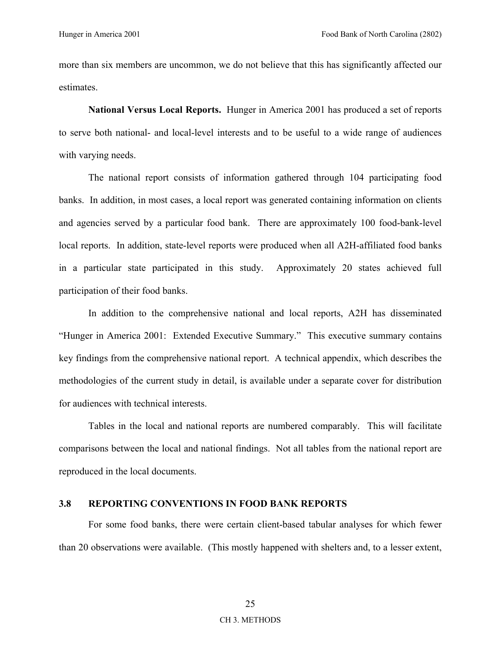more than six members are uncommon, we do not believe that this has significantly affected our estimates.

**National Versus Local Reports.** Hunger in America 2001 has produced a set of reports to serve both national- and local-level interests and to be useful to a wide range of audiences with varying needs.

The national report consists of information gathered through 104 participating food banks. In addition, in most cases, a local report was generated containing information on clients and agencies served by a particular food bank. There are approximately 100 food-bank-level local reports. In addition, state-level reports were produced when all A2H-affiliated food banks in a particular state participated in this study. Approximately 20 states achieved full participation of their food banks.

In addition to the comprehensive national and local reports, A2H has disseminated ìHunger in America 2001: Extended Executive Summary.î This executive summary contains key findings from the comprehensive national report. A technical appendix, which describes the methodologies of the current study in detail, is available under a separate cover for distribution for audiences with technical interests.

Tables in the local and national reports are numbered comparably. This will facilitate comparisons between the local and national findings. Not all tables from the national report are reproduced in the local documents.

### **3.8 REPORTING CONVENTIONS IN FOOD BANK REPORTS**

For some food banks, there were certain client-based tabular analyses for which fewer than 20 observations were available. (This mostly happened with shelters and, to a lesser extent,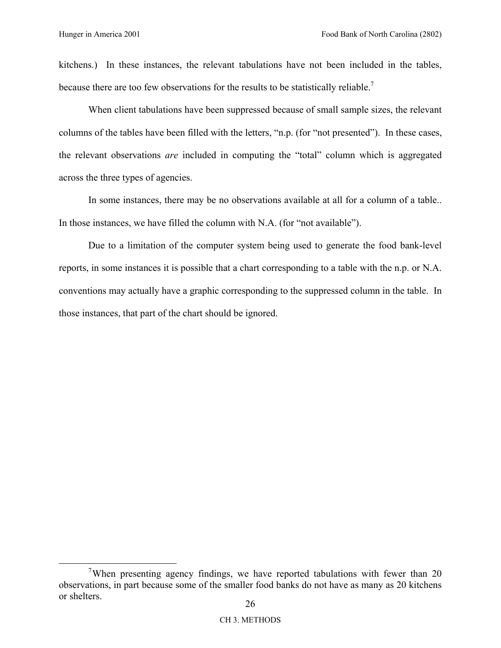kitchens.) In these instances, the relevant tabulations have not been included in the tables, because there are too few observations for the results to be statistically reliable.<sup>7</sup>

When client tabulations have been suppressed because of small sample sizes, the relevant columns of the tables have been filled with the letters, "n.p. (for "not presented"). In these cases, the relevant observations *are* included in computing the "total" column which is aggregated across the three types of agencies.

In some instances, there may be no observations available at all for a column of a table.. In those instances, we have filled the column with N.A. (for "not available").

Due to a limitation of the computer system being used to generate the food bank-level reports, in some instances it is possible that a chart corresponding to a table with the n.p. or N.A. conventions may actually have a graphic corresponding to the suppressed column in the table. In those instances, that part of the chart should be ignored.

 $\frac{1}{7}$ <sup>7</sup>When presenting agency findings, we have reported tabulations with fewer than 20 observations, in part because some of the smaller food banks do not have as many as 20 kitchens or shelters.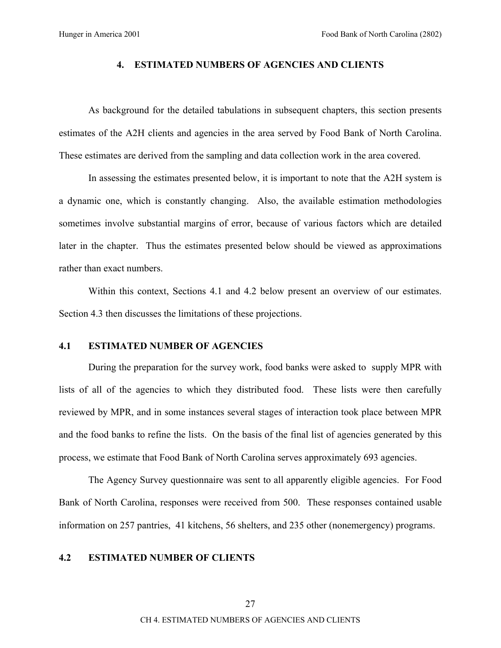### **4. ESTIMATED NUMBERS OF AGENCIES AND CLIENTS**

As background for the detailed tabulations in subsequent chapters, this section presents estimates of the A2H clients and agencies in the area served by Food Bank of North Carolina. These estimates are derived from the sampling and data collection work in the area covered.

In assessing the estimates presented below, it is important to note that the A2H system is a dynamic one, which is constantly changing. Also, the available estimation methodologies sometimes involve substantial margins of error, because of various factors which are detailed later in the chapter. Thus the estimates presented below should be viewed as approximations rather than exact numbers.

Within this context, Sections 4.1 and 4.2 below present an overview of our estimates. Section 4.3 then discusses the limitations of these projections.

### **4.1 ESTIMATED NUMBER OF AGENCIES**

During the preparation for the survey work, food banks were asked to supply MPR with lists of all of the agencies to which they distributed food. These lists were then carefully reviewed by MPR, and in some instances several stages of interaction took place between MPR and the food banks to refine the lists. On the basis of the final list of agencies generated by this process, we estimate that Food Bank of North Carolina serves approximately 693 agencies.

The Agency Survey questionnaire was sent to all apparently eligible agencies. For Food Bank of North Carolina, responses were received from 500. These responses contained usable information on 257 pantries, 41 kitchens, 56 shelters, and 235 other (nonemergency) programs.

### **4.2 ESTIMATED NUMBER OF CLIENTS**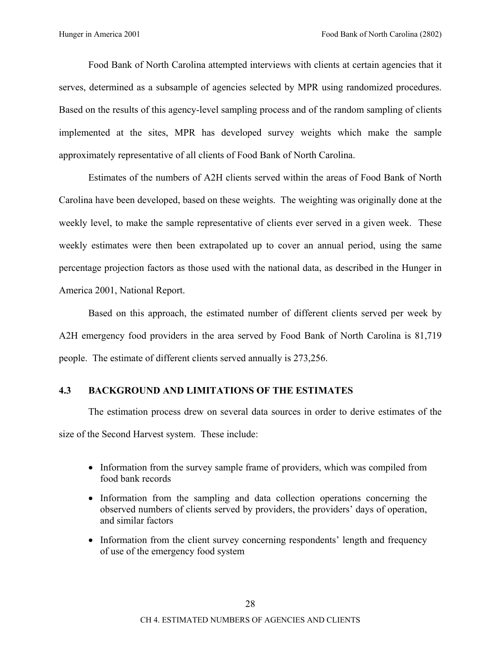Food Bank of North Carolina attempted interviews with clients at certain agencies that it serves, determined as a subsample of agencies selected by MPR using randomized procedures. Based on the results of this agency-level sampling process and of the random sampling of clients implemented at the sites, MPR has developed survey weights which make the sample approximately representative of all clients of Food Bank of North Carolina.

Estimates of the numbers of A2H clients served within the areas of Food Bank of North Carolina have been developed, based on these weights. The weighting was originally done at the weekly level, to make the sample representative of clients ever served in a given week. These weekly estimates were then been extrapolated up to cover an annual period, using the same percentage projection factors as those used with the national data, as described in the Hunger in America 2001, National Report.

Based on this approach, the estimated number of different clients served per week by A2H emergency food providers in the area served by Food Bank of North Carolina is 81,719 people. The estimate of different clients served annually is 273,256.

# **4.3 BACKGROUND AND LIMITATIONS OF THE ESTIMATES**

The estimation process drew on several data sources in order to derive estimates of the size of the Second Harvest system. These include:

- Information from the survey sample frame of providers, which was compiled from food bank records
- Information from the sampling and data collection operations concerning the observed numbers of clients served by providers, the providers' days of operation, and similar factors
- Information from the client survey concerning respondents' length and frequency of use of the emergency food system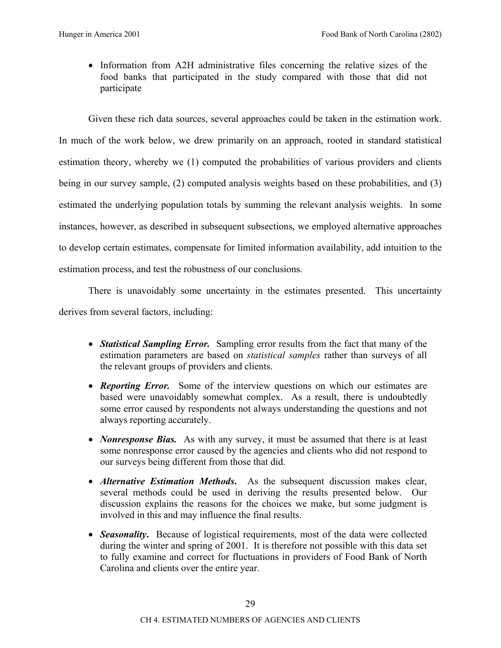• Information from A2H administrative files concerning the relative sizes of the food banks that participated in the study compared with those that did not participate

Given these rich data sources, several approaches could be taken in the estimation work. In much of the work below, we drew primarily on an approach, rooted in standard statistical estimation theory, whereby we (1) computed the probabilities of various providers and clients being in our survey sample, (2) computed analysis weights based on these probabilities, and (3) estimated the underlying population totals by summing the relevant analysis weights. In some instances, however, as described in subsequent subsections, we employed alternative approaches to develop certain estimates, compensate for limited information availability, add intuition to the estimation process, and test the robustness of our conclusions.

There is unavoidably some uncertainty in the estimates presented. This uncertainty derives from several factors, including:

- *Statistical Sampling Error.* Sampling error results from the fact that many of the estimation parameters are based on *statistical samples* rather than surveys of all the relevant groups of providers and clients.
- *Reporting Error.* Some of the interview questions on which our estimates are based were unavoidably somewhat complex. As a result, there is undoubtedly some error caused by respondents not always understanding the questions and not always reporting accurately.
- *Nonresponse Bias.* As with any survey, it must be assumed that there is at least some nonresponse error caused by the agencies and clients who did not respond to our surveys being different from those that did.
- *Alternative Estimation Methods***.** As the subsequent discussion makes clear, several methods could be used in deriving the results presented below. Our discussion explains the reasons for the choices we make, but some judgment is involved in this and may influence the final results.
- *Seasonality*. Because of logistical requirements, most of the data were collected during the winter and spring of 2001. It is therefore not possible with this data set to fully examine and correct for fluctuations in providers of Food Bank of North Carolina and clients over the entire year.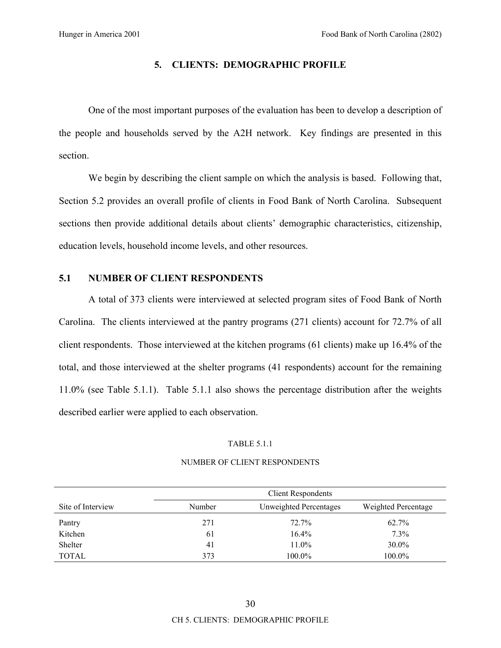### **5. CLIENTS: DEMOGRAPHIC PROFILE**

One of the most important purposes of the evaluation has been to develop a description of the people and households served by the A2H network. Key findings are presented in this section.

We begin by describing the client sample on which the analysis is based. Following that, Section 5.2 provides an overall profile of clients in Food Bank of North Carolina. Subsequent sections then provide additional details about clients' demographic characteristics, citizenship, education levels, household income levels, and other resources.

### **5.1 NUMBER OF CLIENT RESPONDENTS**

A total of 373 clients were interviewed at selected program sites of Food Bank of North Carolina. The clients interviewed at the pantry programs (271 clients) account for 72.7% of all client respondents. Those interviewed at the kitchen programs (61 clients) make up 16.4% of the total, and those interviewed at the shelter programs (41 respondents) account for the remaining 11.0% (see Table 5.1.1). Table 5.1.1 also shows the percentage distribution after the weights described earlier were applied to each observation.

#### TABLE 5.1.1

|                   | <b>Client Respondents</b> |                        |                     |  |  |
|-------------------|---------------------------|------------------------|---------------------|--|--|
| Site of Interview | Number                    | Unweighted Percentages | Weighted Percentage |  |  |
| Pantry            | 271                       | 72.7%                  | 62.7%               |  |  |
| Kitchen           | 61                        | $16.4\%$               | $7.3\%$             |  |  |
| Shelter           | 41                        | 11.0%                  | $30.0\%$            |  |  |
| <b>TOTAL</b>      | 373                       | 100.0%                 | $100.0\%$           |  |  |

#### NUMBER OF CLIENT RESPONDENTS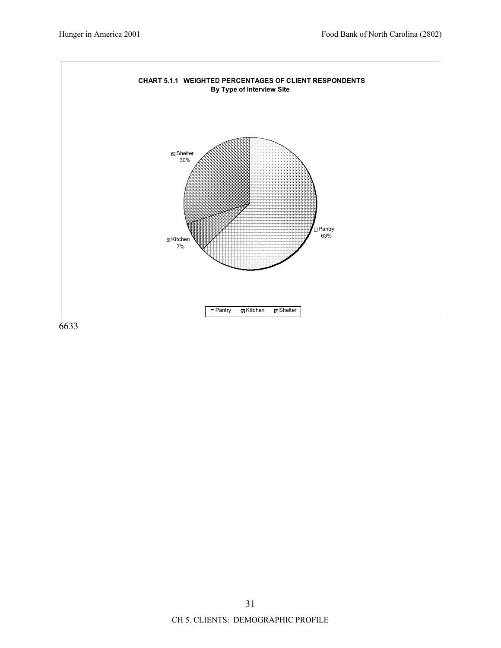

31 CH 5. CLIENTS: DEMOGRAPHIC PROFILE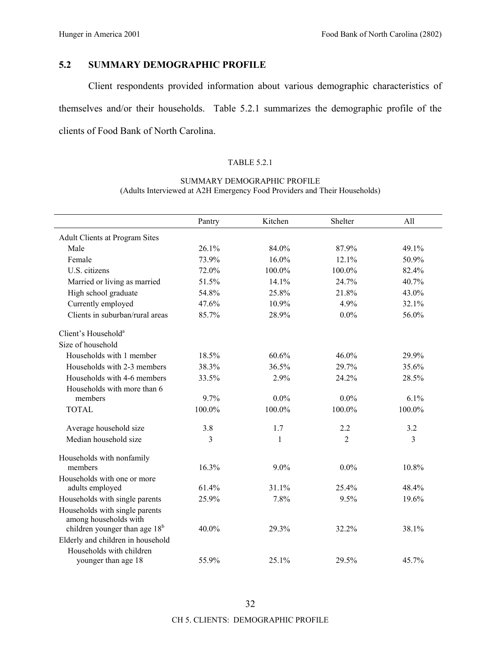# **5.2 SUMMARY DEMOGRAPHIC PROFILE**

Client respondents provided information about various demographic characteristics of themselves and/or their households. Table 5.2.1 summarizes the demographic profile of the clients of Food Bank of North Carolina.

### TABLE 5.2.1

### SUMMARY DEMOGRAPHIC PROFILE (Adults Interviewed at A2H Emergency Food Providers and Their Households)

|                                                                    | Pantry         | Kitchen      | Shelter        | All            |
|--------------------------------------------------------------------|----------------|--------------|----------------|----------------|
| <b>Adult Clients at Program Sites</b>                              |                |              |                |                |
| Male                                                               | 26.1%          | 84.0%        | 87.9%          | 49.1%          |
| Female                                                             | 73.9%          | 16.0%        | 12.1%          | 50.9%          |
| U.S. citizens                                                      | 72.0%          | 100.0%       | 100.0%         | 82.4%          |
| Married or living as married                                       | 51.5%          | 14.1%        | 24.7%          | 40.7%          |
| High school graduate                                               | 54.8%          | 25.8%        | 21.8%          | 43.0%          |
| Currently employed                                                 | 47.6%          | 10.9%        | 4.9%           | 32.1%          |
| Clients in suburban/rural areas                                    | 85.7%          | 28.9%        | $0.0\%$        | 56.0%          |
| Client's Household <sup>a</sup>                                    |                |              |                |                |
| Size of household                                                  |                |              |                |                |
| Households with 1 member                                           | 18.5%          | 60.6%        | 46.0%          | 29.9%          |
| Households with 2-3 members                                        | 38.3%          | 36.5%        | 29.7%          | 35.6%          |
| Households with 4-6 members                                        | 33.5%          | 2.9%         | 24.2%          | 28.5%          |
| Households with more than 6                                        |                |              |                |                |
| members                                                            | 9.7%           | $0.0\%$      | $0.0\%$        | 6.1%           |
| <b>TOTAL</b>                                                       | 100.0%         | 100.0%       | 100.0%         | 100.0%         |
| Average household size                                             | 3.8            | 1.7          | 2.2            | 3.2            |
| Median household size                                              | $\overline{3}$ | $\mathbf{1}$ | $\overline{2}$ | $\mathfrak{Z}$ |
| Households with nonfamily                                          |                |              |                |                |
| members                                                            | 16.3%          | $9.0\%$      | $0.0\%$        | 10.8%          |
| Households with one or more                                        |                |              |                |                |
| adults employed                                                    | 61.4%          | 31.1%        | 25.4%          | 48.4%          |
| Households with single parents                                     | 25.9%          | 7.8%         | 9.5%           | 19.6%          |
| Households with single parents                                     |                |              |                |                |
| among households with<br>children younger than age 18 <sup>b</sup> | 40.0%          | 29.3%        | 32.2%          | 38.1%          |
| Elderly and children in household                                  |                |              |                |                |
| Households with children                                           |                |              |                |                |
| younger than age 18                                                | 55.9%          | 25.1%        | 29.5%          | 45.7%          |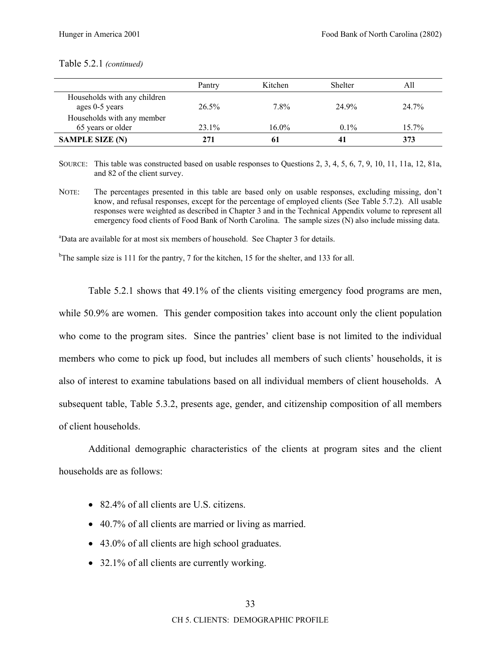### Table 5.2.1 *(continued)*

|                                                 | Pantry   | Kitchen  | Shelter | All      |
|-------------------------------------------------|----------|----------|---------|----------|
| Households with any children<br>ages 0-5 years  | $26.5\%$ | 7.8%     | 24 9%   | 24.7%    |
| Households with any member<br>65 years or older | $23.1\%$ | $16.0\%$ | $0.1\%$ | $15.7\%$ |
| <b>SAMPLE SIZE (N)</b>                          | 271      | 61       |         | 373      |

SOURCE: This table was constructed based on usable responses to Questions 2, 3, 4, 5, 6, 7, 9, 10, 11, 11a, 12, 81a, and 82 of the client survey.

NOTE: The percentages presented in this table are based only on usable responses, excluding missing, don't know, and refusal responses, except for the percentage of employed clients (See Table 5.7.2). All usable responses were weighted as described in Chapter 3 and in the Technical Appendix volume to represent all emergency food clients of Food Bank of North Carolina. The sample sizes (N) also include missing data.

<sup>a</sup>Data are available for at most six members of household. See Chapter 3 for details.

<sup>b</sup>The sample size is 111 for the pantry, 7 for the kitchen, 15 for the shelter, and 133 for all.

Table 5.2.1 shows that 49.1% of the clients visiting emergency food programs are men, while 50.9% are women. This gender composition takes into account only the client population who come to the program sites. Since the pantries' client base is not limited to the individual members who come to pick up food, but includes all members of such clients' households, it is also of interest to examine tabulations based on all individual members of client households. A subsequent table, Table 5.3.2, presents age, gender, and citizenship composition of all members of client households.

Additional demographic characteristics of the clients at program sites and the client households are as follows:

- 82.4% of all clients are U.S. citizens.
- 40.7% of all clients are married or living as married.
- 43.0% of all clients are high school graduates.
- 32.1% of all clients are currently working.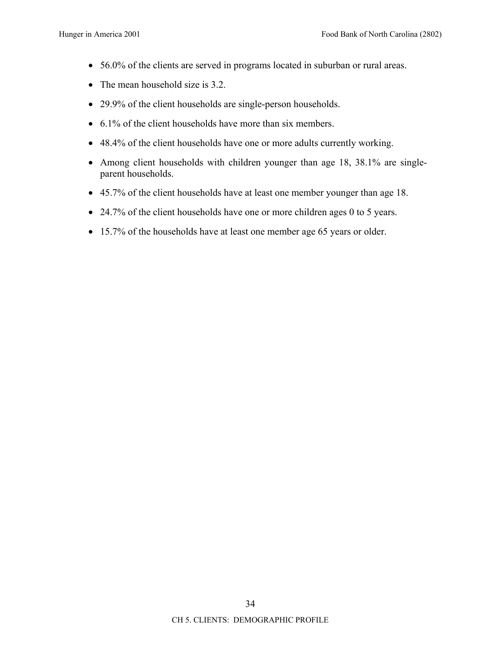- 56.0% of the clients are served in programs located in suburban or rural areas.
- The mean household size is 3.2.
- 29.9% of the client households are single-person households.
- 6.1% of the client households have more than six members.
- 48.4% of the client households have one or more adults currently working.
- Among client households with children younger than age 18, 38.1% are singleparent households.
- 45.7% of the client households have at least one member younger than age 18.
- 24.7% of the client households have one or more children ages 0 to 5 years.
- 15.7% of the households have at least one member age 65 years or older.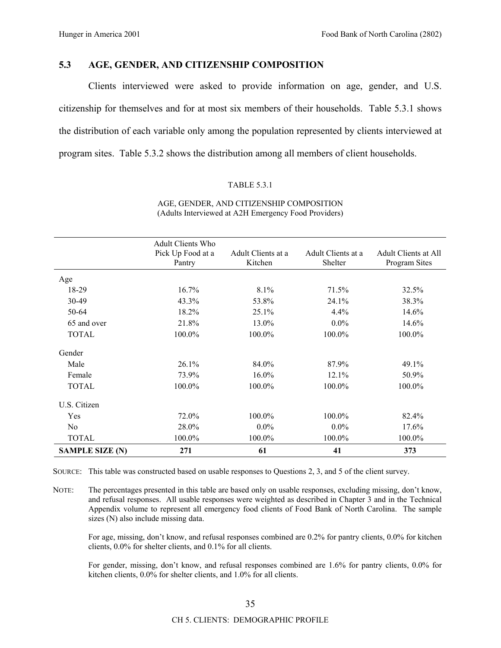# **5.3 AGE, GENDER, AND CITIZENSHIP COMPOSITION**

Clients interviewed were asked to provide information on age, gender, and U.S. citizenship for themselves and for at most six members of their households. Table 5.3.1 shows the distribution of each variable only among the population represented by clients interviewed at program sites. Table 5.3.2 shows the distribution among all members of client households.

### TABLE 5.3.1

|                        | <b>Adult Clients Who</b><br>Pick Up Food at a<br>Pantry | Adult Clients at a<br>Kitchen | Adult Clients at a<br>Shelter | <b>Adult Clients at All</b><br>Program Sites |
|------------------------|---------------------------------------------------------|-------------------------------|-------------------------------|----------------------------------------------|
| Age                    |                                                         |                               |                               |                                              |
| 18-29                  | 16.7%                                                   | 8.1%                          | 71.5%                         | 32.5%                                        |
| 30-49                  | 43.3%                                                   | 53.8%                         | 24.1%                         | 38.3%                                        |
| 50-64                  | 18.2%                                                   | 25.1%                         | 4.4%                          | 14.6%                                        |
| 65 and over            | 21.8%                                                   | 13.0%                         | $0.0\%$                       | 14.6%                                        |
| <b>TOTAL</b>           | 100.0%                                                  | 100.0%                        | 100.0%                        | 100.0%                                       |
| Gender                 |                                                         |                               |                               |                                              |
| Male                   | 26.1%                                                   | 84.0%                         | 87.9%                         | 49.1%                                        |
| Female                 | 73.9%                                                   | $16.0\%$                      | 12.1%                         | 50.9%                                        |
| <b>TOTAL</b>           | 100.0%                                                  | 100.0%                        | 100.0%                        | 100.0%                                       |
| U.S. Citizen           |                                                         |                               |                               |                                              |
| Yes                    | 72.0%                                                   | 100.0%                        | 100.0%                        | 82.4%                                        |
| N <sub>0</sub>         | 28.0%                                                   | $0.0\%$                       | $0.0\%$                       | $17.6\%$                                     |
| <b>TOTAL</b>           | 100.0%                                                  | 100.0%                        | 100.0%                        | 100.0%                                       |
| <b>SAMPLE SIZE (N)</b> | 271                                                     | 61                            | 41                            | 373                                          |

### AGE, GENDER, AND CITIZENSHIP COMPOSITION (Adults Interviewed at A2H Emergency Food Providers)

SOURCE: This table was constructed based on usable responses to Questions 2, 3, and 5 of the client survey.

NOTE: The percentages presented in this table are based only on usable responses, excluding missing, don't know, and refusal responses. All usable responses were weighted as described in Chapter 3 and in the Technical Appendix volume to represent all emergency food clients of Food Bank of North Carolina. The sample sizes (N) also include missing data.

For age, missing, don't know, and refusal responses combined are 0.2% for pantry clients, 0.0% for kitchen clients, 0.0% for shelter clients, and 0.1% for all clients.

For gender, missing, don't know, and refusal responses combined are 1.6% for pantry clients, 0.0% for kitchen clients, 0.0% for shelter clients, and 1.0% for all clients.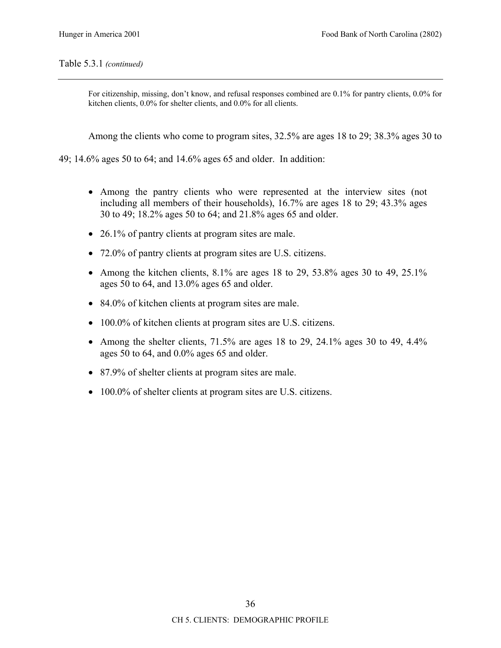## Table 5.3.1 *(continued)*

For citizenship, missing, don't know, and refusal responses combined are 0.1% for pantry clients, 0.0% for kitchen clients, 0.0% for shelter clients, and 0.0% for all clients.

Among the clients who come to program sites, 32.5% are ages 18 to 29; 38.3% ages 30 to

49; 14.6% ages 50 to 64; and 14.6% ages 65 and older. In addition:

- Among the pantry clients who were represented at the interview sites (not including all members of their households), 16.7% are ages 18 to 29; 43.3% ages 30 to 49; 18.2% ages 50 to 64; and 21.8% ages 65 and older.
- 26.1% of pantry clients at program sites are male.
- 72.0% of pantry clients at program sites are U.S. citizens.
- Among the kitchen clients,  $8.1\%$  are ages 18 to 29, 53.8% ages 30 to 49, 25.1% ages 50 to 64, and 13.0% ages 65 and older.
- 84.0% of kitchen clients at program sites are male.
- 100.0% of kitchen clients at program sites are U.S. citizens.
- Among the shelter clients,  $71.5\%$  are ages 18 to 29, 24.1% ages 30 to 49, 4.4% ages 50 to 64, and 0.0% ages 65 and older.
- 87.9% of shelter clients at program sites are male.
- 100.0% of shelter clients at program sites are U.S. citizens.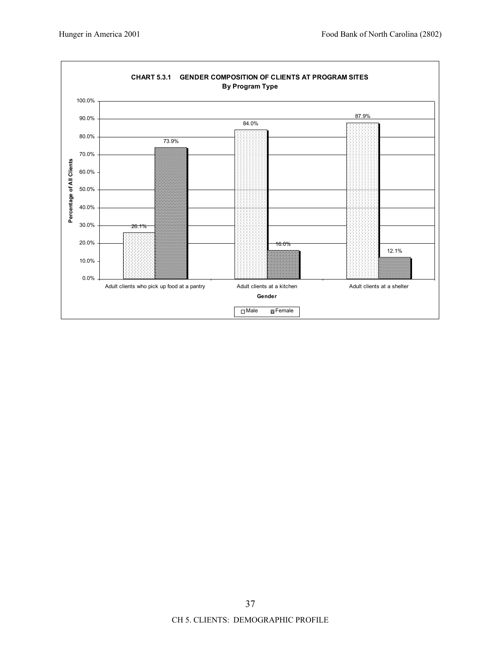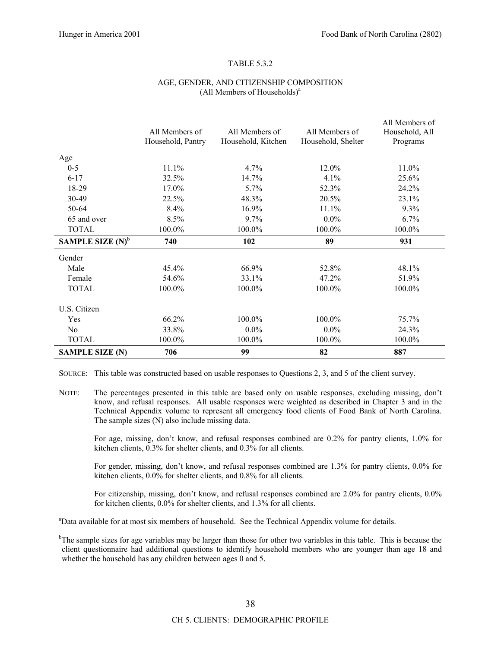#### TABLE 5.3.2

#### AGE, GENDER, AND CITIZENSHIP COMPOSITION (All Members of Households)<sup>a</sup>

|                        | All Members of<br>Household, Pantry | All Members of<br>Household, Kitchen | All Members of<br>Household, Shelter | All Members of<br>Household, All<br>Programs |
|------------------------|-------------------------------------|--------------------------------------|--------------------------------------|----------------------------------------------|
| Age                    |                                     |                                      |                                      |                                              |
| $0-5$                  | 11.1%                               | $4.7\%$                              | 12.0%                                | 11.0%                                        |
| $6 - 17$               | 32.5%                               | 14.7%                                | 4.1%                                 | 25.6%                                        |
| 18-29                  | 17.0%                               | 5.7%                                 | 52.3%                                | 24.2%                                        |
| 30-49                  | 22.5%                               | 48.3%                                | 20.5%                                | 23.1%                                        |
| $50-64$                | 8.4%                                | 16.9%                                | 11.1%                                | 9.3%                                         |
| 65 and over            | 8.5%                                | 9.7%                                 | $0.0\%$                              | 6.7%                                         |
| <b>TOTAL</b>           | 100.0%                              | 100.0%                               | 100.0%                               | 100.0%                                       |
| SAMPLE SIZE $(N)^{b}$  | 740                                 | 102                                  | 89                                   | 931                                          |
| Gender                 |                                     |                                      |                                      |                                              |
| Male                   | $45.4\%$                            | 66.9%                                | 52.8%                                | 48.1%                                        |
| Female                 | 54.6%                               | 33.1%                                | 47.2%                                | 51.9%                                        |
| <b>TOTAL</b>           | 100.0%                              | 100.0%                               | 100.0%                               | 100.0%                                       |
| U.S. Citizen           |                                     |                                      |                                      |                                              |
| Yes                    | 66.2%                               | 100.0%                               | 100.0%                               | 75.7%                                        |
| N <sub>0</sub>         | 33.8%                               | $0.0\%$                              | $0.0\%$                              | 24.3%                                        |
| <b>TOTAL</b>           | 100.0%                              | 100.0%                               | 100.0%                               | 100.0%                                       |
| <b>SAMPLE SIZE (N)</b> | 706                                 | 99                                   | 82                                   | 887                                          |

SOURCE: This table was constructed based on usable responses to Questions 2, 3, and 5 of the client survey.

NOTE: The percentages presented in this table are based only on usable responses, excluding missing, don't know, and refusal responses. All usable responses were weighted as described in Chapter 3 and in the Technical Appendix volume to represent all emergency food clients of Food Bank of North Carolina. The sample sizes (N) also include missing data.

For age, missing, don't know, and refusal responses combined are 0.2% for pantry clients, 1.0% for kitchen clients, 0.3% for shelter clients, and 0.3% for all clients.

For gender, missing, don't know, and refusal responses combined are 1.3% for pantry clients, 0.0% for kitchen clients, 0.0% for shelter clients, and 0.8% for all clients.

For citizenship, missing, don't know, and refusal responses combined are 2.0% for pantry clients, 0.0% for kitchen clients, 0.0% for shelter clients, and 1.3% for all clients.

<sup>a</sup>Data available for at most six members of household. See the Technical Appendix volume for details.

<sup>b</sup>The sample sizes for age variables may be larger than those for other two variables in this table. This is because the client questionnaire had additional questions to identify household members who are younger than age 18 and whether the household has any children between ages 0 and 5.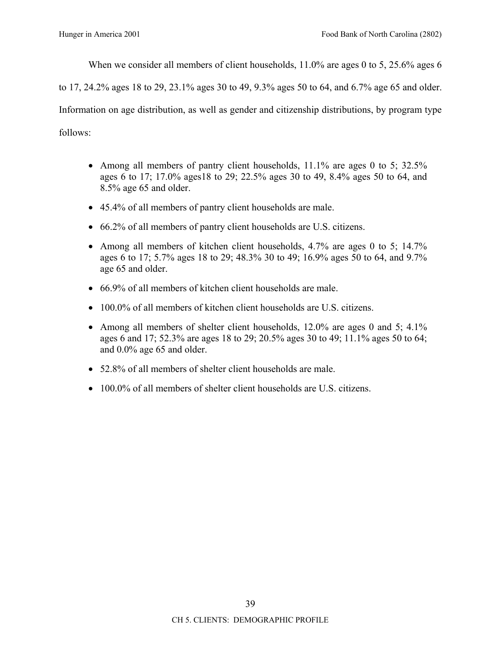When we consider all members of client households, 11.0% are ages 0 to 5, 25.6% ages 6

to 17, 24.2% ages 18 to 29, 23.1% ages 30 to 49, 9.3% ages 50 to 64, and 6.7% age 65 and older.

Information on age distribution, as well as gender and citizenship distributions, by program type

follows:

- Among all members of pantry client households, 11.1% are ages 0 to 5; 32.5% ages 6 to 17; 17.0% ages18 to 29; 22.5% ages 30 to 49, 8.4% ages 50 to 64, and 8.5% age 65 and older.
- 45.4% of all members of pantry client households are male.
- 66.2% of all members of pantry client households are U.S. citizens.
- Among all members of kitchen client households, 4.7% are ages 0 to 5; 14.7% ages 6 to 17; 5.7% ages 18 to 29; 48.3% 30 to 49; 16.9% ages 50 to 64, and 9.7% age 65 and older.
- 66.9% of all members of kitchen client households are male.
- 100.0% of all members of kitchen client households are U.S. citizens.
- Among all members of shelter client households, 12.0% are ages 0 and 5; 4.1% ages 6 and 17; 52.3% are ages 18 to 29; 20.5% ages 30 to 49; 11.1% ages 50 to 64; and 0.0% age 65 and older.
- 52.8% of all members of shelter client households are male.
- 100.0% of all members of shelter client households are U.S. citizens.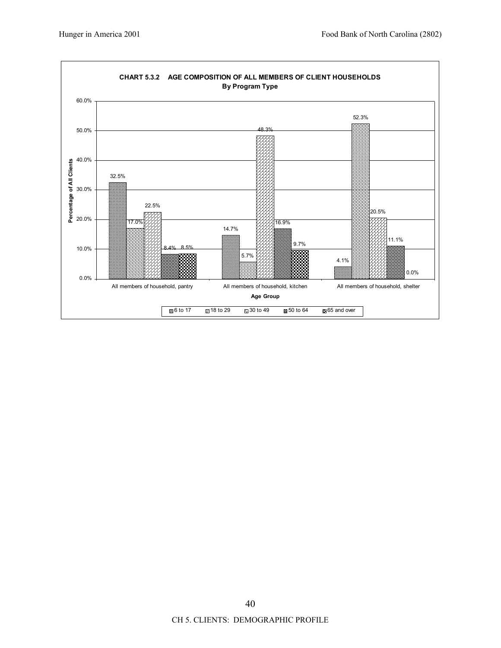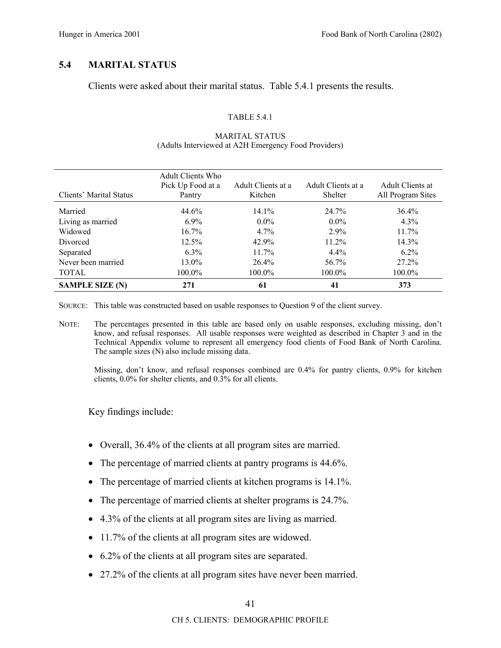# **5.4 MARITAL STATUS**

Clients were asked about their marital status. Table 5.4.1 presents the results.

### TABLE 5.4.1

| Clients' Marital Status | Adult Clients Who<br>Pick Up Food at a<br>Pantry | Adult Clients at a<br>Kitchen | Adult Clients at a<br>Shelter | Adult Clients at<br>All Program Sites |
|-------------------------|--------------------------------------------------|-------------------------------|-------------------------------|---------------------------------------|
| Married                 | 44.6%                                            | $14.1\%$                      | 24.7%                         | 36.4%                                 |
| Living as married       | $6.9\%$                                          | $0.0\%$                       | $0.0\%$                       | $4.3\%$                               |
| Widowed                 | $16.7\%$                                         | $4.7\%$                       | $2.9\%$                       | $11.7\%$                              |
| Divorced                | $12.5\%$                                         | 42.9%                         | $11.2\%$                      | $14.3\%$                              |
| Separated               | $6.3\%$                                          | $11.7\%$                      | $4.4\%$                       | $6.2\%$                               |
| Never been married      | 13.0%                                            | $26.4\%$                      | 56.7%                         | $27.2\%$                              |
| <b>TOTAL</b>            | 100.0%                                           | $100.0\%$                     | 100.0%                        | $100.0\%$                             |
| <b>SAMPLE SIZE (N)</b>  | 271                                              | 61                            | 41                            | 373                                   |

### MARITAL STATUS (Adults Interviewed at A2H Emergency Food Providers)

SOURCE: This table was constructed based on usable responses to Question 9 of the client survey.

NOTE: The percentages presented in this table are based only on usable responses, excluding missing, don't know, and refusal responses. All usable responses were weighted as described in Chapter 3 and in the Technical Appendix volume to represent all emergency food clients of Food Bank of North Carolina. The sample sizes (N) also include missing data.

Missing, don't know, and refusal responses combined are 0.4% for pantry clients, 0.9% for kitchen clients, 0.0% for shelter clients, and 0.3% for all clients.

Key findings include:

- Overall, 36.4% of the clients at all program sites are married.
- The percentage of married clients at pantry programs is 44.6%.
- The percentage of married clients at kitchen programs is 14.1%.
- The percentage of married clients at shelter programs is 24.7%.
- 4.3% of the clients at all program sites are living as married.
- 11.7% of the clients at all program sites are widowed.
- 6.2% of the clients at all program sites are separated.
- 27.2% of the clients at all program sites have never been married.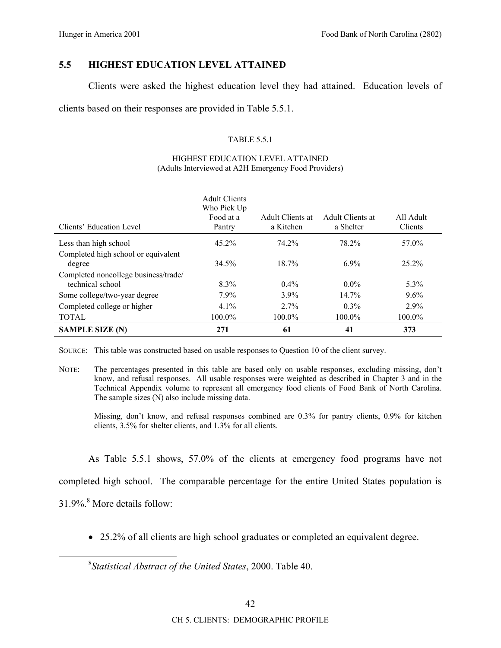# **5.5 HIGHEST EDUCATION LEVEL ATTAINED**

Clients were asked the highest education level they had attained. Education levels of

clients based on their responses are provided in Table 5.5.1.

## TABLE 5.5.1

|                                                          | <b>Adult Clients</b><br>Who Pick Up |                               |                               |                      |
|----------------------------------------------------------|-------------------------------------|-------------------------------|-------------------------------|----------------------|
| Clients' Education Level                                 | Food at a<br>Pantry                 | Adult Clients at<br>a Kitchen | Adult Clients at<br>a Shelter | All Adult<br>Clients |
| Less than high school                                    | $45.2\%$                            | 74.2%                         | 78.2%                         | 57.0%                |
| Completed high school or equivalent<br>degree            | 34.5%                               | $18.7\%$                      | $6.9\%$                       | $25.2\%$             |
| Completed noncollege business/trade/<br>technical school | $8.3\%$                             | $0.4\%$                       | $0.0\%$                       | $5.3\%$              |
| Some college/two-year degree                             | $7.9\%$                             | $3.9\%$                       | $14.7\%$                      | 9.6%                 |
| Completed college or higher                              | $4.1\%$                             | $2.7\%$                       | $0.3\%$                       | 2.9%                 |
| <b>TOTAL</b>                                             | 100.0%                              | 100.0%                        | 100.0%                        | 100.0%               |
| <b>SAMPLE SIZE (N)</b>                                   | 271                                 | 61                            | 41                            | 373                  |

#### HIGHEST EDUCATION LEVEL ATTAINED (Adults Interviewed at A2H Emergency Food Providers)

SOURCE: This table was constructed based on usable responses to Question 10 of the client survey.

NOTE: The percentages presented in this table are based only on usable responses, excluding missing, don't know, and refusal responses. All usable responses were weighted as described in Chapter 3 and in the Technical Appendix volume to represent all emergency food clients of Food Bank of North Carolina. The sample sizes (N) also include missing data.

Missing, don't know, and refusal responses combined are  $0.3\%$  for pantry clients,  $0.9\%$  for kitchen clients, 3.5% for shelter clients, and 1.3% for all clients.

As Table 5.5.1 shows, 57.0% of the clients at emergency food programs have not

completed high school. The comparable percentage for the entire United States population is

31.9%.<sup>8</sup> More details follow:

• 25.2% of all clients are high school graduates or completed an equivalent degree.

 <sup>8</sup> *Statistical Abstract of the United States*, 2000. Table 40.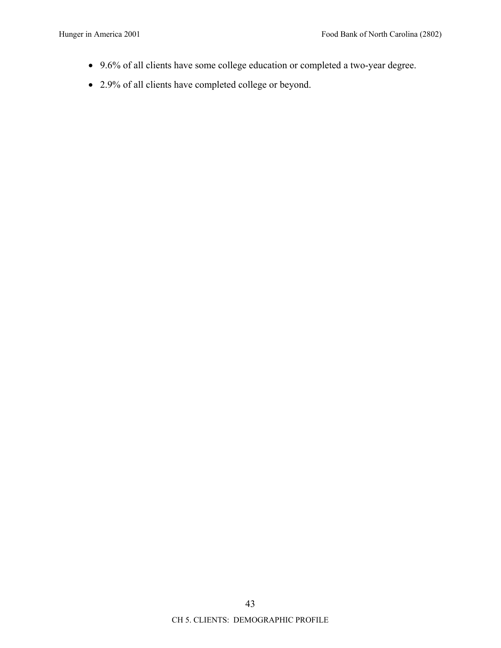- 9.6% of all clients have some college education or completed a two-year degree.
- 2.9% of all clients have completed college or beyond.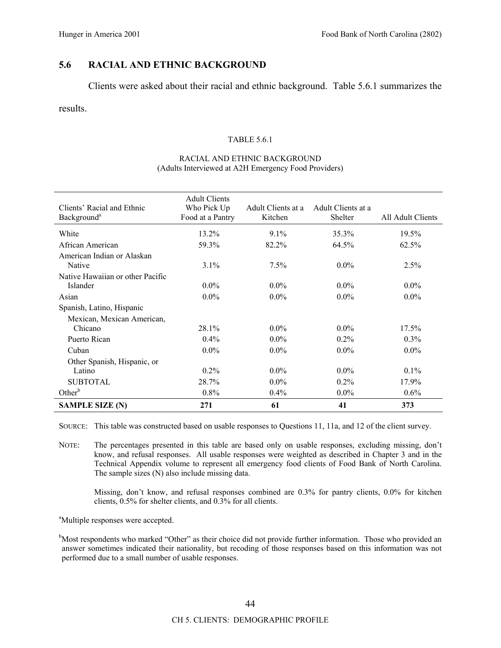# **5.6 RACIAL AND ETHNIC BACKGROUND**

Clients were asked about their racial and ethnic background. Table 5.6.1 summarizes the

results.

### TABLE 5.6.1

### RACIAL AND ETHNIC BACKGROUND (Adults Interviewed at A2H Emergency Food Providers)

| Clients' Racial and Ethnic<br>Background <sup>a</sup> | <b>Adult Clients</b><br>Who Pick Up<br>Food at a Pantry | Adult Clients at a<br>Kitchen | Adult Clients at a<br>Shelter | All Adult Clients |
|-------------------------------------------------------|---------------------------------------------------------|-------------------------------|-------------------------------|-------------------|
| White                                                 | 13.2%                                                   | $9.1\%$                       | 35.3%                         | 19.5%             |
| African American                                      | 59.3%                                                   | 82.2%                         | 64.5%                         | $62.5\%$          |
| American Indian or Alaskan                            |                                                         |                               |                               |                   |
| Native                                                | $3.1\%$                                                 | $7.5\%$                       | $0.0\%$                       | $2.5\%$           |
| Native Hawaiian or other Pacific                      |                                                         |                               |                               |                   |
| <b>Islander</b>                                       | $0.0\%$                                                 | $0.0\%$                       | $0.0\%$                       | $0.0\%$           |
| Asian                                                 | $0.0\%$                                                 | $0.0\%$                       | $0.0\%$                       | $0.0\%$           |
| Spanish, Latino, Hispanic                             |                                                         |                               |                               |                   |
| Mexican, Mexican American,                            |                                                         |                               |                               |                   |
| Chicano                                               | 28.1%                                                   | $0.0\%$                       | $0.0\%$                       | 17.5%             |
| Puerto Rican                                          | $0.4\%$                                                 | $0.0\%$                       | $0.2\%$                       | $0.3\%$           |
| Cuban                                                 | $0.0\%$                                                 | $0.0\%$                       | $0.0\%$                       | $0.0\%$           |
| Other Spanish, Hispanic, or                           |                                                         |                               |                               |                   |
| Latino                                                | $0.2\%$                                                 | $0.0\%$                       | $0.0\%$                       | $0.1\%$           |
| <b>SUBTOTAL</b>                                       | 28.7%                                                   | $0.0\%$                       | $0.2\%$                       | 17.9%             |
| $Other^b$                                             | $0.8\%$                                                 | $0.4\%$                       | $0.0\%$                       | 0.6%              |
| <b>SAMPLE SIZE (N)</b>                                | 271                                                     | 61                            | 41                            | 373               |

SOURCE: This table was constructed based on usable responses to Questions 11, 11a, and 12 of the client survey.

NOTE: The percentages presented in this table are based only on usable responses, excluding missing, don't know, and refusal responses. All usable responses were weighted as described in Chapter 3 and in the Technical Appendix volume to represent all emergency food clients of Food Bank of North Carolina. The sample sizes (N) also include missing data.

Missing, don't know, and refusal responses combined are  $0.3\%$  for pantry clients,  $0.0\%$  for kitchen clients, 0.5% for shelter clients, and 0.3% for all clients.

<sup>a</sup>Multiple responses were accepted.

<sup>b</sup>Most respondents who marked "Other" as their choice did not provide further information. Those who provided an answer sometimes indicated their nationality, but recoding of those responses based on this information was not performed due to a small number of usable responses.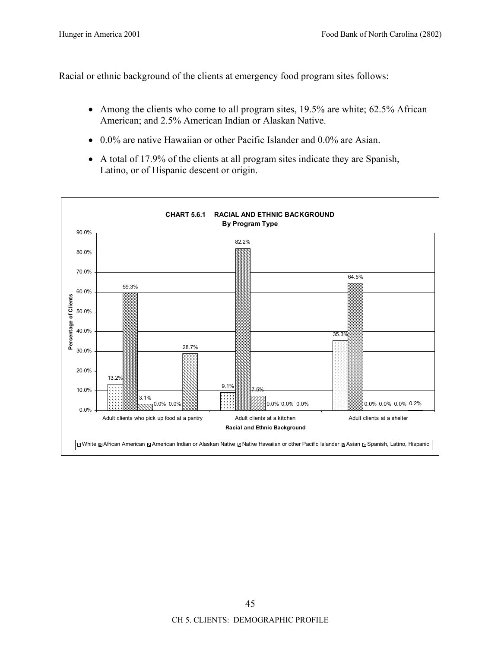Racial or ethnic background of the clients at emergency food program sites follows:

- Among the clients who come to all program sites, 19.5% are white; 62.5% African American; and 2.5% American Indian or Alaskan Native.
- 0.0% are native Hawaiian or other Pacific Islander and 0.0% are Asian.
- A total of 17.9% of the clients at all program sites indicate they are Spanish, Latino, or of Hispanic descent or origin.

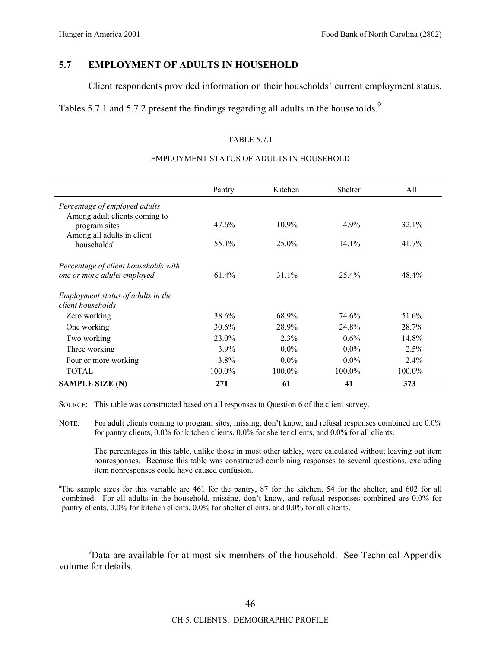# **5.7 EMPLOYMENT OF ADULTS IN HOUSEHOLD**

Client respondents provided information on their households' current employment status.

Tables 5.7.1 and 5.7.2 present the findings regarding all adults in the households.<sup>9</sup>

### TABLE 5.7.1

### EMPLOYMENT STATUS OF ADULTS IN HOUSEHOLD

|                                                                | Pantry   | Kitchen   | Shelter | All     |
|----------------------------------------------------------------|----------|-----------|---------|---------|
| Percentage of employed adults<br>Among adult clients coming to |          |           |         |         |
| program sites<br>Among all adults in client                    | 47.6%    | $10.9\%$  | 4.9%    | 32.1%   |
| households <sup>a</sup>                                        | 55.1%    | $25.0\%$  | 14.1%   | 41.7%   |
| Percentage of client households with                           |          |           |         |         |
| one or more adults employed                                    | $61.4\%$ | $31.1\%$  | 25.4%   | 48.4%   |
| Employment status of adults in the<br>client households        |          |           |         |         |
| Zero working                                                   | 38.6%    | 68.9%     | 74.6%   | 51.6%   |
| One working                                                    | 30.6%    | 28.9%     | 24.8%   | 28.7%   |
| Two working                                                    | 23.0%    | $2.3\%$   | $0.6\%$ | 14.8%   |
| Three working                                                  | $3.9\%$  | $0.0\%$   | $0.0\%$ | 2.5%    |
| Four or more working                                           | $3.8\%$  | $0.0\%$   | $0.0\%$ | $2.4\%$ |
| <b>TOTAL</b>                                                   | 100.0%   | $100.0\%$ | 100.0%  | 100.0%  |
| <b>SAMPLE SIZE (N)</b>                                         | 271      | 61        | 41      | 373     |

SOURCE: This table was constructed based on all responses to Question 6 of the client survey.

NOTE: For adult clients coming to program sites, missing, don't know, and refusal responses combined are 0.0% for pantry clients, 0.0% for kitchen clients, 0.0% for shelter clients, and 0.0% for all clients.

The percentages in this table, unlike those in most other tables, were calculated without leaving out item nonresponses. Because this table was constructed combining responses to several questions, excluding item nonresponses could have caused confusion.

<sup>a</sup>The sample sizes for this variable are 461 for the pantry, 87 for the kitchen, 54 for the shelter, and 602 for all combined. For all adults in the household, missing, don't know, and refusal responses combined are 0.0% for pantry clients, 0.0% for kitchen clients, 0.0% for shelter clients, and 0.0% for all clients.

 <sup>9</sup> <sup>9</sup>Data are available for at most six members of the household. See Technical Appendix volume for details.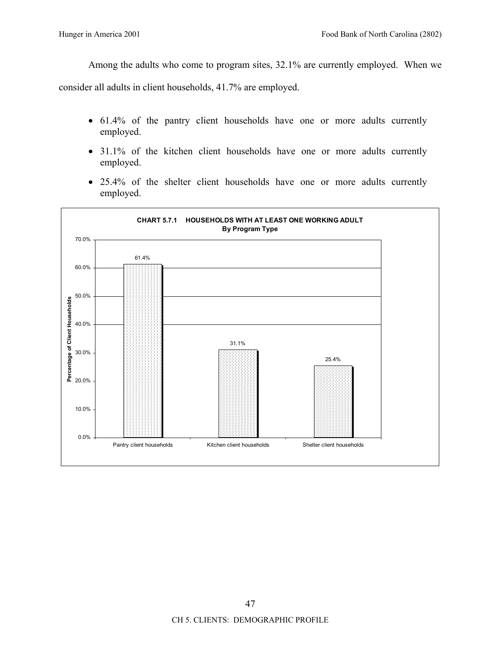Among the adults who come to program sites, 32.1% are currently employed. When we

consider all adults in client households, 41.7% are employed.

- 61.4% of the pantry client households have one or more adults currently employed.
- 31.1% of the kitchen client households have one or more adults currently employed.
- 25.4% of the shelter client households have one or more adults currently employed.

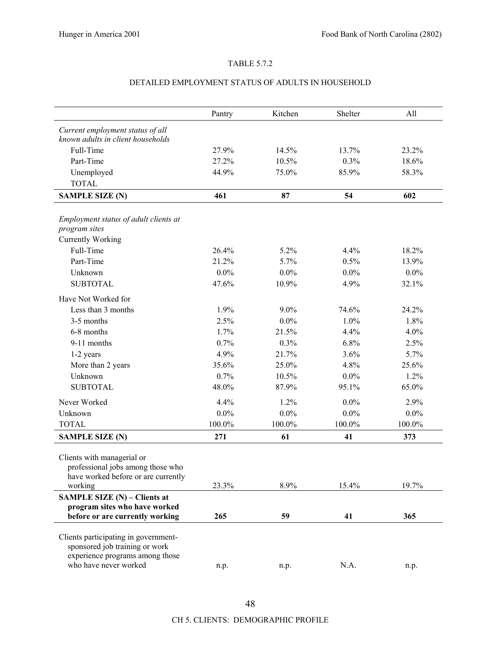### TABLE 5.7.2

### DETAILED EMPLOYMENT STATUS OF ADULTS IN HOUSEHOLD

|                                                | Pantry  | Kitchen | Shelter | All     |
|------------------------------------------------|---------|---------|---------|---------|
| Current employment status of all               |         |         |         |         |
| known adults in client households              |         |         |         |         |
| Full-Time                                      | 27.9%   | 14.5%   | 13.7%   | 23.2%   |
| Part-Time                                      | 27.2%   | 10.5%   | 0.3%    | 18.6%   |
| Unemployed                                     | 44.9%   | 75.0%   | 85.9%   | 58.3%   |
| <b>TOTAL</b>                                   |         |         |         |         |
| <b>SAMPLE SIZE (N)</b>                         | 461     | 87      | 54      | 602     |
|                                                |         |         |         |         |
| Employment status of adult clients at          |         |         |         |         |
| program sites                                  |         |         |         |         |
| <b>Currently Working</b>                       |         |         |         |         |
| Full-Time                                      | 26.4%   | 5.2%    | 4.4%    | 18.2%   |
| Part-Time                                      | 21.2%   | 5.7%    | 0.5%    | 13.9%   |
| Unknown                                        | $0.0\%$ | $0.0\%$ | 0.0%    | $0.0\%$ |
| <b>SUBTOTAL</b>                                | 47.6%   | 10.9%   | 4.9%    | 32.1%   |
| Have Not Worked for                            |         |         |         |         |
| Less than 3 months                             | 1.9%    | $9.0\%$ | 74.6%   | 24.2%   |
| 3-5 months                                     | 2.5%    | $0.0\%$ | 1.0%    | 1.8%    |
| 6-8 months                                     | 1.7%    | 21.5%   | 4.4%    | 4.0%    |
| 9-11 months                                    | 0.7%    | 0.3%    | 6.8%    | 2.5%    |
| 1-2 years                                      | 4.9%    | 21.7%   | 3.6%    | 5.7%    |
| More than 2 years                              | 35.6%   | 25.0%   | 4.8%    | 25.6%   |
| Unknown                                        | 0.7%    | 10.5%   | 0.0%    | 1.2%    |
| <b>SUBTOTAL</b>                                | 48.0%   | 87.9%   | 95.1%   | 65.0%   |
| Never Worked                                   | 4.4%    | 1.2%    | 0.0%    | 2.9%    |
| Unknown                                        | $0.0\%$ | $0.0\%$ | 0.0%    | $0.0\%$ |
| <b>TOTAL</b>                                   | 100.0%  | 100.0%  | 100.0%  | 100.0%  |
| <b>SAMPLE SIZE (N)</b>                         | 271     | 61      | 41      | 373     |
|                                                |         |         |         |         |
| Clients with managerial or                     |         |         |         |         |
| professional jobs among those who              |         |         |         |         |
| have worked before or are currently<br>working | 23.3%   | 8.9%    | 15.4%   | 19.7%   |
| SAMPLE SIZE (N) - Clients at                   |         |         |         |         |
| program sites who have worked                  |         |         |         |         |
| before or are currently working                | 265     | 59      | 41      | 365     |
|                                                |         |         |         |         |
| Clients participating in government-           |         |         |         |         |
| sponsored job training or work                 |         |         |         |         |
| experience programs among those                |         |         |         |         |
| who have never worked                          | n.p.    | n.p.    | N.A.    | n.p.    |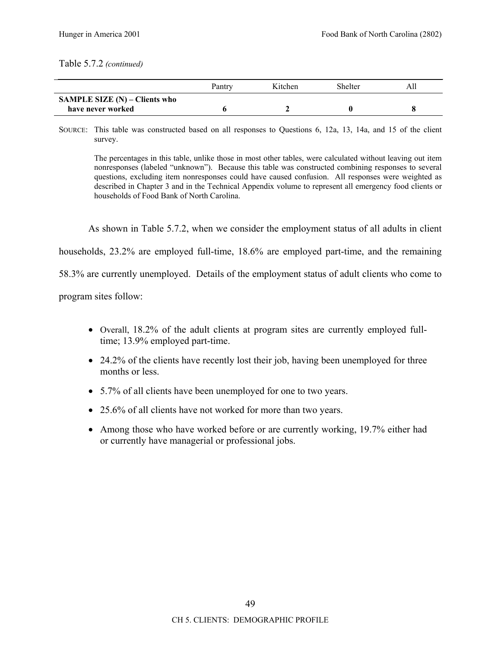### Table 5.7.2 *(continued)*

|                                      | Pantry | Kitchen | Shelter |  |
|--------------------------------------|--------|---------|---------|--|
| <b>SAMPLE SIZE (N) – Clients who</b> |        |         |         |  |
| have never worked                    |        |         |         |  |

SOURCE: This table was constructed based on all responses to Questions 6, 12a, 13, 14a, and 15 of the client survey.

The percentages in this table, unlike those in most other tables, were calculated without leaving out item nonresponses (labeled "unknown"). Because this table was constructed combining responses to several questions, excluding item nonresponses could have caused confusion. All responses were weighted as described in Chapter 3 and in the Technical Appendix volume to represent all emergency food clients or households of Food Bank of North Carolina.

As shown in Table 5.7.2, when we consider the employment status of all adults in client

households, 23.2% are employed full-time, 18.6% are employed part-time, and the remaining

58.3% are currently unemployed. Details of the employment status of adult clients who come to

program sites follow:

- Overall, 18.2% of the adult clients at program sites are currently employed fulltime; 13.9% employed part-time.
- 24.2% of the clients have recently lost their job, having been unemployed for three months or less.
- 5.7% of all clients have been unemployed for one to two years.
- 25.6% of all clients have not worked for more than two years.
- Among those who have worked before or are currently working, 19.7% either had or currently have managerial or professional jobs.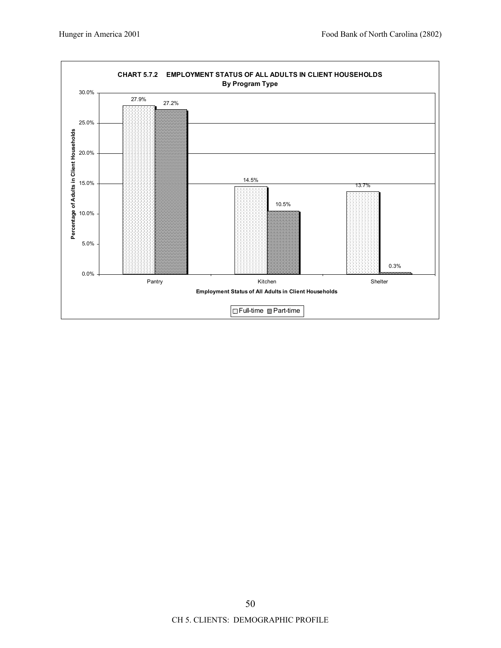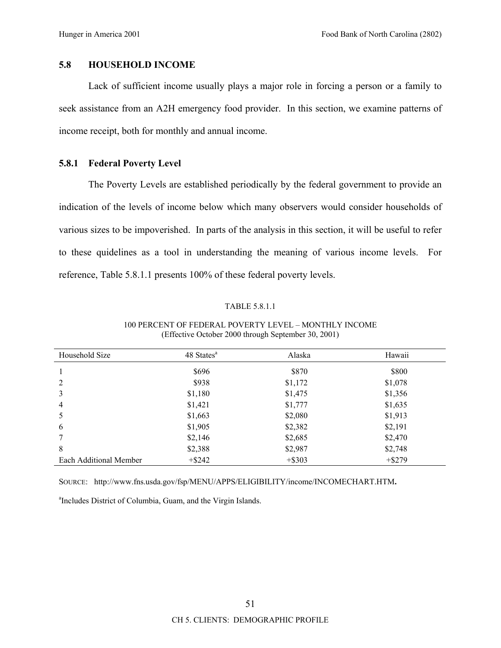## **5.8 HOUSEHOLD INCOME**

Lack of sufficient income usually plays a major role in forcing a person or a family to seek assistance from an A2H emergency food provider. In this section, we examine patterns of income receipt, both for monthly and annual income.

## **5.8.1 Federal Poverty Level**

The Poverty Levels are established periodically by the federal government to provide an indication of the levels of income below which many observers would consider households of various sizes to be impoverished. In parts of the analysis in this section, it will be useful to refer to these quidelines as a tool in understanding the meaning of various income levels. For reference, Table 5.8.1.1 presents 100% of these federal poverty levels.

### TABLE 5.8.1.1

| Household Size         | 48 States <sup>a</sup> | Alaska    | Hawaii    |
|------------------------|------------------------|-----------|-----------|
|                        | \$696                  | \$870     | \$800     |
| 2                      | \$938                  | \$1,172   | \$1,078   |
| 3                      | \$1,180                | \$1,475   | \$1,356   |
| $\overline{4}$         | \$1,421                | \$1,777   | \$1,635   |
| 5                      | \$1,663                | \$2,080   | \$1,913   |
| 6                      | \$1,905                | \$2,382   | \$2,191   |
|                        | \$2,146                | \$2,685   | \$2,470   |
| 8                      | \$2,388                | \$2,987   | \$2,748   |
| Each Additional Member | $+$ \$242              | $+$ \$303 | $+$ \$279 |

### 100 PERCENT OF FEDERAL POVERTY LEVEL - MONTHLY INCOME (Effective October 2000 through September 30, 2001)

SOURCE: http://www.fns.usda.gov/fsp/MENU/APPS/ELIGIBILITY/income/INCOMECHART.HTM**.** 

a Includes District of Columbia, Guam, and the Virgin Islands.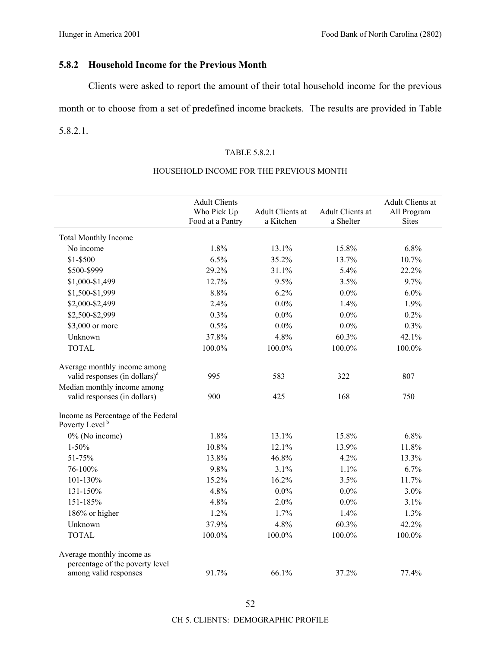# **5.8.2 Household Income for the Previous Month**

Clients were asked to report the amount of their total household income for the previous

month or to choose from a set of predefined income brackets. The results are provided in Table 5.8.2.1.

### TABLE 5.8.2.1

|                                                                                       | <b>Adult Clients</b><br>Who Pick Up<br>Food at a Pantry | Adult Clients at<br>a Kitchen | Adult Clients at<br>a Shelter | Adult Clients at<br>All Program<br><b>Sites</b> |
|---------------------------------------------------------------------------------------|---------------------------------------------------------|-------------------------------|-------------------------------|-------------------------------------------------|
| <b>Total Monthly Income</b>                                                           |                                                         |                               |                               |                                                 |
| No income                                                                             | 1.8%                                                    | 13.1%                         | 15.8%                         | 6.8%                                            |
| $$1 - $500$                                                                           | 6.5%                                                    | 35.2%                         | 13.7%                         | 10.7%                                           |
| \$500-\$999                                                                           | 29.2%                                                   | 31.1%                         | 5.4%                          | 22.2%                                           |
| \$1,000-\$1,499                                                                       | 12.7%                                                   | 9.5%                          | 3.5%                          | 9.7%                                            |
| \$1,500-\$1,999                                                                       | 8.8%                                                    | 6.2%                          | $0.0\%$                       | 6.0%                                            |
| \$2,000-\$2,499                                                                       | 2.4%                                                    | $0.0\%$                       | 1.4%                          | 1.9%                                            |
| \$2,500-\$2,999                                                                       | 0.3%                                                    | $0.0\%$                       | $0.0\%$                       | 0.2%                                            |
| \$3,000 or more                                                                       | 0.5%                                                    | $0.0\%$                       | $0.0\%$                       | 0.3%                                            |
| Unknown                                                                               | 37.8%                                                   | 4.8%                          | 60.3%                         | 42.1%                                           |
| <b>TOTAL</b>                                                                          | 100.0%                                                  | $100.0\%$                     | 100.0%                        | $100.0\%$                                       |
| Average monthly income among<br>valid responses (in dollars) <sup>a</sup>             | 995                                                     | 583                           | 322                           | 807                                             |
| Median monthly income among                                                           |                                                         |                               |                               |                                                 |
| valid responses (in dollars)                                                          | 900                                                     | 425                           | 168                           | 750                                             |
| Income as Percentage of the Federal<br>Poverty Level <sup>b</sup>                     |                                                         |                               |                               |                                                 |
| 0% (No income)                                                                        | 1.8%                                                    | 13.1%                         | 15.8%                         | 6.8%                                            |
| $1 - 50%$                                                                             | 10.8%                                                   | 12.1%                         | 13.9%                         | 11.8%                                           |
| 51-75%                                                                                | 13.8%                                                   | 46.8%                         | 4.2%                          | 13.3%                                           |
| 76-100%                                                                               | 9.8%                                                    | 3.1%                          | 1.1%                          | 6.7%                                            |
| 101-130%                                                                              | 15.2%                                                   | 16.2%                         | 3.5%                          | 11.7%                                           |
| 131-150%                                                                              | 4.8%                                                    | $0.0\%$                       | $0.0\%$                       | 3.0%                                            |
| 151-185%                                                                              | 4.8%                                                    | 2.0%                          | $0.0\%$                       | 3.1%                                            |
| 186% or higher                                                                        | 1.2%                                                    | 1.7%                          | 1.4%                          | 1.3%                                            |
| Unknown                                                                               | 37.9%                                                   | 4.8%                          | 60.3%                         | 42.2%                                           |
| <b>TOTAL</b>                                                                          | 100.0%                                                  | 100.0%                        | 100.0%                        | 100.0%                                          |
| Average monthly income as<br>percentage of the poverty level<br>among valid responses | 91.7%                                                   | 66.1%                         | 37.2%                         | 77.4%                                           |

## HOUSEHOLD INCOME FOR THE PREVIOUS MONTH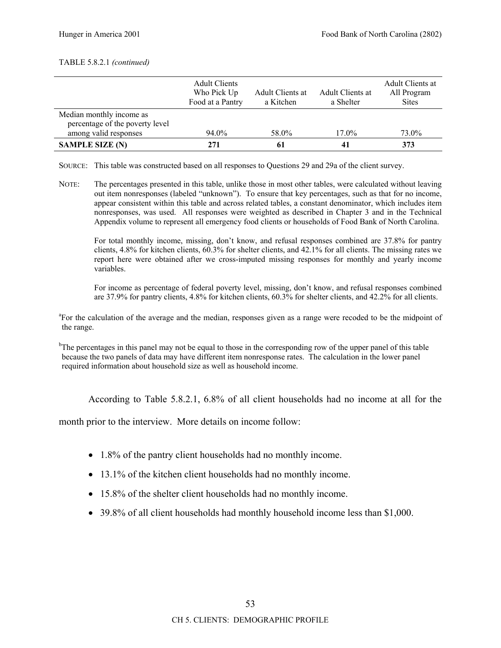### TABLE 5.8.2.1 *(continued)*

|                                                             | <b>Adult Clients</b><br>Who Pick Up<br>Food at a Pantry | Adult Clients at<br>a Kitchen | Adult Clients at<br>a Shelter | Adult Clients at<br>All Program<br><b>Sites</b> |
|-------------------------------------------------------------|---------------------------------------------------------|-------------------------------|-------------------------------|-------------------------------------------------|
| Median monthly income as<br>percentage of the poverty level |                                                         |                               |                               |                                                 |
| among valid responses                                       | 94.0%                                                   | 58.0%                         | 17.0%                         | 73.0%                                           |
| <b>SAMPLE SIZE (N)</b>                                      | 271                                                     | 61                            | 41                            | 373                                             |

SOURCE: This table was constructed based on all responses to Questions 29 and 29a of the client survey.

NOTE: The percentages presented in this table, unlike those in most other tables, were calculated without leaving out item nonresponses (labeled "unknown"). To ensure that key percentages, such as that for no income, appear consistent within this table and across related tables, a constant denominator, which includes item nonresponses, was used. All responses were weighted as described in Chapter 3 and in the Technical Appendix volume to represent all emergency food clients or households of Food Bank of North Carolina.

For total monthly income, missing, don't know, and refusal responses combined are 37.8% for pantry clients, 4.8% for kitchen clients, 60.3% for shelter clients, and 42.1% for all clients. The missing rates we report here were obtained after we cross-imputed missing responses for monthly and yearly income variables.

For income as percentage of federal poverty level, missing, don't know, and refusal responses combined are 37.9% for pantry clients, 4.8% for kitchen clients, 60.3% for shelter clients, and 42.2% for all clients.

<sup>a</sup>For the calculation of the average and the median, responses given as a range were recoded to be the midpoint of the range.

<sup>b</sup>The percentages in this panel may not be equal to those in the corresponding row of the upper panel of this table because the two panels of data may have different item nonresponse rates. The calculation in the lower panel required information about household size as well as household income.

According to Table 5.8.2.1, 6.8% of all client households had no income at all for the

month prior to the interview. More details on income follow:

- 1.8% of the pantry client households had no monthly income.
- 13.1% of the kitchen client households had no monthly income.
- 15.8% of the shelter client households had no monthly income.
- 39.8% of all client households had monthly household income less than \$1,000.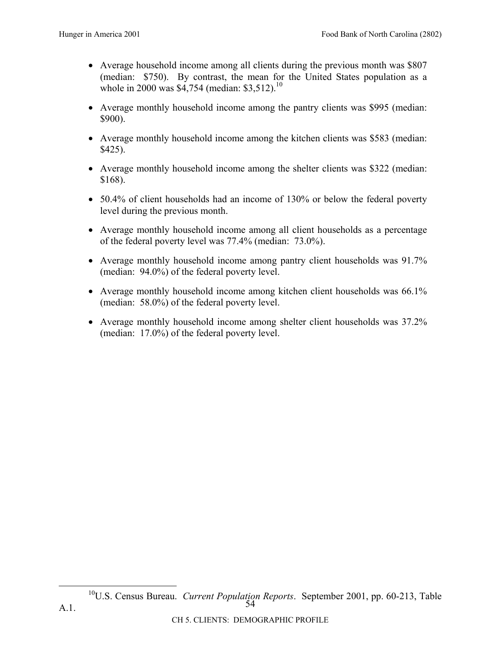- Average household income among all clients during the previous month was \$807 (median: \$750). By contrast, the mean for the United States population as a whole in 2000 was \$4,754 (median: \$3,512).<sup>10</sup>
- Average monthly household income among the pantry clients was \$995 (median: \$900).
- Average monthly household income among the kitchen clients was \$583 (median: \$425).
- Average monthly household income among the shelter clients was \$322 (median: \$168).
- 50.4% of client households had an income of 130% or below the federal poverty level during the previous month.
- Average monthly household income among all client households as a percentage of the federal poverty level was 77.4% (median: 73.0%).
- Average monthly household income among pantry client households was 91.7% (median: 94.0%) of the federal poverty level.
- Average monthly household income among kitchen client households was 66.1% (median: 58.0%) of the federal poverty level.
- Average monthly household income among shelter client households was 37.2% (median: 17.0%) of the federal poverty level.

<sup>54</sup>  10U.S. Census Bureau. *Current Population Reports*. September 2001, pp. 60-213, Table A.1.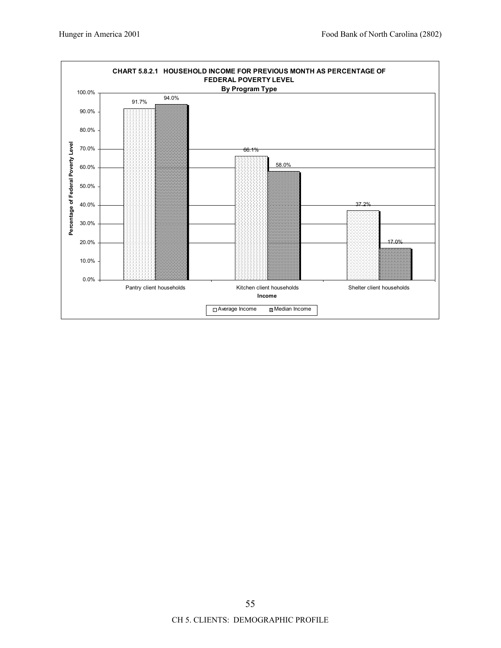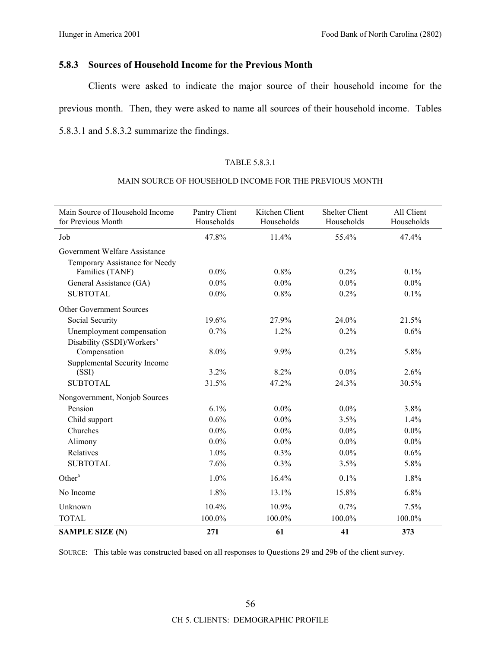# **5.8.3 Sources of Household Income for the Previous Month**

Clients were asked to indicate the major source of their household income for the previous month. Then, they were asked to name all sources of their household income. Tables 5.8.3.1 and 5.8.3.2 summarize the findings.

### TABLE 5.8.3.1

#### MAIN SOURCE OF HOUSEHOLD INCOME FOR THE PREVIOUS MONTH

| Main Source of Household Income<br>for Previous Month | Pantry Client<br>Households | Kitchen Client<br>Households | <b>Shelter Client</b><br>Households | All Client<br>Households |
|-------------------------------------------------------|-----------------------------|------------------------------|-------------------------------------|--------------------------|
| Job                                                   | 47.8%                       | 11.4%                        | 55.4%                               | 47.4%                    |
| Government Welfare Assistance                         |                             |                              |                                     |                          |
| Temporary Assistance for Needy                        |                             |                              |                                     |                          |
| Families (TANF)                                       | $0.0\%$                     | $0.8\%$                      | $0.2\%$                             | 0.1%                     |
| General Assistance (GA)                               | $0.0\%$                     | $0.0\%$                      | $0.0\%$                             | $0.0\%$                  |
| <b>SUBTOTAL</b>                                       | $0.0\%$                     | 0.8%                         | 0.2%                                | 0.1%                     |
| Other Government Sources                              |                             |                              |                                     |                          |
| Social Security                                       | 19.6%                       | 27.9%                        | 24.0%                               | 21.5%                    |
| Unemployment compensation                             | 0.7%                        | 1.2%                         | 0.2%                                | 0.6%                     |
| Disability (SSDI)/Workers'                            |                             |                              |                                     |                          |
| Compensation                                          | 8.0%                        | 9.9%                         | 0.2%                                | 5.8%                     |
| Supplemental Security Income                          |                             |                              |                                     |                          |
| (SSI)                                                 | 3.2%                        | 8.2%                         | $0.0\%$                             | 2.6%                     |
| <b>SUBTOTAL</b>                                       | 31.5%                       | 47.2%                        | 24.3%                               | 30.5%                    |
| Nongovernment, Nonjob Sources                         |                             |                              |                                     |                          |
| Pension                                               | 6.1%                        | $0.0\%$                      | $0.0\%$                             | 3.8%                     |
| Child support                                         | 0.6%                        | $0.0\%$                      | 3.5%                                | 1.4%                     |
| Churches                                              | $0.0\%$                     | $0.0\%$                      | $0.0\%$                             | $0.0\%$                  |
| Alimony                                               | $0.0\%$                     | $0.0\%$                      | $0.0\%$                             | $0.0\%$                  |
| Relatives                                             | 1.0%                        | 0.3%                         | $0.0\%$                             | 0.6%                     |
| <b>SUBTOTAL</b>                                       | 7.6%                        | $0.3\%$                      | 3.5%                                | 5.8%                     |
| Other <sup>a</sup>                                    | 1.0%                        | 16.4%                        | 0.1%                                | 1.8%                     |
| No Income                                             | 1.8%                        | 13.1%                        | 15.8%                               | 6.8%                     |
| Unknown                                               | 10.4%                       | 10.9%                        | 0.7%                                | 7.5%                     |
| <b>TOTAL</b>                                          | 100.0%                      | 100.0%                       | 100.0%                              | 100.0%                   |
| <b>SAMPLE SIZE (N)</b>                                | 271                         | 61                           | 41                                  | 373                      |

SOURCE: This table was constructed based on all responses to Questions 29 and 29b of the client survey.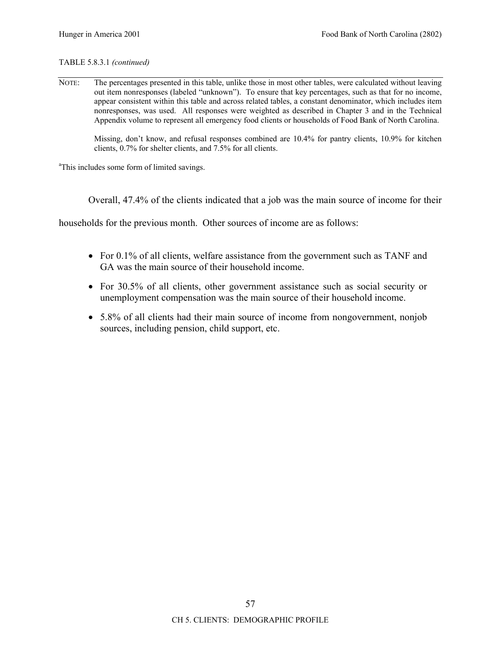### TABLE 5.8.3.1 *(continued)*

NOTE: The percentages presented in this table, unlike those in most other tables, were calculated without leaving out item nonresponses (labeled "unknown"). To ensure that key percentages, such as that for no income, appear consistent within this table and across related tables, a constant denominator, which includes item nonresponses, was used. All responses were weighted as described in Chapter 3 and in the Technical Appendix volume to represent all emergency food clients or households of Food Bank of North Carolina.

Missing, don't know, and refusal responses combined are 10.4% for pantry clients, 10.9% for kitchen clients, 0.7% for shelter clients, and 7.5% for all clients.

<sup>a</sup>This includes some form of limited savings.

Overall, 47.4% of the clients indicated that a job was the main source of income for their

households for the previous month. Other sources of income are as follows:

- For 0.1% of all clients, welfare assistance from the government such as TANF and GA was the main source of their household income.
- For 30.5% of all clients, other government assistance such as social security or unemployment compensation was the main source of their household income.
- 5.8% of all clients had their main source of income from nongovernment, nonjob sources, including pension, child support, etc.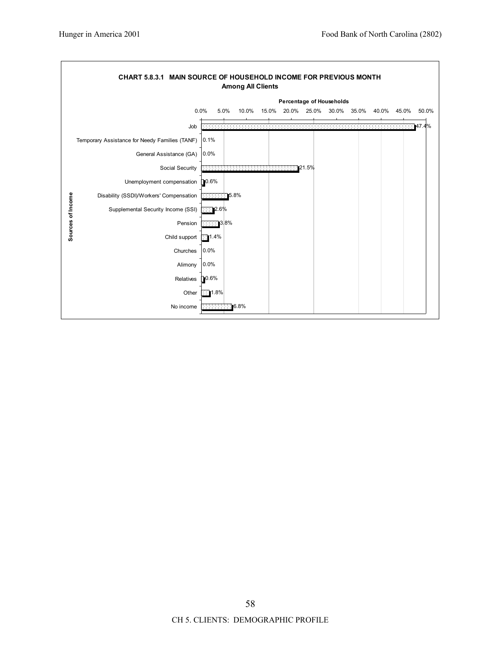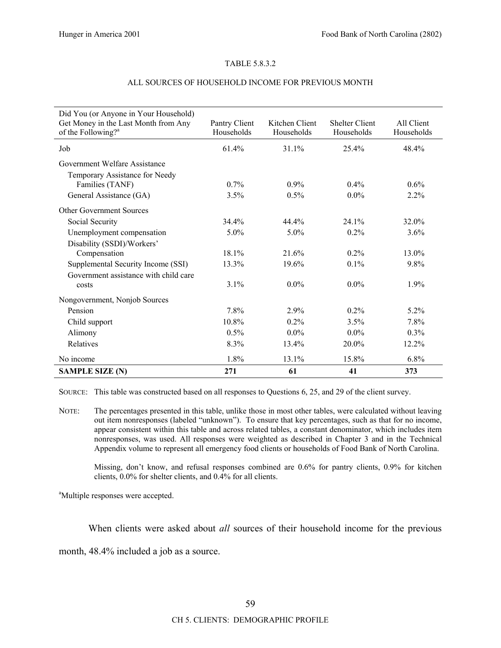### TABLE 5.8.3.2

| Did You (or Anyone in Your Household)<br>Get Money in the Last Month from Any<br>of the Following? <sup>a</sup> | Pantry Client<br>Households | Kitchen Client<br>Households | <b>Shelter Client</b><br>Households | All Client<br>Households |
|-----------------------------------------------------------------------------------------------------------------|-----------------------------|------------------------------|-------------------------------------|--------------------------|
| Job                                                                                                             | 61.4%                       | 31.1%                        | 25.4%                               | 48.4%                    |
| Government Welfare Assistance<br>Temporary Assistance for Needy                                                 |                             |                              |                                     |                          |
| Families (TANF)                                                                                                 | $0.7\%$                     | $0.9\%$                      | $0.4\%$                             | 0.6%                     |
| General Assistance (GA)                                                                                         | 3.5%                        | 0.5%                         | $0.0\%$                             | 2.2%                     |
| <b>Other Government Sources</b>                                                                                 |                             |                              |                                     |                          |
| Social Security                                                                                                 | 34.4%                       | 44.4%                        | 24.1%                               | 32.0%                    |
| Unemployment compensation                                                                                       | 5.0%                        | $5.0\%$                      | 0.2%                                | 3.6%                     |
| Disability (SSDI)/Workers'                                                                                      |                             |                              |                                     |                          |
| Compensation                                                                                                    | 18.1%                       | 21.6%                        | $0.2\%$                             | 13.0%                    |
| Supplemental Security Income (SSI)                                                                              | 13.3%                       | 19.6%                        | 0.1%                                | 9.8%                     |
| Government assistance with child care                                                                           |                             |                              |                                     |                          |
| costs                                                                                                           | 3.1%                        | $0.0\%$                      | $0.0\%$                             | 1.9%                     |
| Nongovernment, Nonjob Sources                                                                                   |                             |                              |                                     |                          |
| Pension                                                                                                         | 7.8%                        | 2.9%                         | $0.2\%$                             | 5.2%                     |
| Child support                                                                                                   | 10.8%                       | $0.2\%$                      | 3.5%                                | 7.8%                     |
| Alimony                                                                                                         | 0.5%                        | $0.0\%$                      | $0.0\%$                             | 0.3%                     |
| Relatives                                                                                                       | 8.3%                        | 13.4%                        | 20.0%                               | 12.2%                    |
| No income                                                                                                       | 1.8%                        | 13.1%                        | 15.8%                               | 6.8%                     |
| <b>SAMPLE SIZE (N)</b>                                                                                          | 271                         | 61                           | 41                                  | 373                      |

### ALL SOURCES OF HOUSEHOLD INCOME FOR PREVIOUS MONTH

SOURCE: This table was constructed based on all responses to Questions 6, 25, and 29 of the client survey.

NOTE: The percentages presented in this table, unlike those in most other tables, were calculated without leaving out item nonresponses (labeled "unknown"). To ensure that key percentages, such as that for no income, appear consistent within this table and across related tables, a constant denominator, which includes item nonresponses, was used. All responses were weighted as described in Chapter 3 and in the Technical Appendix volume to represent all emergency food clients or households of Food Bank of North Carolina.

Missing, don't know, and refusal responses combined are 0.6% for pantry clients, 0.9% for kitchen clients, 0.0% for shelter clients, and 0.4% for all clients.

<sup>a</sup>Multiple responses were accepted.

When clients were asked about *all* sources of their household income for the previous

month, 48.4% included a job as a source.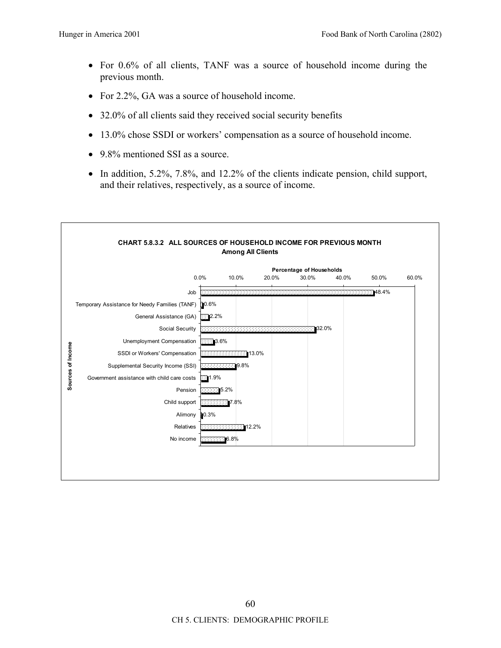- For 0.6% of all clients, TANF was a source of household income during the previous month.
- For 2.2%, GA was a source of household income.
- 32.0% of all clients said they received social security benefits
- 13.0% chose SSDI or workers' compensation as a source of household income.
- 9.8% mentioned SSI as a source.
- In addition, 5.2%, 7.8%, and 12.2% of the clients indicate pension, child support, and their relatives, respectively, as a source of income.

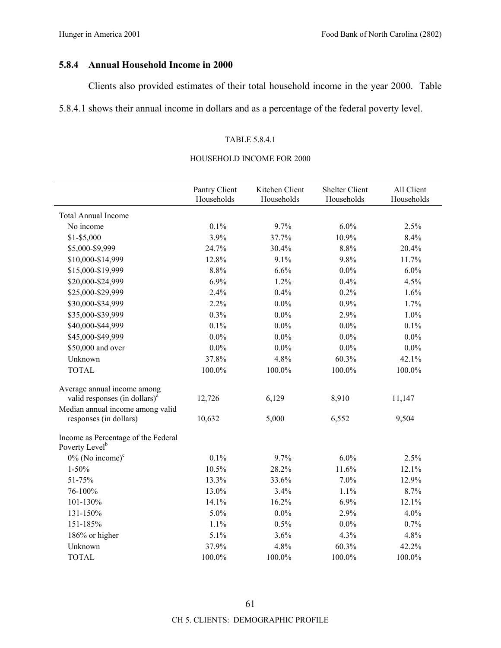## **5.8.4 Annual Household Income in 2000**

Clients also provided estimates of their total household income in the year 2000. Table

5.8.4.1 shows their annual income in dollars and as a percentage of the federal poverty level.

### TABLE 5.8.4.1

### HOUSEHOLD INCOME FOR 2000

|                                                                   | Pantry Client<br>Households | Kitchen Client<br>Households | <b>Shelter Client</b><br>Households | All Client<br>Households |
|-------------------------------------------------------------------|-----------------------------|------------------------------|-------------------------------------|--------------------------|
| <b>Total Annual Income</b>                                        |                             |                              |                                     |                          |
| No income                                                         | 0.1%                        | 9.7%                         | 6.0%                                | 2.5%                     |
| $$1 - $5,000$                                                     | 3.9%                        | 37.7%                        | 10.9%                               | 8.4%                     |
| \$5,000-\$9,999                                                   | 24.7%                       | 30.4%                        | 8.8%                                | 20.4%                    |
| \$10,000-\$14,999                                                 | 12.8%                       | 9.1%                         | 9.8%                                | 11.7%                    |
| \$15,000-\$19,999                                                 | 8.8%                        | 6.6%                         | $0.0\%$                             | 6.0%                     |
| \$20,000-\$24,999                                                 | 6.9%                        | 1.2%                         | 0.4%                                | 4.5%                     |
| \$25,000-\$29,999                                                 | 2.4%                        | 0.4%                         | 0.2%                                | 1.6%                     |
| \$30,000-\$34,999                                                 | 2.2%                        | $0.0\%$                      | 0.9%                                | 1.7%                     |
| \$35,000-\$39,999                                                 | 0.3%                        | $0.0\%$                      | 2.9%                                | 1.0%                     |
| \$40,000-\$44,999                                                 | 0.1%                        | $0.0\%$                      | $0.0\%$                             | 0.1%                     |
| \$45,000-\$49,999                                                 | $0.0\%$                     | $0.0\%$                      | $0.0\%$                             | $0.0\%$                  |
| \$50,000 and over                                                 | $0.0\%$                     | $0.0\%$                      | $0.0\%$                             | $0.0\%$                  |
| Unknown                                                           | 37.8%                       | 4.8%                         | 60.3%                               | 42.1%                    |
| <b>TOTAL</b>                                                      | 100.0%                      | 100.0%                       | 100.0%                              | 100.0%                   |
| Average annual income among                                       |                             |                              |                                     |                          |
| valid responses (in dollars) <sup>a</sup>                         | 12,726                      | 6,129                        | 8,910                               | 11,147                   |
| Median annual income among valid                                  |                             |                              |                                     |                          |
| responses (in dollars)                                            | 10,632                      | 5,000                        | 6,552                               | 9,504                    |
| Income as Percentage of the Federal<br>Poverty Level <sup>b</sup> |                             |                              |                                     |                          |
| $0\%$ (No income) $\text{°}$                                      | 0.1%                        | 9.7%                         | 6.0%                                | 2.5%                     |
| $1 - 50\%$                                                        | 10.5%                       | 28.2%                        | 11.6%                               | 12.1%                    |
| 51-75%                                                            | 13.3%                       | 33.6%                        | 7.0%                                | 12.9%                    |
| 76-100%                                                           | 13.0%                       | 3.4%                         | 1.1%                                | 8.7%                     |
| 101-130%                                                          | 14.1%                       | 16.2%                        | 6.9%                                | 12.1%                    |
| 131-150%                                                          | 5.0%                        | $0.0\%$                      | 2.9%                                | 4.0%                     |
| 151-185%                                                          | 1.1%                        | 0.5%                         | $0.0\%$                             | 0.7%                     |
| 186% or higher                                                    | 5.1%                        | 3.6%                         | 4.3%                                | 4.8%                     |
| Unknown                                                           | 37.9%                       | 4.8%                         | 60.3%                               | 42.2%                    |
| <b>TOTAL</b>                                                      | 100.0%                      | 100.0%                       | 100.0%                              | 100.0%                   |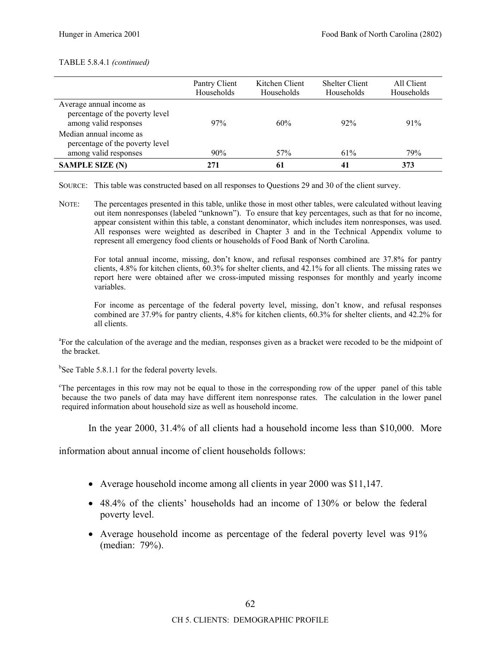#### TABLE 5.8.4.1 *(continued)*

|                                                                                      | Pantry Client<br>Households | Kitchen Client<br>Households | <b>Shelter Client</b><br>Households | All Client<br>Households |
|--------------------------------------------------------------------------------------|-----------------------------|------------------------------|-------------------------------------|--------------------------|
| Average annual income as<br>percentage of the poverty level<br>among valid responses | 97%                         | 60%                          | 92%                                 | 91%                      |
| Median annual income as<br>percentage of the poverty level<br>among valid responses  | 90%                         | 57%                          | 61%                                 | 79%                      |
| <b>SAMPLE SIZE (N)</b>                                                               | 271                         | 61                           | 41                                  | 373                      |

SOURCE: This table was constructed based on all responses to Questions 29 and 30 of the client survey.

NOTE: The percentages presented in this table, unlike those in most other tables, were calculated without leaving out item nonresponses (labeled "unknown"). To ensure that key percentages, such as that for no income, appear consistent within this table, a constant denominator, which includes item nonresponses, was used. All responses were weighted as described in Chapter 3 and in the Technical Appendix volume to represent all emergency food clients or households of Food Bank of North Carolina.

For total annual income, missing, don't know, and refusal responses combined are 37.8% for pantry clients, 4.8% for kitchen clients, 60.3% for shelter clients, and 42.1% for all clients. The missing rates we report here were obtained after we cross-imputed missing responses for monthly and yearly income variables.

For income as percentage of the federal poverty level, missing, don't know, and refusal responses combined are 37.9% for pantry clients, 4.8% for kitchen clients, 60.3% for shelter clients, and 42.2% for all clients.

<sup>a</sup>For the calculation of the average and the median, responses given as a bracket were recoded to be the midpoint of the bracket.

<sup>b</sup>See Table 5.8.1.1 for the federal poverty levels.

<sup>c</sup>The percentages in this row may not be equal to those in the corresponding row of the upper panel of this table because the two panels of data may have different item nonresponse rates. The calculation in the lower panel required information about household size as well as household income.

In the year 2000, 31.4% of all clients had a household income less than \$10,000. More

information about annual income of client households follows:

- Average household income among all clients in year 2000 was \$11,147.
- 48.4% of the clients' households had an income of 130% or below the federal poverty level.
- Average household income as percentage of the federal poverty level was 91% (median: 79%).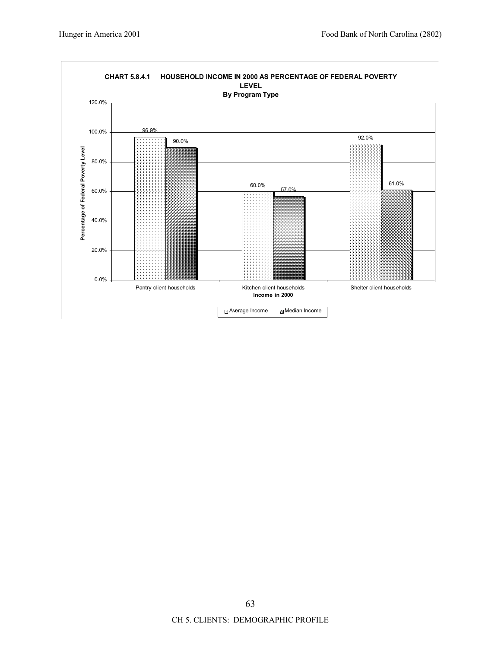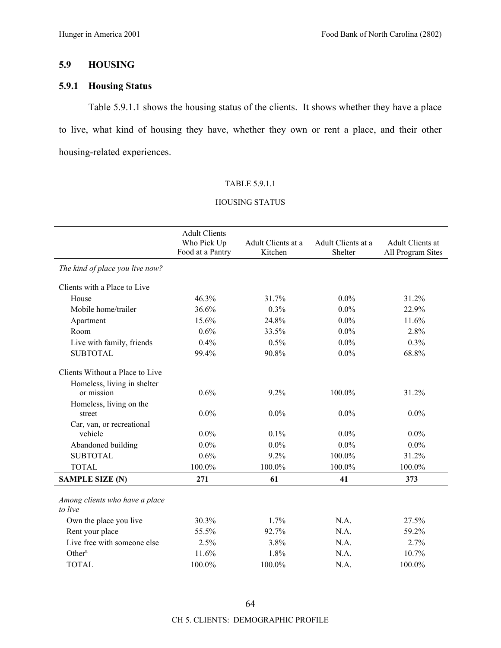## **5.9 HOUSING**

# **5.9.1 Housing Status**

Table 5.9.1.1 shows the housing status of the clients. It shows whether they have a place to live, what kind of housing they have, whether they own or rent a place, and their other housing-related experiences.

#### TABLE 5.9.1.1

## HOUSING STATUS

|                                           | <b>Adult Clients</b><br>Who Pick Up<br>Food at a Pantry | Adult Clients at a<br>Kitchen | Adult Clients at a<br>Shelter | Adult Clients at<br>All Program Sites |
|-------------------------------------------|---------------------------------------------------------|-------------------------------|-------------------------------|---------------------------------------|
| The kind of place you live now?           |                                                         |                               |                               |                                       |
| Clients with a Place to Live              |                                                         |                               |                               |                                       |
| House                                     | 46.3%                                                   | 31.7%                         | $0.0\%$                       | 31.2%                                 |
| Mobile home/trailer                       | 36.6%                                                   | 0.3%                          | $0.0\%$                       | 22.9%                                 |
| Apartment                                 | 15.6%                                                   | 24.8%                         | $0.0\%$                       | 11.6%                                 |
| Room                                      | 0.6%                                                    | 33.5%                         | $0.0\%$                       | 2.8%                                  |
| Live with family, friends                 | 0.4%                                                    | 0.5%                          | $0.0\%$                       | 0.3%                                  |
| <b>SUBTOTAL</b>                           | 99.4%                                                   | 90.8%                         | $0.0\%$                       | 68.8%                                 |
| Clients Without a Place to Live           |                                                         |                               |                               |                                       |
| Homeless, living in shelter<br>or mission | 0.6%                                                    | 9.2%                          | 100.0%                        | 31.2%                                 |
| Homeless, living on the<br>street         | $0.0\%$                                                 | $0.0\%$                       | $0.0\%$                       | $0.0\%$                               |
| Car, van, or recreational                 |                                                         |                               |                               |                                       |
| vehicle                                   | $0.0\%$                                                 | 0.1%                          | $0.0\%$                       | $0.0\%$                               |
| Abandoned building                        | $0.0\%$                                                 | $0.0\%$                       | $0.0\%$                       | $0.0\%$                               |
| <b>SUBTOTAL</b>                           | 0.6%                                                    | 9.2%                          | 100.0%                        | 31.2%                                 |
| <b>TOTAL</b>                              | 100.0%                                                  | 100.0%                        | 100.0%                        | 100.0%                                |
| <b>SAMPLE SIZE (N)</b>                    | 271                                                     | 61                            | 41                            | 373                                   |
| Among clients who have a place<br>to live |                                                         |                               |                               |                                       |
| Own the place you live                    | 30.3%                                                   | 1.7%                          | N.A.                          | 27.5%                                 |
| Rent your place                           | 55.5%                                                   | 92.7%                         | N.A.                          | 59.2%                                 |
| Live free with someone else               | 2.5%                                                    | 3.8%                          | N.A.                          | 2.7%                                  |
| Other <sup>a</sup>                        | 11.6%                                                   | 1.8%                          | N.A.                          | 10.7%                                 |
| <b>TOTAL</b>                              | 100.0%                                                  | 100.0%                        | N.A.                          | 100.0%                                |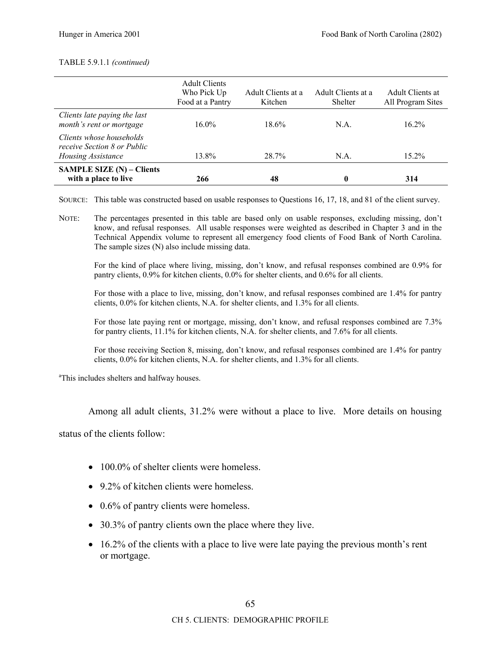### TABLE 5.9.1.1 *(continued)*

|                                                                               | <b>Adult Clients</b><br>Who Pick Up<br>Food at a Pantry | Adult Clients at a<br>Kitchen | Adult Clients at a<br><b>Shelter</b> | Adult Clients at<br>All Program Sites |
|-------------------------------------------------------------------------------|---------------------------------------------------------|-------------------------------|--------------------------------------|---------------------------------------|
| Clients late paying the last<br>month's rent or mortgage                      | $16.0\%$                                                | $18.6\%$                      | $NA$ .                               | $16.2\%$                              |
| Clients whose households<br>receive Section 8 or Public<br>Housing Assistance | 13.8%                                                   | 28.7%                         | $NA$ .                               | $15.2\%$                              |
| <b>SAMPLE SIZE (N) – Clients</b><br>with a place to live                      | 266                                                     | 48                            |                                      | 314                                   |

SOURCE: This table was constructed based on usable responses to Questions 16, 17, 18, and 81 of the client survey.

NOTE: The percentages presented in this table are based only on usable responses, excluding missing, don't know, and refusal responses. All usable responses were weighted as described in Chapter 3 and in the Technical Appendix volume to represent all emergency food clients of Food Bank of North Carolina. The sample sizes (N) also include missing data.

For the kind of place where living, missing, don't know, and refusal responses combined are 0.9% for pantry clients, 0.9% for kitchen clients, 0.0% for shelter clients, and 0.6% for all clients.

For those with a place to live, missing, don't know, and refusal responses combined are 1.4% for pantry clients, 0.0% for kitchen clients, N.A. for shelter clients, and 1.3% for all clients.

For those late paying rent or mortgage, missing, don't know, and refusal responses combined are 7.3% for pantry clients, 11.1% for kitchen clients, N.A. for shelter clients, and 7.6% for all clients.

For those receiving Section 8, missing, don't know, and refusal responses combined are 1.4% for pantry clients, 0.0% for kitchen clients, N.A. for shelter clients, and 1.3% for all clients.

<sup>a</sup>This includes shelters and halfway houses.

Among all adult clients, 31.2% were without a place to live. More details on housing

status of the clients follow:

- 100.0% of shelter clients were homeless.
- 9.2% of kitchen clients were homeless.
- 0.6% of pantry clients were homeless.
- 30.3% of pantry clients own the place where they live.
- $\bullet$  16.2% of the clients with a place to live were late paying the previous month's rent or mortgage.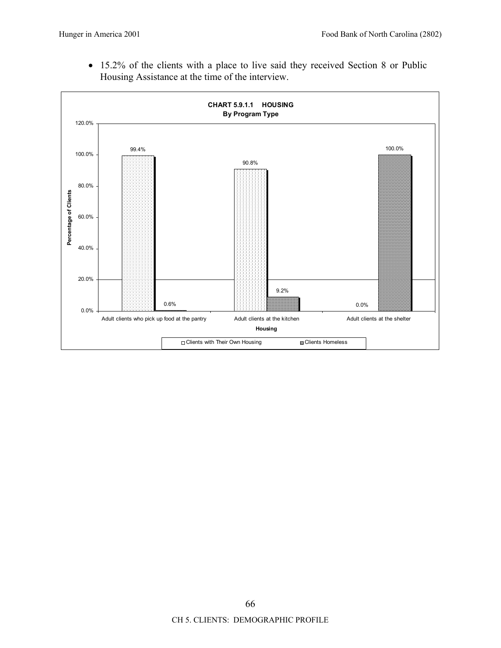• 15.2% of the clients with a place to live said they received Section 8 or Public Housing Assistance at the time of the interview.

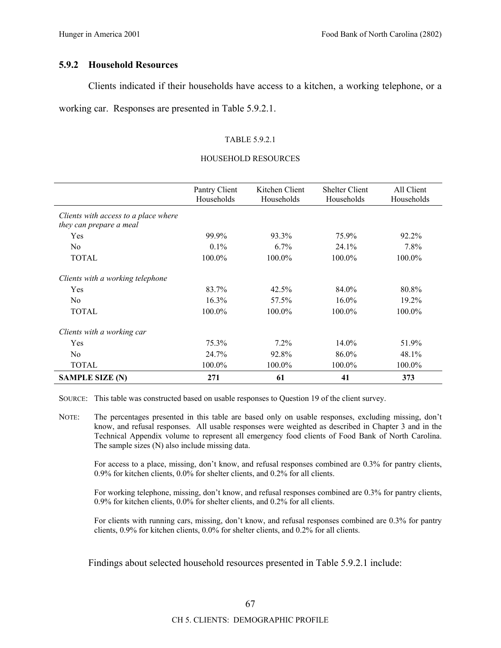### **5.9.2 Household Resources**

Clients indicated if their households have access to a kitchen, a working telephone, or a working car. Responses are presented in Table 5.9.2.1.

### TABLE 5.9.2.1

### HOUSEHOLD RESOURCES

|                                                                 | Pantry Client<br>Households | Kitchen Client<br>Households | <b>Shelter Client</b><br>Households | All Client<br>Households |
|-----------------------------------------------------------------|-----------------------------|------------------------------|-------------------------------------|--------------------------|
| Clients with access to a place where<br>they can prepare a meal |                             |                              |                                     |                          |
| Yes                                                             | 99.9%                       | 93.3%                        | 75.9%                               | 92.2%                    |
| N <sub>0</sub>                                                  | $0.1\%$                     | $6.7\%$                      | 24.1%                               | 7.8%                     |
| <b>TOTAL</b>                                                    | 100.0%                      | 100.0%                       | 100.0%                              | 100.0%                   |
| Clients with a working telephone                                |                             |                              |                                     |                          |
| Yes                                                             | 83.7%                       | 42.5%                        | 84.0%                               | 80.8%                    |
| N <sub>0</sub>                                                  | 16.3%                       | 57.5%                        | $16.0\%$                            | 19.2%                    |
| <b>TOTAL</b>                                                    | 100.0%                      | 100.0%                       | 100.0%                              | 100.0%                   |
| Clients with a working car                                      |                             |                              |                                     |                          |
| Yes                                                             | 75.3%                       | $7.2\%$                      | 14.0%                               | 51.9%                    |
| N <sub>0</sub>                                                  | 24.7%                       | 92.8%                        | 86.0%                               | 48.1%                    |
| <b>TOTAL</b>                                                    | 100.0%                      | 100.0%                       | 100.0%                              | 100.0%                   |
| <b>SAMPLE SIZE (N)</b>                                          | 271                         | 61                           | 41                                  | 373                      |

SOURCE: This table was constructed based on usable responses to Question 19 of the client survey.

NOTE: The percentages presented in this table are based only on usable responses, excluding missing, don't know, and refusal responses. All usable responses were weighted as described in Chapter 3 and in the Technical Appendix volume to represent all emergency food clients of Food Bank of North Carolina. The sample sizes (N) also include missing data.

For access to a place, missing, don't know, and refusal responses combined are  $0.3\%$  for pantry clients, 0.9% for kitchen clients, 0.0% for shelter clients, and 0.2% for all clients.

For working telephone, missing, don't know, and refusal responses combined are 0.3% for pantry clients, 0.9% for kitchen clients, 0.0% for shelter clients, and 0.2% for all clients.

For clients with running cars, missing, don't know, and refusal responses combined are 0.3% for pantry clients, 0.9% for kitchen clients, 0.0% for shelter clients, and 0.2% for all clients.

Findings about selected household resources presented in Table 5.9.2.1 include: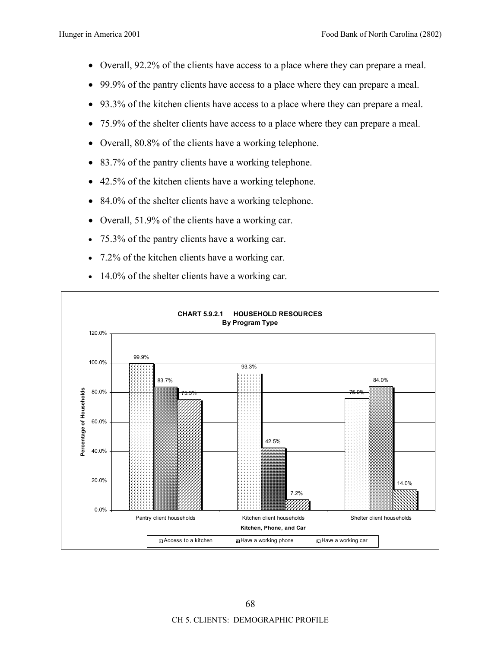- Overall, 92.2% of the clients have access to a place where they can prepare a meal.
- 99.9% of the pantry clients have access to a place where they can prepare a meal.
- 93.3% of the kitchen clients have access to a place where they can prepare a meal.
- 75.9% of the shelter clients have access to a place where they can prepare a meal.
- Overall, 80.8% of the clients have a working telephone.
- 83.7% of the pantry clients have a working telephone.
- 42.5% of the kitchen clients have a working telephone.
- 84.0% of the shelter clients have a working telephone.
- Overall, 51.9% of the clients have a working car.
- 75.3% of the pantry clients have a working car.
- 7.2% of the kitchen clients have a working car.
- 14.0% of the shelter clients have a working car.

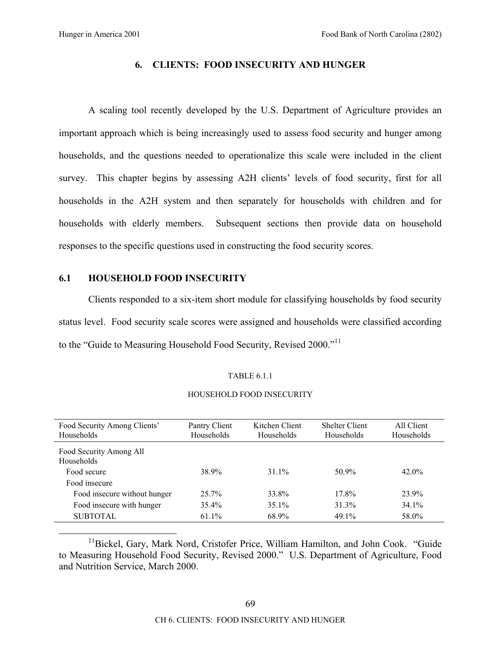## **6. CLIENTS: FOOD INSECURITY AND HUNGER**

A scaling tool recently developed by the U.S. Department of Agriculture provides an important approach which is being increasingly used to assess food security and hunger among households, and the questions needed to operationalize this scale were included in the client survey. This chapter begins by assessing A2H clients' levels of food security, first for all households in the A2H system and then separately for households with children and for households with elderly members. Subsequent sections then provide data on household responses to the specific questions used in constructing the food security scores.

### **6.1 HOUSEHOLD FOOD INSECURITY**

Clients responded to a six-item short module for classifying households by food security status level. Food security scale scores were assigned and households were classified according to the "Guide to Measuring Household Food Security, Revised 2000."<sup>11</sup>

### TABLE 6.1.1

### HOUSEHOLD FOOD INSECURITY

| Food Security Among Clients'<br>Households | Pantry Client<br>Households | Kitchen Client<br>Households | <b>Shelter Client</b><br>Households | All Client<br>Households |
|--------------------------------------------|-----------------------------|------------------------------|-------------------------------------|--------------------------|
| Food Security Among All<br>Households      |                             |                              |                                     |                          |
| Food secure                                | 38.9%                       | 31 $1\%$                     | 50.9%                               | $42.0\%$                 |
| Food insecure                              |                             |                              |                                     |                          |
| Food insecure without hunger               | 25.7%                       | 33.8%                        | 17.8%                               | 23.9%                    |
| Food insecure with hunger                  | 35.4%                       | $35.1\%$                     | 31.3%                               | 34.1%                    |
| <b>SUBTOTAL</b>                            | 61.1%                       | 68.9%                        | 49.1%                               | 58.0%                    |

 $11$ Bickel, Gary, Mark Nord, Cristofer Price, William Hamilton, and John Cook. "Guide to Measuring Household Food Security, Revised 2000." U.S. Department of Agriculture, Food and Nutrition Service, March 2000.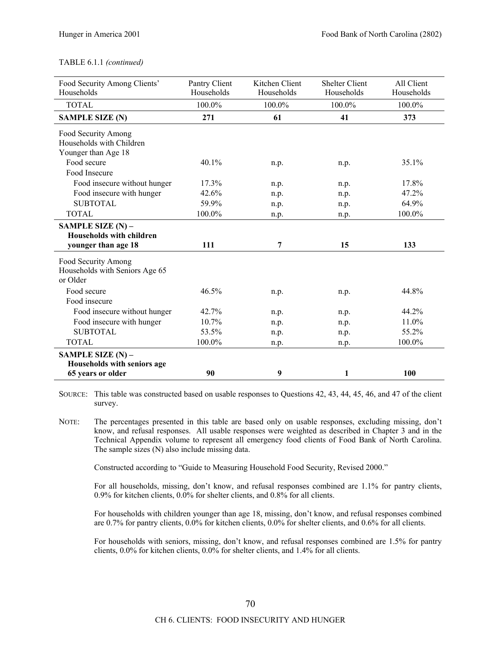### TABLE 6.1.1 *(continued)*

| Food Security Among Clients'<br>Households | Pantry Client<br>Households | Kitchen Client<br>Households | <b>Shelter Client</b><br>Households | All Client<br>Households |
|--------------------------------------------|-----------------------------|------------------------------|-------------------------------------|--------------------------|
|                                            |                             |                              |                                     |                          |
| <b>TOTAL</b>                               | 100.0%                      | 100.0%                       | 100.0%                              | 100.0%                   |
| <b>SAMPLE SIZE (N)</b>                     | 271                         | 61                           | 41                                  | 373                      |
| Food Security Among                        |                             |                              |                                     |                          |
| Households with Children                   |                             |                              |                                     |                          |
| Younger than Age 18                        |                             |                              |                                     |                          |
| Food secure                                | 40.1%                       | n.p.                         | n.p.                                | 35.1%                    |
| Food Insecure                              |                             |                              |                                     |                          |
| Food insecure without hunger               | 17.3%                       | n.p.                         | n.p.                                | 17.8%                    |
| Food insecure with hunger                  | 42.6%                       | n.p.                         | n.p.                                | 47.2%                    |
| <b>SUBTOTAL</b>                            | 59.9%                       | n.p.                         | n.p.                                | 64.9%                    |
| <b>TOTAL</b>                               | 100.0%                      | n.p.                         | n.p.                                | 100.0%                   |
| SAMPLE SIZE $(N)$ –                        |                             |                              |                                     |                          |
| Households with children                   |                             |                              |                                     |                          |
| younger than age 18                        | 111                         | 7                            | 15                                  | 133                      |
| Food Security Among                        |                             |                              |                                     |                          |
| Households with Seniors Age 65             |                             |                              |                                     |                          |
| or Older                                   |                             |                              |                                     |                          |
| Food secure                                | 46.5%                       | n.p.                         | n.p.                                | 44.8%                    |
| Food insecure                              |                             |                              |                                     |                          |
| Food insecure without hunger               | 42.7%                       | n.p.                         | n.p.                                | 44.2%                    |
| Food insecure with hunger                  | 10.7%                       | n.p.                         | n.p.                                | 11.0%                    |
| <b>SUBTOTAL</b>                            | 53.5%                       | n.p.                         | n.p.                                | 55.2%                    |
| <b>TOTAL</b>                               | 100.0%                      | n.p.                         | n.p.                                | 100.0%                   |
| SAMPLE SIZE $(N)$ –                        |                             |                              |                                     |                          |
| Households with seniors age                |                             |                              |                                     |                          |
| 65 years or older                          | 90                          | 9                            | 1                                   | 100                      |

SOURCE: This table was constructed based on usable responses to Questions 42, 43, 44, 45, 46, and 47 of the client survey.

NOTE: The percentages presented in this table are based only on usable responses, excluding missing, don't know, and refusal responses. All usable responses were weighted as described in Chapter 3 and in the Technical Appendix volume to represent all emergency food clients of Food Bank of North Carolina. The sample sizes (N) also include missing data.

Constructed according to "Guide to Measuring Household Food Security, Revised 2000."

For all households, missing, don't know, and refusal responses combined are 1.1% for pantry clients, 0.9% for kitchen clients, 0.0% for shelter clients, and 0.8% for all clients.

For households with children younger than age 18, missing, don't know, and refusal responses combined are 0.7% for pantry clients, 0.0% for kitchen clients, 0.0% for shelter clients, and 0.6% for all clients.

For households with seniors, missing, don't know, and refusal responses combined are 1.5% for pantry clients, 0.0% for kitchen clients, 0.0% for shelter clients, and 1.4% for all clients.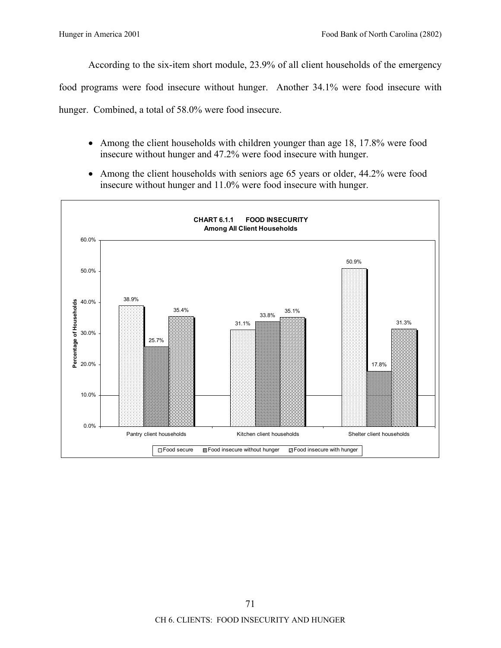According to the six-item short module, 23.9% of all client households of the emergency

food programs were food insecure without hunger. Another 34.1% were food insecure with

hunger. Combined, a total of 58.0% were food insecure.

- Among the client households with children younger than age 18, 17.8% were food insecure without hunger and 47.2% were food insecure with hunger.
- Among the client households with seniors age 65 years or older, 44.2% were food insecure without hunger and 11.0% were food insecure with hunger.

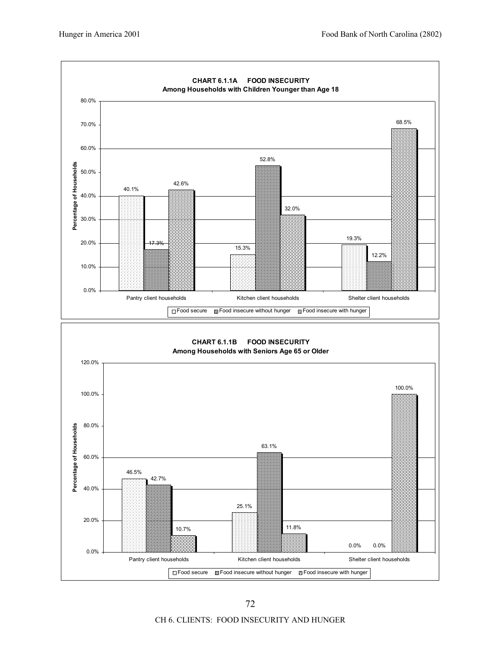

CH 6. CLIENTS: FOOD INSECURITY AND HUNGER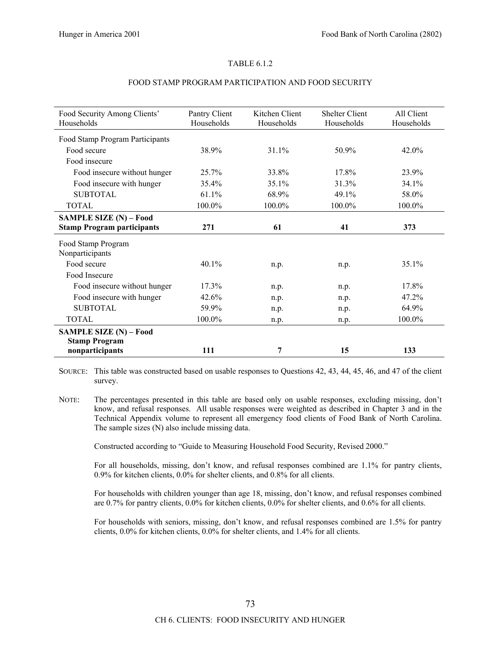#### TABLE 6.1.2

| Food Security Among Clients'      | Pantry Client | Kitchen Client | <b>Shelter Client</b> | All Client |
|-----------------------------------|---------------|----------------|-----------------------|------------|
| Households                        | Households    | Households     | Households            | Households |
| Food Stamp Program Participants   |               |                |                       |            |
| Food secure                       | 38.9%         | 31.1%          |                       | $42.0\%$   |
|                                   |               |                | 50.9%                 |            |
| Food insecure                     |               |                |                       |            |
| Food insecure without hunger      | 25.7%         | 33.8%          | 17.8%                 | 23.9%      |
| Food insecure with hunger         | 35.4%         | 35.1%          | 31.3%                 | 34.1%      |
| <b>SUBTOTAL</b>                   | 61.1%         | 68.9%          | 49.1%                 | 58.0%      |
| <b>TOTAL</b>                      | 100.0%        | 100.0%         | 100.0%                | 100.0%     |
| SAMPLE SIZE (N) - Food            |               |                |                       |            |
| <b>Stamp Program participants</b> | 271           | 61             | 41                    | 373        |
| Food Stamp Program                |               |                |                       |            |
| Nonparticipants                   |               |                |                       |            |
| Food secure                       | $40.1\%$      | n.p.           | n.p.                  | 35.1%      |
| Food Insecure                     |               |                |                       |            |
| Food insecure without hunger      | 17.3%         | n.p.           | n.p.                  | 17.8%      |
| Food insecure with hunger         | 42.6%         | n.p.           | n.p.                  | 47.2%      |
| <b>SUBTOTAL</b>                   | 59.9%         | n.p.           | n.p.                  | 64.9%      |
| <b>TOTAL</b>                      | 100.0%        | n.p.           | n.p.                  | 100.0%     |
| SAMPLE SIZE (N) - Food            |               |                |                       |            |
| <b>Stamp Program</b>              |               |                |                       |            |
| nonparticipants                   | 111           | 7              | 15                    | 133        |

#### FOOD STAMP PROGRAM PARTICIPATION AND FOOD SECURITY

SOURCE: This table was constructed based on usable responses to Questions 42, 43, 44, 45, 46, and 47 of the client survey.

NOTE: The percentages presented in this table are based only on usable responses, excluding missing, don't know, and refusal responses. All usable responses were weighted as described in Chapter 3 and in the Technical Appendix volume to represent all emergency food clients of Food Bank of North Carolina. The sample sizes (N) also include missing data.

Constructed according to "Guide to Measuring Household Food Security, Revised 2000."

For all households, missing, don't know, and refusal responses combined are 1.1% for pantry clients, 0.9% for kitchen clients, 0.0% for shelter clients, and 0.8% for all clients.

For households with children younger than age 18, missing, don't know, and refusal responses combined are 0.7% for pantry clients, 0.0% for kitchen clients, 0.0% for shelter clients, and 0.6% for all clients.

For households with seniors, missing, don't know, and refusal responses combined are 1.5% for pantry clients, 0.0% for kitchen clients, 0.0% for shelter clients, and 1.4% for all clients.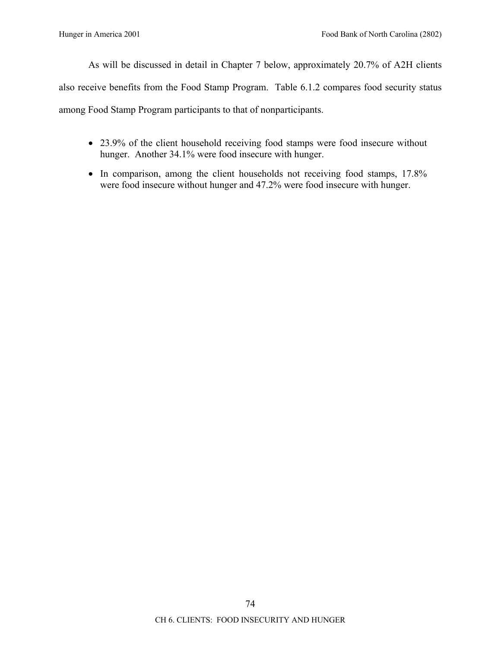As will be discussed in detail in Chapter 7 below, approximately 20.7% of A2H clients also receive benefits from the Food Stamp Program. Table 6.1.2 compares food security status among Food Stamp Program participants to that of nonparticipants.

- 23.9% of the client household receiving food stamps were food insecure without hunger. Another 34.1% were food insecure with hunger.
- In comparison, among the client households not receiving food stamps, 17.8% were food insecure without hunger and 47.2% were food insecure with hunger.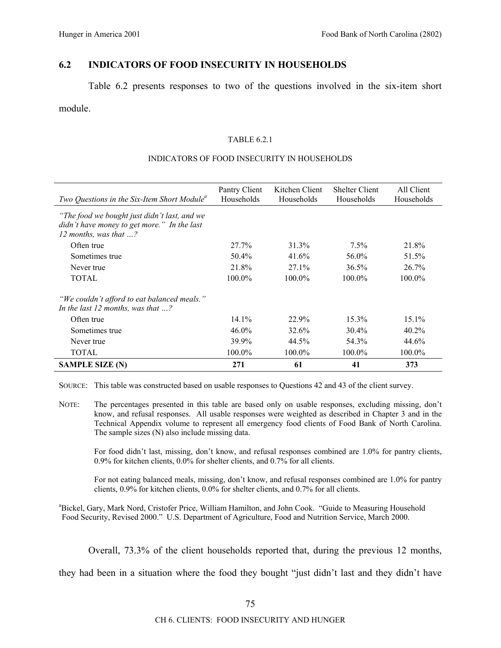## **6.2 INDICATORS OF FOOD INSECURITY IN HOUSEHOLDS**

Table 6.2 presents responses to two of the questions involved in the six-item short

### module.

### TABLE 6.2.1

### INDICATORS OF FOOD INSECURITY IN HOUSEHOLDS

| Two Questions in the Six-Item Short Module <sup>a</sup>                                                                       | Pantry Client<br>Households | Kitchen Client<br>Households | <b>Shelter Client</b><br>Households | All Client<br>Households |
|-------------------------------------------------------------------------------------------------------------------------------|-----------------------------|------------------------------|-------------------------------------|--------------------------|
| "The food we bought just didn't last, and we<br>didn't have money to get more." In the last<br>12 months, was that $\ldots$ ? |                             |                              |                                     |                          |
| Often true                                                                                                                    | 27.7%                       | 31.3%                        | $7.5\%$                             | 21.8%                    |
| Sometimes true                                                                                                                | 50.4%                       | 41.6%                        | 56.0%                               | 51.5%                    |
| Never true                                                                                                                    | 21.8%                       | 27.1%                        | 36.5%                               | 26.7%                    |
| <b>TOTAL</b>                                                                                                                  | $100.0\%$                   | $100.0\%$                    | $100.0\%$                           | $100.0\%$                |
| "We couldn't afford to eat balanced meals."<br>In the last 12 months, was that $\ldots$ ?                                     |                             |                              |                                     |                          |
| Often true                                                                                                                    | 14.1%                       | 22.9%                        | $15.3\%$                            | $15.1\%$                 |
| Sometimes true                                                                                                                | $46.0\%$                    | 32.6%                        | $30.4\%$                            | $40.2\%$                 |
| Never true                                                                                                                    | 39.9%                       | 44.5%                        | 54.3%                               | 44.6%                    |
| <b>TOTAL</b>                                                                                                                  | 100.0%                      | 100.0%                       | 100.0%                              | 100.0%                   |
| <b>SAMPLE SIZE (N)</b>                                                                                                        | 271                         | 61                           | 41                                  | 373                      |

SOURCE: This table was constructed based on usable responses to Questions 42 and 43 of the client survey.

NOTE: The percentages presented in this table are based only on usable responses, excluding missing, don't know, and refusal responses. All usable responses were weighted as described in Chapter 3 and in the Technical Appendix volume to represent all emergency food clients of Food Bank of North Carolina. The sample sizes (N) also include missing data.

For food didn't last, missing, don't know, and refusal responses combined are 1.0% for pantry clients, 0.9% for kitchen clients, 0.0% for shelter clients, and 0.7% for all clients.

For not eating balanced meals, missing, don't know, and refusal responses combined are 1.0% for pantry clients, 0.9% for kitchen clients, 0.0% for shelter clients, and 0.7% for all clients.

<sup>a</sup>Bickel, Gary, Mark Nord, Cristofer Price, William Hamilton, and John Cook. "Guide to Measuring Household Food Security, Revised 2000." U.S. Department of Agriculture, Food and Nutrition Service, March 2000.

Overall, 73.3% of the client households reported that, during the previous 12 months,

they had been in a situation where the food they bought "just didn't last and they didn't have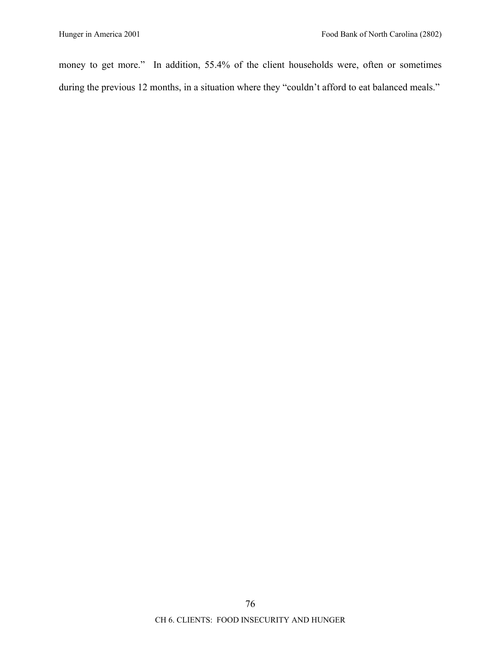money to get more." In addition, 55.4% of the client households were, often or sometimes during the previous 12 months, in a situation where they "couldn't afford to eat balanced meals."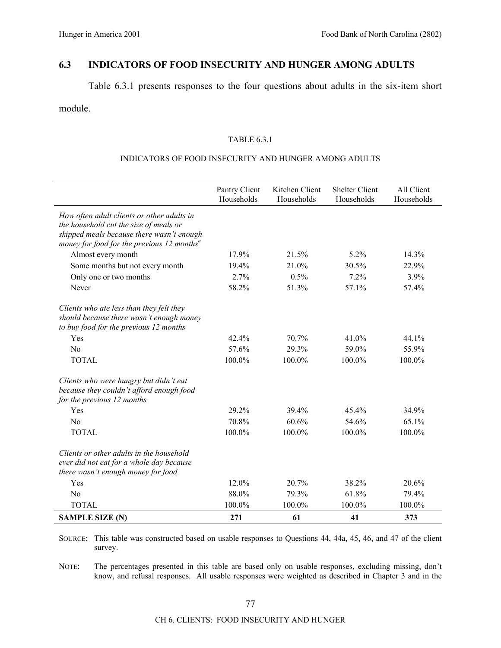## **6.3 INDICATORS OF FOOD INSECURITY AND HUNGER AMONG ADULTS**

Table 6.3.1 presents responses to the four questions about adults in the six-item short

module.

### TABLE 6.3.1

### INDICATORS OF FOOD INSECURITY AND HUNGER AMONG ADULTS

|                                                                                                                                                                                               | Pantry Client<br>Households | Kitchen Client<br>Households | <b>Shelter Client</b><br>Households | All Client<br>Households |
|-----------------------------------------------------------------------------------------------------------------------------------------------------------------------------------------------|-----------------------------|------------------------------|-------------------------------------|--------------------------|
| How often adult clients or other adults in<br>the household cut the size of meals or<br>skipped meals because there wasn't enough<br>money for food for the previous $12$ months <sup>a</sup> |                             |                              |                                     |                          |
| Almost every month                                                                                                                                                                            | 17.9%                       | 21.5%                        | 5.2%                                | 14.3%                    |
| Some months but not every month                                                                                                                                                               | 19.4%                       | 21.0%                        | 30.5%                               | 22.9%                    |
| Only one or two months                                                                                                                                                                        | 2.7%                        | 0.5%                         | 7.2%                                | 3.9%                     |
| Never                                                                                                                                                                                         | 58.2%                       | 51.3%                        | 57.1%                               | 57.4%                    |
| Clients who ate less than they felt they<br>should because there wasn't enough money<br>to buy food for the previous 12 months                                                                |                             |                              |                                     |                          |
| Yes                                                                                                                                                                                           | 42.4%                       | 70.7%                        | 41.0%                               | 44.1%                    |
| N <sub>0</sub>                                                                                                                                                                                | 57.6%                       | 29.3%                        | 59.0%                               | 55.9%                    |
| <b>TOTAL</b>                                                                                                                                                                                  | 100.0%                      | 100.0%                       | 100.0%                              | 100.0%                   |
| Clients who were hungry but didn't eat<br>because they couldn't afford enough food<br>for the previous 12 months                                                                              |                             |                              |                                     |                          |
| Yes                                                                                                                                                                                           | 29.2%                       | 39.4%                        | 45.4%                               | 34.9%                    |
| N <sub>0</sub>                                                                                                                                                                                | 70.8%                       | 60.6%                        | 54.6%                               | 65.1%                    |
| <b>TOTAL</b>                                                                                                                                                                                  | 100.0%                      | 100.0%                       | 100.0%                              | 100.0%                   |
| Clients or other adults in the household<br>ever did not eat for a whole day because<br>there wasn't enough money for food                                                                    |                             |                              |                                     |                          |
| Yes                                                                                                                                                                                           | 12.0%                       | 20.7%                        | 38.2%                               | 20.6%                    |
| No                                                                                                                                                                                            | 88.0%                       | 79.3%                        | 61.8%                               | 79.4%                    |
| <b>TOTAL</b>                                                                                                                                                                                  | 100.0%                      | 100.0%                       | 100.0%                              | 100.0%                   |
| <b>SAMPLE SIZE (N)</b>                                                                                                                                                                        | 271                         | 61                           | 41                                  | 373                      |

SOURCE: This table was constructed based on usable responses to Questions 44, 44a, 45, 46, and 47 of the client survey.

NOTE: The percentages presented in this table are based only on usable responses, excluding missing, don't know, and refusal responses. All usable responses were weighted as described in Chapter 3 and in the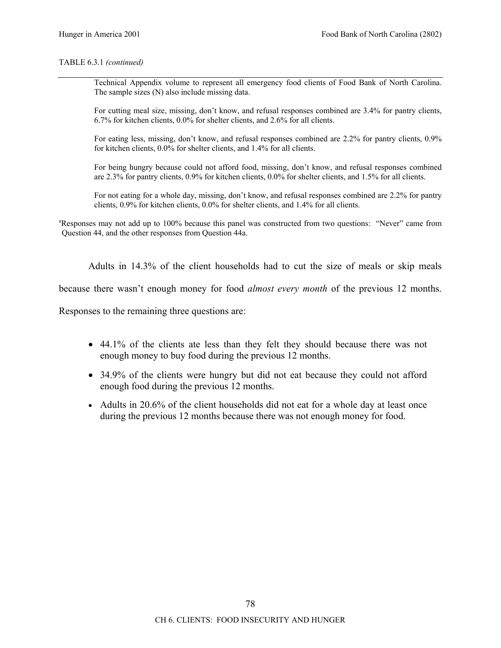### TABLE 6.3.1 *(continued)*

Technical Appendix volume to represent all emergency food clients of Food Bank of North Carolina. The sample sizes (N) also include missing data.

For cutting meal size, missing, don't know, and refusal responses combined are 3.4% for pantry clients, 6.7% for kitchen clients, 0.0% for shelter clients, and 2.6% for all clients.

For eating less, missing, don't know, and refusal responses combined are 2.2% for pantry clients, 0.9% for kitchen clients, 0.0% for shelter clients, and 1.4% for all clients.

For being hungry because could not afford food, missing, don't know, and refusal responses combined are 2.3% for pantry clients, 0.9% for kitchen clients, 0.0% for shelter clients, and 1.5% for all clients.

For not eating for a whole day, missing, don't know, and refusal responses combined are 2.2% for pantry clients, 0.9% for kitchen clients, 0.0% for shelter clients, and 1.4% for all clients.

<sup>a</sup>Responses may not add up to 100% because this panel was constructed from two questions: "Never" came from Question 44, and the other responses from Question 44a.

Adults in 14.3% of the client households had to cut the size of meals or skip meals

because there wasnít enough money for food *almost every month* of the previous 12 months.

Responses to the remaining three questions are:

- 44.1% of the clients ate less than they felt they should because there was not enough money to buy food during the previous 12 months.
- 34.9% of the clients were hungry but did not eat because they could not afford enough food during the previous 12 months.
- Adults in 20.6% of the client households did not eat for a whole day at least once during the previous 12 months because there was not enough money for food.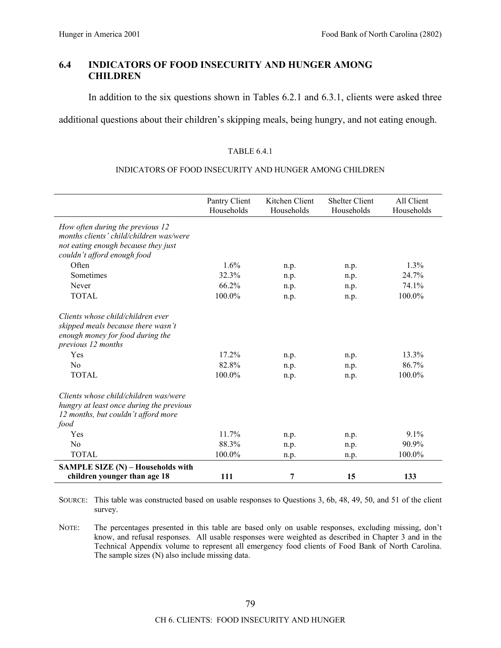## **6.4 INDICATORS OF FOOD INSECURITY AND HUNGER AMONG CHILDREN**

In addition to the six questions shown in Tables 6.2.1 and 6.3.1, clients were asked three

additional questions about their children's skipping meals, being hungry, and not eating enough.

### TABLE 6.4.1

### INDICATORS OF FOOD INSECURITY AND HUNGER AMONG CHILDREN

|                                                                                                                                                                | Pantry Client<br>Households | Kitchen Client<br>Households | <b>Shelter Client</b><br>Households | All Client<br>Households |
|----------------------------------------------------------------------------------------------------------------------------------------------------------------|-----------------------------|------------------------------|-------------------------------------|--------------------------|
| How often during the previous 12<br>months clients' child/children was/were<br>not eating enough because they just<br>couldn't afford enough food              |                             |                              |                                     |                          |
| Often                                                                                                                                                          | 1.6%                        | n.p.                         | n.p.                                | 1.3%                     |
| Sometimes                                                                                                                                                      | 32.3%                       | n.p.                         | n.p.                                | 24.7%                    |
| Never                                                                                                                                                          | 66.2%                       | n.p.                         | n.p.                                | 74.1%                    |
| <b>TOTAL</b>                                                                                                                                                   | 100.0%                      | n.p.                         | n.p.                                | 100.0%                   |
| Clients whose child/children ever<br>skipped meals because there wasn't<br>enough money for food during the<br>previous 12 months<br>Yes<br>No<br><b>TOTAL</b> | 17.2%<br>82.8%<br>100.0%    | n.p.<br>n.p.<br>n.p.         | n.p.<br>n.p.<br>n.p.                | 13.3%<br>86.7%<br>100.0% |
| Clients whose child/children was/were<br>hungry at least once during the previous<br>12 months, but couldn't afford more<br>food                               |                             |                              |                                     |                          |
| Yes                                                                                                                                                            | 11.7%                       | n.p.                         | n.p.                                | 9.1%                     |
| No                                                                                                                                                             | 88.3%                       | n.p.                         | n.p.                                | $90.9\%$                 |
| <b>TOTAL</b>                                                                                                                                                   | 100.0%                      | n.p.                         | n.p.                                | 100.0%                   |
| SAMPLE SIZE (N) - Households with                                                                                                                              |                             |                              |                                     |                          |
| children younger than age 18                                                                                                                                   | 111                         | 7                            | 15                                  | 133                      |

SOURCE: This table was constructed based on usable responses to Questions 3, 6b, 48, 49, 50, and 51 of the client survey.

NOTE: The percentages presented in this table are based only on usable responses, excluding missing, don't know, and refusal responses. All usable responses were weighted as described in Chapter 3 and in the Technical Appendix volume to represent all emergency food clients of Food Bank of North Carolina. The sample sizes (N) also include missing data.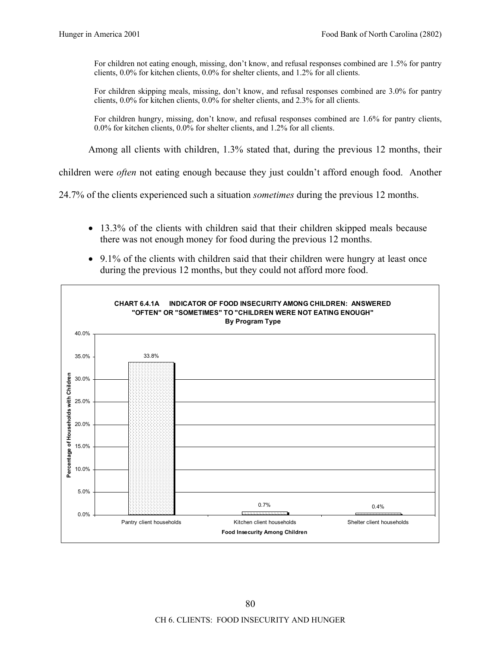For children not eating enough, missing, don't know, and refusal responses combined are 1.5% for pantry clients, 0.0% for kitchen clients, 0.0% for shelter clients, and 1.2% for all clients.

For children skipping meals, missing, don't know, and refusal responses combined are 3.0% for pantry clients, 0.0% for kitchen clients, 0.0% for shelter clients, and 2.3% for all clients.

For children hungry, missing, don't know, and refusal responses combined are 1.6% for pantry clients, 0.0% for kitchen clients, 0.0% for shelter clients, and 1.2% for all clients.

Among all clients with children, 1.3% stated that, during the previous 12 months, their

children were *often* not eating enough because they just couldn't afford enough food. Another

24.7% of the clients experienced such a situation *sometimes* during the previous 12 months.

- 13.3% of the clients with children said that their children skipped meals because there was not enough money for food during the previous 12 months.
- 9.1% of the clients with children said that their children were hungry at least once during the previous 12 months, but they could not afford more food.

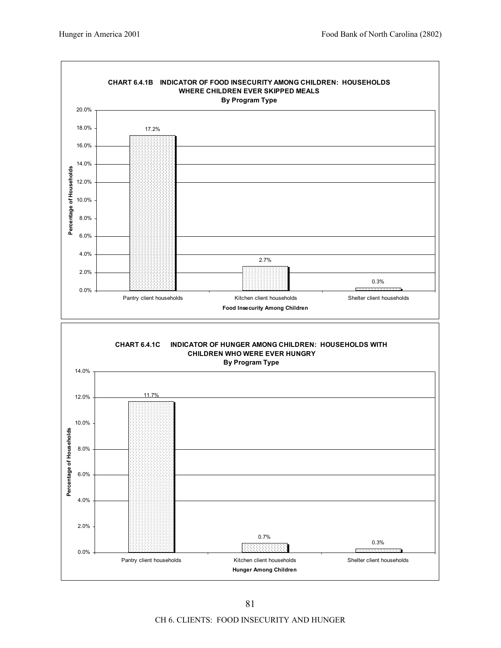

CH 6. CLIENTS: FOOD INSECURITY AND HUNGER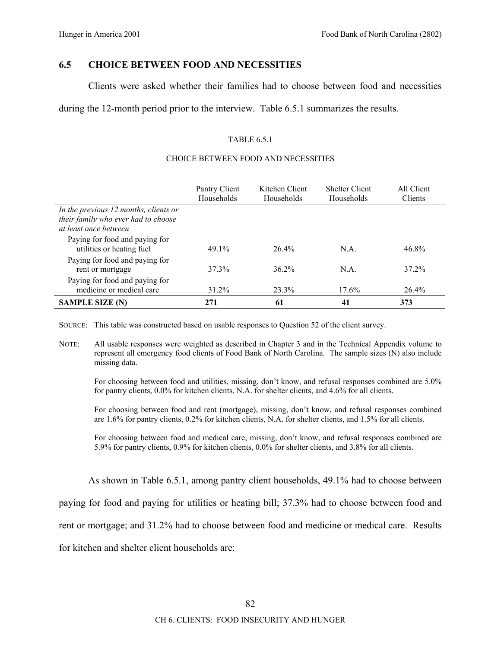## **6.5 CHOICE BETWEEN FOOD AND NECESSITIES**

Clients were asked whether their families had to choose between food and necessities

during the 12-month period prior to the interview. Table 6.5.1 summarizes the results.

### TABLE 6.5.1

### CHOICE BETWEEN FOOD AND NECESSITIES

|                                                                                                       | Pantry Client<br>Households | Kitchen Client<br>Households | <b>Shelter Client</b><br>Households | All Client<br>Clients |
|-------------------------------------------------------------------------------------------------------|-----------------------------|------------------------------|-------------------------------------|-----------------------|
| In the previous 12 months, clients or<br>their family who ever had to choose<br>at least once between |                             |                              |                                     |                       |
| Paying for food and paying for<br>utilities or heating fuel                                           | 49.1%                       | $26.4\%$                     | N.A.                                | 46.8%                 |
| Paying for food and paying for<br>rent or mortgage                                                    | 37.3%                       | $36.2\%$                     | N.A.                                | 37.2%                 |
| Paying for food and paying for<br>medicine or medical care                                            | 31.2%                       | 23.3%                        | 17.6%                               | $26.4\%$              |
| <b>SAMPLE SIZE (N)</b>                                                                                | 271                         | 61                           | 41                                  | 373                   |

SOURCE: This table was constructed based on usable responses to Question 52 of the client survey.

NOTE: All usable responses were weighted as described in Chapter 3 and in the Technical Appendix volume to represent all emergency food clients of Food Bank of North Carolina. The sample sizes (N) also include missing data.

For choosing between food and utilities, missing, don't know, and refusal responses combined are 5.0% for pantry clients, 0.0% for kitchen clients, N.A. for shelter clients, and 4.6% for all clients.

For choosing between food and rent (mortgage), missing, don't know, and refusal responses combined are 1.6% for pantry clients, 0.2% for kitchen clients, N.A. for shelter clients, and 1.5% for all clients.

For choosing between food and medical care, missing, don't know, and refusal responses combined are 5.9% for pantry clients, 0.9% for kitchen clients, 0.0% for shelter clients, and 3.8% for all clients.

As shown in Table 6.5.1, among pantry client households, 49.1% had to choose between

paying for food and paying for utilities or heating bill; 37.3% had to choose between food and

rent or mortgage; and 31.2% had to choose between food and medicine or medical care. Results

for kitchen and shelter client households are: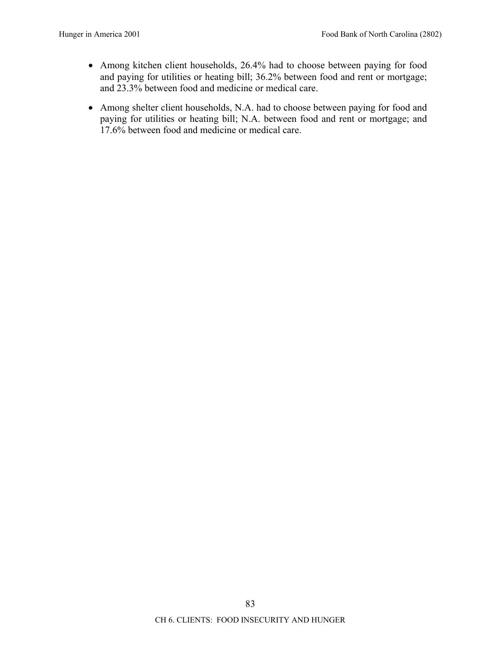- Among kitchen client households, 26.4% had to choose between paying for food and paying for utilities or heating bill; 36.2% between food and rent or mortgage; and 23.3% between food and medicine or medical care.
- Among shelter client households, N.A. had to choose between paying for food and paying for utilities or heating bill; N.A. between food and rent or mortgage; and 17.6% between food and medicine or medical care.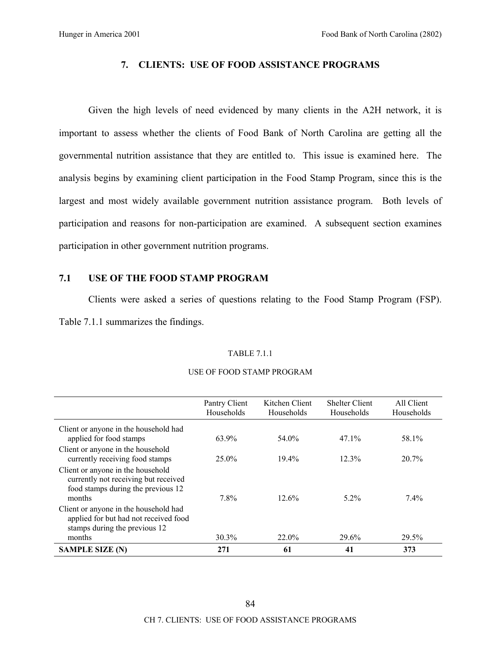## **7. CLIENTS: USE OF FOOD ASSISTANCE PROGRAMS**

Given the high levels of need evidenced by many clients in the A2H network, it is important to assess whether the clients of Food Bank of North Carolina are getting all the governmental nutrition assistance that they are entitled to. This issue is examined here. The analysis begins by examining client participation in the Food Stamp Program, since this is the largest and most widely available government nutrition assistance program. Both levels of participation and reasons for non-participation are examined. A subsequent section examines participation in other government nutrition programs.

## **7.1 USE OF THE FOOD STAMP PROGRAM**

Clients were asked a series of questions relating to the Food Stamp Program (FSP). Table 7.1.1 summarizes the findings.

### TABLE 7.1.1

|                                                                                                                           | Pantry Client<br>Households | Kitchen Client<br>Households | <b>Shelter Client</b><br>Households | All Client<br>Households |
|---------------------------------------------------------------------------------------------------------------------------|-----------------------------|------------------------------|-------------------------------------|--------------------------|
| Client or anyone in the household had                                                                                     |                             |                              |                                     |                          |
| applied for food stamps                                                                                                   | 63.9%                       | 54.0%                        | $47.1\%$                            | 58.1%                    |
| Client or anyone in the household<br>currently receiving food stamps                                                      | $25.0\%$                    | $19.4\%$                     | 12.3%                               | 20.7%                    |
| Client or anyone in the household<br>currently not receiving but received<br>food stamps during the previous 12<br>months | 7.8%                        | 12.6%                        | $5.2\%$                             | $7.4\%$                  |
| Client or anyone in the household had<br>applied for but had not received food<br>stamps during the previous 12<br>months | 30.3%                       | 22.0%                        | 29.6%                               | 29.5%                    |
| <b>SAMPLE SIZE (N)</b>                                                                                                    | 271                         | 61                           | 41                                  | 373                      |

### USE OF FOOD STAMP PROGRAM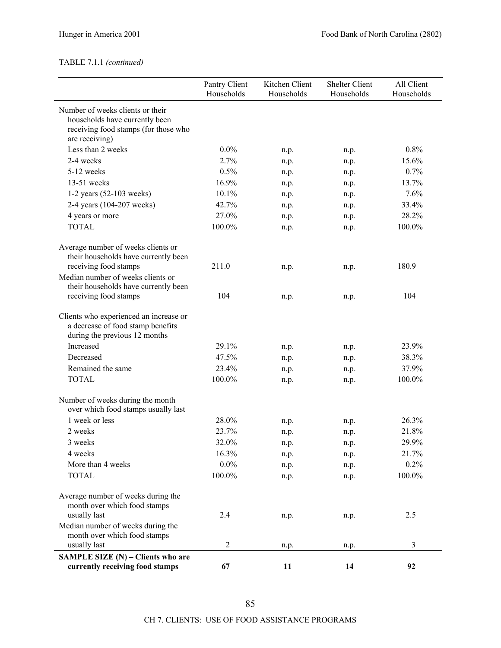## TABLE 7.1.1 *(continued)*

|                                                                                                                              | Pantry Client<br>Households | Kitchen Client<br>Households | <b>Shelter Client</b><br>Households | All Client<br>Households |
|------------------------------------------------------------------------------------------------------------------------------|-----------------------------|------------------------------|-------------------------------------|--------------------------|
| Number of weeks clients or their<br>households have currently been<br>receiving food stamps (for those who<br>are receiving) |                             |                              |                                     |                          |
| Less than 2 weeks                                                                                                            | $0.0\%$                     | n.p.                         | n.p.                                | 0.8%                     |
| 2-4 weeks                                                                                                                    | 2.7%                        | n.p.                         | n.p.                                | 15.6%                    |
| 5-12 weeks                                                                                                                   | 0.5%                        | n.p.                         | n.p.                                | 0.7%                     |
| $13-51$ weeks                                                                                                                | 16.9%                       | n.p.                         | n.p.                                | 13.7%                    |
| $1-2$ years $(52-103$ weeks)                                                                                                 | 10.1%                       | n.p.                         | n.p.                                | 7.6%                     |
| 2-4 years (104-207 weeks)                                                                                                    | 42.7%                       | n.p.                         | n.p.                                | 33.4%                    |
| 4 years or more                                                                                                              | 27.0%                       | n.p.                         | n.p.                                | 28.2%                    |
| <b>TOTAL</b>                                                                                                                 | 100.0%                      | n.p.                         | n.p.                                | 100.0%                   |
| Average number of weeks clients or<br>their households have currently been<br>receiving food stamps                          | 211.0                       |                              |                                     | 180.9                    |
| Median number of weeks clients or<br>their households have currently been                                                    |                             | n.p.                         | n.p.                                |                          |
| receiving food stamps                                                                                                        | 104                         | n.p.                         | n.p.                                | 104                      |
| Clients who experienced an increase or<br>a decrease of food stamp benefits<br>during the previous 12 months                 |                             |                              |                                     |                          |
| Increased                                                                                                                    | 29.1%                       | n.p.                         | n.p.                                | 23.9%                    |
| Decreased                                                                                                                    | 47.5%                       | n.p.                         | n.p.                                | 38.3%                    |
| Remained the same                                                                                                            | 23.4%                       | n.p.                         | n.p.                                | 37.9%                    |
| <b>TOTAL</b>                                                                                                                 | 100.0%                      | n.p.                         | n.p.                                | 100.0%                   |
| Number of weeks during the month<br>over which food stamps usually last                                                      |                             |                              |                                     |                          |
| 1 week or less                                                                                                               | 28.0%                       | n.p.                         | n.p.                                | 26.3%                    |
| 2 weeks                                                                                                                      | 23.7%                       | n.p.                         | n.p.                                | 21.8%                    |
| 3 weeks                                                                                                                      | 32.0%                       | n.p.                         | n.p.                                | 29.9%                    |
| 4 weeks                                                                                                                      | 16.3%                       | n.p.                         | n.p.                                | 21.7%                    |
| More than 4 weeks                                                                                                            | $0.0\%$                     | n.p.                         | n.p.                                | 0.2%                     |
| <b>TOTAL</b>                                                                                                                 | 100.0%                      | n.p.                         | n.p.                                | 100.0%                   |
| Average number of weeks during the<br>month over which food stamps                                                           |                             |                              |                                     |                          |
| usually last<br>Median number of weeks during the                                                                            | 2.4                         | n.p.                         | n.p.                                | 2.5                      |
| month over which food stamps<br>usually last                                                                                 | $\overline{2}$              | n.p.                         | n.p.                                | 3                        |
| SAMPLE SIZE (N) – Clients who are<br>currently receiving food stamps                                                         | 67                          | 11                           | 14                                  | 92                       |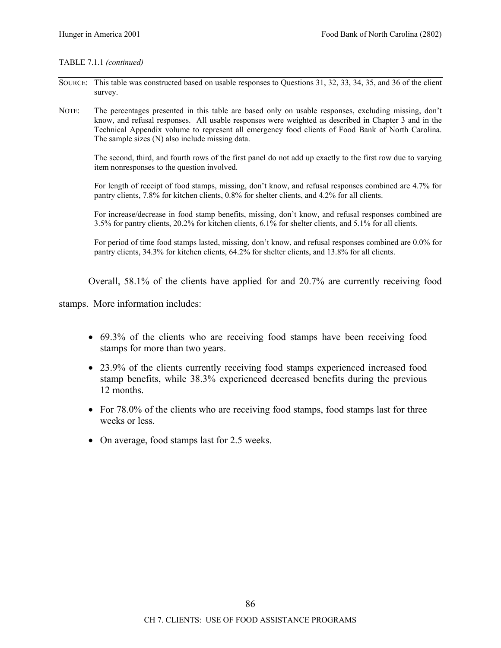### TABLE 7.1.1 *(continued)*

- SOURCE: This table was constructed based on usable responses to Questions 31, 32, 33, 34, 35, and 36 of the client survey.
- NOTE: The percentages presented in this table are based only on usable responses, excluding missing, don't know, and refusal responses. All usable responses were weighted as described in Chapter 3 and in the Technical Appendix volume to represent all emergency food clients of Food Bank of North Carolina. The sample sizes (N) also include missing data.

The second, third, and fourth rows of the first panel do not add up exactly to the first row due to varying item nonresponses to the question involved.

For length of receipt of food stamps, missing, don't know, and refusal responses combined are 4.7% for pantry clients, 7.8% for kitchen clients, 0.8% for shelter clients, and 4.2% for all clients.

For increase/decrease in food stamp benefits, missing, don't know, and refusal responses combined are 3.5% for pantry clients, 20.2% for kitchen clients, 6.1% for shelter clients, and 5.1% for all clients.

For period of time food stamps lasted, missing, don't know, and refusal responses combined are 0.0% for pantry clients, 34.3% for kitchen clients, 64.2% for shelter clients, and 13.8% for all clients.

Overall, 58.1% of the clients have applied for and 20.7% are currently receiving food

stamps. More information includes:

- 69.3% of the clients who are receiving food stamps have been receiving food stamps for more than two years.
- 23.9% of the clients currently receiving food stamps experienced increased food stamp benefits, while 38.3% experienced decreased benefits during the previous 12 months.
- For 78.0% of the clients who are receiving food stamps, food stamps last for three weeks or less.
- On average, food stamps last for 2.5 weeks.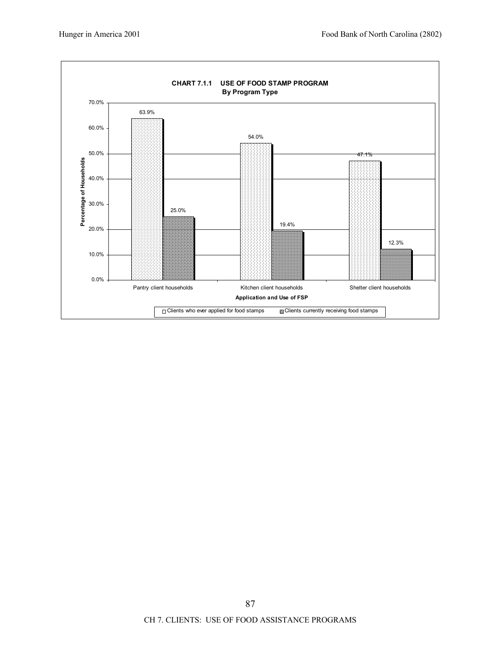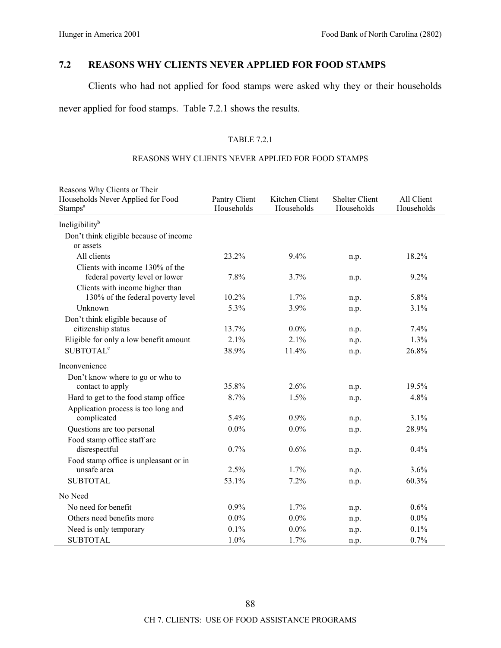# **7.2 REASONS WHY CLIENTS NEVER APPLIED FOR FOOD STAMPS**

Clients who had not applied for food stamps were asked why they or their households

never applied for food stamps. Table 7.2.1 shows the results.

### TABLE 7.2.1

### REASONS WHY CLIENTS NEVER APPLIED FOR FOOD STAMPS

| Reasons Why Clients or Their                             |                             |                              |                                     |                          |
|----------------------------------------------------------|-----------------------------|------------------------------|-------------------------------------|--------------------------|
| Households Never Applied for Food<br>Stamps <sup>a</sup> | Pantry Client<br>Households | Kitchen Client<br>Households | <b>Shelter Client</b><br>Households | All Client<br>Households |
| Ineligibility <sup>b</sup>                               |                             |                              |                                     |                          |
| Don't think eligible because of income                   |                             |                              |                                     |                          |
| or assets                                                |                             |                              |                                     |                          |
| All clients                                              | 23.2%                       | 9.4%                         | n.p.                                | 18.2%                    |
| Clients with income 130% of the                          |                             |                              |                                     |                          |
| federal poverty level or lower                           | 7.8%                        | 3.7%                         | n.p.                                | 9.2%                     |
| Clients with income higher than                          |                             |                              |                                     |                          |
| 130% of the federal poverty level                        | 10.2%                       | 1.7%                         | n.p.                                | 5.8%                     |
| Unknown                                                  | 5.3%                        | 3.9%                         | n.p.                                | 3.1%                     |
| Don't think eligible because of                          |                             |                              |                                     |                          |
| citizenship status                                       | 13.7%                       | $0.0\%$                      | n.p.                                | 7.4%                     |
| Eligible for only a low benefit amount                   | 2.1%                        | 2.1%                         | n.p.                                | 1.3%                     |
| <b>SUBTOTAL<sup>c</sup></b>                              | 38.9%                       | 11.4%                        | n.p.                                | 26.8%                    |
| Inconvenience                                            |                             |                              |                                     |                          |
| Don't know where to go or who to                         |                             |                              |                                     |                          |
| contact to apply                                         | 35.8%                       | 2.6%                         | n.p.                                | 19.5%                    |
| Hard to get to the food stamp office                     | 8.7%                        | 1.5%                         | n.p.                                | 4.8%                     |
| Application process is too long and                      |                             |                              |                                     |                          |
| complicated                                              | 5.4%                        | 0.9%                         | n.p.                                | 3.1%                     |
| Questions are too personal                               | $0.0\%$                     | $0.0\%$                      | n.p.                                | 28.9%                    |
| Food stamp office staff are                              |                             |                              |                                     |                          |
| disrespectful                                            | 0.7%                        | 0.6%                         | n.p.                                | 0.4%                     |
| Food stamp office is unpleasant or in                    |                             |                              |                                     |                          |
| unsafe area                                              | 2.5%                        | 1.7%                         | n.p.                                | 3.6%                     |
| <b>SUBTOTAL</b>                                          | 53.1%                       | 7.2%                         | n.p.                                | 60.3%                    |
| No Need                                                  |                             |                              |                                     |                          |
| No need for benefit                                      | 0.9%                        | 1.7%                         | n.p.                                | 0.6%                     |
| Others need benefits more                                | $0.0\%$                     | $0.0\%$                      | n.p.                                | 0.0%                     |
| Need is only temporary                                   | 0.1%                        | 0.0%                         | n.p.                                | 0.1%                     |
| <b>SUBTOTAL</b>                                          | 1.0%                        | 1.7%                         | n.p.                                | 0.7%                     |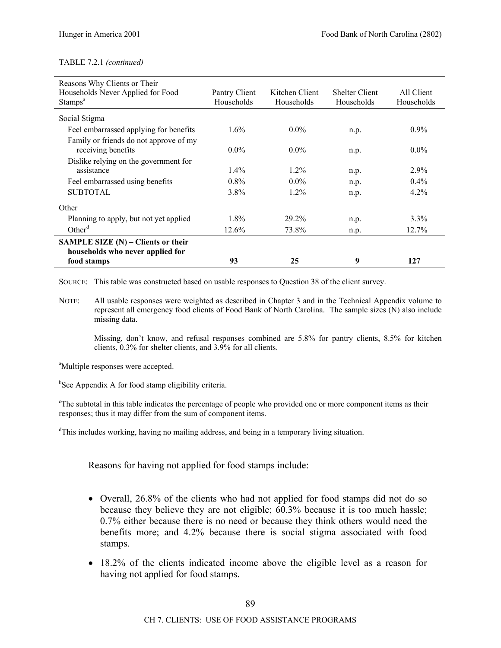| Reasons Why Clients or Their           |               |                |                       |            |
|----------------------------------------|---------------|----------------|-----------------------|------------|
| Households Never Applied for Food      | Pantry Client | Kitchen Client | <b>Shelter Client</b> | All Client |
| Stamps <sup>a</sup>                    | Households    | Households     | Households            | Households |
| Social Stigma                          |               |                |                       |            |
| Feel embarrassed applying for benefits | 1.6%          | $0.0\%$        | n.p.                  | $0.9\%$    |
| Family or friends do not approve of my |               |                |                       |            |
| receiving benefits                     | $0.0\%$       | $0.0\%$        | n.p.                  | $0.0\%$    |
| Dislike relying on the government for  |               |                |                       |            |
| assistance                             | $1.4\%$       | $1.2\%$        | n.p.                  | 2.9%       |
| Feel embarrassed using benefits        | $0.8\%$       | $0.0\%$        | n.p.                  | $0.4\%$    |
| <b>SUBTOTAL</b>                        | $3.8\%$       | $1.2\%$        | n.p.                  | $4.2\%$    |
| Other                                  |               |                |                       |            |
| Planning to apply, but not yet applied | $1.8\%$       | 29.2%          | n.p.                  | $3.3\%$    |
| Other <sup>d</sup>                     | 12.6%         | 73.8%          | n.p.                  | 12.7%      |
| SAMPLE SIZE $(N)$ – Clients or their   |               |                |                       |            |
| households who never applied for       |               |                |                       |            |
| food stamps                            | 93            | 25             | 9                     | 127        |

SOURCE: This table was constructed based on usable responses to Question 38 of the client survey.

NOTE: All usable responses were weighted as described in Chapter 3 and in the Technical Appendix volume to represent all emergency food clients of Food Bank of North Carolina. The sample sizes (N) also include missing data.

Missing, don't know, and refusal responses combined are  $5.8\%$  for pantry clients,  $8.5\%$  for kitchen clients, 0.3% for shelter clients, and 3.9% for all clients.

<sup>a</sup>Multiple responses were accepted.

<sup>b</sup>See Appendix A for food stamp eligibility criteria.

<sup>c</sup>The subtotal in this table indicates the percentage of people who provided one or more component items as their responses; thus it may differ from the sum of component items.

<sup>d</sup>This includes working, having no mailing address, and being in a temporary living situation.

Reasons for having not applied for food stamps include:

- Overall, 26.8% of the clients who had not applied for food stamps did not do so because they believe they are not eligible; 60.3% because it is too much hassle; 0.7% either because there is no need or because they think others would need the benefits more; and 4.2% because there is social stigma associated with food stamps.
- 18.2% of the clients indicated income above the eligible level as a reason for having not applied for food stamps.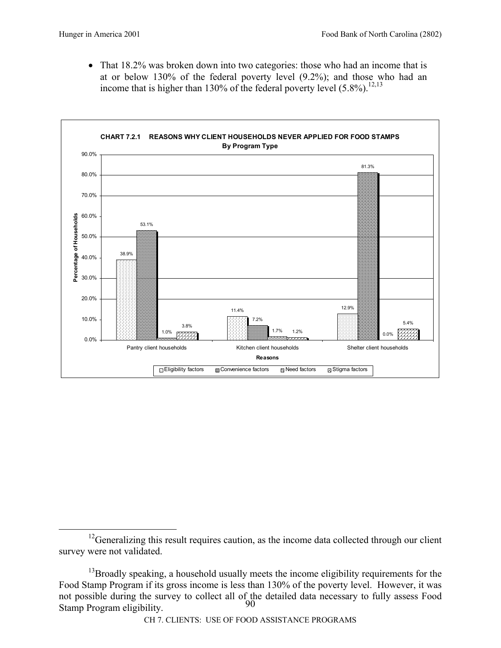• That 18.2% was broken down into two categories: those who had an income that is at or below 130% of the federal poverty level (9.2%); and those who had an income that is higher than 130% of the federal poverty level  $(5.8\%)$ .<sup>12,13</sup>



 $12$ Generalizing this result requires caution, as the income data collected through our client survey were not validated.

 $90^\circ$ <sup>13</sup>Broadly speaking, a household usually meets the income eligibility requirements for the Food Stamp Program if its gross income is less than 130% of the poverty level. However, it was not possible during the survey to collect all of the detailed data necessary to fully assess Food Stamp Program eligibility.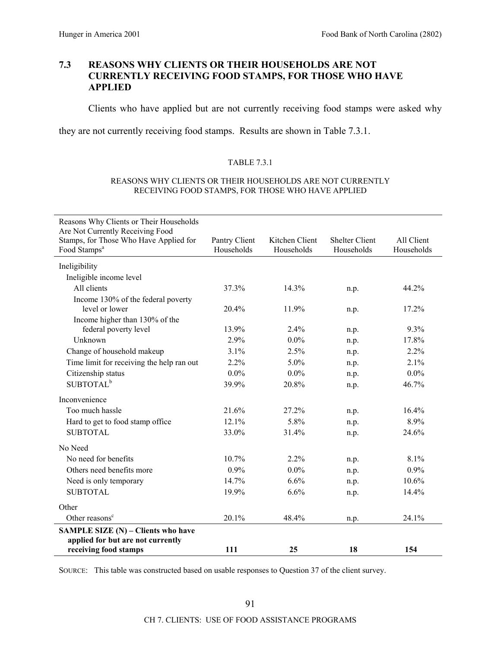## **7.3 REASONS WHY CLIENTS OR THEIR HOUSEHOLDS ARE NOT CURRENTLY RECEIVING FOOD STAMPS, FOR THOSE WHO HAVE APPLIED**

Clients who have applied but are not currently receiving food stamps were asked why

they are not currently receiving food stamps. Results are shown in Table 7.3.1.

### TABLE 7.3.1

#### REASONS WHY CLIENTS OR THEIR HOUSEHOLDS ARE NOT CURRENTLY RECEIVING FOOD STAMPS, FOR THOSE WHO HAVE APPLIED

| Reasons Why Clients or Their Households                                    |               |                |                       |            |
|----------------------------------------------------------------------------|---------------|----------------|-----------------------|------------|
| Are Not Currently Receiving Food<br>Stamps, for Those Who Have Applied for | Pantry Client | Kitchen Client | <b>Shelter Client</b> | All Client |
| Food Stamps <sup>a</sup>                                                   | Households    | Households     | Households            | Households |
| Ineligibility                                                              |               |                |                       |            |
| Ineligible income level                                                    |               |                |                       |            |
| All clients                                                                | 37.3%         | 14.3%          | n.p.                  | 44.2%      |
| Income 130% of the federal poverty                                         |               |                |                       |            |
| level or lower                                                             | 20.4%         | 11.9%          | n.p.                  | 17.2%      |
| Income higher than 130% of the                                             |               |                |                       |            |
| federal poverty level                                                      | 13.9%         | 2.4%           | n.p.                  | 9.3%       |
| Unknown                                                                    | 2.9%          | $0.0\%$        | n.p.                  | 17.8%      |
| Change of household makeup                                                 | 3.1%          | 2.5%           | n.p.                  | 2.2%       |
| Time limit for receiving the help ran out                                  | 2.2%          | $5.0\%$        | n.p.                  | 2.1%       |
| Citizenship status                                                         | $0.0\%$       | $0.0\%$        | n.p.                  | 0.0%       |
| SUBTOTAL <sup>b</sup>                                                      | 39.9%         | 20.8%          | n.p.                  | 46.7%      |
| Inconvenience                                                              |               |                |                       |            |
| Too much hassle                                                            | 21.6%         | 27.2%          | n.p.                  | 16.4%      |
| Hard to get to food stamp office                                           | 12.1%         | 5.8%           | n.p.                  | 8.9%       |
| <b>SUBTOTAL</b>                                                            | 33.0%         | 31.4%          | n.p.                  | 24.6%      |
| No Need                                                                    |               |                |                       |            |
| No need for benefits                                                       | 10.7%         | 2.2%           | n.p.                  | 8.1%       |
| Others need benefits more                                                  | 0.9%          | $0.0\%$        | n.p.                  | 0.9%       |
| Need is only temporary                                                     | 14.7%         | 6.6%           | n.p.                  | 10.6%      |
| <b>SUBTOTAL</b>                                                            | 19.9%         | 6.6%           | n.p.                  | 14.4%      |
| Other                                                                      |               |                |                       |            |
| Other reasons <sup>c</sup>                                                 | 20.1%         | 48.4%          | n.p.                  | 24.1%      |
| SAMPLE SIZE (N) - Clients who have                                         |               |                |                       |            |
| applied for but are not currently                                          |               |                |                       |            |
| receiving food stamps                                                      | 111           | 25             | 18                    | 154        |

SOURCE: This table was constructed based on usable responses to Question 37 of the client survey.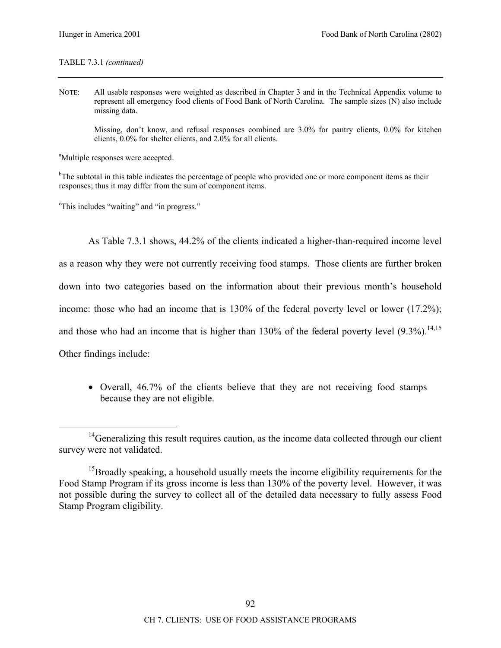### TABLE 7.3.1 *(continued)*

NOTE: All usable responses were weighted as described in Chapter 3 and in the Technical Appendix volume to represent all emergency food clients of Food Bank of North Carolina. The sample sizes (N) also include missing data.

Missing, don't know, and refusal responses combined are  $3.0\%$  for pantry clients, 0.0% for kitchen clients, 0.0% for shelter clients, and 2.0% for all clients.

<sup>a</sup>Multiple responses were accepted.

<sup>b</sup>The subtotal in this table indicates the percentage of people who provided one or more component items as their responses; thus it may differ from the sum of component items.

<sup>c</sup>This includes "waiting" and "in progress."

As Table 7.3.1 shows, 44.2% of the clients indicated a higher-than-required income level as a reason why they were not currently receiving food stamps. Those clients are further broken down into two categories based on the information about their previous month's household income: those who had an income that is 130% of the federal poverty level or lower (17.2%); and those who had an income that is higher than  $130\%$  of the federal poverty level  $(9.3\%)$ .<sup>14,15</sup> Other findings include:

• Overall, 46.7% of the clients believe that they are not receiving food stamps because they are not eligible.

<sup>&</sup>lt;sup>14</sup>Generalizing this result requires caution, as the income data collected through our client survey were not validated.

<sup>&</sup>lt;sup>15</sup>Broadly speaking, a household usually meets the income eligibility requirements for the Food Stamp Program if its gross income is less than 130% of the poverty level. However, it was not possible during the survey to collect all of the detailed data necessary to fully assess Food Stamp Program eligibility.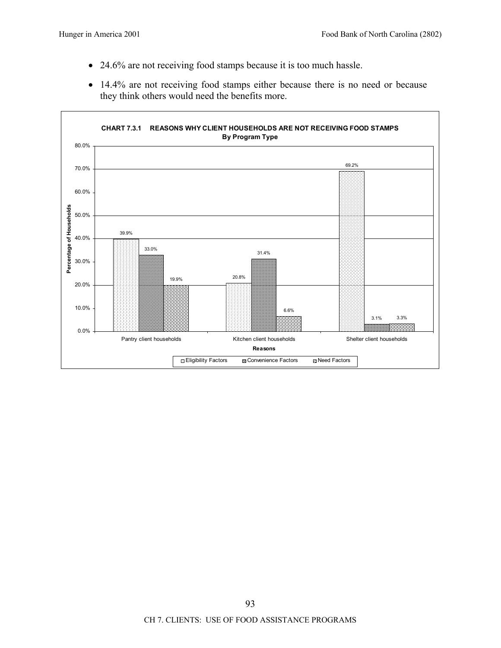- 24.6% are not receiving food stamps because it is too much hassle.
- 14.4% are not receiving food stamps either because there is no need or because they think others would need the benefits more.

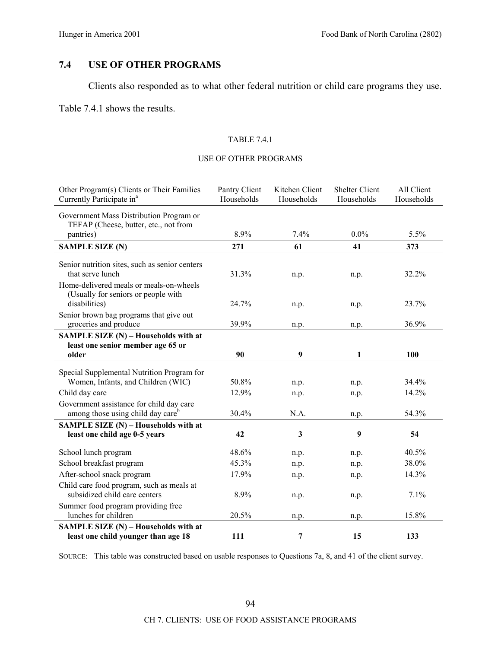# **7.4 USE OF OTHER PROGRAMS**

Clients also responded as to what other federal nutrition or child care programs they use.

Table 7.4.1 shows the results.

## TABLE 7.4.1

### USE OF OTHER PROGRAMS

| Other Program(s) Clients or Their Families<br>Currently Participate in <sup>a</sup>                           | Pantry Client<br>Households | Kitchen Client<br>Households | <b>Shelter Client</b><br>Households | All Client<br>Households |
|---------------------------------------------------------------------------------------------------------------|-----------------------------|------------------------------|-------------------------------------|--------------------------|
| Government Mass Distribution Program or<br>TEFAP (Cheese, butter, etc., not from                              |                             |                              |                                     |                          |
| pantries)                                                                                                     | 8.9%                        | 7.4%                         | $0.0\%$                             | 5.5%                     |
| <b>SAMPLE SIZE (N)</b>                                                                                        | 271                         | 61                           | 41                                  | 373                      |
| Senior nutrition sites, such as senior centers<br>that serve lunch<br>Home-delivered meals or meals-on-wheels | 31.3%                       | n.p.                         | n.p.                                | 32.2%                    |
| (Usually for seniors or people with<br>disabilities)                                                          | 24.7%                       | n.p.                         | n.p.                                | 23.7%                    |
| Senior brown bag programs that give out<br>groceries and produce                                              | 39.9%                       | n.p.                         | n.p.                                | 36.9%                    |
| SAMPLE SIZE (N) - Households with at                                                                          |                             |                              |                                     |                          |
| least one senior member age 65 or                                                                             |                             |                              |                                     |                          |
| older                                                                                                         | 90                          | 9                            | 1                                   | <b>100</b>               |
| Special Supplemental Nutrition Program for                                                                    |                             |                              |                                     |                          |
| Women, Infants, and Children (WIC)                                                                            | 50.8%                       | n.p.                         | n.p.                                | 34.4%                    |
| Child day care                                                                                                | 12.9%                       | n.p.                         | n.p.                                | 14.2%                    |
| Government assistance for child day care<br>among those using child day care <sup>b</sup>                     | 30.4%                       | N.A.                         | n.p.                                | 54.3%                    |
| SAMPLE SIZE (N) - Households with at                                                                          |                             |                              |                                     |                          |
| least one child age 0-5 years                                                                                 | 42                          | $\mathbf{3}$                 | 9                                   | 54                       |
| School lunch program                                                                                          | 48.6%                       | n.p.                         | n.p.                                | 40.5%                    |
| School breakfast program                                                                                      | 45.3%                       | n.p.                         | n.p.                                | 38.0%                    |
| After-school snack program                                                                                    | 17.9%                       | n.p.                         | n.p.                                | 14.3%                    |
| Child care food program, such as meals at<br>subsidized child care centers                                    | 8.9%                        | n.p.                         | n.p.                                | 7.1%                     |
| Summer food program providing free<br>lunches for children                                                    | 20.5%                       | n.p.                         | n.p.                                | 15.8%                    |
| SAMPLE SIZE (N) - Households with at                                                                          |                             |                              |                                     |                          |
| least one child younger than age 18                                                                           | 111                         | 7                            | 15                                  | 133                      |

SOURCE: This table was constructed based on usable responses to Questions 7a, 8, and 41 of the client survey.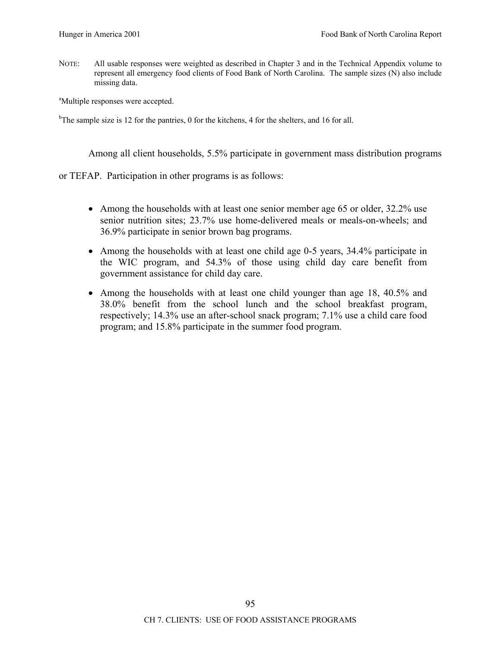NOTE: All usable responses were weighted as described in Chapter 3 and in the Technical Appendix volume to represent all emergency food clients of Food Bank of North Carolina. The sample sizes (N) also include missing data.

<sup>a</sup>Multiple responses were accepted.

<sup>b</sup>The sample size is 12 for the pantries, 0 for the kitchens, 4 for the shelters, and 16 for all.

Among all client households, 5.5% participate in government mass distribution programs

or TEFAP. Participation in other programs is as follows:

- Among the households with at least one senior member age 65 or older, 32.2% use senior nutrition sites; 23.7% use home-delivered meals or meals-on-wheels; and 36.9% participate in senior brown bag programs.
- Among the households with at least one child age 0-5 years, 34.4% participate in the WIC program, and 54.3% of those using child day care benefit from government assistance for child day care.
- Among the households with at least one child younger than age 18, 40.5% and 38.0% benefit from the school lunch and the school breakfast program, respectively; 14.3% use an after-school snack program; 7.1% use a child care food program; and 15.8% participate in the summer food program.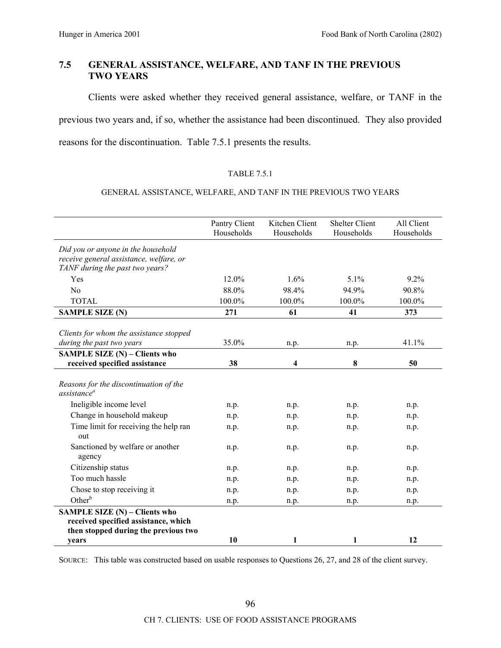# **7.5 GENERAL ASSISTANCE, WELFARE, AND TANF IN THE PREVIOUS TWO YEARS**

Clients were asked whether they received general assistance, welfare, or TANF in the previous two years and, if so, whether the assistance had been discontinued. They also provided reasons for the discontinuation. Table 7.5.1 presents the results.

## TABLE 7.5.1

### GENERAL ASSISTANCE, WELFARE, AND TANF IN THE PREVIOUS TWO YEARS

|                                                                                                                      | Pantry Client<br>Households | Kitchen Client<br>Households | <b>Shelter Client</b><br>Households | All Client<br>Households |
|----------------------------------------------------------------------------------------------------------------------|-----------------------------|------------------------------|-------------------------------------|--------------------------|
| Did you or anyone in the household<br>receive general assistance, welfare, or<br>TANF during the past two years?     |                             |                              |                                     |                          |
| Yes                                                                                                                  | 12.0%                       | 1.6%                         | 5.1%                                | 9.2%                     |
| No                                                                                                                   | 88.0%                       | 98.4%                        | 94.9%                               | 90.8%                    |
| <b>TOTAL</b>                                                                                                         | 100.0%                      | 100.0%                       | 100.0%                              | 100.0%                   |
| <b>SAMPLE SIZE (N)</b>                                                                                               | 271                         | 61                           | 41                                  | 373                      |
| Clients for whom the assistance stopped<br>during the past two years                                                 | 35.0%                       | n.p.                         | n.p.                                | 41.1%                    |
| <b>SAMPLE SIZE (N) - Clients who</b><br>received specified assistance                                                | 38                          | 4                            | 8                                   | 50                       |
| Reasons for the discontinuation of the<br>assistance <sup>a</sup>                                                    |                             |                              |                                     |                          |
| Ineligible income level                                                                                              | n.p.                        | n.p.                         | n.p.                                | n.p.                     |
| Change in household makeup                                                                                           | n.p.                        | n.p.                         | n.p.                                | n.p.                     |
| Time limit for receiving the help ran<br>out                                                                         | n.p.                        | n.p.                         | n.p.                                | n.p.                     |
| Sanctioned by welfare or another<br>agency                                                                           | n.p.                        | n.p.                         | n.p.                                | n.p.                     |
| Citizenship status                                                                                                   | n.p.                        | n.p.                         | n.p.                                | n.p.                     |
| Too much hassle                                                                                                      | n.p.                        | n.p.                         | n.p.                                | n.p.                     |
| Chose to stop receiving it                                                                                           | n.p.                        | n.p.                         | n.p.                                | n.p.                     |
| Other <sup>b</sup>                                                                                                   | n.p.                        | n.p.                         | n.p.                                | n.p.                     |
| <b>SAMPLE SIZE (N) - Clients who</b><br>received specified assistance, which<br>then stopped during the previous two |                             |                              |                                     |                          |
| years                                                                                                                | 10                          | 1                            | 1                                   | 12                       |

SOURCE: This table was constructed based on usable responses to Questions 26, 27, and 28 of the client survey.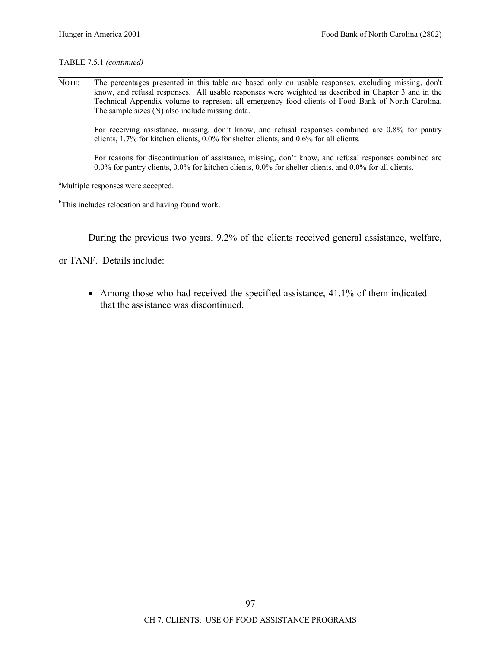## TABLE 7.5.1 *(continued)*

NOTE: The percentages presented in this table are based only on usable responses, excluding missing, don't know, and refusal responses. All usable responses were weighted as described in Chapter 3 and in the Technical Appendix volume to represent all emergency food clients of Food Bank of North Carolina. The sample sizes (N) also include missing data.

For receiving assistance, missing, don't know, and refusal responses combined are 0.8% for pantry clients, 1.7% for kitchen clients, 0.0% for shelter clients, and 0.6% for all clients.

For reasons for discontinuation of assistance, missing, don't know, and refusal responses combined are 0.0% for pantry clients, 0.0% for kitchen clients, 0.0% for shelter clients, and 0.0% for all clients.

<sup>a</sup>Multiple responses were accepted.

<sup>b</sup>This includes relocation and having found work.

During the previous two years, 9.2% of the clients received general assistance, welfare,

or TANF. Details include:

• Among those who had received the specified assistance, 41.1% of them indicated that the assistance was discontinued.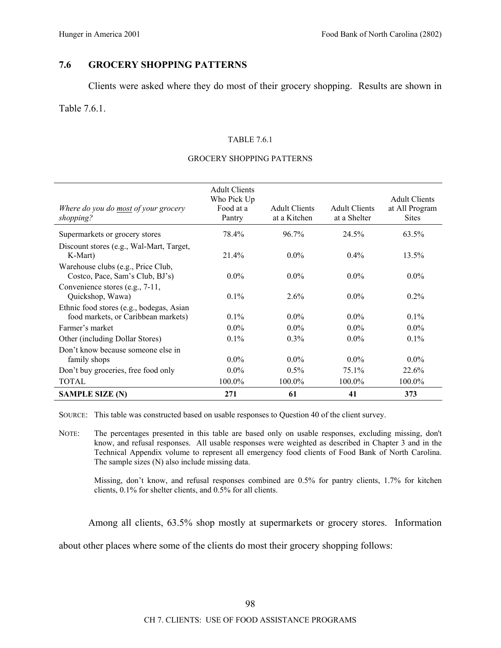# **7.6 GROCERY SHOPPING PATTERNS**

Clients were asked where they do most of their grocery shopping. Results are shown in

# Table 7.6.1.

#### TABLE 7.6.1

#### GROCERY SHOPPING PATTERNS

| Where do you do most of your grocery<br>shopping?                               | <b>Adult Clients</b><br>Who Pick Up<br>Food at a<br>Pantry | <b>Adult Clients</b><br>at a Kitchen | <b>Adult Clients</b><br>at a Shelter | <b>Adult Clients</b><br>at All Program<br><b>Sites</b> |
|---------------------------------------------------------------------------------|------------------------------------------------------------|--------------------------------------|--------------------------------------|--------------------------------------------------------|
| Supermarkets or grocery stores                                                  | 78.4%                                                      | $96.7\%$                             | 24.5%                                | 63.5%                                                  |
| Discount stores (e.g., Wal-Mart, Target,<br>K-Mart)                             | 21.4%                                                      | $0.0\%$                              | $0.4\%$                              | $13.5\%$                                               |
| Warehouse clubs (e.g., Price Club,<br>Costco, Pace, Sam's Club, BJ's)           | $0.0\%$                                                    | $0.0\%$                              | $0.0\%$                              | $0.0\%$                                                |
| Convenience stores (e.g., 7-11,<br>Quickshop, Wawa)                             | $0.1\%$                                                    | $2.6\%$                              | $0.0\%$                              | $0.2\%$                                                |
| Ethnic food stores (e.g., bodegas, Asian<br>food markets, or Caribbean markets) | $0.1\%$                                                    | $0.0\%$                              | $0.0\%$                              | $0.1\%$                                                |
| Farmer's market                                                                 | $0.0\%$                                                    | $0.0\%$                              | $0.0\%$                              | $0.0\%$                                                |
| Other (including Dollar Stores)                                                 | $0.1\%$                                                    | $0.3\%$                              | $0.0\%$                              | $0.1\%$                                                |
| Don't know because someone else in<br>family shops                              | $0.0\%$                                                    | $0.0\%$                              | $0.0\%$                              | $0.0\%$                                                |
| Don't buy groceries, free food only                                             | $0.0\%$                                                    | $0.5\%$                              | $75.1\%$                             | 22.6%                                                  |
| <b>TOTAL</b>                                                                    | 100.0%                                                     | 100.0%                               | $100.0\%$                            | 100.0%                                                 |
| <b>SAMPLE SIZE (N)</b>                                                          | 271                                                        | 61                                   | 41                                   | 373                                                    |

SOURCE: This table was constructed based on usable responses to Question 40 of the client survey.

NOTE: The percentages presented in this table are based only on usable responses, excluding missing, don't know, and refusal responses. All usable responses were weighted as described in Chapter 3 and in the Technical Appendix volume to represent all emergency food clients of Food Bank of North Carolina. The sample sizes (N) also include missing data.

Missing, don't know, and refusal responses combined are 0.5% for pantry clients, 1.7% for kitchen clients, 0.1% for shelter clients, and 0.5% for all clients.

Among all clients, 63.5% shop mostly at supermarkets or grocery stores. Information

about other places where some of the clients do most their grocery shopping follows: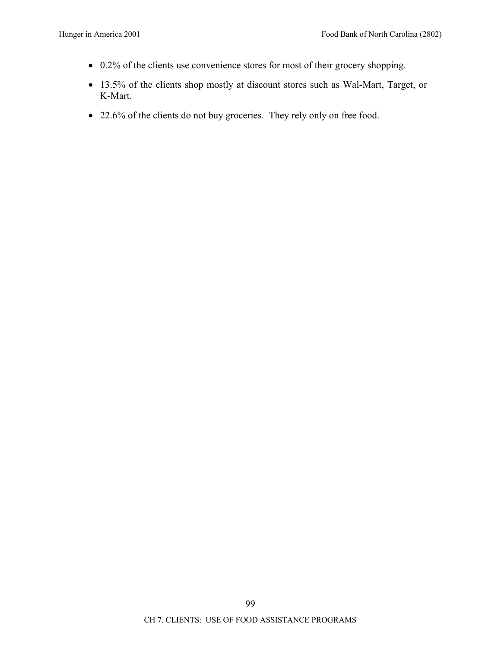- 0.2% of the clients use convenience stores for most of their grocery shopping.
- 13.5% of the clients shop mostly at discount stores such as Wal-Mart, Target, or K-Mart.
- 22.6% of the clients do not buy groceries. They rely only on free food.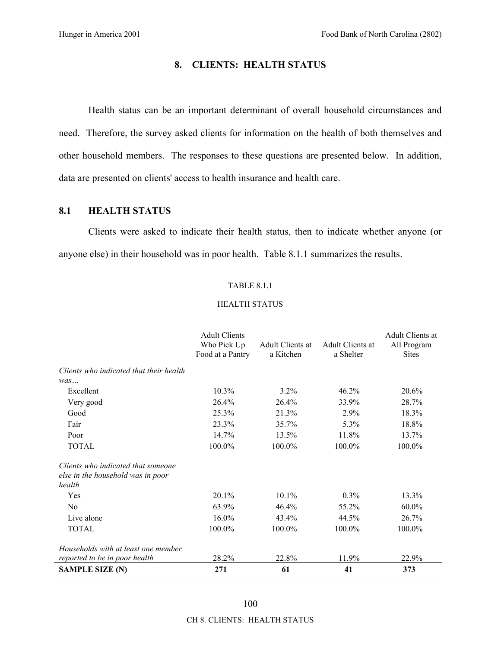# **8. CLIENTS: HEALTH STATUS**

Health status can be an important determinant of overall household circumstances and need. Therefore, the survey asked clients for information on the health of both themselves and other household members. The responses to these questions are presented below. In addition, data are presented on clients' access to health insurance and health care.

# **8.1 HEALTH STATUS**

Clients were asked to indicate their health status, then to indicate whether anyone (or anyone else) in their household was in poor health. Table 8.1.1 summarizes the results.

#### TABLE 8.1.1

#### HEALTH STATUS

|                                                                                   | <b>Adult Clients</b><br>Who Pick Up<br>Food at a Pantry | Adult Clients at<br>a Kitchen | Adult Clients at<br>a Shelter | Adult Clients at<br>All Program<br><b>Sites</b> |
|-----------------------------------------------------------------------------------|---------------------------------------------------------|-------------------------------|-------------------------------|-------------------------------------------------|
| Clients who indicated that their health                                           |                                                         |                               |                               |                                                 |
| was                                                                               |                                                         |                               |                               |                                                 |
| Excellent                                                                         | 10.3%                                                   | 3.2%                          | 46.2%                         | 20.6%                                           |
| Very good                                                                         | 26.4%                                                   | 26.4%                         | 33.9%                         | 28.7%                                           |
| Good                                                                              | 25.3%                                                   | 21.3%                         | 2.9%                          | 18.3%                                           |
| Fair                                                                              | 23.3%                                                   | 35.7%                         | 5.3%                          | 18.8%                                           |
| Poor                                                                              | 14.7%                                                   | 13.5%                         | 11.8%                         | 13.7%                                           |
| <b>TOTAL</b>                                                                      | 100.0%                                                  | 100.0%                        | 100.0%                        | 100.0%                                          |
| Clients who indicated that someone<br>else in the household was in poor<br>health |                                                         |                               |                               |                                                 |
| Yes                                                                               | 20.1%                                                   | 10.1%                         | $0.3\%$                       | 13.3%                                           |
| No                                                                                | 63.9%                                                   | 46.4%                         | 55.2%                         | $60.0\%$                                        |
| Live alone                                                                        | 16.0%                                                   | 43.4%                         | 44.5%                         | 26.7%                                           |
| <b>TOTAL</b>                                                                      | 100.0%                                                  | 100.0%                        | 100.0%                        | 100.0%                                          |
| Households with at least one member                                               |                                                         |                               |                               |                                                 |
| reported to be in poor health                                                     | 28.2%                                                   | 22.8%                         | 11.9%                         | 22.9%                                           |
| <b>SAMPLE SIZE (N)</b>                                                            | 271                                                     | 61                            | 41                            | 373                                             |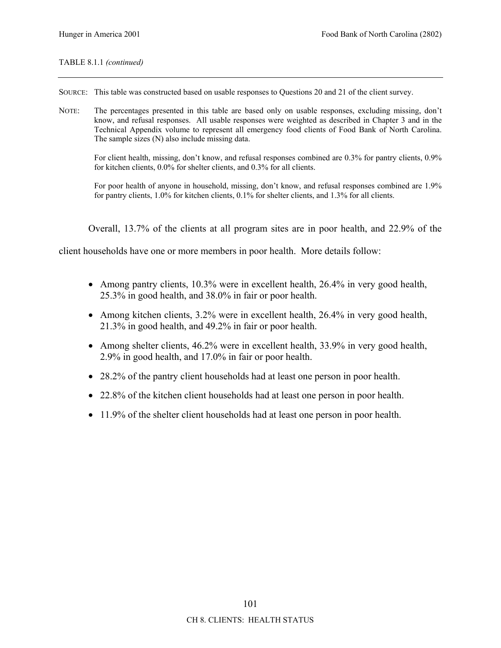### TABLE 8.1.1 *(continued)*

- SOURCE: This table was constructed based on usable responses to Questions 20 and 21 of the client survey.
- NOTE: The percentages presented in this table are based only on usable responses, excluding missing, don't know, and refusal responses. All usable responses were weighted as described in Chapter 3 and in the Technical Appendix volume to represent all emergency food clients of Food Bank of North Carolina. The sample sizes (N) also include missing data.

For client health, missing, don't know, and refusal responses combined are 0.3% for pantry clients, 0.9% for kitchen clients, 0.0% for shelter clients, and 0.3% for all clients.

For poor health of anyone in household, missing, don't know, and refusal responses combined are 1.9% for pantry clients, 1.0% for kitchen clients, 0.1% for shelter clients, and 1.3% for all clients.

Overall, 13.7% of the clients at all program sites are in poor health, and 22.9% of the

client households have one or more members in poor health. More details follow:

- Among pantry clients, 10.3% were in excellent health, 26.4% in very good health, 25.3% in good health, and 38.0% in fair or poor health.
- Among kitchen clients, 3.2% were in excellent health, 26.4% in very good health, 21.3% in good health, and 49.2% in fair or poor health.
- Among shelter clients, 46.2% were in excellent health, 33.9% in very good health, 2.9% in good health, and 17.0% in fair or poor health.
- 28.2% of the pantry client households had at least one person in poor health.
- 22.8% of the kitchen client households had at least one person in poor health.
- 11.9% of the shelter client households had at least one person in poor health.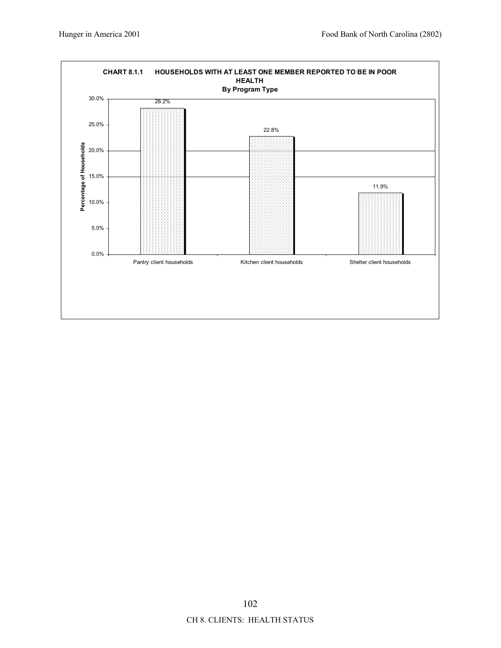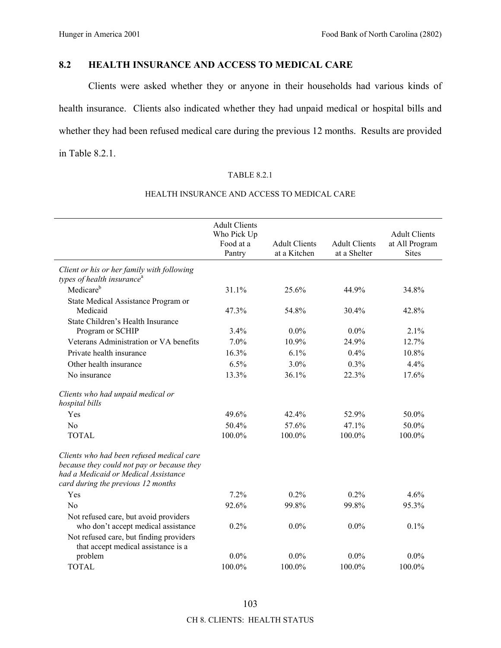# **8.2 HEALTH INSURANCE AND ACCESS TO MEDICAL CARE**

Clients were asked whether they or anyone in their households had various kinds of health insurance. Clients also indicated whether they had unpaid medical or hospital bills and whether they had been refused medical care during the previous 12 months. Results are provided in Table 8.2.1.

# TABLE 8.2.1

|                                                                                                                                                                       | <b>Adult Clients</b><br>Who Pick Up<br>Food at a<br>Pantry | <b>Adult Clients</b><br>at a Kitchen | <b>Adult Clients</b><br>at a Shelter | <b>Adult Clients</b><br>at All Program<br><b>Sites</b> |
|-----------------------------------------------------------------------------------------------------------------------------------------------------------------------|------------------------------------------------------------|--------------------------------------|--------------------------------------|--------------------------------------------------------|
| Client or his or her family with following<br>types of health insurance <sup>a</sup>                                                                                  |                                                            |                                      |                                      |                                                        |
| Medicare <sup>b</sup>                                                                                                                                                 | 31.1%                                                      | 25.6%                                | 44.9%                                | 34.8%                                                  |
| State Medical Assistance Program or<br>Medicaid                                                                                                                       | 47.3%                                                      | 54.8%                                | 30.4%                                | 42.8%                                                  |
| State Children's Health Insurance<br>Program or SCHIP                                                                                                                 | 3.4%                                                       | $0.0\%$                              | $0.0\%$                              | 2.1%                                                   |
| Veterans Administration or VA benefits                                                                                                                                | 7.0%                                                       | 10.9%                                | 24.9%                                | 12.7%                                                  |
| Private health insurance                                                                                                                                              | 16.3%                                                      | 6.1%                                 | 0.4%                                 | 10.8%                                                  |
| Other health insurance                                                                                                                                                | 6.5%                                                       | 3.0%                                 | 0.3%                                 | 4.4%                                                   |
| No insurance                                                                                                                                                          | 13.3%                                                      | 36.1%                                | 22.3%                                | 17.6%                                                  |
| Clients who had unpaid medical or<br>hospital bills                                                                                                                   |                                                            |                                      |                                      |                                                        |
| Yes                                                                                                                                                                   | 49.6%                                                      | 42.4%                                | 52.9%                                | 50.0%                                                  |
| No                                                                                                                                                                    | 50.4%                                                      | 57.6%                                | 47.1%                                | 50.0%                                                  |
| <b>TOTAL</b>                                                                                                                                                          | 100.0%                                                     | 100.0%                               | 100.0%                               | 100.0%                                                 |
| Clients who had been refused medical care<br>because they could not pay or because they<br>had a Medicaid or Medical Assistance<br>card during the previous 12 months |                                                            |                                      |                                      |                                                        |
| Yes                                                                                                                                                                   | 7.2%                                                       | 0.2%                                 | 0.2%                                 | 4.6%                                                   |
| No                                                                                                                                                                    | 92.6%                                                      | 99.8%                                | 99.8%                                | 95.3%                                                  |
| Not refused care, but avoid providers<br>who don't accept medical assistance<br>Not refused care, but finding providers                                               | 0.2%                                                       | $0.0\%$                              | $0.0\%$                              | 0.1%                                                   |
| that accept medical assistance is a<br>problem                                                                                                                        | $0.0\%$                                                    | $0.0\%$                              | $0.0\%$                              | $0.0\%$                                                |
| <b>TOTAL</b>                                                                                                                                                          | 100.0%                                                     | 100.0%                               | 100.0%                               | 100.0%                                                 |

# HEALTH INSURANCE AND ACCESS TO MEDICAL CARE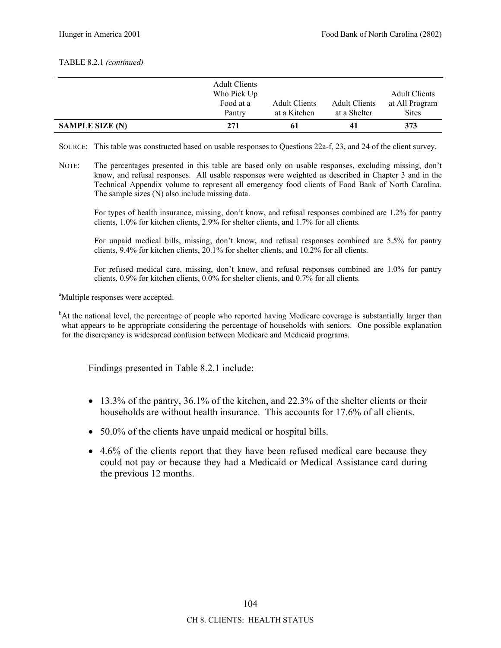#### TABLE 8.2.1 *(continued)*

|                        | <b>Adult Clients</b><br>Who Pick Up<br>Food at a<br>Pantry | <b>Adult Clients</b><br>at a Kitchen | <b>Adult Clients</b><br>at a Shelter | <b>Adult Clients</b><br>at All Program<br><b>Sites</b> |
|------------------------|------------------------------------------------------------|--------------------------------------|--------------------------------------|--------------------------------------------------------|
| <b>SAMPLE SIZE (N)</b> | 271                                                        | 61                                   | 41                                   | 373                                                    |

- SOURCE: This table was constructed based on usable responses to Questions 22a-f, 23, and 24 of the client survey.
- NOTE: The percentages presented in this table are based only on usable responses, excluding missing, don't know, and refusal responses. All usable responses were weighted as described in Chapter 3 and in the Technical Appendix volume to represent all emergency food clients of Food Bank of North Carolina. The sample sizes (N) also include missing data.

For types of health insurance, missing, don't know, and refusal responses combined are 1.2% for pantry clients, 1.0% for kitchen clients, 2.9% for shelter clients, and 1.7% for all clients.

For unpaid medical bills, missing, don't know, and refusal responses combined are 5.5% for pantry clients, 9.4% for kitchen clients, 20.1% for shelter clients, and 10.2% for all clients.

For refused medical care, missing, don't know, and refusal responses combined are 1.0% for pantry clients, 0.9% for kitchen clients, 0.0% for shelter clients, and 0.7% for all clients.

<sup>a</sup>Multiple responses were accepted.

<sup>b</sup>At the national level, the percentage of people who reported having Medicare coverage is substantially larger than what appears to be appropriate considering the percentage of households with seniors. One possible explanation for the discrepancy is widespread confusion between Medicare and Medicaid programs.

Findings presented in Table 8.2.1 include:

- $\bullet$  13.3% of the pantry, 36.1% of the kitchen, and 22.3% of the shelter clients or their households are without health insurance. This accounts for 17.6% of all clients.
- 50.0% of the clients have unpaid medical or hospital bills.
- 4.6% of the clients report that they have been refused medical care because they could not pay or because they had a Medicaid or Medical Assistance card during the previous 12 months.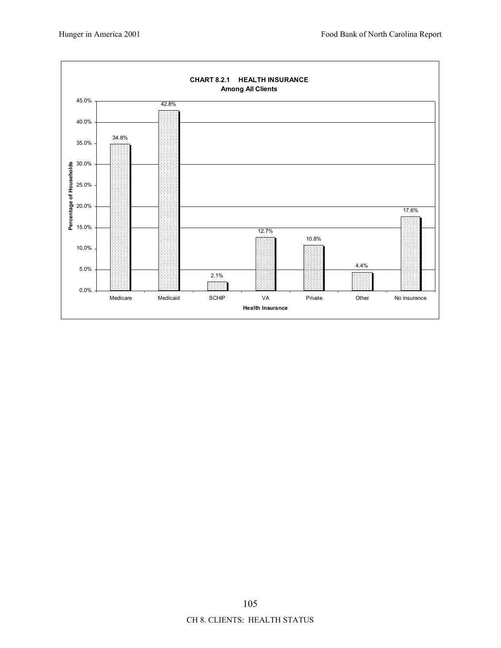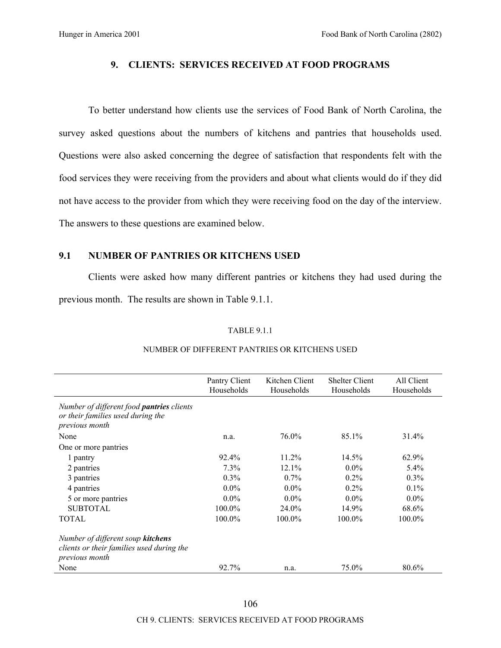# **9. CLIENTS: SERVICES RECEIVED AT FOOD PROGRAMS**

To better understand how clients use the services of Food Bank of North Carolina, the survey asked questions about the numbers of kitchens and pantries that households used. Questions were also asked concerning the degree of satisfaction that respondents felt with the food services they were receiving from the providers and about what clients would do if they did not have access to the provider from which they were receiving food on the day of the interview. The answers to these questions are examined below.

# **9.1 NUMBER OF PANTRIES OR KITCHENS USED**

Clients were asked how many different pantries or kitchens they had used during the previous month. The results are shown in Table 9.1.1.

#### TABLE 9.1.1

|                                                                                                  | Pantry Client<br>Households | Kitchen Client<br>Households | <b>Shelter Client</b><br>Households | All Client<br>Households |
|--------------------------------------------------------------------------------------------------|-----------------------------|------------------------------|-------------------------------------|--------------------------|
| Number of different food pantries clients<br>or their families used during the<br>previous month |                             |                              |                                     |                          |
| None                                                                                             | n.a.                        | 76.0%                        | 85.1%                               | 31.4%                    |
| One or more pantries                                                                             |                             |                              |                                     |                          |
| 1 pantry                                                                                         | 92.4%                       | $11.2\%$                     | $14.5\%$                            | 62.9%                    |
| 2 pantries                                                                                       | 7.3%                        | 12.1%                        | $0.0\%$                             | $5.4\%$                  |
| 3 pantries                                                                                       | 0.3%                        | $0.7\%$                      | 0.2%                                | 0.3%                     |
| 4 pantries                                                                                       | $0.0\%$                     | $0.0\%$                      | $0.2\%$                             | $0.1\%$                  |
| 5 or more pantries                                                                               | $0.0\%$                     | $0.0\%$                      | $0.0\%$                             | $0.0\%$                  |
| <b>SUBTOTAL</b>                                                                                  | 100.0%                      | $24.0\%$                     | 14.9%                               | 68.6%                    |
| <b>TOTAL</b>                                                                                     | 100.0%                      | 100.0%                       | $100.0\%$                           | 100.0%                   |
| Number of different soup kitchens<br>clients or their families used during the<br>previous month |                             |                              |                                     |                          |
| None                                                                                             | 92.7%                       | n.a.                         | 75.0%                               | 80.6%                    |

# NUMBER OF DIFFERENT PANTRIES OR KITCHENS USED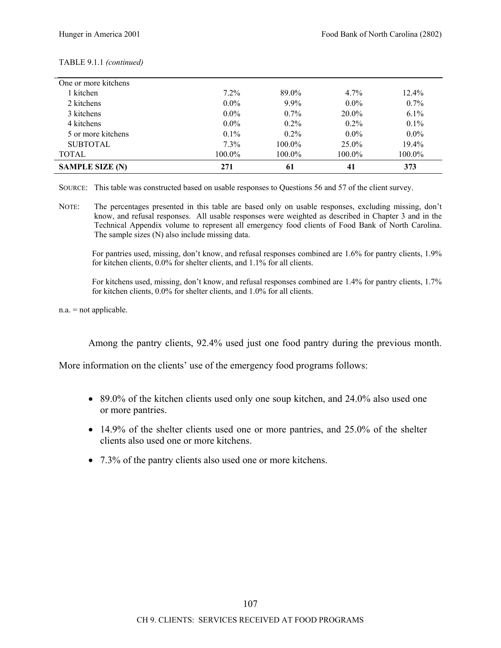| One or more kitchens   |         |         |          |          |
|------------------------|---------|---------|----------|----------|
| 1 kitchen              | $7.2\%$ | 89.0%   | $4.7\%$  | $12.4\%$ |
| 2 kitchens             | $0.0\%$ | $9.9\%$ | $0.0\%$  | $0.7\%$  |
| 3 kitchens             | $0.0\%$ | $0.7\%$ | $20.0\%$ | $6.1\%$  |
| 4 kitchens             | $0.0\%$ | $0.2\%$ | $0.2\%$  | 0.1%     |
| 5 or more kitchens     | $0.1\%$ | $0.2\%$ | $0.0\%$  | $0.0\%$  |
| <b>SUBTOTAL</b>        | 7.3%    | 100.0%  | $25.0\%$ | 19.4%    |
| <b>TOTAL</b>           | 100.0%  | 100.0%  | 100.0%   | 100.0%   |
| <b>SAMPLE SIZE (N)</b> | 271     | 61      | 41       | 373      |

#### TABLE 9.1.1 *(continued)*

SOURCE: This table was constructed based on usable responses to Questions 56 and 57 of the client survey.

NOTE: The percentages presented in this table are based only on usable responses, excluding missing, don't know, and refusal responses. All usable responses were weighted as described in Chapter 3 and in the Technical Appendix volume to represent all emergency food clients of Food Bank of North Carolina. The sample sizes (N) also include missing data.

For pantries used, missing, don't know, and refusal responses combined are 1.6% for pantry clients, 1.9% for kitchen clients, 0.0% for shelter clients, and 1.1% for all clients.

For kitchens used, missing, don't know, and refusal responses combined are 1.4% for pantry clients, 1.7% for kitchen clients, 0.0% for shelter clients, and 1.0% for all clients.

n.a. = not applicable.

Among the pantry clients, 92.4% used just one food pantry during the previous month.

More information on the clients' use of the emergency food programs follows:

- 89.0% of the kitchen clients used only one soup kitchen, and 24.0% also used one or more pantries.
- 14.9% of the shelter clients used one or more pantries, and 25.0% of the shelter clients also used one or more kitchens.
- 7.3% of the pantry clients also used one or more kitchens.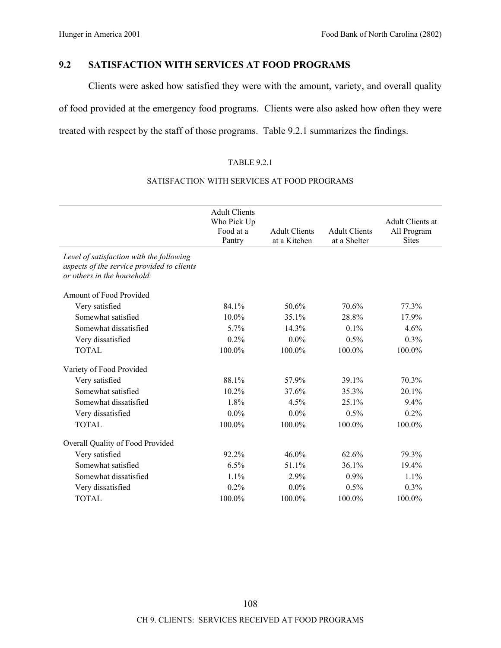# **9.2 SATISFACTION WITH SERVICES AT FOOD PROGRAMS**

Clients were asked how satisfied they were with the amount, variety, and overall quality of food provided at the emergency food programs. Clients were also asked how often they were treated with respect by the staff of those programs. Table 9.2.1 summarizes the findings.

# TABLE 9.2.1

|                                                                                                                       | <b>Adult Clients</b><br>Who Pick Up<br>Food at a<br>Pantry | <b>Adult Clients</b><br>at a Kitchen | <b>Adult Clients</b><br>at a Shelter | <b>Adult Clients at</b><br>All Program<br><b>Sites</b> |
|-----------------------------------------------------------------------------------------------------------------------|------------------------------------------------------------|--------------------------------------|--------------------------------------|--------------------------------------------------------|
| Level of satisfaction with the following<br>aspects of the service provided to clients<br>or others in the household: |                                                            |                                      |                                      |                                                        |
| Amount of Food Provided                                                                                               |                                                            |                                      |                                      |                                                        |
| Very satisfied                                                                                                        | 84.1%                                                      | 50.6%                                | 70.6%                                | 77.3%                                                  |
| Somewhat satisfied                                                                                                    | 10.0%                                                      | 35.1%                                | 28.8%                                | 17.9%                                                  |
| Somewhat dissatisfied                                                                                                 | 5.7%                                                       | 14.3%                                | 0.1%                                 | 4.6%                                                   |
| Very dissatisfied                                                                                                     | 0.2%                                                       | $0.0\%$                              | 0.5%                                 | 0.3%                                                   |
| <b>TOTAL</b>                                                                                                          | 100.0%                                                     | 100.0%                               | 100.0%                               | 100.0%                                                 |
| Variety of Food Provided                                                                                              |                                                            |                                      |                                      |                                                        |
| Very satisfied                                                                                                        | 88.1%                                                      | 57.9%                                | 39.1%                                | 70.3%                                                  |
| Somewhat satisfied                                                                                                    | 10.2%                                                      | 37.6%                                | 35.3%                                | 20.1%                                                  |
| Somewhat dissatisfied                                                                                                 | 1.8%                                                       | 4.5%                                 | 25.1%                                | 9.4%                                                   |
| Very dissatisfied                                                                                                     | $0.0\%$                                                    | $0.0\%$                              | 0.5%                                 | 0.2%                                                   |
| <b>TOTAL</b>                                                                                                          | 100.0%                                                     | 100.0%                               | 100.0%                               | 100.0%                                                 |
| Overall Quality of Food Provided                                                                                      |                                                            |                                      |                                      |                                                        |
| Very satisfied                                                                                                        | 92.2%                                                      | $46.0\%$                             | 62.6%                                | 79.3%                                                  |
| Somewhat satisfied                                                                                                    | 6.5%                                                       | 51.1%                                | 36.1%                                | 19.4%                                                  |
| Somewhat dissatisfied                                                                                                 | 1.1%                                                       | 2.9%                                 | $0.9\%$                              | 1.1%                                                   |
| Very dissatisfied                                                                                                     | 0.2%                                                       | $0.0\%$                              | 0.5%                                 | 0.3%                                                   |
| <b>TOTAL</b>                                                                                                          | 100.0%                                                     | 100.0%                               | 100.0%                               | 100.0%                                                 |

# SATISFACTION WITH SERVICES AT FOOD PROGRAMS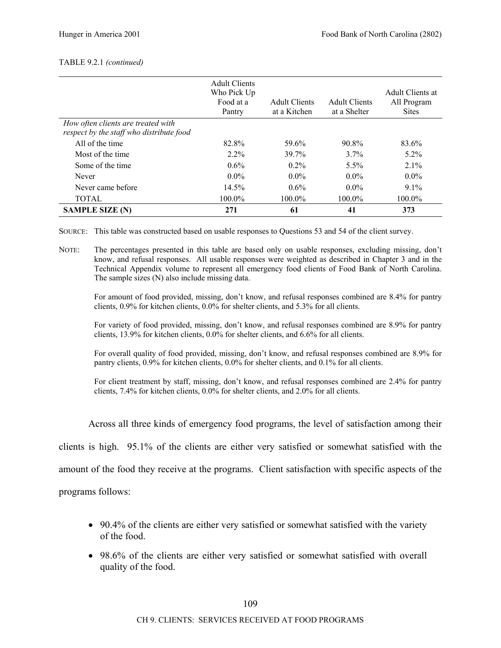#### TABLE 9.2.1 *(continued)*

|                                                                                | <b>Adult Clients</b><br>Who Pick Up<br>Food at a<br>Pantry | <b>Adult Clients</b><br>at a Kitchen | <b>Adult Clients</b><br>at a Shelter | Adult Clients at<br>All Program<br><b>Sites</b> |
|--------------------------------------------------------------------------------|------------------------------------------------------------|--------------------------------------|--------------------------------------|-------------------------------------------------|
| How often clients are treated with<br>respect by the staff who distribute food |                                                            |                                      |                                      |                                                 |
| All of the time                                                                | 82.8%                                                      | 59.6%                                | 90.8%                                | 83.6%                                           |
| Most of the time                                                               | $2.2\%$                                                    | 39.7%                                | $3.7\%$                              | $5.2\%$                                         |
| Some of the time                                                               | $0.6\%$                                                    | $0.2\%$                              | $5.5\%$                              | $2.1\%$                                         |
| Never                                                                          | $0.0\%$                                                    | $0.0\%$                              | $0.0\%$                              | $0.0\%$                                         |
| Never came before                                                              | 14.5%                                                      | $0.6\%$                              | $0.0\%$                              | $9.1\%$                                         |
| <b>TOTAL</b>                                                                   | 100.0%                                                     | 100.0%                               | 100.0%                               | 100.0%                                          |
| <b>SAMPLE SIZE (N)</b>                                                         | 271                                                        | 61                                   | 41                                   | 373                                             |

SOURCE: This table was constructed based on usable responses to Questions 53 and 54 of the client survey.

NOTE: The percentages presented in this table are based only on usable responses, excluding missing, don't know, and refusal responses. All usable responses were weighted as described in Chapter 3 and in the Technical Appendix volume to represent all emergency food clients of Food Bank of North Carolina. The sample sizes (N) also include missing data.

For amount of food provided, missing, don't know, and refusal responses combined are 8.4% for pantry clients, 0.9% for kitchen clients, 0.0% for shelter clients, and 5.3% for all clients.

For variety of food provided, missing, don't know, and refusal responses combined are 8.9% for pantry clients, 13.9% for kitchen clients, 0.0% for shelter clients, and 6.6% for all clients.

For overall quality of food provided, missing, don't know, and refusal responses combined are 8.9% for pantry clients, 0.9% for kitchen clients, 0.0% for shelter clients, and 0.1% for all clients.

For client treatment by staff, missing, don't know, and refusal responses combined are 2.4% for pantry clients, 7.4% for kitchen clients, 0.0% for shelter clients, and 2.0% for all clients.

Across all three kinds of emergency food programs, the level of satisfaction among their

clients is high. 95.1% of the clients are either very satisfied or somewhat satisfied with the

amount of the food they receive at the programs. Client satisfaction with specific aspects of the

programs follows:

- 90.4% of the clients are either very satisfied or somewhat satisfied with the variety of the food.
- 98.6% of the clients are either very satisfied or somewhat satisfied with overall quality of the food.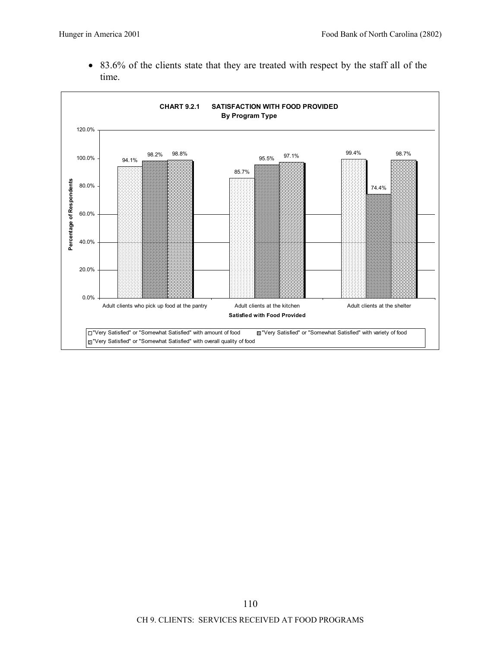• 83.6% of the clients state that they are treated with respect by the staff all of the time.

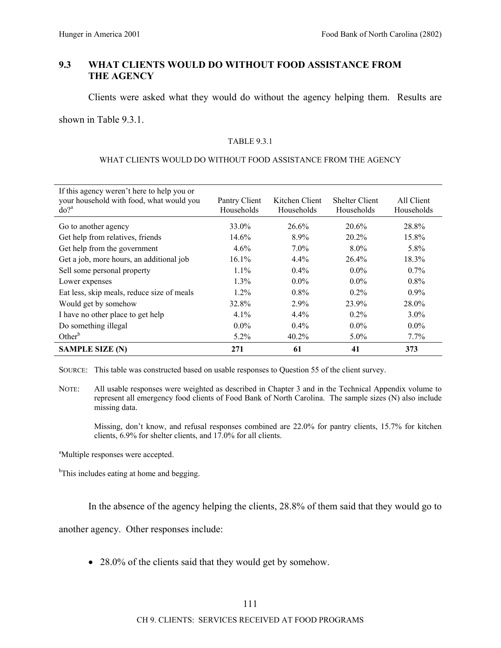# **9.3 WHAT CLIENTS WOULD DO WITHOUT FOOD ASSISTANCE FROM THE AGENCY**

Clients were asked what they would do without the agency helping them. Results are

shown in Table 9.3.1.

### TABLE 9.3.1

### WHAT CLIENTS WOULD DO WITHOUT FOOD ASSISTANCE FROM THE AGENCY

| If this agency weren't here to help you or<br>your household with food, what would you<br>$do?$ <sup>a</sup> | Pantry Client<br>Households | Kitchen Client<br>Households | <b>Shelter Client</b><br>Households | All Client<br>Households |
|--------------------------------------------------------------------------------------------------------------|-----------------------------|------------------------------|-------------------------------------|--------------------------|
| Go to another agency                                                                                         | 33.0%                       | 26.6%                        | 20.6%                               | 28.8%                    |
| Get help from relatives, friends                                                                             | 14.6%                       | $8.9\%$                      | 20.2%                               | 15.8%                    |
| Get help from the government                                                                                 | 4.6%                        | $7.0\%$                      | $8.0\%$                             | 5.8%                     |
| Get a job, more hours, an additional job                                                                     | 16.1%                       | $4.4\%$                      | 26.4%                               | 18.3%                    |
| Sell some personal property                                                                                  | $1.1\%$                     | $0.4\%$                      | $0.0\%$                             | $0.7\%$                  |
| Lower expenses                                                                                               | $1.3\%$                     | $0.0\%$                      | $0.0\%$                             | $0.8\%$                  |
| Eat less, skip meals, reduce size of meals                                                                   | $1.2\%$                     | $0.8\%$                      | $0.2\%$                             | $0.9\%$                  |
| Would get by somehow                                                                                         | 32.8%                       | 2.9%                         | 23.9%                               | 28.0%                    |
| I have no other place to get help                                                                            | $4.1\%$                     | $4.4\%$                      | $0.2\%$                             | $3.0\%$                  |
| Do something illegal                                                                                         | $0.0\%$                     | $0.4\%$                      | $0.0\%$                             | $0.0\%$                  |
| Other <sup>b</sup>                                                                                           | $5.2\%$                     | 40.2%                        | $5.0\%$                             | $7.7\%$                  |
| <b>SAMPLE SIZE (N)</b>                                                                                       | 271                         | 61                           | 41                                  | 373                      |

SOURCE: This table was constructed based on usable responses to Question 55 of the client survey.

NOTE: All usable responses were weighted as described in Chapter 3 and in the Technical Appendix volume to represent all emergency food clients of Food Bank of North Carolina. The sample sizes (N) also include missing data.

Missing, don't know, and refusal responses combined are 22.0% for pantry clients, 15.7% for kitchen clients, 6.9% for shelter clients, and 17.0% for all clients.

<sup>a</sup>Multiple responses were accepted.

<sup>b</sup>This includes eating at home and begging.

In the absence of the agency helping the clients, 28.8% of them said that they would go to

another agency. Other responses include:

• 28.0% of the clients said that they would get by somehow.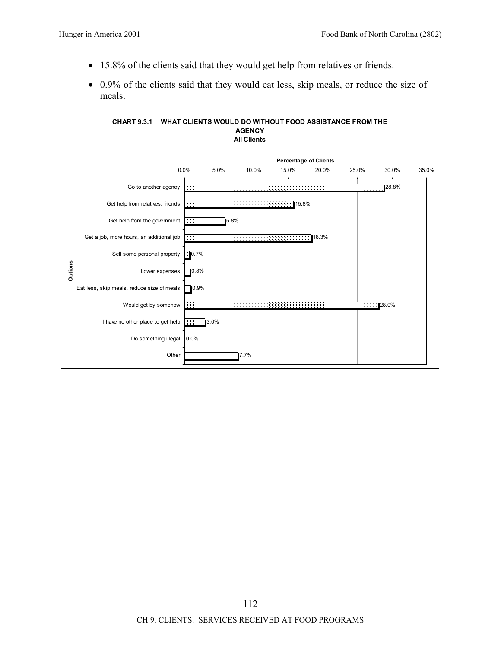- 15.8% of the clients said that they would get help from relatives or friends.
- 0.9% of the clients said that they would eat less, skip meals, or reduce the size of meals.

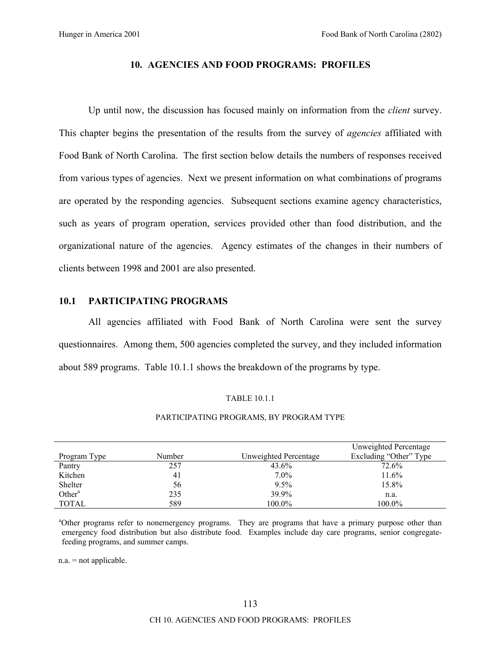### **10. AGENCIES AND FOOD PROGRAMS: PROFILES**

Up until now, the discussion has focused mainly on information from the *client* survey. This chapter begins the presentation of the results from the survey of *agencies* affiliated with Food Bank of North Carolina. The first section below details the numbers of responses received from various types of agencies. Next we present information on what combinations of programs are operated by the responding agencies. Subsequent sections examine agency characteristics, such as years of program operation, services provided other than food distribution, and the organizational nature of the agencies. Agency estimates of the changes in their numbers of clients between 1998 and 2001 are also presented.

# **10.1 PARTICIPATING PROGRAMS**

All agencies affiliated with Food Bank of North Carolina were sent the survey questionnaires. Among them, 500 agencies completed the survey, and they included information about 589 programs. Table 10.1.1 shows the breakdown of the programs by type.

#### TABLE 10.1.1

#### PARTICIPATING PROGRAMS, BY PROGRAM TYPE

|                    |        |                       | Unweighted Percentage  |
|--------------------|--------|-----------------------|------------------------|
| Program Type       | Number | Unweighted Percentage | Excluding "Other" Type |
| Pantry             | 257    | $43.6\%$              | 72.6%                  |
| Kitchen            | 41     | $7.0\%$               | 11.6%                  |
| Shelter            | 56     | $9.5\%$               | 15.8%                  |
| Other <sup>a</sup> | 235    | 39.9%                 | n.a.                   |
| <b>TOTAL</b>       | 589    | 100.0%                | 100.0%                 |

<sup>a</sup>Other programs refer to nonemergency programs. They are programs that have a primary purpose other than emergency food distribution but also distribute food. Examples include day care programs, senior congregatefeeding programs, and summer camps.

 $n.a.$  = not applicable.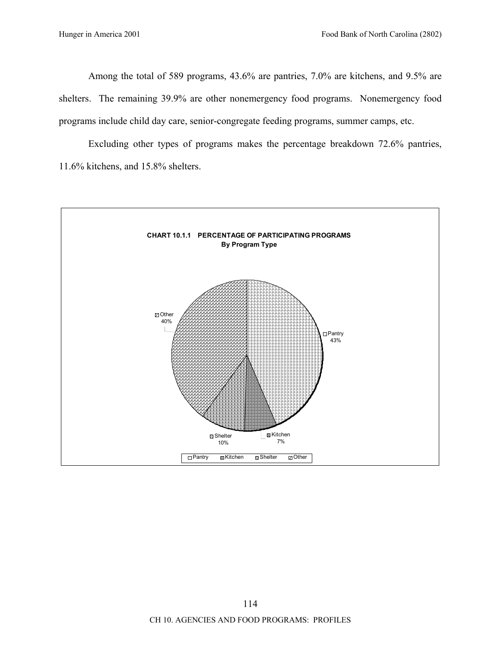Among the total of 589 programs, 43.6% are pantries, 7.0% are kitchens, and 9.5% are shelters. The remaining 39.9% are other nonemergency food programs. Nonemergency food programs include child day care, senior-congregate feeding programs, summer camps, etc.

Excluding other types of programs makes the percentage breakdown 72.6% pantries, 11.6% kitchens, and 15.8% shelters.

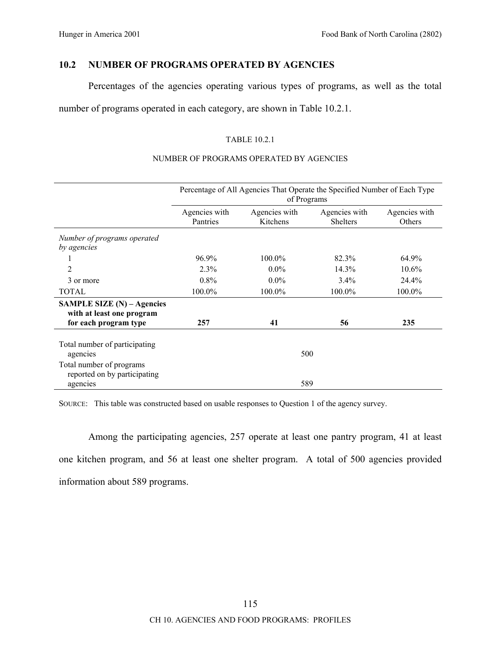# **10.2 NUMBER OF PROGRAMS OPERATED BY AGENCIES**

Percentages of the agencies operating various types of programs, as well as the total

number of programs operated in each category, are shown in Table 10.2.1.

# TABLE 10.2.1

# NUMBER OF PROGRAMS OPERATED BY AGENCIES

|                                                                      | Percentage of All Agencies That Operate the Specified Number of Each Type<br>of Programs |                           |                                  |                         |
|----------------------------------------------------------------------|------------------------------------------------------------------------------------------|---------------------------|----------------------------------|-------------------------|
|                                                                      | Agencies with<br>Pantries                                                                | Agencies with<br>Kitchens | Agencies with<br><b>Shelters</b> | Agencies with<br>Others |
| Number of programs operated<br>by agencies                           |                                                                                          |                           |                                  |                         |
| 1                                                                    | 96.9%                                                                                    | 100.0%                    | 82.3%                            | 64.9%                   |
| $\overline{2}$                                                       | 2.3%                                                                                     | $0.0\%$                   | 14.3%                            | 10.6%                   |
| 3 or more                                                            | $0.8\%$                                                                                  | $0.0\%$                   | $3.4\%$                          | 24.4%                   |
| <b>TOTAL</b>                                                         | 100.0%                                                                                   | 100.0%                    | 100.0%                           | 100.0%                  |
| SAMPLE SIZE (N) - Agencies<br>with at least one program              |                                                                                          |                           |                                  |                         |
| for each program type                                                | 257                                                                                      | 41                        | 56                               | 235                     |
| Total number of participating<br>agencies                            |                                                                                          | 500                       |                                  |                         |
| Total number of programs<br>reported on by participating<br>agencies |                                                                                          | 589                       |                                  |                         |

SOURCE: This table was constructed based on usable responses to Question 1 of the agency survey.

Among the participating agencies, 257 operate at least one pantry program, 41 at least one kitchen program, and 56 at least one shelter program. A total of 500 agencies provided information about 589 programs.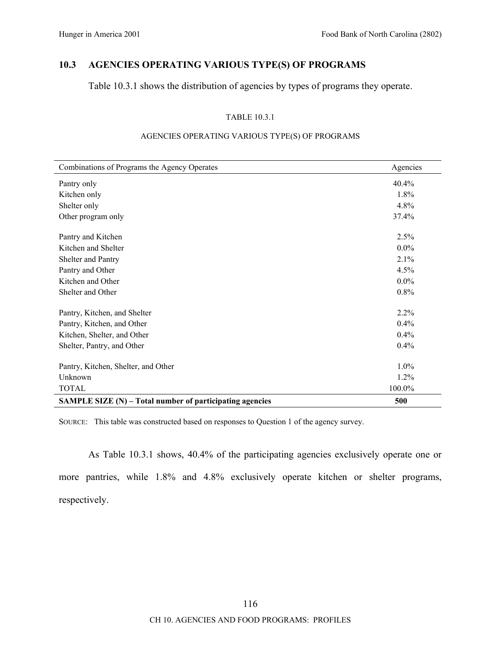# **10.3 AGENCIES OPERATING VARIOUS TYPE(S) OF PROGRAMS**

Table 10.3.1 shows the distribution of agencies by types of programs they operate.

## TABLE 10.3.1

| Combinations of Programs the Agency Operates               | Agencies |
|------------------------------------------------------------|----------|
| Pantry only                                                | 40.4%    |
| Kitchen only                                               | 1.8%     |
| Shelter only                                               | 4.8%     |
| Other program only                                         | 37.4%    |
| Pantry and Kitchen                                         | 2.5%     |
| Kitchen and Shelter                                        | $0.0\%$  |
| Shelter and Pantry                                         | 2.1%     |
| Pantry and Other                                           | 4.5%     |
| Kitchen and Other                                          | $0.0\%$  |
| Shelter and Other                                          | 0.8%     |
| Pantry, Kitchen, and Shelter                               | 2.2%     |
| Pantry, Kitchen, and Other                                 | 0.4%     |
| Kitchen, Shelter, and Other                                | 0.4%     |
| Shelter, Pantry, and Other                                 | 0.4%     |
| Pantry, Kitchen, Shelter, and Other                        | 1.0%     |
| Unknown                                                    | 1.2%     |
| <b>TOTAL</b>                                               | 100.0%   |
| SAMPLE SIZE $(N)$ – Total number of participating agencies | 500      |

### AGENCIES OPERATING VARIOUS TYPE(S) OF PROGRAMS

SOURCE: This table was constructed based on responses to Question 1 of the agency survey.

As Table 10.3.1 shows, 40.4% of the participating agencies exclusively operate one or more pantries, while 1.8% and 4.8% exclusively operate kitchen or shelter programs, respectively.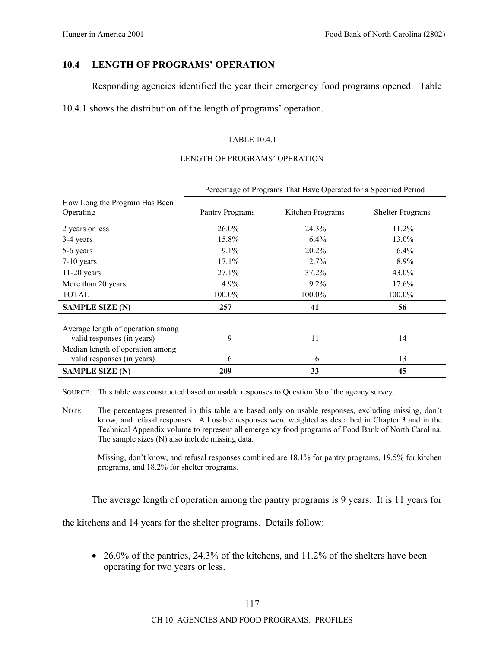# **10.4 LENGTH OF PROGRAMS' OPERATION**

Responding agencies identified the year their emergency food programs opened. Table

10.4.1 shows the distribution of the length of programs' operation.

# TABLE 10.4.1

#### LENGTH OF PROGRAMS' OPERATION

|                                                                 | Percentage of Programs That Have Operated for a Specified Period |                  |                         |
|-----------------------------------------------------------------|------------------------------------------------------------------|------------------|-------------------------|
| How Long the Program Has Been<br>Operating                      | Pantry Programs                                                  | Kitchen Programs | <b>Shelter Programs</b> |
| 2 years or less                                                 | $26.0\%$                                                         | 24.3%            | $11.2\%$                |
| 3-4 years                                                       | 15.8%                                                            | $6.4\%$          | 13.0%                   |
| 5-6 years                                                       | $9.1\%$                                                          | $20.2\%$         | $6.4\%$                 |
| $7-10$ years                                                    | $17.1\%$                                                         | 2.7%             | 8.9%                    |
| $11-20$ years                                                   | $27.1\%$                                                         | $37.2\%$         | 43.0%                   |
| More than 20 years                                              | 4.9%                                                             | $9.2\%$          | 17.6%                   |
| <b>TOTAL</b>                                                    | 100.0%                                                           | 100.0%           | 100.0%                  |
| <b>SAMPLE SIZE (N)</b>                                          | 257                                                              | 41               | 56                      |
| Average length of operation among<br>valid responses (in years) | 9                                                                | 11               | 14                      |
| Median length of operation among<br>valid responses (in years)  | 6                                                                | 6                | 13                      |
| <b>SAMPLE SIZE (N)</b>                                          | 209                                                              | 33               | 45                      |

SOURCE: This table was constructed based on usable responses to Question 3b of the agency survey.

NOTE: The percentages presented in this table are based only on usable responses, excluding missing, don't know, and refusal responses. All usable responses were weighted as described in Chapter 3 and in the Technical Appendix volume to represent all emergency food programs of Food Bank of North Carolina. The sample sizes (N) also include missing data.

Missing, don't know, and refusal responses combined are 18.1% for pantry programs, 19.5% for kitchen programs, and 18.2% for shelter programs.

The average length of operation among the pantry programs is 9 years. It is 11 years for

the kitchens and 14 years for the shelter programs. Details follow:

• 26.0% of the pantries, 24.3% of the kitchens, and 11.2% of the shelters have been operating for two years or less.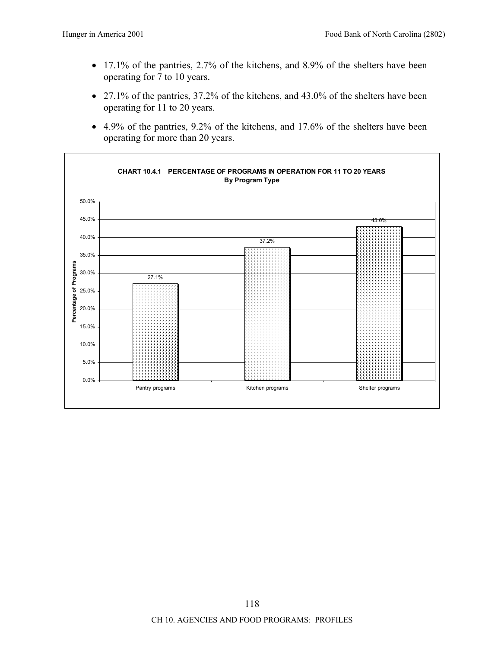- 17.1% of the pantries, 2.7% of the kitchens, and 8.9% of the shelters have been operating for 7 to 10 years.
- 27.1% of the pantries, 37.2% of the kitchens, and 43.0% of the shelters have been operating for 11 to 20 years.
- 4.9% of the pantries, 9.2% of the kitchens, and 17.6% of the shelters have been operating for more than 20 years.

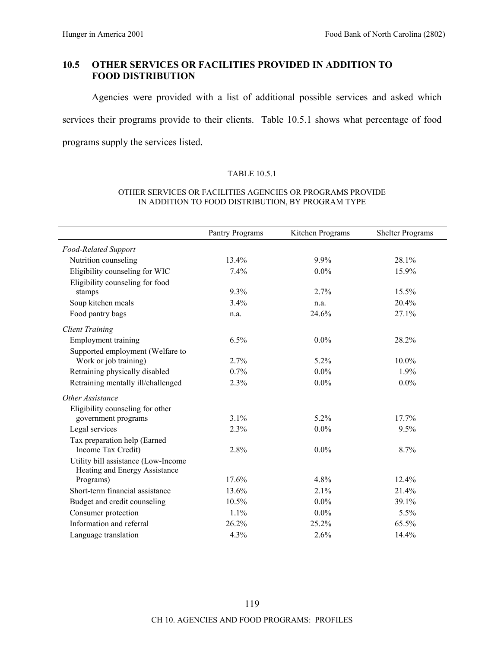# **10.5 OTHER SERVICES OR FACILITIES PROVIDED IN ADDITION TO FOOD DISTRIBUTION**

Agencies were provided with a list of additional possible services and asked which services their programs provide to their clients. Table 10.5.1 shows what percentage of food programs supply the services listed.

## TABLE 10.5.1

#### OTHER SERVICES OR FACILITIES AGENCIES OR PROGRAMS PROVIDE IN ADDITION TO FOOD DISTRIBUTION, BY PROGRAM TYPE

|                                                                      | Pantry Programs | Kitchen Programs | <b>Shelter Programs</b> |
|----------------------------------------------------------------------|-----------------|------------------|-------------------------|
| Food-Related Support                                                 |                 |                  |                         |
| Nutrition counseling                                                 | 13.4%           | 9.9%             | 28.1%                   |
| Eligibility counseling for WIC                                       | 7.4%            | $0.0\%$          | 15.9%                   |
| Eligibility counseling for food                                      |                 |                  |                         |
| stamps                                                               | 9.3%            | 2.7%             | 15.5%                   |
| Soup kitchen meals                                                   | 3.4%            | n.a.             | 20.4%                   |
| Food pantry bags                                                     | n.a.            | 24.6%            | 27.1%                   |
| <b>Client Training</b>                                               |                 |                  |                         |
| <b>Employment training</b>                                           | 6.5%            | $0.0\%$          | 28.2%                   |
| Supported employment (Welfare to                                     |                 |                  |                         |
| Work or job training)                                                | 2.7%            | 5.2%             | 10.0%                   |
| Retraining physically disabled                                       | 0.7%            | $0.0\%$          | 1.9%                    |
| Retraining mentally ill/challenged                                   | 2.3%            | $0.0\%$          | $0.0\%$                 |
| Other Assistance                                                     |                 |                  |                         |
| Eligibility counseling for other                                     |                 |                  |                         |
| government programs                                                  | 3.1%            | 5.2%             | 17.7%                   |
| Legal services                                                       | 2.3%            | $0.0\%$          | 9.5%                    |
| Tax preparation help (Earned                                         |                 |                  |                         |
| Income Tax Credit)                                                   | 2.8%            | $0.0\%$          | 8.7%                    |
| Utility bill assistance (Low-Income<br>Heating and Energy Assistance |                 |                  |                         |
| Programs)                                                            | 17.6%           | 4.8%             | $12.4\%$                |
| Short-term financial assistance                                      | 13.6%           | 2.1%             | 21.4%                   |
| Budget and credit counseling                                         | 10.5%           | $0.0\%$          | 39.1%                   |
| Consumer protection                                                  | 1.1%            | $0.0\%$          | 5.5%                    |
| Information and referral                                             | 26.2%           | 25.2%            | 65.5%                   |
| Language translation                                                 | 4.3%            | 2.6%             | 14.4%                   |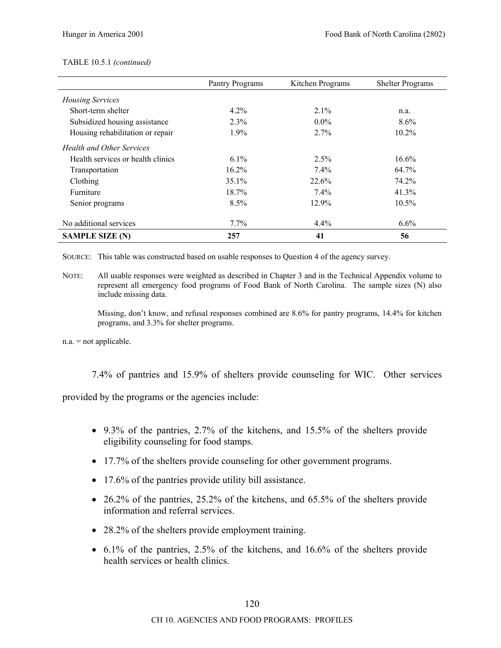# TABLE 10.5.1 *(continued)*

|                                   | Pantry Programs | Kitchen Programs | <b>Shelter Programs</b> |
|-----------------------------------|-----------------|------------------|-------------------------|
| <b>Housing Services</b>           |                 |                  |                         |
| Short-term shelter                | $4.2\%$         | $2.1\%$          | n.a.                    |
| Subsidized housing assistance     | 2.3%            | $0.0\%$          | $8.6\%$                 |
| Housing rehabilitation or repair  | $1.9\%$         | $2.7\%$          | $10.2\%$                |
| <b>Health and Other Services</b>  |                 |                  |                         |
| Health services or health clinics | $6.1\%$         | $2.5\%$          | 16.6%                   |
| Transportation                    | 16.2%           | $7.4\%$          | 64.7%                   |
| Clothing                          | 35.1%           | 22.6%            | 74.2%                   |
| <b>Furniture</b>                  | 18.7%           | $7.4\%$          | 41.3%                   |
| Senior programs                   | 8.5%            | 12.9%            | $10.5\%$                |
| No additional services            | $7.7\%$         | $4.4\%$          | $6.6\%$                 |
| <b>SAMPLE SIZE (N)</b>            | 257             | 41               | 56                      |

SOURCE: This table was constructed based on usable responses to Question 4 of the agency survey.

NOTE: All usable responses were weighted as described in Chapter 3 and in the Technical Appendix volume to represent all emergency food programs of Food Bank of North Carolina. The sample sizes (N) also include missing data.

Missing, don't know, and refusal responses combined are  $8.6\%$  for pantry programs, 14.4% for kitchen programs, and 3.3% for shelter programs.

n.a. = not applicable.

7.4% of pantries and 15.9% of shelters provide counseling for WIC. Other services

provided by the programs or the agencies include:

- 9.3% of the pantries, 2.7% of the kitchens, and 15.5% of the shelters provide eligibility counseling for food stamps.
- 17.7% of the shelters provide counseling for other government programs.
- 17.6% of the pantries provide utility bill assistance.
- 26.2% of the pantries, 25.2% of the kitchens, and 65.5% of the shelters provide information and referral services.
- 28.2% of the shelters provide employment training.
- 6.1% of the pantries, 2.5% of the kitchens, and 16.6% of the shelters provide health services or health clinics.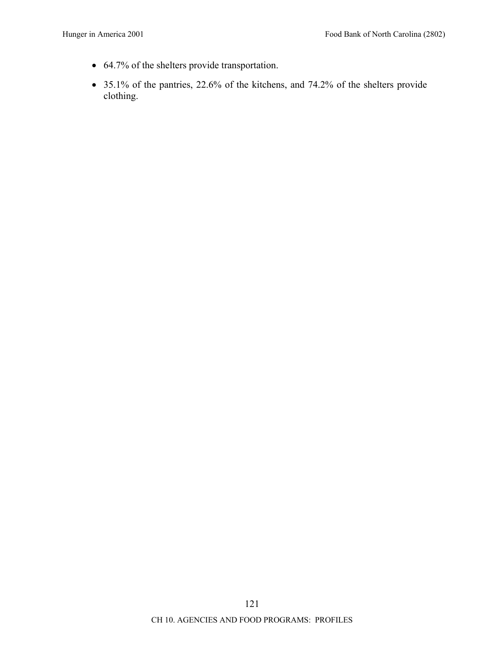- 64.7% of the shelters provide transportation.
- 35.1% of the pantries, 22.6% of the kitchens, and 74.2% of the shelters provide clothing.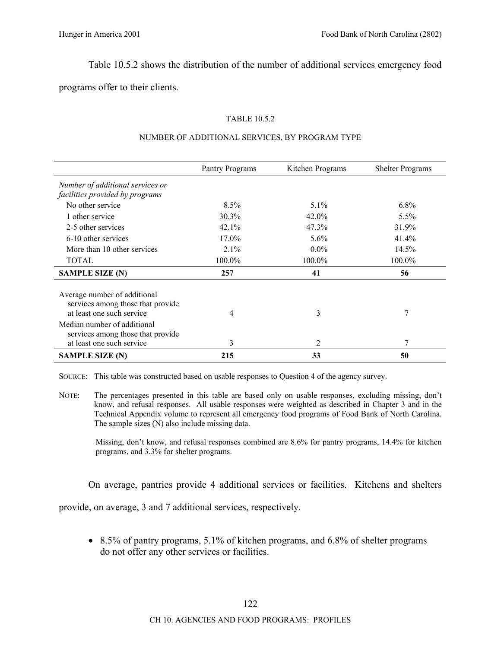Table 10.5.2 shows the distribution of the number of additional services emergency food

programs offer to their clients.

# TABLE 10.5.2

|                                                                                                | Pantry Programs | Kitchen Programs | <b>Shelter Programs</b> |
|------------------------------------------------------------------------------------------------|-----------------|------------------|-------------------------|
| Number of additional services or                                                               |                 |                  |                         |
| facilities provided by programs                                                                |                 |                  |                         |
| No other service                                                                               | $8.5\%$         | $5.1\%$          | $6.8\%$                 |
| 1 other service                                                                                | 30.3%           | 42.0%            | $5.5\%$                 |
| 2-5 other services                                                                             | $42.1\%$        | 47.3%            | 31.9%                   |
| 6-10 other services                                                                            | 17.0%           | $5.6\%$          | 41.4%                   |
| More than 10 other services                                                                    | 2.1%            | $0.0\%$          | 14.5%                   |
| <b>TOTAL</b>                                                                                   | 100.0%          | 100.0%           | 100.0%                  |
| <b>SAMPLE SIZE (N)</b>                                                                         | 257             | 41               | 56                      |
| Average number of additional<br>services among those that provide<br>at least one such service | 4               | 3                | 7                       |
| Median number of additional<br>services among those that provide                               |                 |                  |                         |
| at least one such service                                                                      | 3               | 2                | 7                       |
| <b>SAMPLE SIZE (N)</b>                                                                         | 215             | 33               | 50                      |

## NUMBER OF ADDITIONAL SERVICES, BY PROGRAM TYPE

SOURCE: This table was constructed based on usable responses to Question 4 of the agency survey.

NOTE: The percentages presented in this table are based only on usable responses, excluding missing, don't know, and refusal responses. All usable responses were weighted as described in Chapter 3 and in the Technical Appendix volume to represent all emergency food programs of Food Bank of North Carolina. The sample sizes (N) also include missing data.

Missing, don't know, and refusal responses combined are 8.6% for pantry programs, 14.4% for kitchen programs, and 3.3% for shelter programs.

On average, pantries provide 4 additional services or facilities. Kitchens and shelters

provide, on average, 3 and 7 additional services, respectively.

• 8.5% of pantry programs, 5.1% of kitchen programs, and 6.8% of shelter programs do not offer any other services or facilities.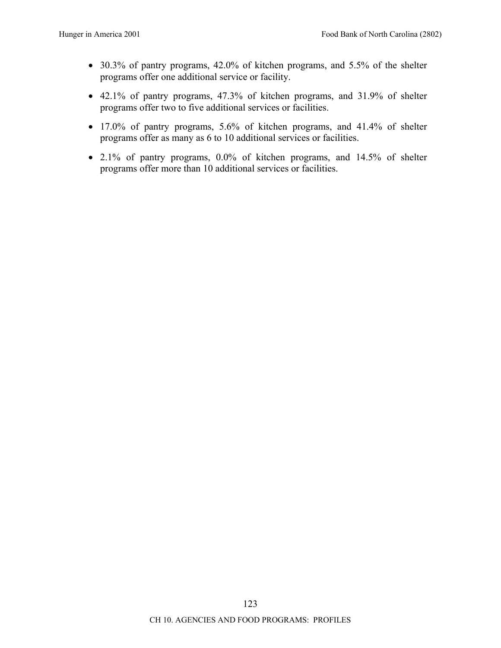- 30.3% of pantry programs, 42.0% of kitchen programs, and 5.5% of the shelter programs offer one additional service or facility.
- 42.1% of pantry programs, 47.3% of kitchen programs, and 31.9% of shelter programs offer two to five additional services or facilities.
- 17.0% of pantry programs, 5.6% of kitchen programs, and 41.4% of shelter programs offer as many as 6 to 10 additional services or facilities.
- 2.1% of pantry programs, 0.0% of kitchen programs, and 14.5% of shelter programs offer more than 10 additional services or facilities.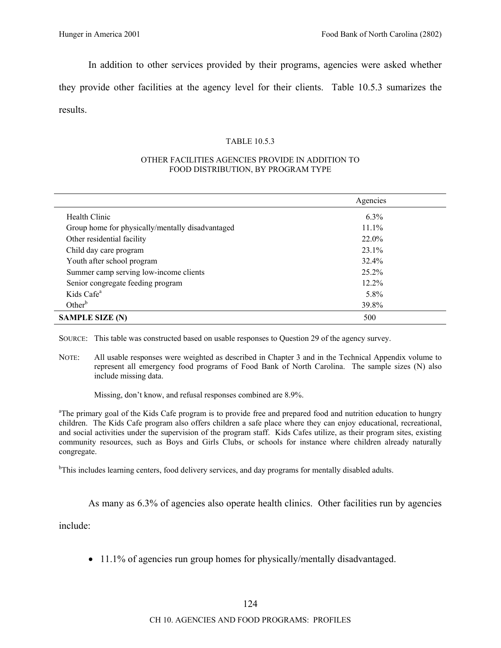In addition to other services provided by their programs, agencies were asked whether

they provide other facilities at the agency level for their clients. Table 10.5.3 sumarizes the results.

# TABLE 10.5.3

#### OTHER FACILITIES AGENCIES PROVIDE IN ADDITION TO FOOD DISTRIBUTION, BY PROGRAM TYPE

|                                                  | Agencies |
|--------------------------------------------------|----------|
| Health Clinic                                    | $6.3\%$  |
| Group home for physically/mentally disadvantaged | $11.1\%$ |
| Other residential facility                       | 22.0%    |
| Child day care program                           | 23.1%    |
| Youth after school program                       | 32.4%    |
| Summer camp serving low-income clients           | 25.2%    |
| Senior congregate feeding program                | 12.2%    |
| Kids Cafe <sup>a</sup>                           | 5.8%     |
| Other $b$                                        | 39.8%    |
| <b>SAMPLE SIZE (N)</b>                           | 500      |

SOURCE: This table was constructed based on usable responses to Question 29 of the agency survey.

NOTE: All usable responses were weighted as described in Chapter 3 and in the Technical Appendix volume to represent all emergency food programs of Food Bank of North Carolina. The sample sizes (N) also include missing data.

Missing, don't know, and refusal responses combined are 8.9%.

<sup>a</sup>The primary goal of the Kids Cafe program is to provide free and prepared food and nutrition education to hungry children. The Kids Cafe program also offers children a safe place where they can enjoy educational, recreational, and social activities under the supervision of the program staff. Kids Cafes utilize, as their program sites, existing community resources, such as Boys and Girls Clubs, or schools for instance where children already naturally congregate.

<sup>b</sup>This includes learning centers, food delivery services, and day programs for mentally disabled adults.

As many as 6.3% of agencies also operate health clinics. Other facilities run by agencies

include:

• 11.1% of agencies run group homes for physically/mentally disadvantaged.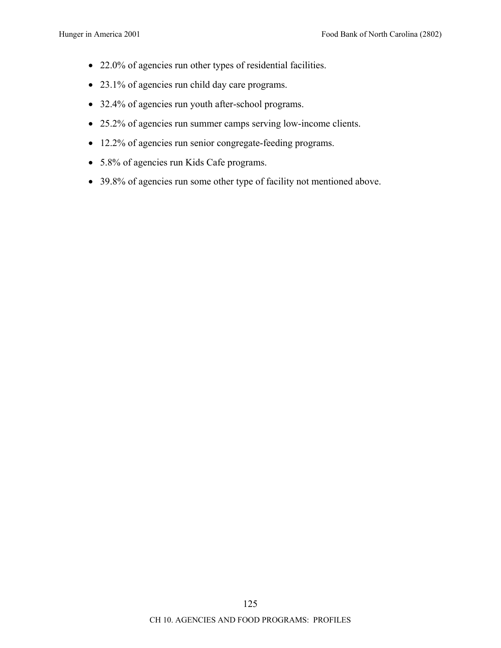- 22.0% of agencies run other types of residential facilities.
- 23.1% of agencies run child day care programs.
- 32.4% of agencies run youth after-school programs.
- 25.2% of agencies run summer camps serving low-income clients.
- 12.2% of agencies run senior congregate-feeding programs.
- 5.8% of agencies run Kids Cafe programs.
- 39.8% of agencies run some other type of facility not mentioned above.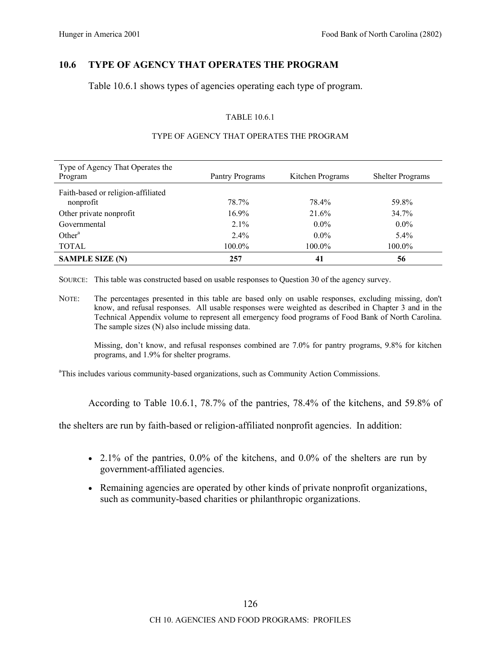# **10.6 TYPE OF AGENCY THAT OPERATES THE PROGRAM**

Table 10.6.1 shows types of agencies operating each type of program.

# TABLE 10.6.1

| Type of Agency That Operates the<br>Program     | Pantry Programs | Kitchen Programs | <b>Shelter Programs</b> |
|-------------------------------------------------|-----------------|------------------|-------------------------|
| Faith-based or religion-affiliated<br>nonprofit | 78.7%           | 78.4%            | 59.8%                   |
| Other private nonprofit                         | $16.9\%$        | 21.6%            | 34.7%                   |
| Governmental                                    | $2.1\%$         | $0.0\%$          | $0.0\%$                 |
| Other <sup>a</sup>                              | $2.4\%$         | $0.0\%$          | $5.4\%$                 |
| <b>TOTAL</b>                                    | 100.0%          | 100.0%           | 100.0%                  |
| <b>SAMPLE SIZE (N)</b>                          | 257             | 41               | 56                      |

# TYPE OF AGENCY THAT OPERATES THE PROGRAM

SOURCE: This table was constructed based on usable responses to Question 30 of the agency survey.

NOTE: The percentages presented in this table are based only on usable responses, excluding missing, don't know, and refusal responses. All usable responses were weighted as described in Chapter 3 and in the Technical Appendix volume to represent all emergency food programs of Food Bank of North Carolina. The sample sizes (N) also include missing data.

Missing, don't know, and refusal responses combined are 7.0% for pantry programs, 9.8% for kitchen programs, and 1.9% for shelter programs.

<sup>a</sup>This includes various community-based organizations, such as Community Action Commissions.

According to Table 10.6.1, 78.7% of the pantries, 78.4% of the kitchens, and 59.8% of

the shelters are run by faith-based or religion-affiliated nonprofit agencies. In addition:

- 2.1% of the pantries,  $0.0\%$  of the kitchens, and  $0.0\%$  of the shelters are run by government-affiliated agencies.
- Remaining agencies are operated by other kinds of private nonprofit organizations, such as community-based charities or philanthropic organizations.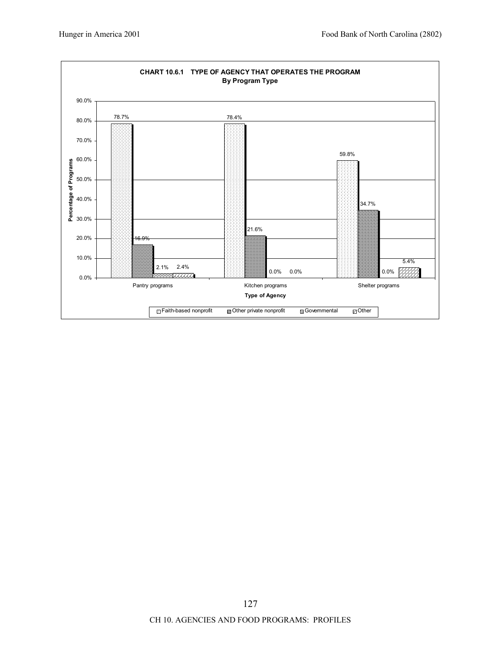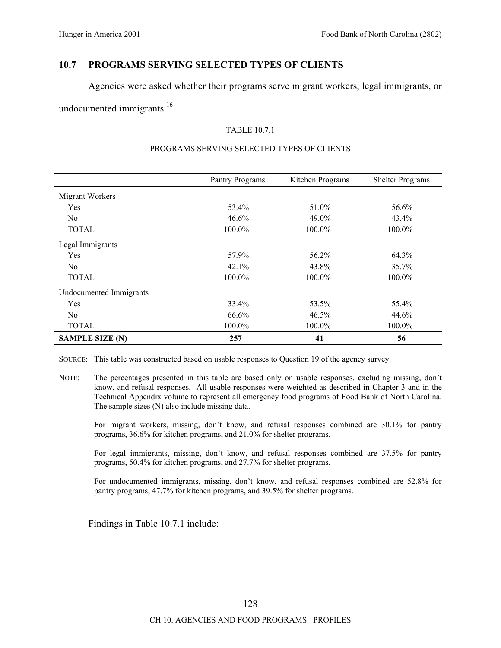# **10.7 PROGRAMS SERVING SELECTED TYPES OF CLIENTS**

Agencies were asked whether their programs serve migrant workers, legal immigrants, or

undocumented immigrants.<sup>16</sup>

# TABLE 10.7.1

|                         | Pantry Programs | Kitchen Programs | <b>Shelter Programs</b> |
|-------------------------|-----------------|------------------|-------------------------|
| Migrant Workers         |                 |                  |                         |
| Yes                     | 53.4%           | 51.0%            | 56.6%                   |
| N <sub>0</sub>          | $46.6\%$        | 49.0%            | $43.4\%$                |
| <b>TOTAL</b>            | 100.0%          | 100.0%           | 100.0%                  |
| Legal Immigrants        |                 |                  |                         |
| Yes                     | 57.9%           | 56.2%            | 64.3%                   |
| N <sub>0</sub>          | 42.1%           | 43.8%            | 35.7%                   |
| <b>TOTAL</b>            | 100.0%          | 100.0%           | 100.0%                  |
| Undocumented Immigrants |                 |                  |                         |
| Yes                     | 33.4%           | 53.5%            | 55.4%                   |
| N <sub>0</sub>          | 66.6%           | 46.5%            | 44.6%                   |
| <b>TOTAL</b>            | 100.0%          | 100.0%           | 100.0%                  |
| <b>SAMPLE SIZE (N)</b>  | 257             | 41               | 56                      |

#### PROGRAMS SERVING SELECTED TYPES OF CLIENTS

SOURCE: This table was constructed based on usable responses to Question 19 of the agency survey.

NOTE: The percentages presented in this table are based only on usable responses, excluding missing, don't know, and refusal responses. All usable responses were weighted as described in Chapter 3 and in the Technical Appendix volume to represent all emergency food programs of Food Bank of North Carolina. The sample sizes (N) also include missing data.

For migrant workers, missing, don't know, and refusal responses combined are 30.1% for pantry programs, 36.6% for kitchen programs, and 21.0% for shelter programs.

For legal immigrants, missing, don't know, and refusal responses combined are 37.5% for pantry programs, 50.4% for kitchen programs, and 27.7% for shelter programs.

For undocumented immigrants, missing, don't know, and refusal responses combined are 52.8% for pantry programs, 47.7% for kitchen programs, and 39.5% for shelter programs.

Findings in Table 10.7.1 include: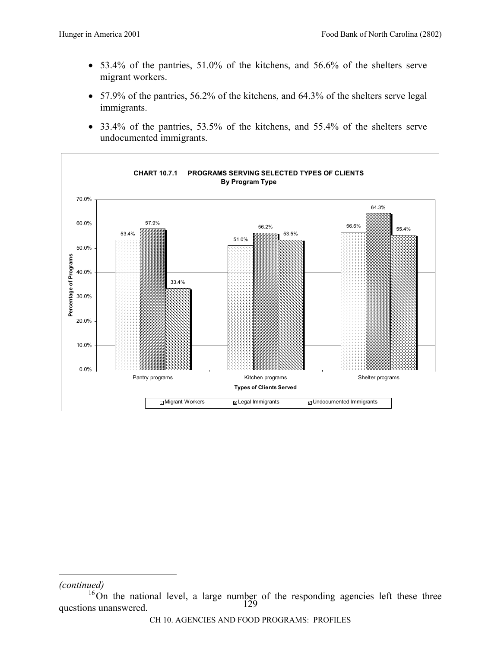- 53.4% of the pantries, 51.0% of the kitchens, and 56.6% of the shelters serve migrant workers.
- 57.9% of the pantries, 56.2% of the kitchens, and 64.3% of the shelters serve legal immigrants.
- 33.4% of the pantries, 53.5% of the kitchens, and 55.4% of the shelters serve undocumented immigrants.



# *(continued)*

 $\overline{a}$ 

<sup>129</sup>   $16$ On the national level, a large number of the responding agencies left these three questions unanswered.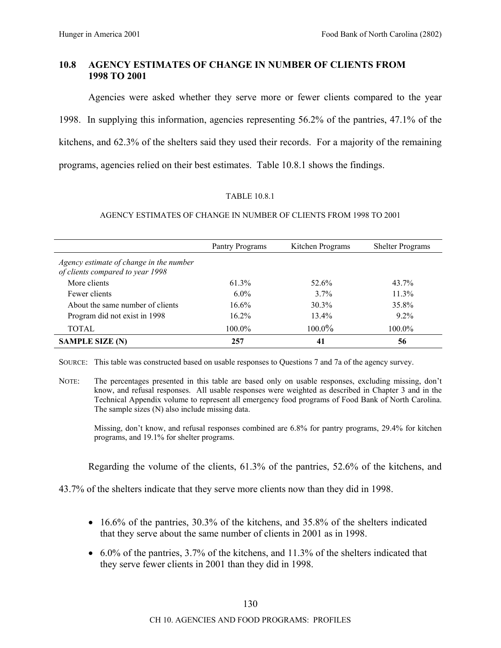# **10.8 AGENCY ESTIMATES OF CHANGE IN NUMBER OF CLIENTS FROM 1998 TO 2001**

Agencies were asked whether they serve more or fewer clients compared to the year 1998. In supplying this information, agencies representing 56.2% of the pantries, 47.1% of the kitchens, and 62.3% of the shelters said they used their records. For a majority of the remaining programs, agencies relied on their best estimates. Table 10.8.1 shows the findings.

# TABLE 10.8.1

# AGENCY ESTIMATES OF CHANGE IN NUMBER OF CLIENTS FROM 1998 TO 2001

|                                                                             | Pantry Programs | Kitchen Programs | <b>Shelter Programs</b> |
|-----------------------------------------------------------------------------|-----------------|------------------|-------------------------|
| Agency estimate of change in the number<br>of clients compared to year 1998 |                 |                  |                         |
| More clients                                                                | 61.3%           | 52.6%            | 43.7%                   |
| Fewer clients                                                               | $6.0\%$         | $3.7\%$          | 11.3%                   |
| About the same number of clients                                            | $16.6\%$        | $30.3\%$         | 35.8%                   |
| Program did not exist in 1998                                               | $16.2\%$        | $13.4\%$         | $9.2\%$                 |
| TOTAL                                                                       | $100.0\%$       | $100.0\%$        | 100.0%                  |
| <b>SAMPLE SIZE (N)</b>                                                      | 257             | 41               | 56                      |

SOURCE: This table was constructed based on usable responses to Questions 7 and 7a of the agency survey.

Missing, don't know, and refusal responses combined are 6.8% for pantry programs, 29.4% for kitchen programs, and 19.1% for shelter programs.

Regarding the volume of the clients, 61.3% of the pantries, 52.6% of the kitchens, and

43.7% of the shelters indicate that they serve more clients now than they did in 1998.

- 16.6% of the pantries, 30.3% of the kitchens, and 35.8% of the shelters indicated that they serve about the same number of clients in 2001 as in 1998.
- 6.0% of the pantries, 3.7% of the kitchens, and 11.3% of the shelters indicated that they serve fewer clients in 2001 than they did in 1998.

NOTE: The percentages presented in this table are based only on usable responses, excluding missing, don't know, and refusal responses. All usable responses were weighted as described in Chapter 3 and in the Technical Appendix volume to represent all emergency food programs of Food Bank of North Carolina. The sample sizes (N) also include missing data.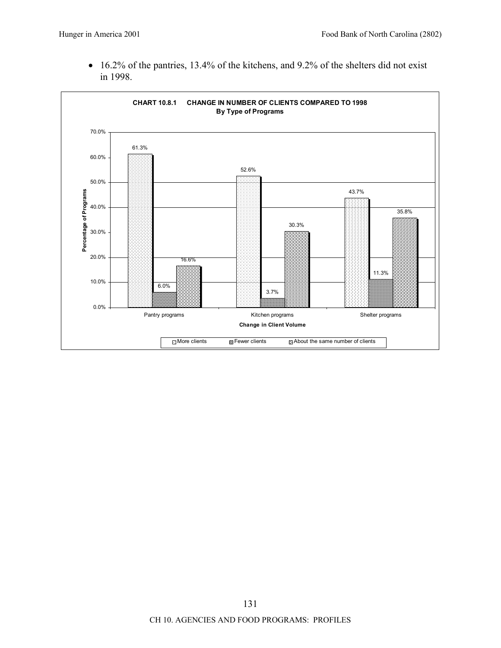• 16.2% of the pantries, 13.4% of the kitchens, and 9.2% of the shelters did not exist in 1998.

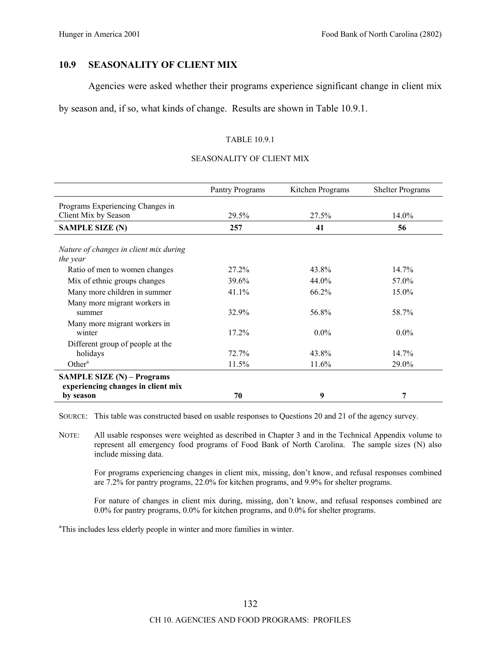## **10.9 SEASONALITY OF CLIENT MIX**

Agencies were asked whether their programs experience significant change in client mix

by season and, if so, what kinds of change. Results are shown in Table 10.9.1.

## TABLE 10.9.1

#### SEASONALITY OF CLIENT MIX

|                                                    | Pantry Programs | Kitchen Programs | <b>Shelter Programs</b> |
|----------------------------------------------------|-----------------|------------------|-------------------------|
| Programs Experiencing Changes in                   |                 |                  |                         |
| Client Mix by Season                               | 29.5%           | 27.5%            | 14.0%                   |
| <b>SAMPLE SIZE (N)</b>                             | 257             | 41               | 56                      |
|                                                    |                 |                  |                         |
| Nature of changes in client mix during<br>the year |                 |                  |                         |
| Ratio of men to women changes                      | $27.2\%$        | 43.8%            | 14.7%                   |
| Mix of ethnic groups changes                       | 39.6%           | 44.0%            | 57.0%                   |
| Many more children in summer                       | 41.1%           | 66.2%            | 15.0%                   |
| Many more migrant workers in                       |                 |                  |                         |
| summer                                             | 32.9%           | 56.8%            | 58.7%                   |
| Many more migrant workers in                       |                 |                  |                         |
| winter                                             | 17.2%           | $0.0\%$          | $0.0\%$                 |
| Different group of people at the                   |                 |                  |                         |
| holidays                                           | 72.7%           | 43.8%            | 14.7%                   |
| Other $a$                                          | 11.5%           | 11.6%            | 29.0%                   |
| <b>SAMPLE SIZE (N) – Programs</b>                  |                 |                  |                         |
| experiencing changes in client mix                 |                 |                  |                         |
| by season                                          | 70              | 9                | 7                       |

SOURCE: This table was constructed based on usable responses to Questions 20 and 21 of the agency survey.

NOTE: All usable responses were weighted as described in Chapter 3 and in the Technical Appendix volume to represent all emergency food programs of Food Bank of North Carolina. The sample sizes (N) also include missing data.

For programs experiencing changes in client mix, missing, don't know, and refusal responses combined are 7.2% for pantry programs, 22.0% for kitchen programs, and 9.9% for shelter programs.

For nature of changes in client mix during, missing, don't know, and refusal responses combined are 0.0% for pantry programs, 0.0% for kitchen programs, and 0.0% for shelter programs.

<sup>a</sup>This includes less elderly people in winter and more families in winter.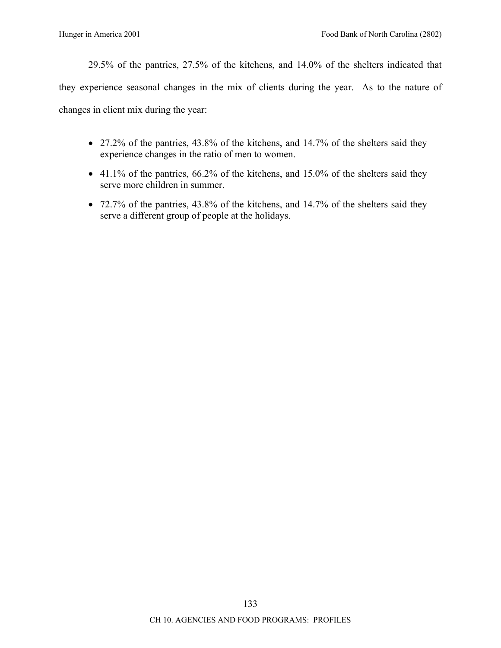29.5% of the pantries, 27.5% of the kitchens, and 14.0% of the shelters indicated that

they experience seasonal changes in the mix of clients during the year. As to the nature of changes in client mix during the year:

- 27.2% of the pantries, 43.8% of the kitchens, and 14.7% of the shelters said they experience changes in the ratio of men to women.
- 41.1% of the pantries, 66.2% of the kitchens, and 15.0% of the shelters said they serve more children in summer.
- 72.7% of the pantries, 43.8% of the kitchens, and 14.7% of the shelters said they serve a different group of people at the holidays.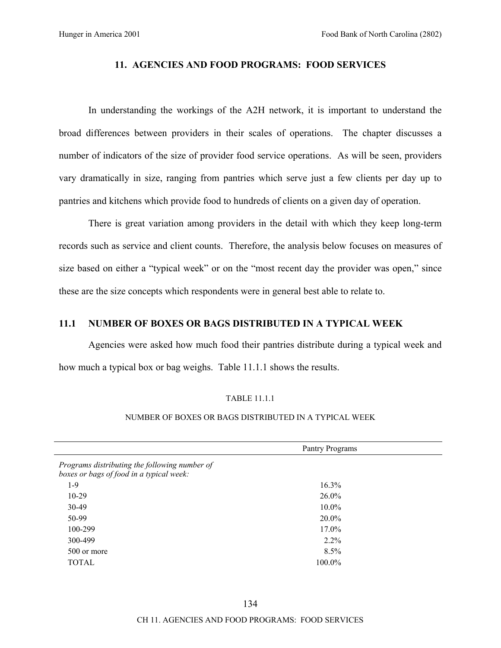#### **11. AGENCIES AND FOOD PROGRAMS: FOOD SERVICES**

In understanding the workings of the A2H network, it is important to understand the broad differences between providers in their scales of operations. The chapter discusses a number of indicators of the size of provider food service operations. As will be seen, providers vary dramatically in size, ranging from pantries which serve just a few clients per day up to pantries and kitchens which provide food to hundreds of clients on a given day of operation.

There is great variation among providers in the detail with which they keep long-term records such as service and client counts. Therefore, the analysis below focuses on measures of size based on either a "typical week" or on the "most recent day the provider was open," since these are the size concepts which respondents were in general best able to relate to.

# **11.1 NUMBER OF BOXES OR BAGS DISTRIBUTED IN A TYPICAL WEEK**

Agencies were asked how much food their pantries distribute during a typical week and how much a typical box or bag weighs. Table 11.1.1 shows the results.

#### TABLE 11.1.1

#### NUMBER OF BOXES OR BAGS DISTRIBUTED IN A TYPICAL WEEK

|                                                                                           | Pantry Programs |  |
|-------------------------------------------------------------------------------------------|-----------------|--|
| Programs distributing the following number of<br>boxes or bags of food in a typical week: |                 |  |
| $1-9$                                                                                     | 16.3%           |  |
| $10-29$                                                                                   | $26.0\%$        |  |
| 30-49                                                                                     | $10.0\%$        |  |
| 50-99                                                                                     | $20.0\%$        |  |
| 100-299                                                                                   | 17.0%           |  |
| 300-499                                                                                   | $2.2\%$         |  |
| 500 or more                                                                               | 8.5%            |  |
| <b>TOTAL</b>                                                                              | 100.0%          |  |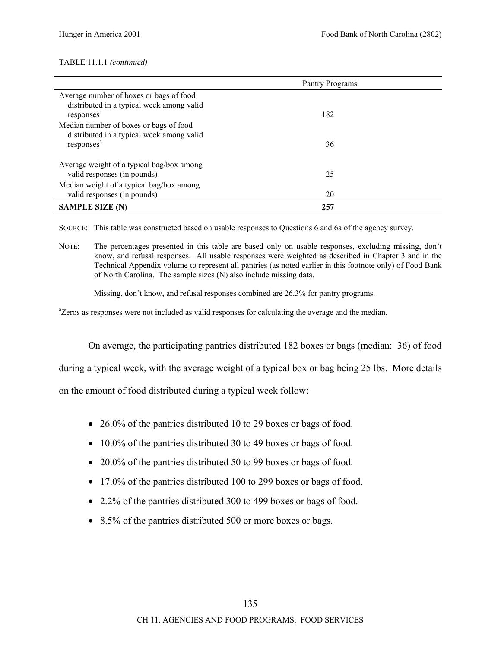#### TABLE 11.1.1 *(continued)*

|                                                                                                                | Pantry Programs |  |
|----------------------------------------------------------------------------------------------------------------|-----------------|--|
| Average number of boxes or bags of food<br>distributed in a typical week among valid<br>responses <sup>a</sup> | 182             |  |
| Median number of boxes or bags of food<br>distributed in a typical week among valid<br>responses <sup>a</sup>  | 36              |  |
| Average weight of a typical bag/box among<br>valid responses (in pounds)                                       | 25              |  |
| Median weight of a typical bag/box among<br>valid responses (in pounds)                                        | 20              |  |
| <b>SAMPLE SIZE (N)</b>                                                                                         | 257             |  |

SOURCE: This table was constructed based on usable responses to Questions 6 and 6a of the agency survey.

NOTE: The percentages presented in this table are based only on usable responses, excluding missing, don't know, and refusal responses. All usable responses were weighted as described in Chapter 3 and in the Technical Appendix volume to represent all pantries (as noted earlier in this footnote only) of Food Bank of North Carolina. The sample sizes (N) also include missing data.

Missing, don't know, and refusal responses combined are 26.3% for pantry programs.

<sup>a</sup>Zeros as responses were not included as valid responses for calculating the average and the median.

On average, the participating pantries distributed 182 boxes or bags (median: 36) of food

during a typical week, with the average weight of a typical box or bag being 25 lbs. More details

on the amount of food distributed during a typical week follow:

- 26.0% of the pantries distributed 10 to 29 boxes or bags of food.
- 10.0% of the pantries distributed 30 to 49 boxes or bags of food.
- 20.0% of the pantries distributed 50 to 99 boxes or bags of food.
- 17.0% of the pantries distributed 100 to 299 boxes or bags of food.
- 2.2% of the pantries distributed 300 to 499 boxes or bags of food.
- 8.5% of the pantries distributed 500 or more boxes or bags.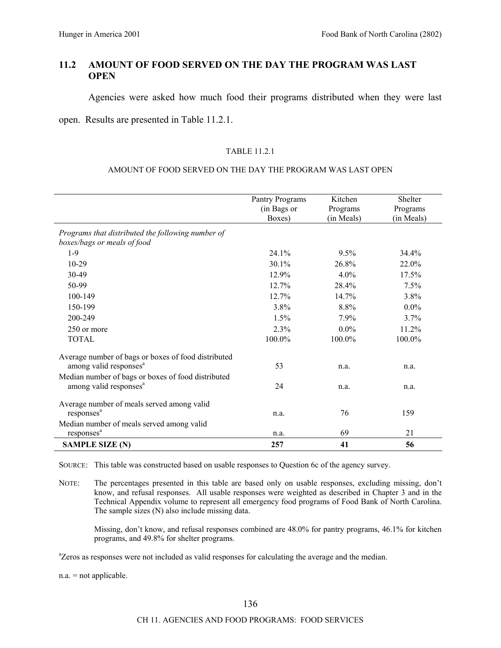# **11.2 AMOUNT OF FOOD SERVED ON THE DAY THE PROGRAM WAS LAST OPEN**

Agencies were asked how much food their programs distributed when they were last

## open. Results are presented in Table 11.2.1.

#### TABLE 11.2.1

#### AMOUNT OF FOOD SERVED ON THE DAY THE PROGRAM WAS LAST OPEN

|                                                                                          | Pantry Programs<br>(in Bags or<br>Boxes) | Kitchen<br>Programs<br>(in Meals) | Shelter<br>Programs<br>(in Meals) |
|------------------------------------------------------------------------------------------|------------------------------------------|-----------------------------------|-----------------------------------|
| Programs that distributed the following number of                                        |                                          |                                   |                                   |
| boxes/bags or meals of food                                                              |                                          |                                   |                                   |
| $1-9$                                                                                    | 24.1%                                    | $9.5\%$                           | 34.4%                             |
| $10-29$                                                                                  | $30.1\%$                                 | 26.8%                             | 22.0%                             |
| $30-49$                                                                                  | 12.9%                                    | 4.0%                              | 17.5%                             |
| 50-99                                                                                    | 12.7%                                    | 28.4%                             | 7.5%                              |
| 100-149                                                                                  | 12.7%                                    | 14.7%                             | 3.8%                              |
| 150-199                                                                                  | 3.8%                                     | 8.8%                              | $0.0\%$                           |
| 200-249                                                                                  | 1.5%                                     | 7.9%                              | 3.7%                              |
| 250 or more                                                                              | 2.3%                                     | $0.0\%$                           | 11.2%                             |
| <b>TOTAL</b>                                                                             | 100.0%                                   | 100.0%                            | 100.0%                            |
| Average number of bags or boxes of food distributed                                      |                                          |                                   |                                   |
| among valid responses <sup>a</sup>                                                       | 53                                       | n.a.                              | n.a.                              |
| Median number of bags or boxes of food distributed<br>among valid responses <sup>a</sup> | 24                                       | n.a.                              | n.a.                              |
| Average number of meals served among valid                                               |                                          |                                   |                                   |
| responses <sup>a</sup>                                                                   | n.a.                                     | 76                                | 159                               |
| Median number of meals served among valid                                                |                                          |                                   |                                   |
| responses <sup>a</sup>                                                                   | n.a.                                     | 69                                | 21                                |
| <b>SAMPLE SIZE (N)</b>                                                                   | 257                                      | 41                                | 56                                |

SOURCE: This table was constructed based on usable responses to Question 6c of the agency survey.

NOTE: The percentages presented in this table are based only on usable responses, excluding missing, don't know, and refusal responses. All usable responses were weighted as described in Chapter 3 and in the Technical Appendix volume to represent all emergency food programs of Food Bank of North Carolina. The sample sizes (N) also include missing data.

Missing, don't know, and refusal responses combined are 48.0% for pantry programs, 46.1% for kitchen programs, and 49.8% for shelter programs.

<sup>a</sup>Zeros as responses were not included as valid responses for calculating the average and the median.

n.a. = not applicable.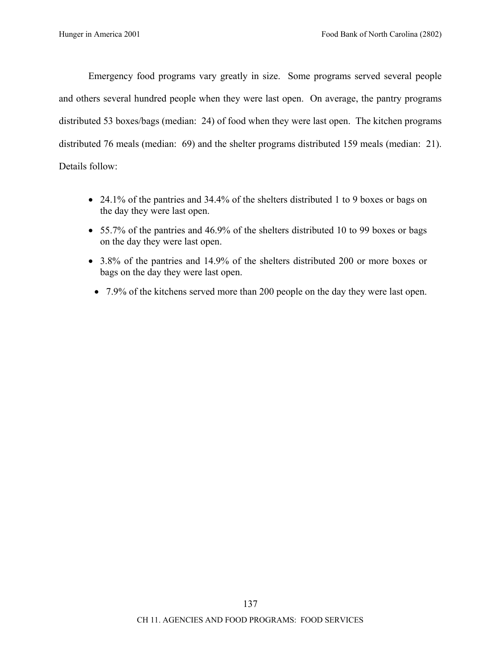Emergency food programs vary greatly in size. Some programs served several people and others several hundred people when they were last open. On average, the pantry programs distributed 53 boxes/bags (median: 24) of food when they were last open. The kitchen programs distributed 76 meals (median: 69) and the shelter programs distributed 159 meals (median: 21). Details follow:

- 24.1% of the pantries and 34.4% of the shelters distributed 1 to 9 boxes or bags on the day they were last open.
- 55.7% of the pantries and 46.9% of the shelters distributed 10 to 99 boxes or bags on the day they were last open.
- 3.8% of the pantries and 14.9% of the shelters distributed 200 or more boxes or bags on the day they were last open.
	- 7.9% of the kitchens served more than 200 people on the day they were last open.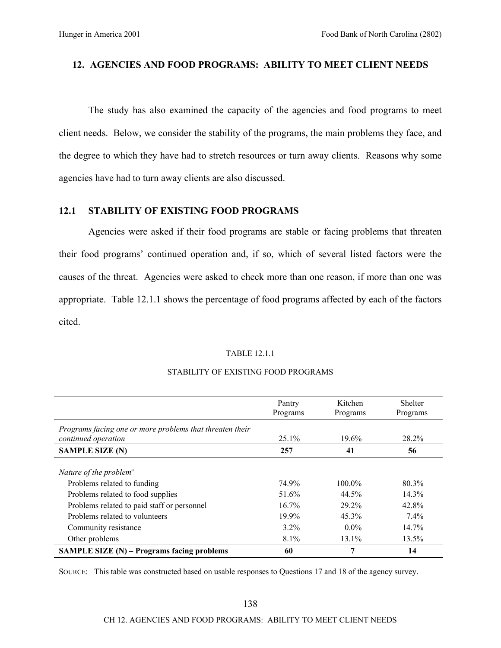# **12. AGENCIES AND FOOD PROGRAMS: ABILITY TO MEET CLIENT NEEDS**

The study has also examined the capacity of the agencies and food programs to meet client needs. Below, we consider the stability of the programs, the main problems they face, and the degree to which they have had to stretch resources or turn away clients. Reasons why some agencies have had to turn away clients are also discussed.

# **12.1 STABILITY OF EXISTING FOOD PROGRAMS**

Agencies were asked if their food programs are stable or facing problems that threaten their food programs' continued operation and, if so, which of several listed factors were the causes of the threat. Agencies were asked to check more than one reason, if more than one was appropriate. Table 12.1.1 shows the percentage of food programs affected by each of the factors cited.

#### TABLE 12.1.1

|                                                                                                        | Pantry<br>Programs | Kitchen<br>Programs | Shelter<br>Programs |
|--------------------------------------------------------------------------------------------------------|--------------------|---------------------|---------------------|
| Programs facing one or more problems that threaten their<br>continued operation                        | $25.1\%$           | 19.6%               | 28.2%               |
| <b>SAMPLE SIZE (N)</b>                                                                                 | 257                | 41                  | 56                  |
| Nature of the problem <sup>a</sup><br>Problems related to funding<br>Problems related to food supplies | 74.9%<br>51.6%     | $100.0\%$<br>44.5%  | 80.3%<br>14.3%      |
| Problems related to paid staff or personnel                                                            | $16.7\%$           | $29.2\%$            | 42.8%               |
| Problems related to volunteers                                                                         | 19.9%              | $45.3\%$            | $7.4\%$             |
| Community resistance                                                                                   | $3.2\%$            | $0.0\%$             | 14.7%               |
| Other problems                                                                                         | 8.1%               | 13.1%               | 13.5%               |
| SAMPLE SIZE (N) - Programs facing problems                                                             | 60                 | 7                   | 14                  |

#### STABILITY OF EXISTING FOOD PROGRAMS

SOURCE: This table was constructed based on usable responses to Questions 17 and 18 of the agency survey.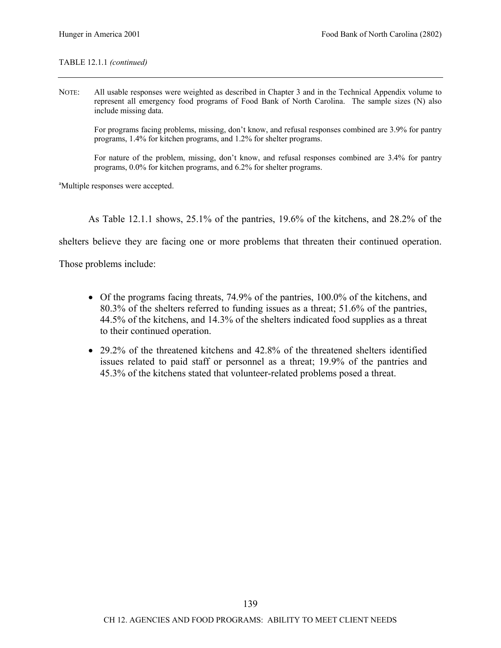#### TABLE 12.1.1 *(continued)*

NOTE: All usable responses were weighted as described in Chapter 3 and in the Technical Appendix volume to represent all emergency food programs of Food Bank of North Carolina. The sample sizes (N) also include missing data.

For programs facing problems, missing, don't know, and refusal responses combined are 3.9% for pantry programs, 1.4% for kitchen programs, and 1.2% for shelter programs.

For nature of the problem, missing, don't know, and refusal responses combined are 3.4% for pantry programs, 0.0% for kitchen programs, and 6.2% for shelter programs.

<sup>a</sup>Multiple responses were accepted.

As Table 12.1.1 shows, 25.1% of the pantries, 19.6% of the kitchens, and 28.2% of the

shelters believe they are facing one or more problems that threaten their continued operation.

Those problems include:

- Of the programs facing threats, 74.9% of the pantries, 100.0% of the kitchens, and 80.3% of the shelters referred to funding issues as a threat; 51.6% of the pantries, 44.5% of the kitchens, and 14.3% of the shelters indicated food supplies as a threat to their continued operation.
- 29.2% of the threatened kitchens and 42.8% of the threatened shelters identified issues related to paid staff or personnel as a threat; 19.9% of the pantries and 45.3% of the kitchens stated that volunteer-related problems posed a threat.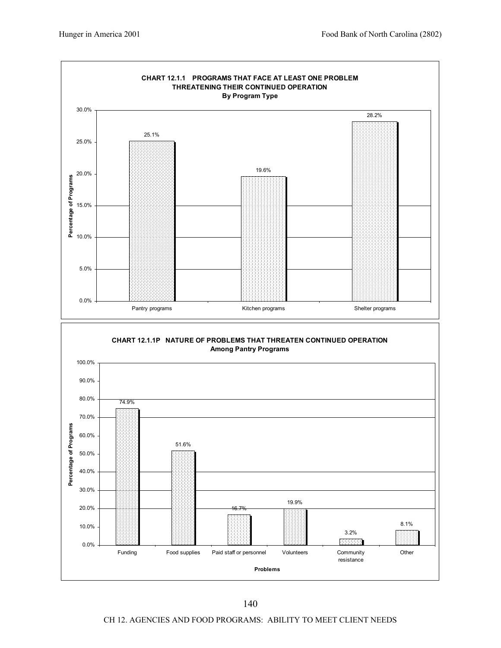

CH 12. AGENCIES AND FOOD PROGRAMS: ABILITY TO MEET CLIENT NEEDS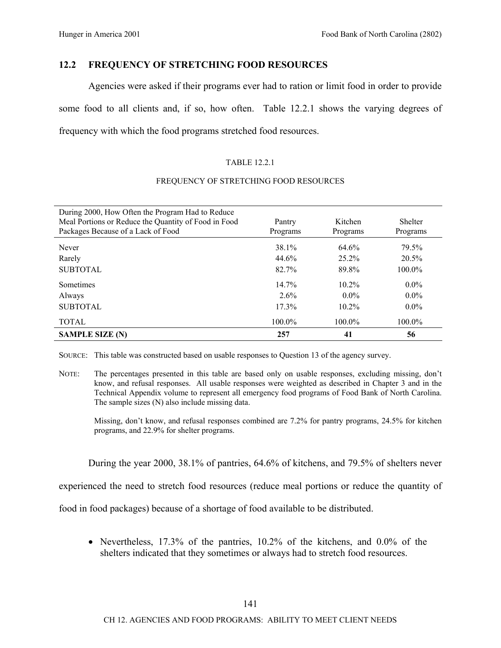# **12.2 FREQUENCY OF STRETCHING FOOD RESOURCES**

Agencies were asked if their programs ever had to ration or limit food in order to provide some food to all clients and, if so, how often. Table 12.2.1 shows the varying degrees of frequency with which the food programs stretched food resources.

## TABLE 12.2.1

#### During 2000, How Often the Program Had to Reduce Meal Portions or Reduce the Quantity of Food in Food Packages Because of a Lack of Food Pantry Programs Kitchen Programs Shelter Programs Never 38.1% 64.6% 79.5% Rarely 25.2% 20.5% SUBTOTAL 82.7% 89.8% 100.0% Sometimes  $14.7\%$   $10.2\%$   $0.0\%$ Always  $2.6\%$   $0.0\%$   $0.0\%$   $0.0\%$ SUBTOTAL 17.3% 10.2% 0.0% TOTAL 100.0% 100.0% 100.0% 100.0% **SAMPLE SIZE (N)** 257 41 56

## FREQUENCY OF STRETCHING FOOD RESOURCES

SOURCE: This table was constructed based on usable responses to Question 13 of the agency survey.

NOTE: The percentages presented in this table are based only on usable responses, excluding missing, don't know, and refusal responses. All usable responses were weighted as described in Chapter 3 and in the Technical Appendix volume to represent all emergency food programs of Food Bank of North Carolina. The sample sizes (N) also include missing data.

Missing, don't know, and refusal responses combined are 7.2% for pantry programs, 24.5% for kitchen programs, and 22.9% for shelter programs.

During the year 2000, 38.1% of pantries, 64.6% of kitchens, and 79.5% of shelters never

experienced the need to stretch food resources (reduce meal portions or reduce the quantity of

food in food packages) because of a shortage of food available to be distributed.

• Nevertheless, 17.3% of the pantries, 10.2% of the kitchens, and 0.0% of the shelters indicated that they sometimes or always had to stretch food resources.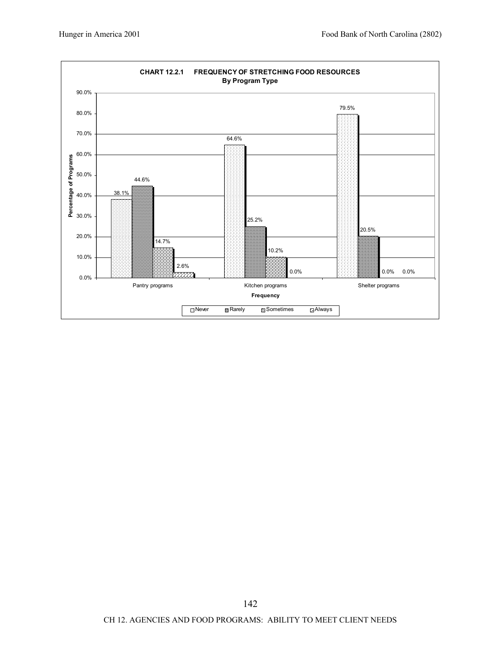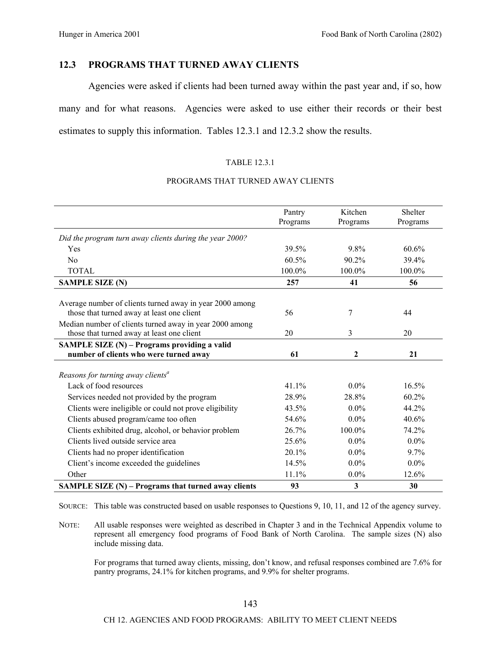# **12.3 PROGRAMS THAT TURNED AWAY CLIENTS**

Agencies were asked if clients had been turned away within the past year and, if so, how many and for what reasons. Agencies were asked to use either their records or their best estimates to supply this information. Tables 12.3.1 and 12.3.2 show the results.

#### TABLE 12.3.1

#### PROGRAMS THAT TURNED AWAY CLIENTS

|                                                          | Pantry<br>Programs | Kitchen<br>Programs | Shelter<br>Programs |
|----------------------------------------------------------|--------------------|---------------------|---------------------|
| Did the program turn away clients during the year 2000?  |                    |                     |                     |
| Yes                                                      | 39.5%              | 9.8%                | 60.6%               |
|                                                          |                    |                     |                     |
| No                                                       | 60.5%              | 90.2%               | 39.4%               |
| <b>TOTAL</b>                                             | 100.0%             | 100.0%              | 100.0%              |
| <b>SAMPLE SIZE (N)</b>                                   | 257                | 41                  | 56                  |
|                                                          |                    |                     |                     |
| Average number of clients turned away in year 2000 among |                    |                     |                     |
| those that turned away at least one client               | 56                 | 7                   | 44                  |
| Median number of clients turned away in year 2000 among  |                    |                     |                     |
| those that turned away at least one client               | 20                 | 3                   | 20                  |
| SAMPLE SIZE (N) - Programs providing a valid             |                    |                     |                     |
| number of clients who were turned away                   | 61                 | $\boldsymbol{2}$    | 21                  |
|                                                          |                    |                     |                     |
| Reasons for turning away clients <sup>a</sup>            |                    |                     |                     |
| Lack of food resources                                   | 41.1%              | $0.0\%$             | 16.5%               |
| Services needed not provided by the program              | 28.9%              | 28.8%               | 60.2%               |
| Clients were ineligible or could not prove eligibility   | 43.5%              | $0.0\%$             | 44.2%               |
| Clients abused program/came too often                    | 54.6%              | $0.0\%$             | 40.6%               |
| Clients exhibited drug, alcohol, or behavior problem     | 26.7%              | 100.0%              | 74.2%               |
| Clients lived outside service area                       | 25.6%              | $0.0\%$             | $0.0\%$             |
| Clients had no proper identification                     | 20.1%              | $0.0\%$             | 9.7%                |
| Client's income exceeded the guidelines                  | 14.5%              | $0.0\%$             | $0.0\%$             |
| Other                                                    | 11.1%              | $0.0\%$             | 12.6%               |
| SAMPLE SIZE (N) – Programs that turned away clients      | 93                 | $\mathbf{3}$        | 30                  |

SOURCE: This table was constructed based on usable responses to Questions 9, 10, 11, and 12 of the agency survey.

NOTE: All usable responses were weighted as described in Chapter 3 and in the Technical Appendix volume to represent all emergency food programs of Food Bank of North Carolina. The sample sizes (N) also include missing data.

For programs that turned away clients, missing, don't know, and refusal responses combined are 7.6% for pantry programs, 24.1% for kitchen programs, and 9.9% for shelter programs.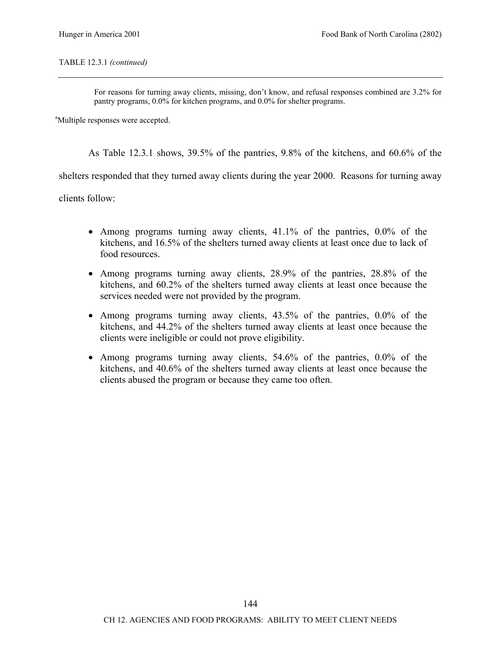#### TABLE 12.3.1 *(continued)*

For reasons for turning away clients, missing, don't know, and refusal responses combined are 3.2% for pantry programs, 0.0% for kitchen programs, and 0.0% for shelter programs.

<sup>a</sup>Multiple responses were accepted.

As Table 12.3.1 shows, 39.5% of the pantries, 9.8% of the kitchens, and 60.6% of the

shelters responded that they turned away clients during the year 2000. Reasons for turning away

clients follow:

- Among programs turning away clients, 41.1% of the pantries, 0.0% of the kitchens, and 16.5% of the shelters turned away clients at least once due to lack of food resources.
- Among programs turning away clients, 28.9% of the pantries, 28.8% of the kitchens, and 60.2% of the shelters turned away clients at least once because the services needed were not provided by the program.
- Among programs turning away clients, 43.5% of the pantries, 0.0% of the kitchens, and 44.2% of the shelters turned away clients at least once because the clients were ineligible or could not prove eligibility.
- Among programs turning away clients, 54.6% of the pantries, 0.0% of the kitchens, and 40.6% of the shelters turned away clients at least once because the clients abused the program or because they came too often.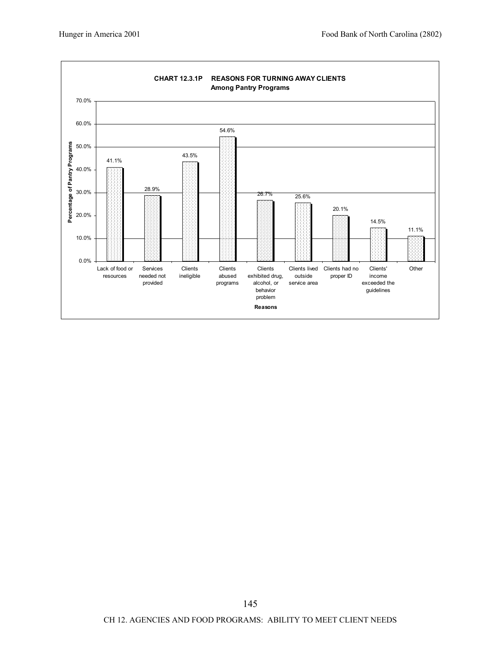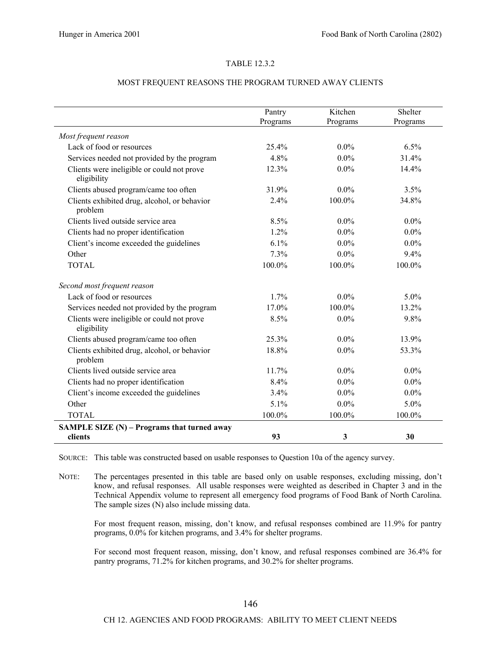#### TABLE 12.3.2

#### MOST FREQUENT REASONS THE PROGRAM TURNED AWAY CLIENTS

|                                                           | Pantry<br>Programs | Kitchen<br>Programs | Shelter<br>Programs |
|-----------------------------------------------------------|--------------------|---------------------|---------------------|
| Most frequent reason                                      |                    |                     |                     |
| Lack of food or resources                                 | 25.4%              | $0.0\%$             | 6.5%                |
| Services needed not provided by the program               | 4.8%               | $0.0\%$             | 31.4%               |
| Clients were ineligible or could not prove<br>eligibility | 12.3%              | $0.0\%$             | 14.4%               |
| Clients abused program/came too often                     | 31.9%              | $0.0\%$             | 3.5%                |
| Clients exhibited drug, alcohol, or behavior<br>problem   | 2.4%               | 100.0%              | 34.8%               |
| Clients lived outside service area                        | 8.5%               | $0.0\%$             | $0.0\%$             |
| Clients had no proper identification                      | $1.2\%$            | $0.0\%$             | $0.0\%$             |
| Client's income exceeded the guidelines                   | 6.1%               | $0.0\%$             | $0.0\%$             |
| Other                                                     | 7.3%               | $0.0\%$             | 9.4%                |
| <b>TOTAL</b>                                              | 100.0%             | 100.0%              | 100.0%              |
| Second most frequent reason                               |                    |                     |                     |
| Lack of food or resources                                 | 1.7%               | $0.0\%$             | 5.0%                |
| Services needed not provided by the program               | 17.0%              | 100.0%              | 13.2%               |
| Clients were ineligible or could not prove<br>eligibility | 8.5%               | $0.0\%$             | 9.8%                |
| Clients abused program/came too often                     | 25.3%              | $0.0\%$             | 13.9%               |
| Clients exhibited drug, alcohol, or behavior<br>problem   | 18.8%              | $0.0\%$             | 53.3%               |
| Clients lived outside service area                        | 11.7%              | $0.0\%$             | $0.0\%$             |
| Clients had no proper identification                      | 8.4%               | $0.0\%$             | $0.0\%$             |
| Client's income exceeded the guidelines                   | 3.4%               | $0.0\%$             | $0.0\%$             |
| Other                                                     | 5.1%               | $0.0\%$             | $5.0\%$             |
| <b>TOTAL</b>                                              | 100.0%             | 100.0%              | 100.0%              |
| SAMPLE SIZE (N) – Programs that turned away               |                    |                     |                     |
| clients                                                   | 93                 | 3                   | 30                  |

SOURCE: This table was constructed based on usable responses to Question 10a of the agency survey.

NOTE: The percentages presented in this table are based only on usable responses, excluding missing, don't know, and refusal responses. All usable responses were weighted as described in Chapter 3 and in the Technical Appendix volume to represent all emergency food programs of Food Bank of North Carolina. The sample sizes (N) also include missing data.

For most frequent reason, missing, don't know, and refusal responses combined are 11.9% for pantry programs, 0.0% for kitchen programs, and 3.4% for shelter programs.

For second most frequent reason, missing, don't know, and refusal responses combined are 36.4% for pantry programs, 71.2% for kitchen programs, and 30.2% for shelter programs.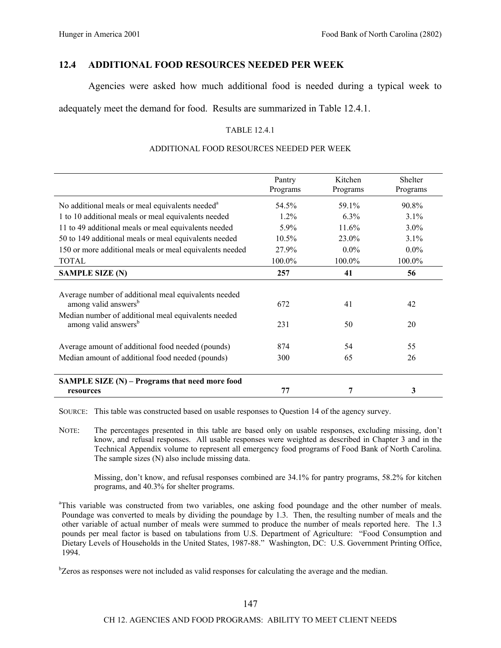# **12.4 ADDITIONAL FOOD RESOURCES NEEDED PER WEEK**

Agencies were asked how much additional food is needed during a typical week to

adequately meet the demand for food. Results are summarized in Table 12.4.1.

#### TABLE 12.4.1

#### ADDITIONAL FOOD RESOURCES NEEDED PER WEEK

|                                                                                          | Pantry<br>Programs | Kitchen<br>Programs | <b>Shelter</b><br>Programs |
|------------------------------------------------------------------------------------------|--------------------|---------------------|----------------------------|
| No additional meals or meal equivalents needed <sup>a</sup>                              | 54.5%              | 59.1%               | $90.8\%$                   |
| 1 to 10 additional meals or meal equivalents needed                                      | $1.2\%$            | 6.3%                | $3.1\%$                    |
| 11 to 49 additional meals or meal equivalents needed                                     | 5.9%               | 11.6%               | $3.0\%$                    |
| 50 to 149 additional meals or meal equivalents needed                                    | $10.5\%$           | 23.0%               | $3.1\%$                    |
| 150 or more additional meals or meal equivalents needed                                  | 27.9%              | $0.0\%$             | $0.0\%$                    |
| <b>TOTAL</b>                                                                             | $100.0\%$          | 100.0%              | 100.0%                     |
| <b>SAMPLE SIZE (N)</b>                                                                   | 257                | 41                  | 56                         |
| Average number of additional meal equivalents needed<br>among valid answers <sup>b</sup> | 672                | 41                  | 42                         |
| Median number of additional meal equivalents needed<br>among valid answers <sup>b</sup>  | 231                | 50                  | 20                         |
| Average amount of additional food needed (pounds)                                        | 874                | 54                  | 55                         |
| Median amount of additional food needed (pounds)                                         | 300                | 65                  | 26                         |
| SAMPLE SIZE $(N)$ – Programs that need more food                                         |                    |                     |                            |
| resources                                                                                | 77                 | 7                   | 3                          |

SOURCE: This table was constructed based on usable responses to Question 14 of the agency survey.

NOTE: The percentages presented in this table are based only on usable responses, excluding missing, don't know, and refusal responses. All usable responses were weighted as described in Chapter 3 and in the Technical Appendix volume to represent all emergency food programs of Food Bank of North Carolina. The sample sizes (N) also include missing data.

Missing, don't know, and refusal responses combined are 34.1% for pantry programs, 58.2% for kitchen programs, and 40.3% for shelter programs.

<sup>a</sup>This variable was constructed from two variables, one asking food poundage and the other number of meals. Poundage was converted to meals by dividing the poundage by 1.3. Then, the resulting number of meals and the other variable of actual number of meals were summed to produce the number of meals reported here. The 1.3 pounds per meal factor is based on tabulations from U.S. Department of Agriculture: "Food Consumption and Dietary Levels of Households in the United States, 1987-88." Washington, DC: U.S. Government Printing Office, 1994.

<sup>b</sup>Zeros as responses were not included as valid responses for calculating the average and the median.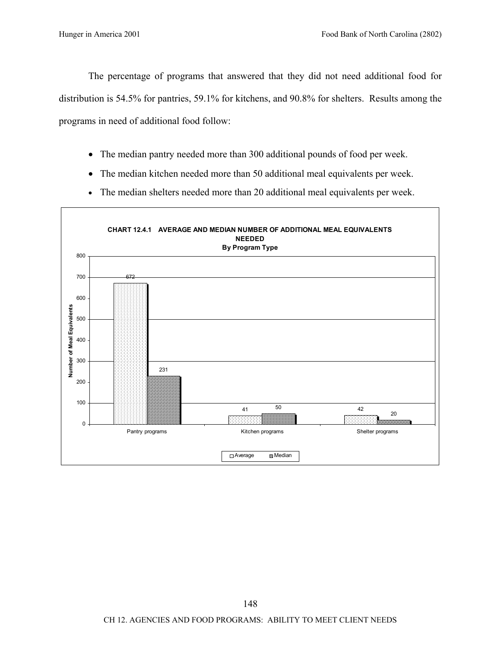The percentage of programs that answered that they did not need additional food for distribution is 54.5% for pantries, 59.1% for kitchens, and 90.8% for shelters. Results among the programs in need of additional food follow:

- The median pantry needed more than 300 additional pounds of food per week.
- The median kitchen needed more than 50 additional meal equivalents per week.
- The median shelters needed more than 20 additional meal equivalents per week.

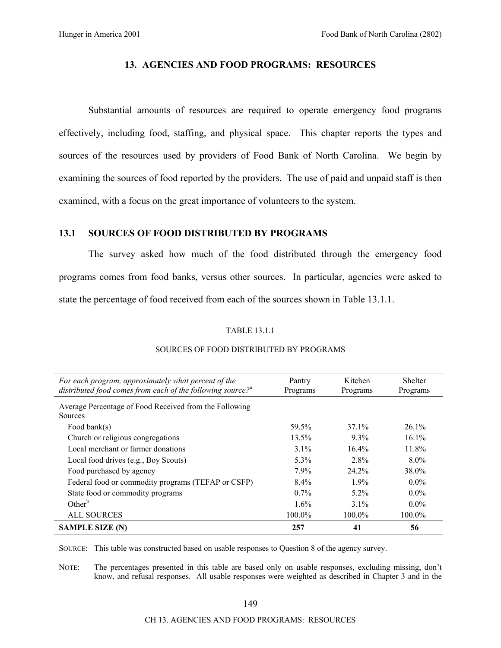## **13. AGENCIES AND FOOD PROGRAMS: RESOURCES**

Substantial amounts of resources are required to operate emergency food programs effectively, including food, staffing, and physical space. This chapter reports the types and sources of the resources used by providers of Food Bank of North Carolina. We begin by examining the sources of food reported by the providers. The use of paid and unpaid staff is then examined, with a focus on the great importance of volunteers to the system.

# **13.1 SOURCES OF FOOD DISTRIBUTED BY PROGRAMS**

The survey asked how much of the food distributed through the emergency food programs comes from food banks, versus other sources. In particular, agencies were asked to state the percentage of food received from each of the sources shown in Table 13.1.1.

#### TABLE 13.1.1

| For each program, approximately what percent of the<br>distributed food comes from each of the following source? <sup><i>a</i></sup> | Pantry<br>Programs | Kitchen<br>Programs | <b>Shelter</b><br>Programs |
|--------------------------------------------------------------------------------------------------------------------------------------|--------------------|---------------------|----------------------------|
| Average Percentage of Food Received from the Following<br><b>Sources</b>                                                             |                    |                     |                            |
| Food bank $(s)$                                                                                                                      | 59.5%              | $37.1\%$            | $26.1\%$                   |
| Church or religious congregations                                                                                                    | 13.5%              | $9.3\%$             | $16.1\%$                   |
| Local merchant or farmer donations                                                                                                   | $3.1\%$            | 16.4%               | 11.8%                      |
| Local food drives (e.g., Boy Scouts)                                                                                                 | $5.3\%$            | 2.8%                | $8.0\%$                    |
| Food purchased by agency                                                                                                             | $7.9\%$            | 24.2%               | 38.0%                      |
| Federal food or commodity programs (TEFAP or CSFP)                                                                                   | $8.4\%$            | $1.9\%$             | $0.0\%$                    |
| State food or commodity programs                                                                                                     | $0.7\%$            | $5.2\%$             | $0.0\%$                    |
| Other $b$                                                                                                                            | $1.6\%$            | $3.1\%$             | $0.0\%$                    |
| <b>ALL SOURCES</b>                                                                                                                   | 100.0%             | 100.0%              | $100.0\%$                  |
| <b>SAMPLE SIZE (N)</b>                                                                                                               | 257                | 41                  | 56                         |

#### SOURCES OF FOOD DISTRIBUTED BY PROGRAMS

SOURCE: This table was constructed based on usable responses to Question 8 of the agency survey.

NOTE: The percentages presented in this table are based only on usable responses, excluding missing, don't know, and refusal responses. All usable responses were weighted as described in Chapter 3 and in the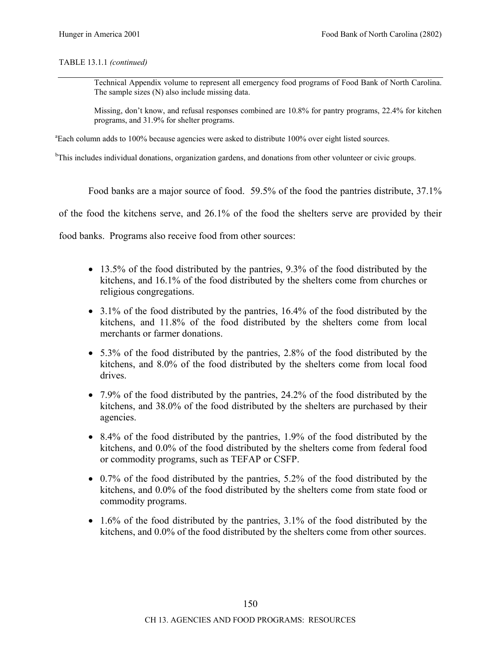TABLE 13.1.1 *(continued)*

Technical Appendix volume to represent all emergency food programs of Food Bank of North Carolina. The sample sizes (N) also include missing data.

Missing, don't know, and refusal responses combined are 10.8% for pantry programs, 22.4% for kitchen programs, and 31.9% for shelter programs.

<sup>a</sup>Each column adds to 100% because agencies were asked to distribute 100% over eight listed sources.

<sup>b</sup>This includes individual donations, organization gardens, and donations from other volunteer or civic groups.

Food banks are a major source of food. 59.5% of the food the pantries distribute, 37.1%

of the food the kitchens serve, and 26.1% of the food the shelters serve are provided by their

food banks. Programs also receive food from other sources:

- 13.5% of the food distributed by the pantries, 9.3% of the food distributed by the kitchens, and 16.1% of the food distributed by the shelters come from churches or religious congregations.
- $\bullet$  3.1% of the food distributed by the pantries, 16.4% of the food distributed by the kitchens, and 11.8% of the food distributed by the shelters come from local merchants or farmer donations.
- 5.3% of the food distributed by the pantries, 2.8% of the food distributed by the kitchens, and 8.0% of the food distributed by the shelters come from local food drives.
- 7.9% of the food distributed by the pantries, 24.2% of the food distributed by the kitchens, and 38.0% of the food distributed by the shelters are purchased by their agencies.
- 8.4% of the food distributed by the pantries, 1.9% of the food distributed by the kitchens, and 0.0% of the food distributed by the shelters come from federal food or commodity programs, such as TEFAP or CSFP.
- 0.7% of the food distributed by the pantries, 5.2% of the food distributed by the kitchens, and 0.0% of the food distributed by the shelters come from state food or commodity programs.
- 1.6% of the food distributed by the pantries, 3.1% of the food distributed by the kitchens, and 0.0% of the food distributed by the shelters come from other sources.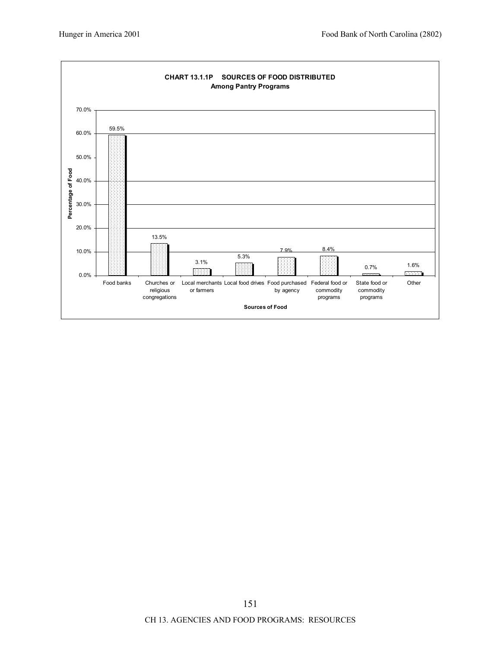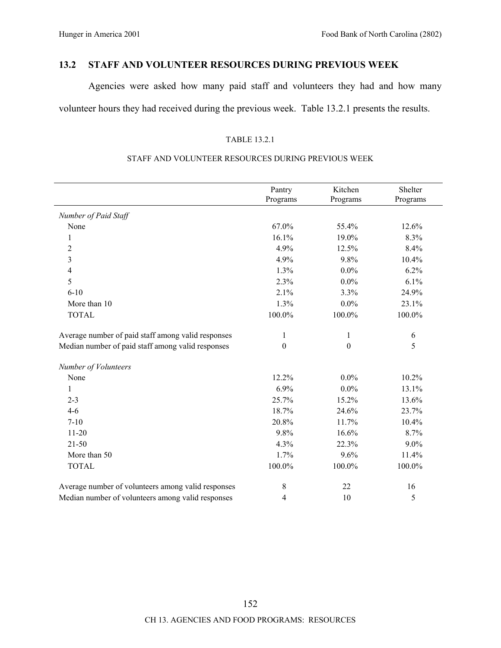# **13.2 STAFF AND VOLUNTEER RESOURCES DURING PREVIOUS WEEK**

Agencies were asked how many paid staff and volunteers they had and how many volunteer hours they had received during the previous week. Table 13.2.1 presents the results.

#### TABLE 13.2.1

## STAFF AND VOLUNTEER RESOURCES DURING PREVIOUS WEEK

|                                                    | Pantry<br>Programs | Kitchen<br>Programs | Shelter<br>Programs |
|----------------------------------------------------|--------------------|---------------------|---------------------|
| Number of Paid Staff                               |                    |                     |                     |
| None                                               | 67.0%              | 55.4%               | 12.6%               |
| 1                                                  | 16.1%              | 19.0%               | 8.3%                |
| 2                                                  | 4.9%               | 12.5%               | 8.4%                |
| 3                                                  | 4.9%               | 9.8%                | 10.4%               |
| 4                                                  | 1.3%               | $0.0\%$             | 6.2%                |
| 5                                                  | 2.3%               | $0.0\%$             | 6.1%                |
| $6 - 10$                                           | 2.1%               | 3.3%                | 24.9%               |
| More than 10                                       | 1.3%               | $0.0\%$             | 23.1%               |
| <b>TOTAL</b>                                       | 100.0%             | 100.0%              | 100.0%              |
| Average number of paid staff among valid responses | $\mathbf{1}$       | $\mathbf{1}$        | 6                   |
| Median number of paid staff among valid responses  | $\boldsymbol{0}$   | $\boldsymbol{0}$    | 5                   |
| Number of Volunteers                               |                    |                     |                     |
| None                                               | 12.2%              | $0.0\%$             | 10.2%               |
| $\mathbf{1}$                                       | 6.9%               | $0.0\%$             | 13.1%               |
| $2 - 3$                                            | 25.7%              | 15.2%               | 13.6%               |
| $4 - 6$                                            | 18.7%              | 24.6%               | 23.7%               |
| $7 - 10$                                           | 20.8%              | 11.7%               | 10.4%               |
| $11-20$                                            | 9.8%               | 16.6%               | 8.7%                |
| 21-50                                              | 4.3%               | 22.3%               | $9.0\%$             |
| More than 50                                       | 1.7%               | 9.6%                | 11.4%               |
| <b>TOTAL</b>                                       | $100.0\%$          | 100.0%              | 100.0%              |
| Average number of volunteers among valid responses | 8                  | 22                  | 16                  |
| Median number of volunteers among valid responses  | 4                  | 10                  | 5                   |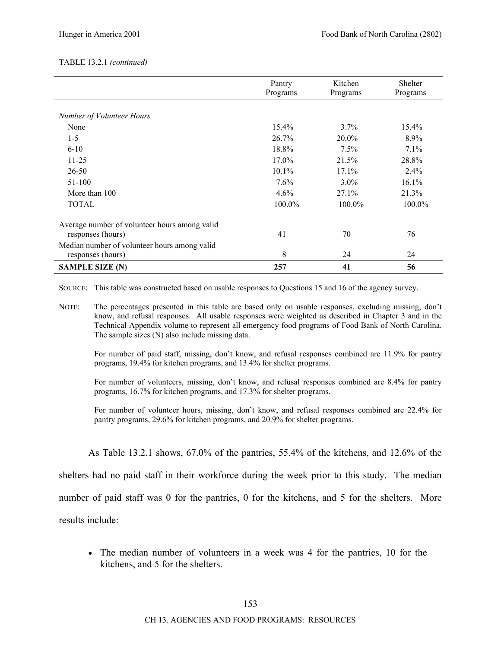#### TABLE 13.2.1 *(continued)*

|                                                                    | Pantry<br>Programs | Kitchen<br>Programs | <b>Shelter</b><br>Programs |
|--------------------------------------------------------------------|--------------------|---------------------|----------------------------|
| Number of Volunteer Hours                                          |                    |                     |                            |
| None                                                               | 15.4%              | 3.7%                | 15.4%                      |
| $1-5$                                                              | 26.7%              | $20.0\%$            | 8.9%                       |
| $6 - 10$                                                           | 18.8%              | $7.5\%$             | 7.1%                       |
| $11 - 25$                                                          | 17.0%              | 21.5%               | 28.8%                      |
| $26 - 50$                                                          | 10.1%              | 17.1%               | 2.4%                       |
| 51-100                                                             | 7.6%               | $3.0\%$             | 16.1%                      |
| More than 100                                                      | $4.6\%$            | 27.1%               | 21.3%                      |
| <b>TOTAL</b>                                                       | 100.0%             | 100.0%              | 100.0%                     |
| Average number of volunteer hours among valid<br>responses (hours) | 41                 | 70                  | 76                         |
| Median number of volunteer hours among valid<br>responses (hours)  | 8                  | 24                  | 24                         |
| <b>SAMPLE SIZE (N)</b>                                             | 257                | 41                  | 56                         |

SOURCE: This table was constructed based on usable responses to Questions 15 and 16 of the agency survey.

NOTE: The percentages presented in this table are based only on usable responses, excluding missing, don't know, and refusal responses. All usable responses were weighted as described in Chapter 3 and in the Technical Appendix volume to represent all emergency food programs of Food Bank of North Carolina. The sample sizes (N) also include missing data.

For number of paid staff, missing, don't know, and refusal responses combined are 11.9% for pantry programs, 19.4% for kitchen programs, and 13.4% for shelter programs.

For number of volunteers, missing, don't know, and refusal responses combined are 8.4% for pantry programs, 16.7% for kitchen programs, and 17.3% for shelter programs.

For number of volunteer hours, missing, don't know, and refusal responses combined are 22.4% for pantry programs, 29.6% for kitchen programs, and 20.9% for shelter programs.

As Table 13.2.1 shows, 67.0% of the pantries, 55.4% of the kitchens, and 12.6% of the

shelters had no paid staff in their workforce during the week prior to this study. The median

number of paid staff was 0 for the pantries, 0 for the kitchens, and 5 for the shelters. More

results include:

• The median number of volunteers in a week was 4 for the pantries, 10 for the kitchens, and 5 for the shelters.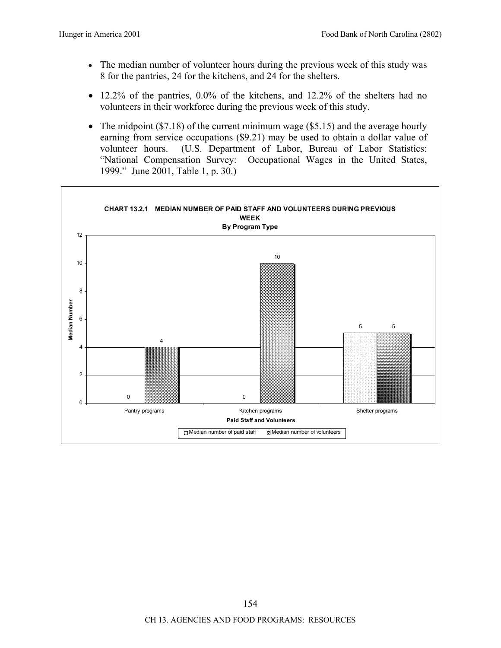- The median number of volunteer hours during the previous week of this study was 8 for the pantries, 24 for the kitchens, and 24 for the shelters.
- 12.2% of the pantries, 0.0% of the kitchens, and 12.2% of the shelters had no volunteers in their workforce during the previous week of this study.
- The midpoint (\$7.18) of the current minimum wage (\$5.15) and the average hourly earning from service occupations (\$9.21) may be used to obtain a dollar value of volunteer hours. (U.S. Department of Labor, Bureau of Labor Statistics: "National Compensation Survey: Occupational Wages in the United States, 1999." June 2001, Table 1, p. 30.)

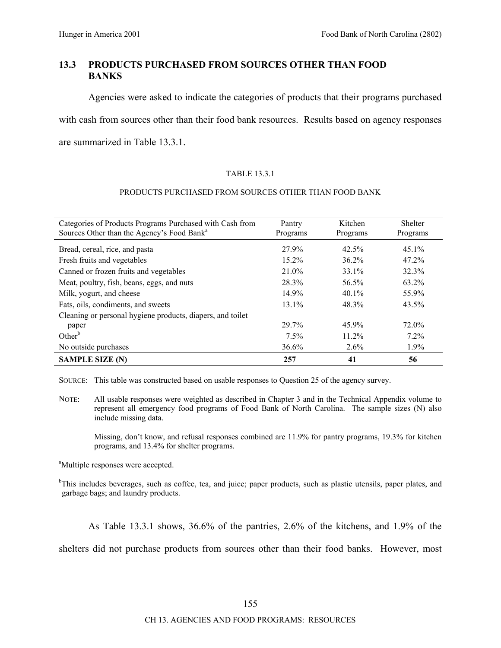# **13.3 PRODUCTS PURCHASED FROM SOURCES OTHER THAN FOOD BANKS**

Agencies were asked to indicate the categories of products that their programs purchased with cash from sources other than their food bank resources. Results based on agency responses are summarized in Table 13.3.1.

#### TABLE 13.3.1

#### PRODUCTS PURCHASED FROM SOURCES OTHER THAN FOOD BANK

| Categories of Products Programs Purchased with Cash from<br>Sources Other than the Agency's Food Bank <sup>a</sup> | Pantry<br>Programs | Kitchen<br>Programs | Shelter<br>Programs |
|--------------------------------------------------------------------------------------------------------------------|--------------------|---------------------|---------------------|
| Bread, cereal, rice, and pasta                                                                                     | 27.9%              | 42.5%               | $45.1\%$            |
| Fresh fruits and vegetables                                                                                        | $15.2\%$           | $36.2\%$            | $47.2\%$            |
| Canned or frozen fruits and vegetables                                                                             | $21.0\%$           | 33.1%               | 32.3%               |
| Meat, poultry, fish, beans, eggs, and nuts                                                                         | 28.3%              | 56.5%               | 63.2%               |
| Milk, yogurt, and cheese                                                                                           | 14.9%              | $40.1\%$            | 55.9%               |
| Fats, oils, condiments, and sweets                                                                                 | $13.1\%$           | 48.3%               | $43.5\%$            |
| Cleaning or personal hygiene products, diapers, and toilet                                                         |                    |                     |                     |
| paper                                                                                                              | 29.7%              | 45.9%               | 72.0%               |
| Other <sup>b</sup>                                                                                                 | $7.5\%$            | 11.2%               | 7.2%                |
| No outside purchases                                                                                               | $36.6\%$           | $2.6\%$             | 1.9%                |
| <b>SAMPLE SIZE (N)</b>                                                                                             | 257                | 41                  | 56                  |

SOURCE: This table was constructed based on usable responses to Question 25 of the agency survey.

NOTE: All usable responses were weighted as described in Chapter 3 and in the Technical Appendix volume to represent all emergency food programs of Food Bank of North Carolina. The sample sizes (N) also include missing data.

Missing, don't know, and refusal responses combined are 11.9% for pantry programs, 19.3% for kitchen programs, and 13.4% for shelter programs.

<sup>a</sup>Multiple responses were accepted.

<sup>b</sup>This includes beverages, such as coffee, tea, and juice; paper products, such as plastic utensils, paper plates, and garbage bags; and laundry products.

As Table 13.3.1 shows, 36.6% of the pantries, 2.6% of the kitchens, and 1.9% of the

shelters did not purchase products from sources other than their food banks. However, most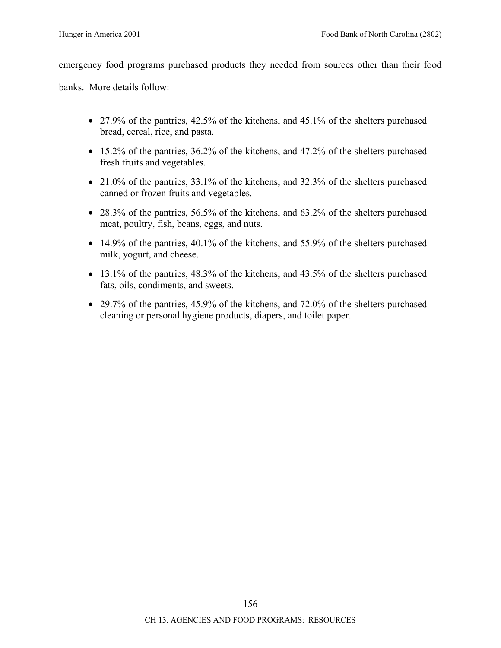emergency food programs purchased products they needed from sources other than their food

banks. More details follow:

- 27.9% of the pantries, 42.5% of the kitchens, and 45.1% of the shelters purchased bread, cereal, rice, and pasta.
- 15.2% of the pantries, 36.2% of the kitchens, and 47.2% of the shelters purchased fresh fruits and vegetables.
- 21.0% of the pantries, 33.1% of the kitchens, and 32.3% of the shelters purchased canned or frozen fruits and vegetables.
- 28.3% of the pantries, 56.5% of the kitchens, and  $63.2\%$  of the shelters purchased meat, poultry, fish, beans, eggs, and nuts.
- 14.9% of the pantries, 40.1% of the kitchens, and 55.9% of the shelters purchased milk, yogurt, and cheese.
- 13.1% of the pantries, 48.3% of the kitchens, and 43.5% of the shelters purchased fats, oils, condiments, and sweets.
- 29.7% of the pantries, 45.9% of the kitchens, and 72.0% of the shelters purchased cleaning or personal hygiene products, diapers, and toilet paper.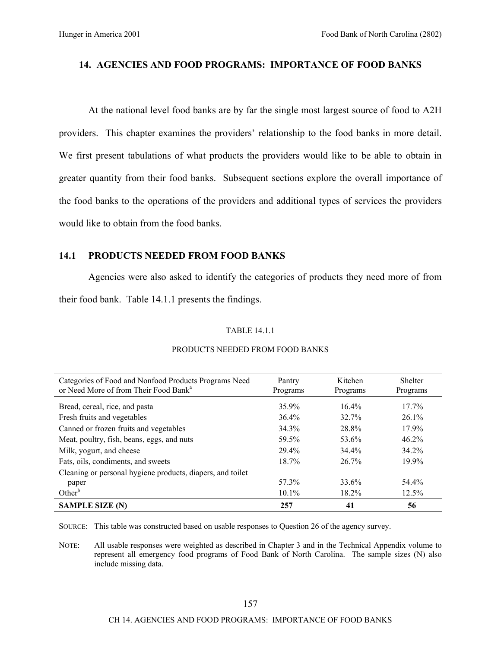# **14. AGENCIES AND FOOD PROGRAMS: IMPORTANCE OF FOOD BANKS**

At the national level food banks are by far the single most largest source of food to A2H providers. This chapter examines the providers' relationship to the food banks in more detail. We first present tabulations of what products the providers would like to be able to obtain in greater quantity from their food banks. Subsequent sections explore the overall importance of the food banks to the operations of the providers and additional types of services the providers would like to obtain from the food banks.

# **14.1 PRODUCTS NEEDED FROM FOOD BANKS**

Agencies were also asked to identify the categories of products they need more of from their food bank. Table 14.1.1 presents the findings.

#### TABLE 14.1.1

| Categories of Food and Nonfood Products Programs Need<br>or Need More of from Their Food Bank <sup>a</sup> | Pantry<br>Programs | Kitchen<br>Programs | <b>Shelter</b><br>Programs |
|------------------------------------------------------------------------------------------------------------|--------------------|---------------------|----------------------------|
| Bread, cereal, rice, and pasta                                                                             | 35.9%              | $16.4\%$            | $17.7\%$                   |
| Fresh fruits and vegetables                                                                                | $36.4\%$           | 32.7%               | $26.1\%$                   |
| Canned or frozen fruits and vegetables                                                                     | 34.3%              | 28.8%               | 17.9%                      |
| Meat, poultry, fish, beans, eggs, and nuts                                                                 | 59.5%              | 53.6%               | $46.2\%$                   |
| Milk, yogurt, and cheese                                                                                   | 29.4%              | 34.4%               | 34.2%                      |
| Fats, oils, condiments, and sweets                                                                         | $18.7\%$           | 26.7%               | 19.9%                      |
| Cleaning or personal hygiene products, diapers, and toilet                                                 |                    |                     |                            |
| paper                                                                                                      | 57.3%              | 33.6%               | 54.4%                      |
| Other $b$                                                                                                  | $10.1\%$           | $18.2\%$            | $12.5\%$                   |
| <b>SAMPLE SIZE (N)</b>                                                                                     | 257                | 41                  | 56                         |

#### PRODUCTS NEEDED FROM FOOD BANKS

SOURCE: This table was constructed based on usable responses to Question 26 of the agency survey.

NOTE: All usable responses were weighted as described in Chapter 3 and in the Technical Appendix volume to represent all emergency food programs of Food Bank of North Carolina. The sample sizes (N) also include missing data.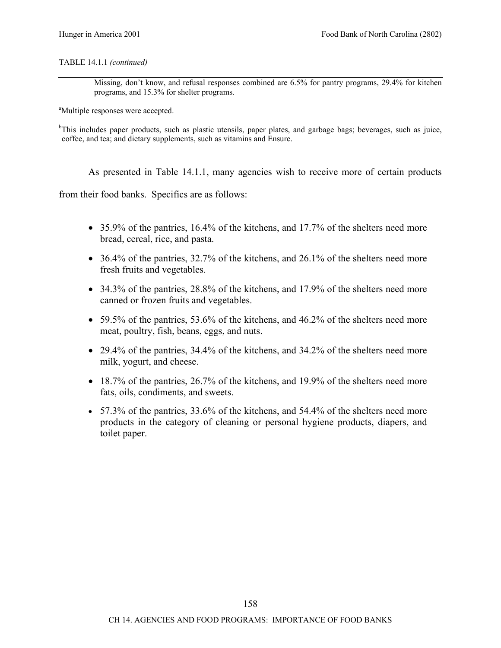#### TABLE 14.1.1 *(continued)*

Missing, don't know, and refusal responses combined are 6.5% for pantry programs, 29.4% for kitchen programs, and 15.3% for shelter programs.

<sup>a</sup>Multiple responses were accepted.

<sup>b</sup>This includes paper products, such as plastic utensils, paper plates, and garbage bags; beverages, such as juice, coffee, and tea; and dietary supplements, such as vitamins and Ensure.

As presented in Table 14.1.1, many agencies wish to receive more of certain products

from their food banks. Specifics are as follows:

- 35.9% of the pantries, 16.4% of the kitchens, and 17.7% of the shelters need more bread, cereal, rice, and pasta.
- 36.4% of the pantries, 32.7% of the kitchens, and 26.1% of the shelters need more fresh fruits and vegetables.
- 34.3% of the pantries, 28.8% of the kitchens, and 17.9% of the shelters need more canned or frozen fruits and vegetables.
- 59.5% of the pantries, 53.6% of the kitchens, and 46.2% of the shelters need more meat, poultry, fish, beans, eggs, and nuts.
- 29.4% of the pantries, 34.4% of the kitchens, and 34.2% of the shelters need more milk, yogurt, and cheese.
- 18.7% of the pantries, 26.7% of the kitchens, and 19.9% of the shelters need more fats, oils, condiments, and sweets.
- 57.3% of the pantries,  $33.6\%$  of the kitchens, and  $54.4\%$  of the shelters need more products in the category of cleaning or personal hygiene products, diapers, and toilet paper.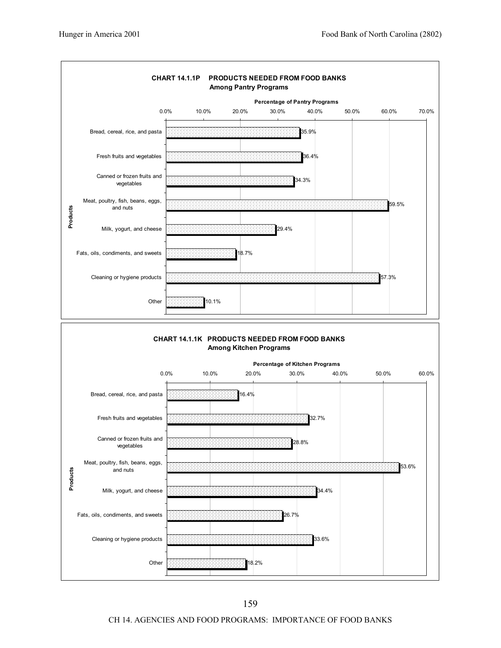

CH 14. AGENCIES AND FOOD PROGRAMS: IMPORTANCE OF FOOD BANKS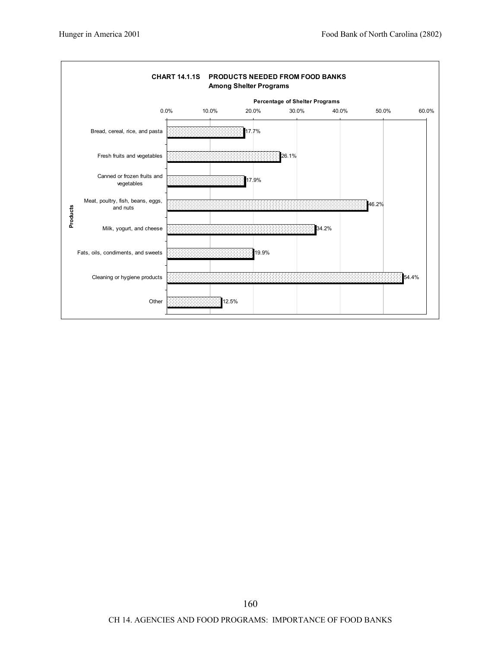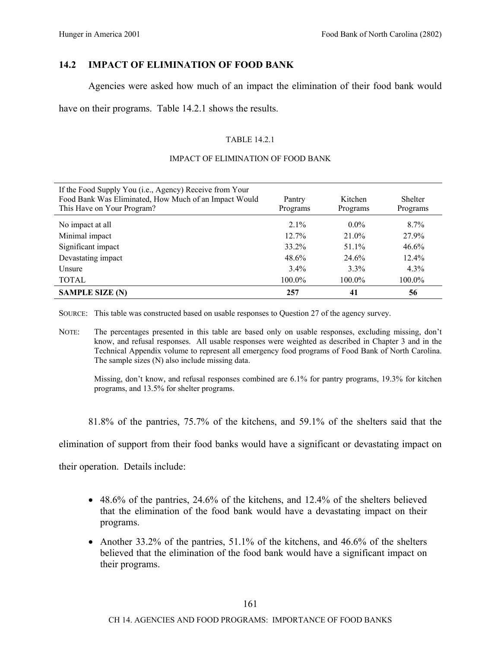# **14.2 IMPACT OF ELIMINATION OF FOOD BANK**

Agencies were asked how much of an impact the elimination of their food bank would

have on their programs. Table 14.2.1 shows the results.

## TABLE 14.2.1

#### IMPACT OF ELIMINATION OF FOOD BANK

| If the Food Supply You (i.e., Agency) Receive from Your<br>Food Bank Was Eliminated, How Much of an Impact Would<br>This Have on Your Program? | Pantry<br>Programs | Kitchen<br>Programs | <b>Shelter</b><br>Programs |
|------------------------------------------------------------------------------------------------------------------------------------------------|--------------------|---------------------|----------------------------|
| No impact at all                                                                                                                               | $2.1\%$            | $0.0\%$             | $8.7\%$                    |
| Minimal impact                                                                                                                                 | 12.7%              | 21.0%               | 27.9%                      |
| Significant impact                                                                                                                             | 33.2%              | 51.1%               | 46.6%                      |
| Devastating impact                                                                                                                             | 48.6%              | 24.6%               | $12.4\%$                   |
| Unsure                                                                                                                                         | $3.4\%$            | $3.3\%$             | $4.3\%$                    |
| <b>TOTAL</b>                                                                                                                                   | 100.0%             | $100.0\%$           | 100.0%                     |
| <b>SAMPLE SIZE (N)</b>                                                                                                                         | 257                | 41                  | 56                         |

SOURCE: This table was constructed based on usable responses to Question 27 of the agency survey.

NOTE: The percentages presented in this table are based only on usable responses, excluding missing, don't know, and refusal responses. All usable responses were weighted as described in Chapter 3 and in the Technical Appendix volume to represent all emergency food programs of Food Bank of North Carolina. The sample sizes (N) also include missing data.

Missing, don't know, and refusal responses combined are 6.1% for pantry programs, 19.3% for kitchen programs, and 13.5% for shelter programs.

81.8% of the pantries, 75.7% of the kitchens, and 59.1% of the shelters said that the

elimination of support from their food banks would have a significant or devastating impact on

their operation. Details include:

- 48.6% of the pantries, 24.6% of the kitchens, and 12.4% of the shelters believed that the elimination of the food bank would have a devastating impact on their programs.
- Another 33.2% of the pantries,  $51.1\%$  of the kitchens, and 46.6% of the shelters believed that the elimination of the food bank would have a significant impact on their programs.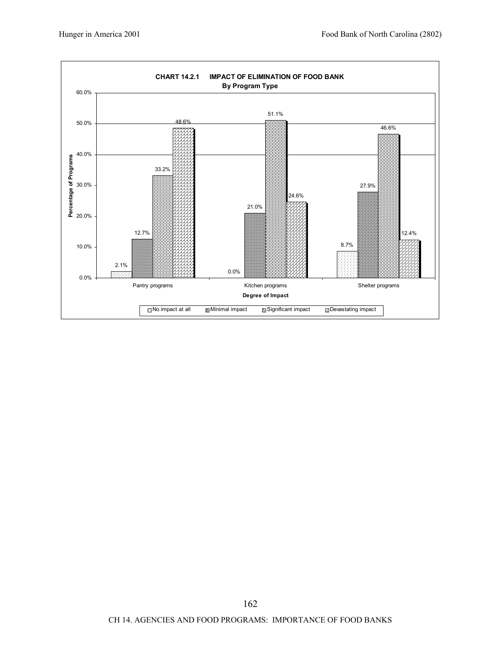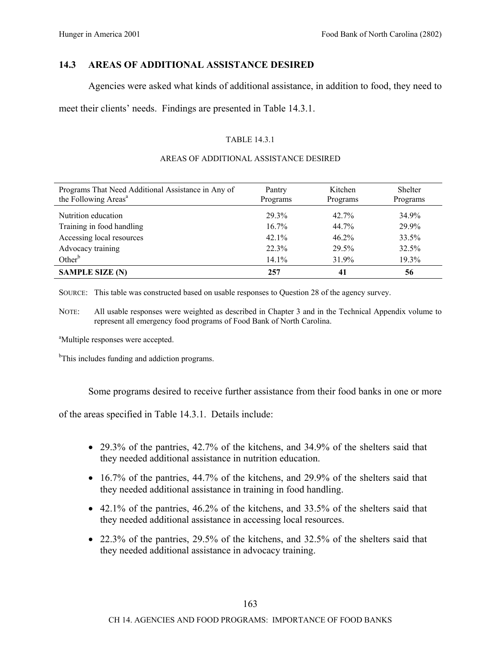# **14.3 AREAS OF ADDITIONAL ASSISTANCE DESIRED**

Agencies were asked what kinds of additional assistance, in addition to food, they need to

meet their clients' needs. Findings are presented in Table 14.3.1.

## TABLE 14.3.1

### AREAS OF ADDITIONAL ASSISTANCE DESIRED

| Programs That Need Additional Assistance in Any of<br>the Following Areas <sup>a</sup> | Pantry<br>Programs | Kitchen<br>Programs | Shelter<br>Programs |
|----------------------------------------------------------------------------------------|--------------------|---------------------|---------------------|
| Nutrition education                                                                    | 29.3%              | 42.7%               | 34.9%               |
| Training in food handling                                                              | $16.7\%$           | 44.7%               | 29.9%               |
| Accessing local resources                                                              | 42.1%              | 46.2%               | 33.5%               |
| Advocacy training                                                                      | 22.3%              | 29.5%               | 32.5%               |
| Other <sup>b</sup>                                                                     | 14.1%              | 31.9%               | 19.3%               |
| <b>SAMPLE SIZE (N)</b>                                                                 | 257                | 41                  | 56                  |

SOURCE: This table was constructed based on usable responses to Question 28 of the agency survey.

NOTE: All usable responses were weighted as described in Chapter 3 and in the Technical Appendix volume to represent all emergency food programs of Food Bank of North Carolina.

<sup>a</sup>Multiple responses were accepted.

<sup>b</sup>This includes funding and addiction programs.

Some programs desired to receive further assistance from their food banks in one or more

of the areas specified in Table 14.3.1. Details include:

- 29.3% of the pantries, 42.7% of the kitchens, and 34.9% of the shelters said that they needed additional assistance in nutrition education.
- 16.7% of the pantries, 44.7% of the kitchens, and 29.9% of the shelters said that they needed additional assistance in training in food handling.
- 42.1% of the pantries, 46.2% of the kitchens, and 33.5% of the shelters said that they needed additional assistance in accessing local resources.
- 22.3% of the pantries, 29.5% of the kitchens, and 32.5% of the shelters said that they needed additional assistance in advocacy training.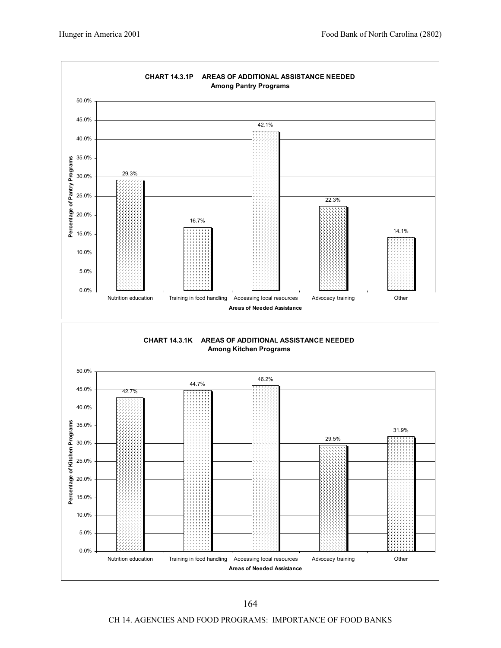

CH 14. AGENCIES AND FOOD PROGRAMS: IMPORTANCE OF FOOD BANKS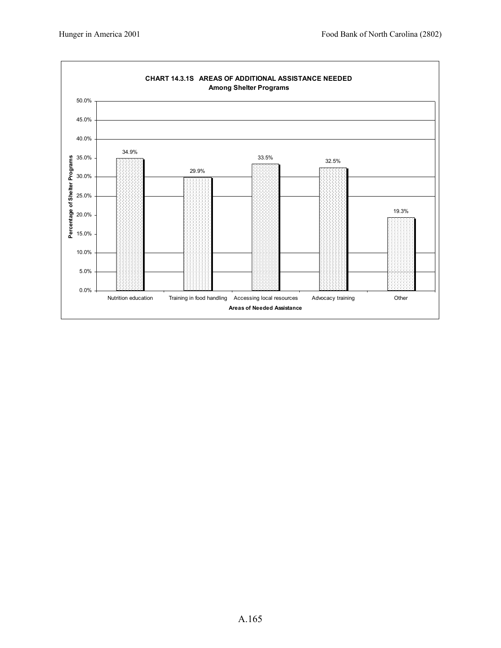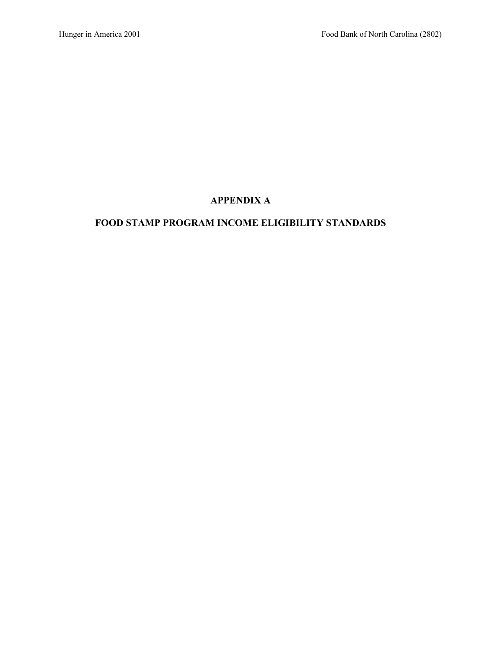# **APPENDIX A**

# **FOOD STAMP PROGRAM INCOME ELIGIBILITY STANDARDS**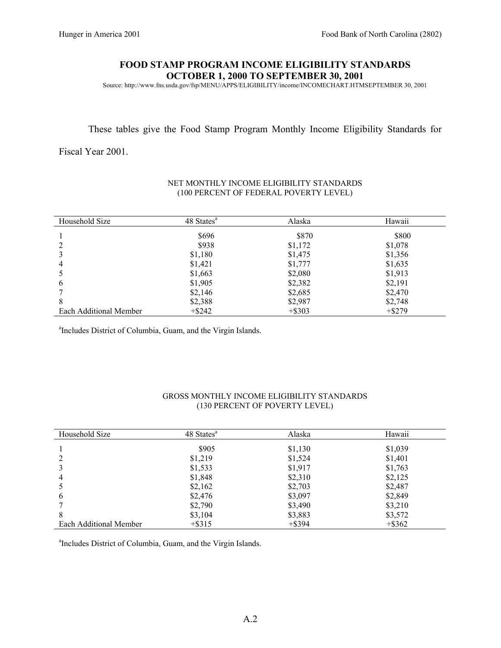#### **FOOD STAMP PROGRAM INCOME ELIGIBILITY STANDARDS OCTOBER 1, 2000 TO SEPTEMBER 30, 2001**

Source: http://www.fns.usda.gov/fsp/MENU/APPS/ELIGIBILITY/income/INCOMECHART.HTMSEPTEMBER 30, 2001

#### These tables give the Food Stamp Program Monthly Income Eligibility Standards for

Fiscal Year 2001.

| Household Size         | 48 States <sup>a</sup> | Alaska    | Hawaii    |
|------------------------|------------------------|-----------|-----------|
|                        | \$696                  | \$870     | \$800     |
|                        | \$938                  | \$1,172   | \$1,078   |
|                        | \$1,180                | \$1,475   | \$1,356   |
| 4                      | \$1,421                | \$1,777   | \$1,635   |
|                        | \$1,663                | \$2,080   | \$1,913   |
| 6                      | \$1,905                | \$2,382   | \$2,191   |
|                        | \$2,146                | \$2,685   | \$2,470   |
| 8                      | \$2,388                | \$2,987   | \$2,748   |
| Each Additional Member | $+$ \$242              | $+$ \$303 | $+$ \$279 |

### NET MONTHLY INCOME ELIGIBILITY STANDARDS (100 PERCENT OF FEDERAL POVERTY LEVEL)

a Includes District of Columbia, Guam, and the Virgin Islands.

#### GROSS MONTHLY INCOME ELIGIBILITY STANDARDS (130 PERCENT OF POVERTY LEVEL)

| Household Size         | 48 States <sup>a</sup> | Alaska    | Hawaii    |
|------------------------|------------------------|-----------|-----------|
|                        | \$905                  | \$1,130   | \$1,039   |
|                        | \$1,219                | \$1,524   | \$1,401   |
|                        | \$1,533                | \$1,917   | \$1,763   |
| 4                      | \$1,848                | \$2,310   | \$2,125   |
|                        | \$2,162                | \$2,703   | \$2,487   |
| 6                      | \$2,476                | \$3,097   | \$2,849   |
|                        | \$2,790                | \$3,490   | \$3,210   |
| 8                      | \$3,104                | \$3,883   | \$3,572   |
| Each Additional Member | $+$ \$315              | $+$ \$394 | $+$ \$362 |

a Includes District of Columbia, Guam, and the Virgin Islands.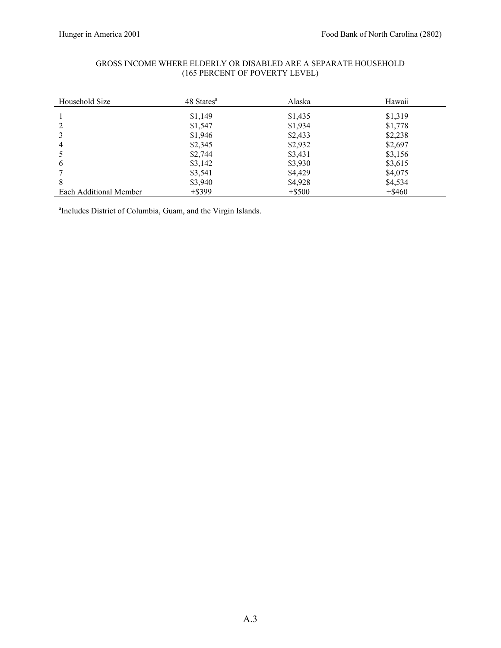| Household Size         | 48 States <sup>a</sup> | Alaska    | Hawaii    |
|------------------------|------------------------|-----------|-----------|
|                        | \$1,149                | \$1,435   | \$1,319   |
|                        | \$1,547                | \$1,934   | \$1,778   |
|                        | \$1,946                | \$2,433   | \$2,238   |
| 4                      | \$2,345                | \$2,932   | \$2,697   |
|                        | \$2,744                | \$3,431   | \$3,156   |
| 6                      | \$3,142                | \$3,930   | \$3,615   |
|                        | \$3,541                | \$4,429   | \$4,075   |
| 8                      | \$3,940                | \$4,928   | \$4,534   |
| Each Additional Member | $+$ \$399              | $+$ \$500 | $+$ \$460 |

#### GROSS INCOME WHERE ELDERLY OR DISABLED ARE A SEPARATE HOUSEHOLD (165 PERCENT OF POVERTY LEVEL)

a Includes District of Columbia, Guam, and the Virgin Islands.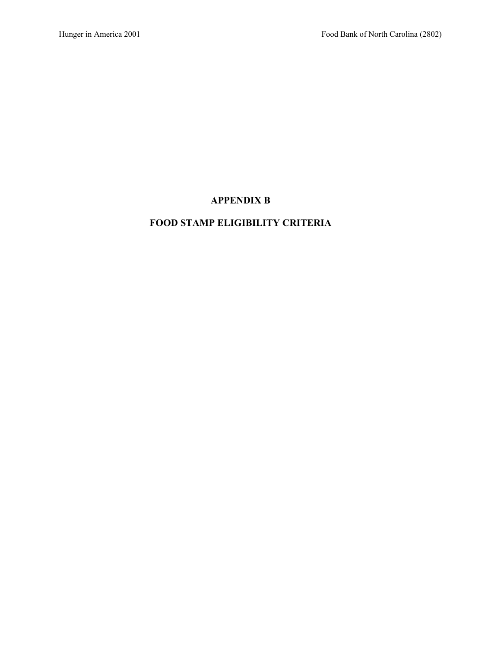# **APPENDIX B**

## **FOOD STAMP ELIGIBILITY CRITERIA**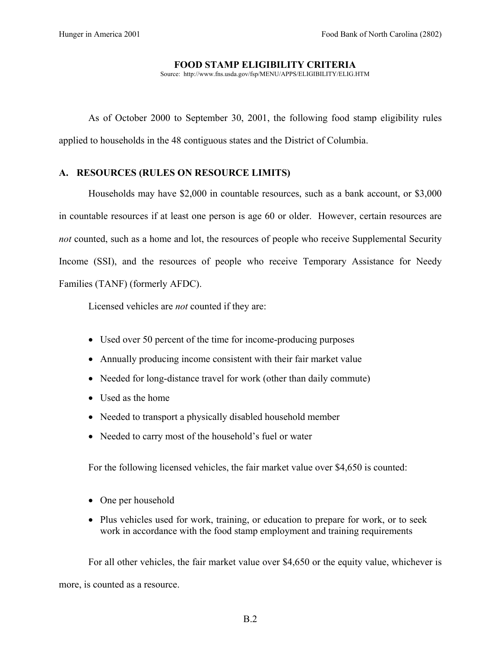#### **FOOD STAMP ELIGIBILITY CRITERIA**

Source: http://www.fns.usda.gov/fsp/MENU/APPS/ELIGIBILITY/ELIG.HTM

As of October 2000 to September 30, 2001, the following food stamp eligibility rules applied to households in the 48 contiguous states and the District of Columbia.

### **A. RESOURCES (RULES ON RESOURCE LIMITS)**

Households may have \$2,000 in countable resources, such as a bank account, or \$3,000 in countable resources if at least one person is age 60 or older. However, certain resources are *not* counted, such as a home and lot, the resources of people who receive Supplemental Security Income (SSI), and the resources of people who receive Temporary Assistance for Needy Families (TANF) (formerly AFDC).

Licensed vehicles are *not* counted if they are:

- Used over 50 percent of the time for income-producing purposes
- Annually producing income consistent with their fair market value
- Needed for long-distance travel for work (other than daily commute)
- Used as the home
- Needed to transport a physically disabled household member
- Needed to carry most of the household's fuel or water

For the following licensed vehicles, the fair market value over \$4,650 is counted:

- One per household
- Plus vehicles used for work, training, or education to prepare for work, or to seek work in accordance with the food stamp employment and training requirements

For all other vehicles, the fair market value over \$4,650 or the equity value, whichever is more, is counted as a resource.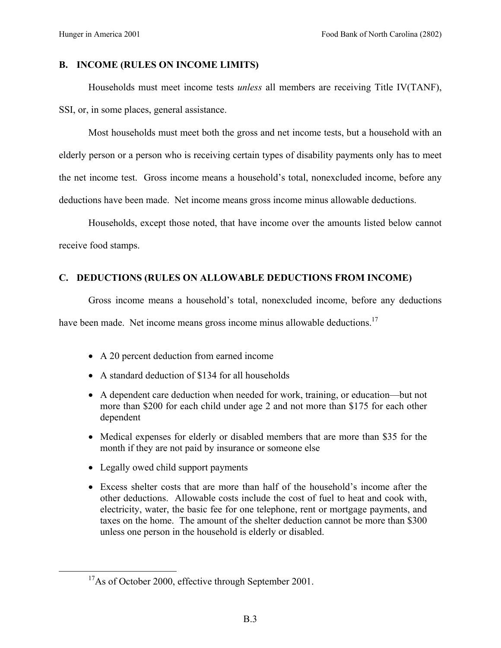### **B. INCOME (RULES ON INCOME LIMITS)**

Households must meet income tests *unless* all members are receiving Title IV(TANF), SSI, or, in some places, general assistance.

Most households must meet both the gross and net income tests, but a household with an elderly person or a person who is receiving certain types of disability payments only has to meet the net income test. Gross income means a household's total, nonexcluded income, before any deductions have been made. Net income means gross income minus allowable deductions.

Households, except those noted, that have income over the amounts listed below cannot receive food stamps.

### **C. DEDUCTIONS (RULES ON ALLOWABLE DEDUCTIONS FROM INCOME)**

Gross income means a household's total, nonexcluded income, before any deductions

have been made. Net income means gross income minus allowable deductions.<sup>17</sup>

- A 20 percent deduction from earned income
- A standard deduction of \$134 for all households
- A dependent care deduction when needed for work, training, or education—but not more than \$200 for each child under age 2 and not more than \$175 for each other dependent
- Medical expenses for elderly or disabled members that are more than \$35 for the month if they are not paid by insurance or someone else
- Legally owed child support payments
- Excess shelter costs that are more than half of the household's income after the other deductions. Allowable costs include the cost of fuel to heat and cook with, electricity, water, the basic fee for one telephone, rent or mortgage payments, and taxes on the home. The amount of the shelter deduction cannot be more than \$300 unless one person in the household is elderly or disabled.

<sup>&</sup>lt;sup>17</sup>As of October 2000, effective through September 2001.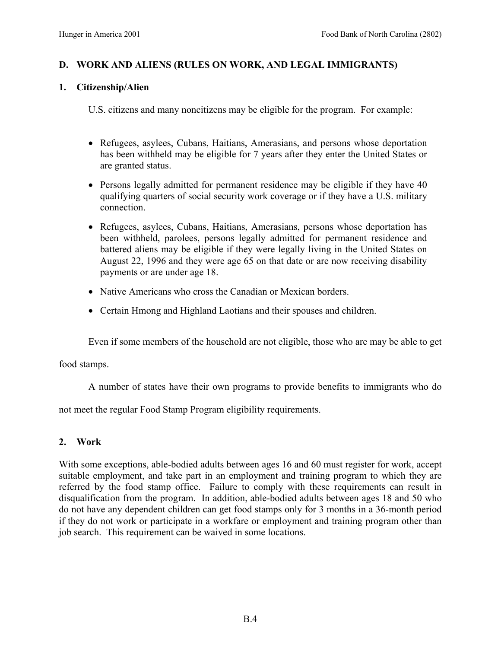# **D. WORK AND ALIENS (RULES ON WORK, AND LEGAL IMMIGRANTS)**

### **1. Citizenship/Alien**

U.S. citizens and many noncitizens may be eligible for the program. For example:

- Refugees, asylees, Cubans, Haitians, Amerasians, and persons whose deportation has been withheld may be eligible for 7 years after they enter the United States or are granted status.
- Persons legally admitted for permanent residence may be eligible if they have 40 qualifying quarters of social security work coverage or if they have a U.S. military connection.
- Refugees, asylees, Cubans, Haitians, Amerasians, persons whose deportation has been withheld, parolees, persons legally admitted for permanent residence and battered aliens may be eligible if they were legally living in the United States on August 22, 1996 and they were age 65 on that date or are now receiving disability payments or are under age 18.
- Native Americans who cross the Canadian or Mexican borders.
- Certain Hmong and Highland Laotians and their spouses and children.

Even if some members of the household are not eligible, those who are may be able to get

food stamps.

A number of states have their own programs to provide benefits to immigrants who do

not meet the regular Food Stamp Program eligibility requirements.

## **2. Work**

With some exceptions, able-bodied adults between ages 16 and 60 must register for work, accept suitable employment, and take part in an employment and training program to which they are referred by the food stamp office. Failure to comply with these requirements can result in disqualification from the program. In addition, able-bodied adults between ages 18 and 50 who do not have any dependent children can get food stamps only for 3 months in a 36-month period if they do not work or participate in a workfare or employment and training program other than job search. This requirement can be waived in some locations.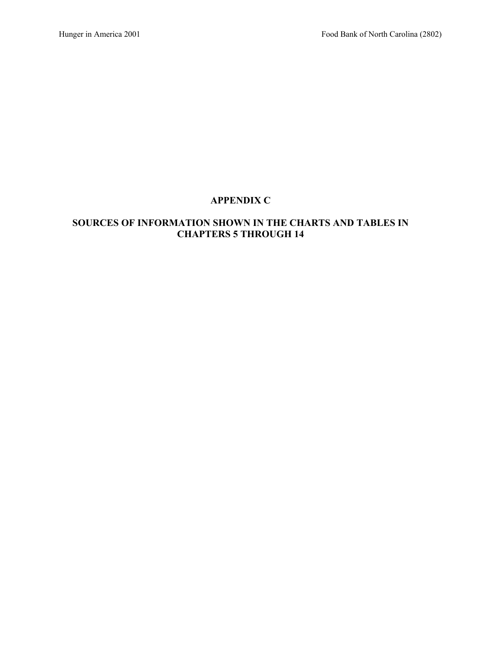# **APPENDIX C**

## **SOURCES OF INFORMATION SHOWN IN THE CHARTS AND TABLES IN CHAPTERS 5 THROUGH 14**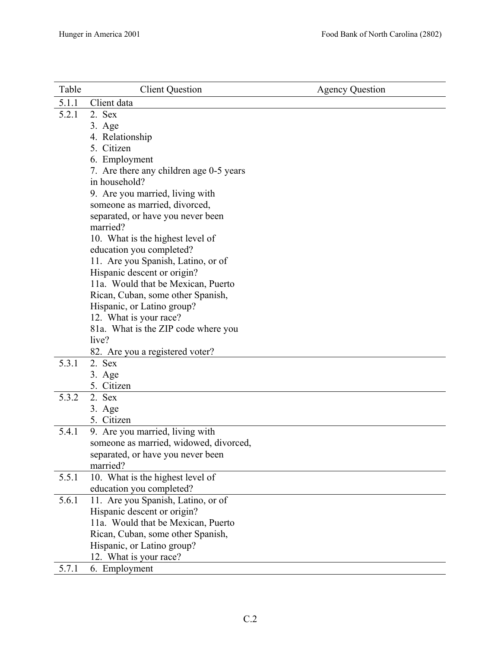| Table | <b>Client Question</b>                        | <b>Agency Question</b> |
|-------|-----------------------------------------------|------------------------|
| 5.1.1 | Client data                                   |                        |
| 5.2.1 | 2. Sex                                        |                        |
|       | 3. Age                                        |                        |
|       | 4. Relationship                               |                        |
|       | 5. Citizen                                    |                        |
|       | 6. Employment                                 |                        |
|       | 7. Are there any children age 0-5 years       |                        |
|       | in household?                                 |                        |
|       | 9. Are you married, living with               |                        |
|       | someone as married, divorced,                 |                        |
|       | separated, or have you never been             |                        |
|       | married?                                      |                        |
|       | 10. What is the highest level of              |                        |
|       | education you completed?                      |                        |
|       | 11. Are you Spanish, Latino, or of            |                        |
|       | Hispanic descent or origin?                   |                        |
|       | 11a. Would that be Mexican, Puerto            |                        |
|       | Rican, Cuban, some other Spanish,             |                        |
|       | Hispanic, or Latino group?                    |                        |
|       | 12. What is your race?                        |                        |
|       | 81a. What is the ZIP code where you           |                        |
|       | live?                                         |                        |
|       | 82. Are you a registered voter?               |                        |
| 5.3.1 | 2. Sex                                        |                        |
|       | $3. \text{Age}$                               |                        |
|       | 5. Citizen                                    |                        |
| 5.3.2 | 2. Sex                                        |                        |
|       | 3. Age                                        |                        |
|       | 5. Citizen                                    |                        |
| 5.4.1 | 9. Are you married, living with               |                        |
|       | someone as married, widowed, divorced,        |                        |
|       | separated, or have you never been<br>married? |                        |
| 5.5.1 | 10. What is the highest level of              |                        |
|       | education you completed?                      |                        |
| 5.6.1 | 11. Are you Spanish, Latino, or of            |                        |
|       | Hispanic descent or origin?                   |                        |
|       | 11a. Would that be Mexican, Puerto            |                        |
|       | Rican, Cuban, some other Spanish,             |                        |
|       | Hispanic, or Latino group?                    |                        |
|       | 12. What is your race?                        |                        |
| 5.7.1 | 6. Employment                                 |                        |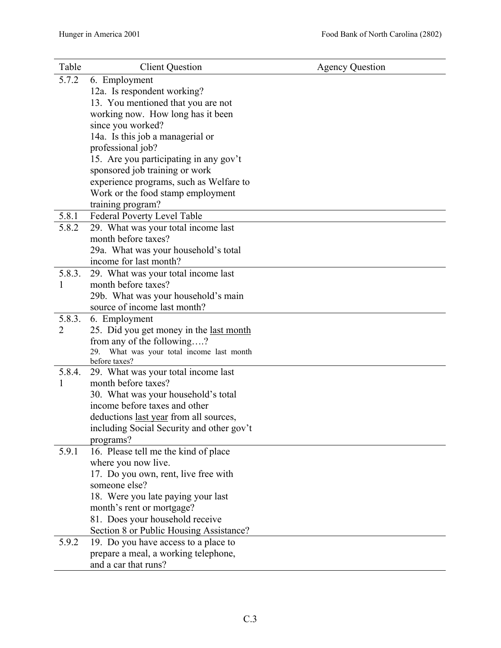| Table  | <b>Client Question</b>                                                  | <b>Agency Question</b> |
|--------|-------------------------------------------------------------------------|------------------------|
| 5.7.2  | 6. Employment                                                           |                        |
|        | 12a. Is respondent working?                                             |                        |
|        | 13. You mentioned that you are not                                      |                        |
|        | working now. How long has it been                                       |                        |
|        | since you worked?                                                       |                        |
|        | 14a. Is this job a managerial or                                        |                        |
|        | professional job?                                                       |                        |
|        | 15. Are you participating in any gov't                                  |                        |
|        | sponsored job training or work                                          |                        |
|        | experience programs, such as Welfare to                                 |                        |
|        | Work or the food stamp employment                                       |                        |
|        | training program?                                                       |                        |
| 5.8.1  | Federal Poverty Level Table                                             |                        |
| 5.8.2  | 29. What was your total income last                                     |                        |
|        | month before taxes?                                                     |                        |
|        | 29a. What was your household's total                                    |                        |
|        | income for last month?                                                  |                        |
| 5.8.3. | 29. What was your total income last                                     |                        |
| 1      | month before taxes?                                                     |                        |
|        | 29b. What was your household's main                                     |                        |
|        | source of income last month?                                            |                        |
| 5.8.3. | 6. Employment                                                           |                        |
| 2      | 25. Did you get money in the last month                                 |                        |
|        | from any of the following?<br>29. What was your total income last month |                        |
|        | before taxes?                                                           |                        |
| 5.8.4. | 29. What was your total income last                                     |                        |
| 1      | month before taxes?                                                     |                        |
|        | 30. What was your household's total                                     |                        |
|        | income before taxes and other                                           |                        |
|        | deductions last year from all sources,                                  |                        |
|        | including Social Security and other gov't                               |                        |
|        | programs?                                                               |                        |
| 5.9.1  | 16. Please tell me the kind of place                                    |                        |
|        | where you now live.                                                     |                        |
|        | 17. Do you own, rent, live free with                                    |                        |
|        | someone else?                                                           |                        |
|        | 18. Were you late paying your last                                      |                        |
|        | month's rent or mortgage?                                               |                        |
|        | 81. Does your household receive                                         |                        |
|        | Section 8 or Public Housing Assistance?                                 |                        |
| 5.9.2  | 19. Do you have access to a place to                                    |                        |
|        | prepare a meal, a working telephone,                                    |                        |
|        | and a car that runs?                                                    |                        |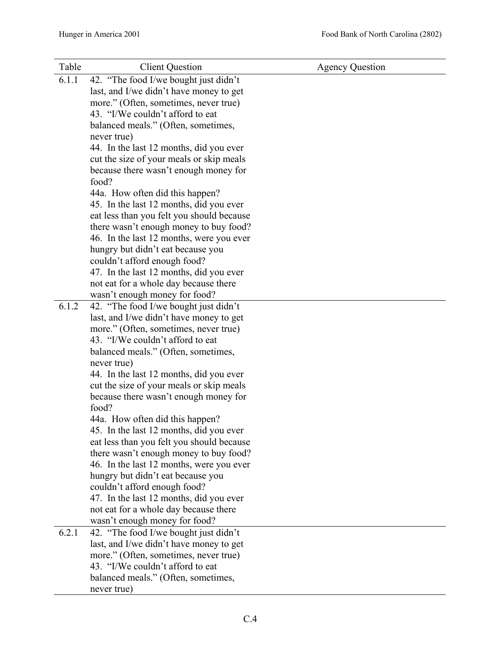| Table | <b>Client Question</b>                                                           | <b>Agency Question</b> |
|-------|----------------------------------------------------------------------------------|------------------------|
| 6.1.1 | 42. "The food I/we bought just didn't                                            |                        |
|       | last, and I/we didn't have money to get                                          |                        |
|       | more." (Often, sometimes, never true)                                            |                        |
|       | 43. "I/We couldn't afford to eat                                                 |                        |
|       | balanced meals." (Often, sometimes,                                              |                        |
|       | never true)                                                                      |                        |
|       | 44. In the last 12 months, did you ever                                          |                        |
|       | cut the size of your meals or skip meals                                         |                        |
|       | because there wasn't enough money for                                            |                        |
|       | food?                                                                            |                        |
|       | 44a. How often did this happen?                                                  |                        |
|       | 45. In the last 12 months, did you ever                                          |                        |
|       | eat less than you felt you should because                                        |                        |
|       | there wasn't enough money to buy food?                                           |                        |
|       | 46. In the last 12 months, were you ever                                         |                        |
|       | hungry but didn't eat because you                                                |                        |
|       | couldn't afford enough food?                                                     |                        |
|       | 47. In the last 12 months, did you ever                                          |                        |
|       | not eat for a whole day because there                                            |                        |
| 6.1.2 | wasn't enough money for food?                                                    |                        |
|       | 42. "The food I/we bought just didn't<br>last, and I/we didn't have money to get |                        |
|       | more." (Often, sometimes, never true)                                            |                        |
|       | 43. "I/We couldn't afford to eat                                                 |                        |
|       | balanced meals." (Often, sometimes,                                              |                        |
|       | never true)                                                                      |                        |
|       | 44. In the last 12 months, did you ever                                          |                        |
|       | cut the size of your meals or skip meals                                         |                        |
|       | because there wasn't enough money for                                            |                        |
|       | food?                                                                            |                        |
|       | 44a. How often did this happen?                                                  |                        |
|       | 45. In the last 12 months, did you ever                                          |                        |
|       | eat less than you felt you should because                                        |                        |
|       | there wasn't enough money to buy food?                                           |                        |
|       | 46. In the last 12 months, were you ever                                         |                        |
|       | hungry but didn't eat because you                                                |                        |
|       | couldn't afford enough food?                                                     |                        |
|       | 47. In the last 12 months, did you ever                                          |                        |
|       | not eat for a whole day because there                                            |                        |
|       | wasn't enough money for food?                                                    |                        |
| 6.2.1 | 42. "The food I/we bought just didn't                                            |                        |
|       | last, and I/we didn't have money to get                                          |                        |
|       | more." (Often, sometimes, never true)                                            |                        |
|       | 43. "I/We couldn't afford to eat                                                 |                        |
|       | balanced meals." (Often, sometimes,                                              |                        |
|       | never true)                                                                      |                        |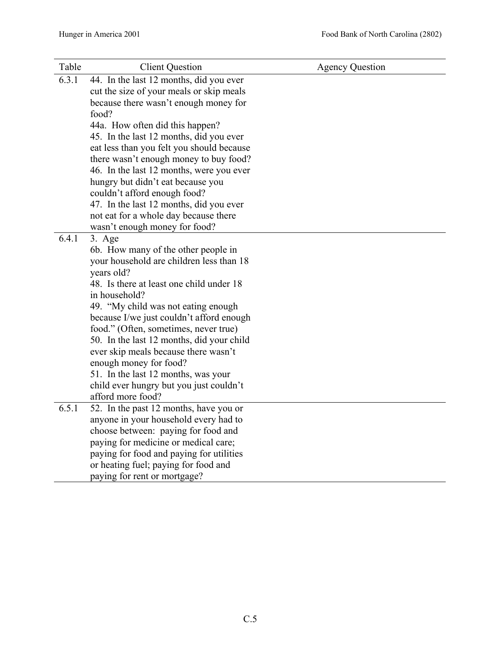| Table | <b>Client Question</b>                    | <b>Agency Question</b> |
|-------|-------------------------------------------|------------------------|
| 6.3.1 | 44. In the last 12 months, did you ever   |                        |
|       | cut the size of your meals or skip meals  |                        |
|       | because there wasn't enough money for     |                        |
|       | food?                                     |                        |
|       | 44a. How often did this happen?           |                        |
|       | 45. In the last 12 months, did you ever   |                        |
|       | eat less than you felt you should because |                        |
|       | there wasn't enough money to buy food?    |                        |
|       | 46. In the last 12 months, were you ever  |                        |
|       | hungry but didn't eat because you         |                        |
|       | couldn't afford enough food?              |                        |
|       | 47. In the last 12 months, did you ever   |                        |
|       | not eat for a whole day because there     |                        |
|       | wasn't enough money for food?             |                        |
| 6.4.1 | $3. \text{Age}$                           |                        |
|       | 6b. How many of the other people in       |                        |
|       | your household are children less than 18  |                        |
|       | years old?                                |                        |
|       | 48. Is there at least one child under 18  |                        |
|       | in household?                             |                        |
|       | 49. "My child was not eating enough       |                        |
|       | because I/we just couldn't afford enough  |                        |
|       | food." (Often, sometimes, never true)     |                        |
|       | 50. In the last 12 months, did your child |                        |
|       | ever skip meals because there wasn't      |                        |
|       | enough money for food?                    |                        |
|       | 51. In the last 12 months, was your       |                        |
|       | child ever hungry but you just couldn't   |                        |
| 6.5.1 | afford more food?                         |                        |
|       | 52. In the past 12 months, have you or    |                        |
|       | anyone in your household every had to     |                        |
|       | choose between: paying for food and       |                        |
|       | paying for medicine or medical care;      |                        |
|       | paying for food and paying for utilities  |                        |
|       | or heating fuel; paying for food and      |                        |
|       | paying for rent or mortgage?              |                        |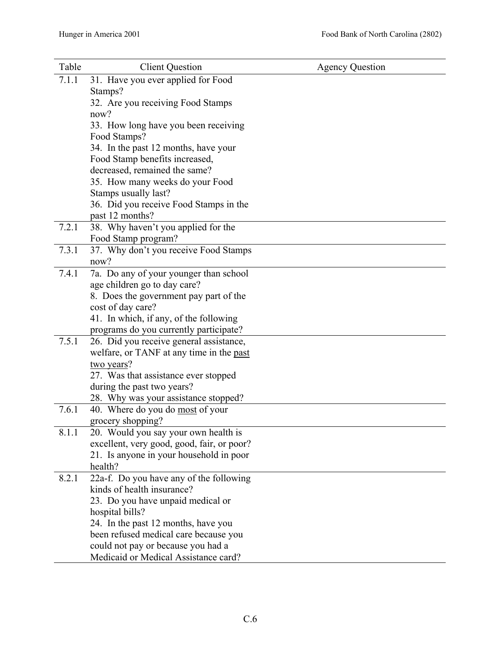| Table | <b>Client Question</b>                                                   | <b>Agency Question</b> |
|-------|--------------------------------------------------------------------------|------------------------|
| 7.1.1 | 31. Have you ever applied for Food                                       |                        |
|       | Stamps?                                                                  |                        |
|       | 32. Are you receiving Food Stamps                                        |                        |
|       | now?                                                                     |                        |
|       | 33. How long have you been receiving                                     |                        |
|       | Food Stamps?                                                             |                        |
|       | 34. In the past 12 months, have your                                     |                        |
|       | Food Stamp benefits increased,                                           |                        |
|       | decreased, remained the same?                                            |                        |
|       | 35. How many weeks do your Food                                          |                        |
|       | Stamps usually last?                                                     |                        |
|       | 36. Did you receive Food Stamps in the                                   |                        |
|       | past 12 months?                                                          |                        |
| 7.2.1 | 38. Why haven't you applied for the                                      |                        |
|       | Food Stamp program?                                                      |                        |
| 7.3.1 | 37. Why don't you receive Food Stamps                                    |                        |
|       | now?                                                                     |                        |
| 7.4.1 | 7a. Do any of your younger than school                                   |                        |
|       | age children go to day care?                                             |                        |
|       | 8. Does the government pay part of the                                   |                        |
|       | cost of day care?                                                        |                        |
|       | 41. In which, if any, of the following                                   |                        |
|       | programs do you currently participate?                                   |                        |
| 7.5.1 | 26. Did you receive general assistance,                                  |                        |
|       | welfare, or TANF at any time in the past                                 |                        |
|       | two years?                                                               |                        |
|       | 27. Was that assistance ever stopped                                     |                        |
|       | during the past two years?                                               |                        |
| 7.6.1 | 28. Why was your assistance stopped?<br>40. Where do you do most of your |                        |
|       | grocery shopping?                                                        |                        |
| 8.1.1 | 20. Would you say your own health is                                     |                        |
|       | excellent, very good, good, fair, or poor?                               |                        |
|       | 21. Is anyone in your household in poor                                  |                        |
|       | health?                                                                  |                        |
| 8.2.1 | 22a-f. Do you have any of the following                                  |                        |
|       | kinds of health insurance?                                               |                        |
|       | 23. Do you have unpaid medical or                                        |                        |
|       | hospital bills?                                                          |                        |
|       | 24. In the past 12 months, have you                                      |                        |
|       | been refused medical care because you                                    |                        |
|       | could not pay or because you had a                                       |                        |
|       | Medicaid or Medical Assistance card?                                     |                        |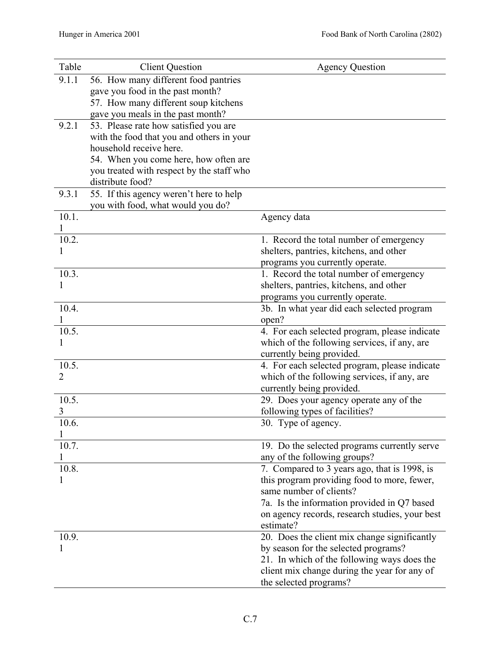| Table     | <b>Client Question</b>                                               | <b>Agency Question</b>                                                              |
|-----------|----------------------------------------------------------------------|-------------------------------------------------------------------------------------|
| 9.1.1     | 56. How many different food pantries                                 |                                                                                     |
|           | gave you food in the past month?                                     |                                                                                     |
|           | 57. How many different soup kitchens                                 |                                                                                     |
|           | gave you meals in the past month?                                    |                                                                                     |
| 9.2.1     | 53. Please rate how satisfied you are                                |                                                                                     |
|           | with the food that you and others in your<br>household receive here. |                                                                                     |
|           | 54. When you come here, how often are                                |                                                                                     |
|           | you treated with respect by the staff who                            |                                                                                     |
|           | distribute food?                                                     |                                                                                     |
| 9.3.1     | 55. If this agency weren't here to help                              |                                                                                     |
|           | you with food, what would you do?                                    |                                                                                     |
| 10.1.     |                                                                      | Agency data                                                                         |
|           |                                                                      |                                                                                     |
| 10.2.     |                                                                      | 1. Record the total number of emergency                                             |
|           |                                                                      | shelters, pantries, kitchens, and other<br>programs you currently operate.          |
| 10.3.     |                                                                      | 1. Record the total number of emergency                                             |
| 1         |                                                                      | shelters, pantries, kitchens, and other                                             |
|           |                                                                      | programs you currently operate.                                                     |
| 10.4.     |                                                                      | 3b. In what year did each selected program                                          |
|           |                                                                      | open?                                                                               |
| 10.5.     |                                                                      | 4. For each selected program, please indicate                                       |
|           |                                                                      | which of the following services, if any, are                                        |
|           |                                                                      | currently being provided.                                                           |
| 10.5.     |                                                                      | 4. For each selected program, please indicate                                       |
| 2         |                                                                      | which of the following services, if any, are                                        |
|           |                                                                      | currently being provided.                                                           |
| 10.5.     |                                                                      | 29. Does your agency operate any of the                                             |
| 3<br>10.6 |                                                                      | following types of facilities?                                                      |
|           |                                                                      | 30. Type of agency.                                                                 |
| 10.7.     |                                                                      | 19. Do the selected programs currently serve                                        |
|           |                                                                      | any of the following groups?                                                        |
| 10.8.     |                                                                      | 7. Compared to 3 years ago, that is 1998, is                                        |
|           |                                                                      | this program providing food to more, fewer,                                         |
|           |                                                                      | same number of clients?                                                             |
|           |                                                                      | 7a. Is the information provided in Q7 based                                         |
|           |                                                                      | on agency records, research studies, your best                                      |
|           |                                                                      | estimate?                                                                           |
| 10.9.     |                                                                      | 20. Does the client mix change significantly                                        |
|           |                                                                      | by season for the selected programs?<br>21. In which of the following ways does the |
|           |                                                                      | client mix change during the year for any of                                        |
|           |                                                                      | the selected programs?                                                              |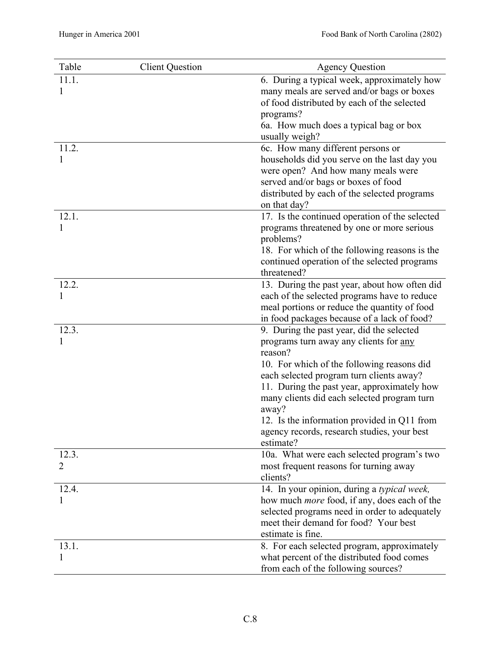| Table | <b>Client Question</b> | <b>Agency Question</b>                               |
|-------|------------------------|------------------------------------------------------|
| 11.1. |                        | 6. During a typical week, approximately how          |
|       |                        | many meals are served and/or bags or boxes           |
|       |                        | of food distributed by each of the selected          |
|       |                        | programs?                                            |
|       |                        | 6a. How much does a typical bag or box               |
|       |                        | usually weigh?                                       |
| 11.2. |                        | 6c. How many different persons or                    |
|       |                        | households did you serve on the last day you         |
|       |                        | were open? And how many meals were                   |
|       |                        | served and/or bags or boxes of food                  |
|       |                        | distributed by each of the selected programs         |
|       |                        | on that day?                                         |
| 12.1. |                        | 17. Is the continued operation of the selected       |
|       |                        | programs threatened by one or more serious           |
|       |                        | problems?                                            |
|       |                        | 18. For which of the following reasons is the        |
|       |                        | continued operation of the selected programs         |
|       |                        | threatened?                                          |
| 12.2. |                        | 13. During the past year, about how often did        |
| 1     |                        | each of the selected programs have to reduce         |
|       |                        | meal portions or reduce the quantity of food         |
|       |                        | in food packages because of a lack of food?          |
| 12.3. |                        | 9. During the past year, did the selected            |
|       |                        | programs turn away any clients for any               |
|       |                        | reason?                                              |
|       |                        | 10. For which of the following reasons did           |
|       |                        | each selected program turn clients away?             |
|       |                        | 11. During the past year, approximately how          |
|       |                        | many clients did each selected program turn<br>away? |
|       |                        | 12. Is the information provided in Q11 from          |
|       |                        | agency records, research studies, your best          |
|       |                        | estimate?                                            |
| 12.3. |                        | 10a. What were each selected program's two           |
| 2     |                        | most frequent reasons for turning away               |
|       |                        | clients?                                             |
| 12.4. |                        | 14. In your opinion, during a typical week,          |
|       |                        | how much <i>more</i> food, if any, does each of the  |
|       |                        | selected programs need in order to adequately        |
|       |                        | meet their demand for food? Your best                |
|       |                        | estimate is fine.                                    |
| 13.1. |                        | 8. For each selected program, approximately          |
|       |                        | what percent of the distributed food comes           |
|       |                        | from each of the following sources?                  |